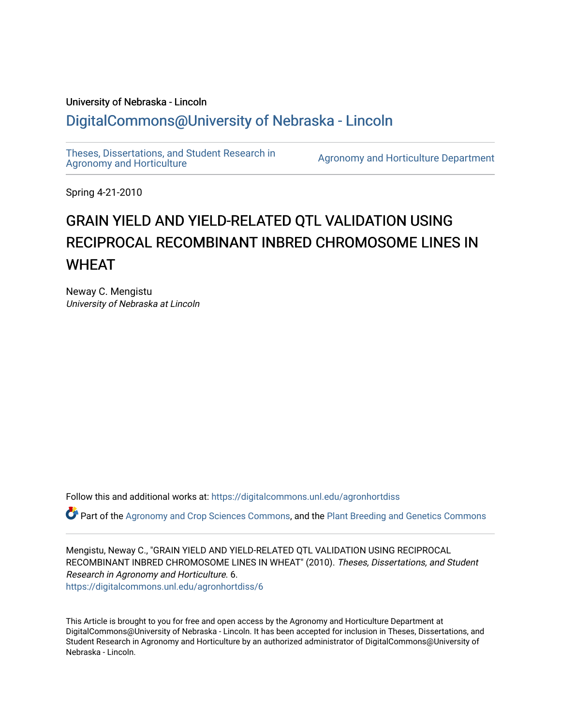## University of Nebraska - Lincoln [DigitalCommons@University of Nebraska - Lincoln](https://digitalcommons.unl.edu/)

[Theses, Dissertations, and Student Research in](https://digitalcommons.unl.edu/agronhortdiss) 

[Agronomy and Horticulture](https://digitalcommons.unl.edu/agronhortdiss) Department

Spring 4-21-2010

# GRAIN YIELD AND YIELD-RELATED QTL VALIDATION USING RECIPROCAL RECOMBINANT INBRED CHROMOSOME LINES IN **WHFAT**

Neway C. Mengistu University of Nebraska at Lincoln

Follow this and additional works at: [https://digitalcommons.unl.edu/agronhortdiss](https://digitalcommons.unl.edu/agronhortdiss?utm_source=digitalcommons.unl.edu%2Fagronhortdiss%2F6&utm_medium=PDF&utm_campaign=PDFCoverPages) 

Part of the [Agronomy and Crop Sciences Commons,](http://network.bepress.com/hgg/discipline/103?utm_source=digitalcommons.unl.edu%2Fagronhortdiss%2F6&utm_medium=PDF&utm_campaign=PDFCoverPages) and the [Plant Breeding and Genetics Commons](http://network.bepress.com/hgg/discipline/108?utm_source=digitalcommons.unl.edu%2Fagronhortdiss%2F6&utm_medium=PDF&utm_campaign=PDFCoverPages) 

Mengistu, Neway C., "GRAIN YIELD AND YIELD-RELATED QTL VALIDATION USING RECIPROCAL RECOMBINANT INBRED CHROMOSOME LINES IN WHEAT" (2010). Theses, Dissertations, and Student Research in Agronomy and Horticulture. 6. [https://digitalcommons.unl.edu/agronhortdiss/6](https://digitalcommons.unl.edu/agronhortdiss/6?utm_source=digitalcommons.unl.edu%2Fagronhortdiss%2F6&utm_medium=PDF&utm_campaign=PDFCoverPages) 

This Article is brought to you for free and open access by the Agronomy and Horticulture Department at DigitalCommons@University of Nebraska - Lincoln. It has been accepted for inclusion in Theses, Dissertations, and Student Research in Agronomy and Horticulture by an authorized administrator of DigitalCommons@University of Nebraska - Lincoln.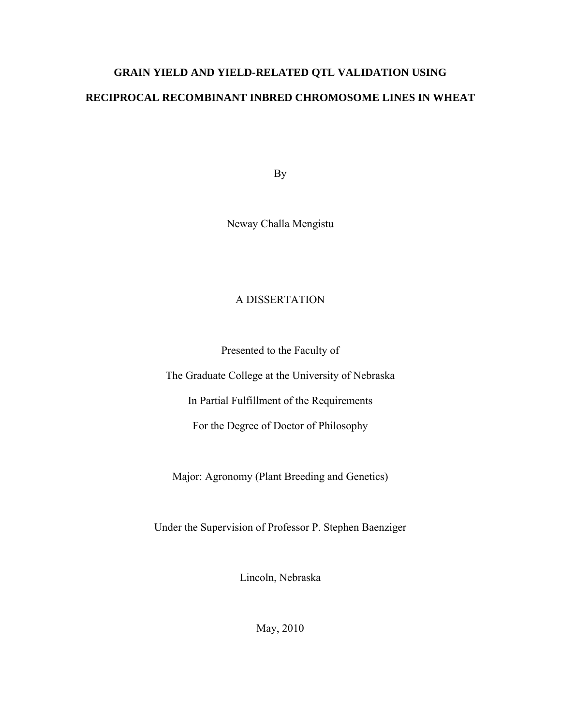# **GRAIN YIELD AND YIELD-RELATED QTL VALIDATION USING RECIPROCAL RECOMBINANT INBRED CHROMOSOME LINES IN WHEAT**

By

Neway Challa Mengistu

### A DISSERTATION

Presented to the Faculty of

The Graduate College at the University of Nebraska

In Partial Fulfillment of the Requirements

For the Degree of Doctor of Philosophy

Major: Agronomy (Plant Breeding and Genetics)

Under the Supervision of Professor P. Stephen Baenziger

Lincoln, Nebraska

May, 2010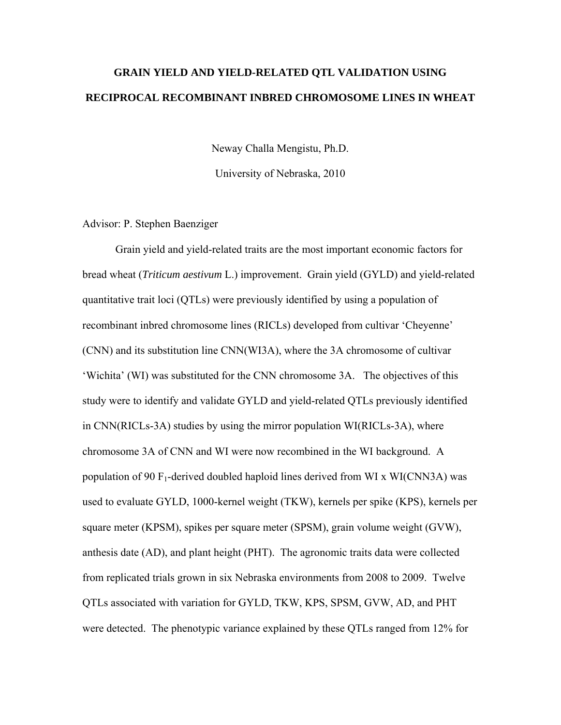## **GRAIN YIELD AND YIELD-RELATED QTL VALIDATION USING RECIPROCAL RECOMBINANT INBRED CHROMOSOME LINES IN WHEAT**

Neway Challa Mengistu, Ph.D.

University of Nebraska, 2010

#### Advisor: P. Stephen Baenziger

 Grain yield and yield-related traits are the most important economic factors for bread wheat (*Triticum aestivum* L.) improvement. Grain yield (GYLD) and yield-related quantitative trait loci (QTLs) were previously identified by using a population of recombinant inbred chromosome lines (RICLs) developed from cultivar 'Cheyenne' (CNN) and its substitution line CNN(WI3A), where the 3A chromosome of cultivar 'Wichita' (WI) was substituted for the CNN chromosome 3A. The objectives of this study were to identify and validate GYLD and yield-related QTLs previously identified in CNN(RICLs-3A) studies by using the mirror population WI(RICLs-3A), where chromosome 3A of CNN and WI were now recombined in the WI background. A population of 90  $F_1$ -derived doubled haploid lines derived from WI x WI(CNN3A) was used to evaluate GYLD, 1000-kernel weight (TKW), kernels per spike (KPS), kernels per square meter (KPSM), spikes per square meter (SPSM), grain volume weight (GVW), anthesis date (AD), and plant height (PHT). The agronomic traits data were collected from replicated trials grown in six Nebraska environments from 2008 to 2009. Twelve QTLs associated with variation for GYLD, TKW, KPS, SPSM, GVW, AD, and PHT were detected. The phenotypic variance explained by these QTLs ranged from 12% for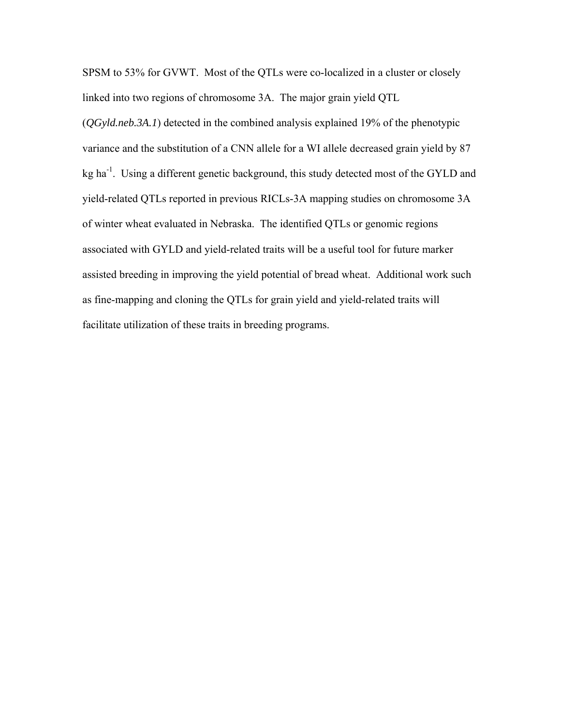SPSM to 53% for GVWT. Most of the QTLs were co-localized in a cluster or closely linked into two regions of chromosome 3A. The major grain yield QTL

(*QGyld.neb.3A.1*) detected in the combined analysis explained 19% of the phenotypic variance and the substitution of a CNN allele for a WI allele decreased grain yield by 87 kg ha<sup>-1</sup>. Using a different genetic background, this study detected most of the GYLD and yield-related QTLs reported in previous RICLs-3A mapping studies on chromosome 3A of winter wheat evaluated in Nebraska. The identified QTLs or genomic regions associated with GYLD and yield-related traits will be a useful tool for future marker assisted breeding in improving the yield potential of bread wheat. Additional work such as fine-mapping and cloning the QTLs for grain yield and yield-related traits will facilitate utilization of these traits in breeding programs.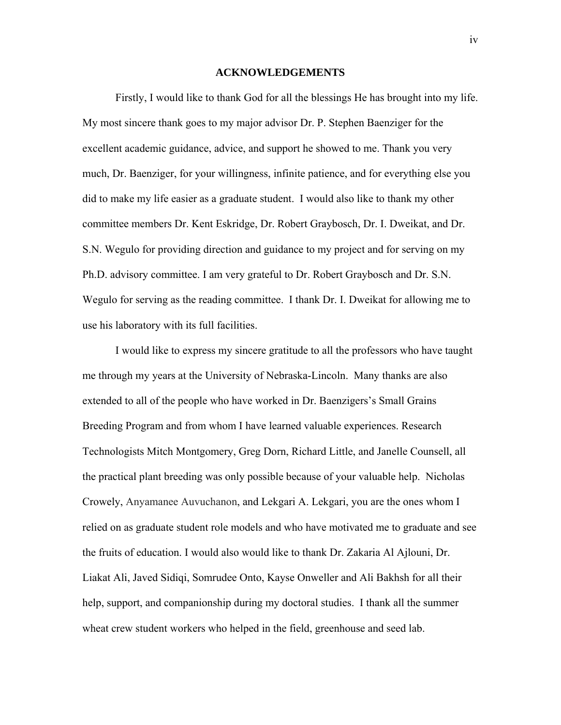#### **ACKNOWLEDGEMENTS**

 Firstly, I would like to thank God for all the blessings He has brought into my life. My most sincere thank goes to my major advisor Dr. P. Stephen Baenziger for the excellent academic guidance, advice, and support he showed to me. Thank you very much, Dr. Baenziger, for your willingness, infinite patience, and for everything else you did to make my life easier as a graduate student. I would also like to thank my other committee members Dr. Kent Eskridge, Dr. Robert Graybosch, Dr. I. Dweikat, and Dr. S.N. Wegulo for providing direction and guidance to my project and for serving on my Ph.D. advisory committee. I am very grateful to Dr. Robert Graybosch and Dr. S.N. Wegulo for serving as the reading committee. I thank Dr. I. Dweikat for allowing me to use his laboratory with its full facilities.

 I would like to express my sincere gratitude to all the professors who have taught me through my years at the University of Nebraska-Lincoln. Many thanks are also extended to all of the people who have worked in Dr. Baenzigers's Small Grains Breeding Program and from whom I have learned valuable experiences. Research Technologists Mitch Montgomery, Greg Dorn, Richard Little, and Janelle Counsell, all the practical plant breeding was only possible because of your valuable help. Nicholas Crowely, Anyamanee Auvuchanon, and Lekgari A. Lekgari, you are the ones whom I relied on as graduate student role models and who have motivated me to graduate and see the fruits of education. I would also would like to thank Dr. Zakaria Al Ajlouni, Dr. Liakat Ali, Javed Sidiqi, Somrudee Onto, Kayse Onweller and Ali Bakhsh for all their help, support, and companionship during my doctoral studies. I thank all the summer wheat crew student workers who helped in the field, greenhouse and seed lab.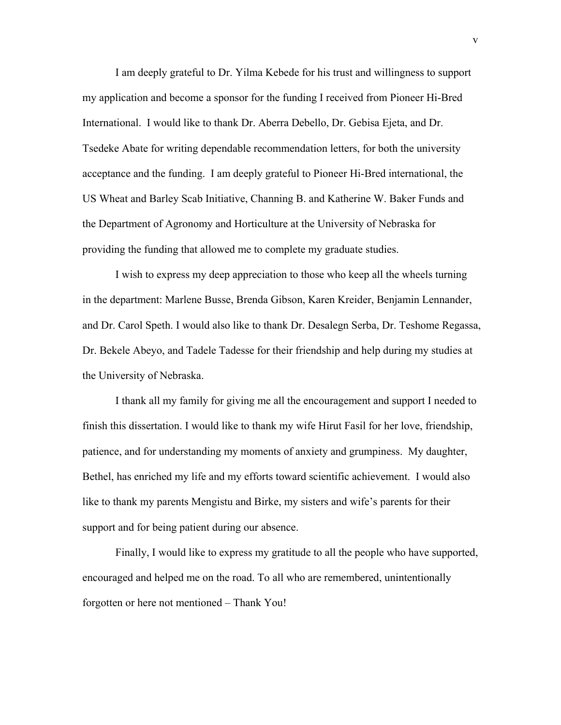I am deeply grateful to Dr. Yilma Kebede for his trust and willingness to support my application and become a sponsor for the funding I received from Pioneer Hi-Bred International. I would like to thank Dr. Aberra Debello, Dr. Gebisa Ejeta, and Dr. Tsedeke Abate for writing dependable recommendation letters, for both the university acceptance and the funding. I am deeply grateful to Pioneer Hi-Bred international, the US Wheat and Barley Scab Initiative, Channing B. and Katherine W. Baker Funds and the Department of Agronomy and Horticulture at the University of Nebraska for providing the funding that allowed me to complete my graduate studies.

 I wish to express my deep appreciation to those who keep all the wheels turning in the department: Marlene Busse, Brenda Gibson, Karen Kreider, Benjamin Lennander, and Dr. Carol Speth. I would also like to thank Dr. Desalegn Serba, Dr. Teshome Regassa, Dr. Bekele Abeyo, and Tadele Tadesse for their friendship and help during my studies at the University of Nebraska.

 I thank all my family for giving me all the encouragement and support I needed to finish this dissertation. I would like to thank my wife Hirut Fasil for her love, friendship, patience, and for understanding my moments of anxiety and grumpiness. My daughter, Bethel, has enriched my life and my efforts toward scientific achievement. I would also like to thank my parents Mengistu and Birke, my sisters and wife's parents for their support and for being patient during our absence.

 Finally, I would like to express my gratitude to all the people who have supported, encouraged and helped me on the road. To all who are remembered, unintentionally forgotten or here not mentioned – Thank You!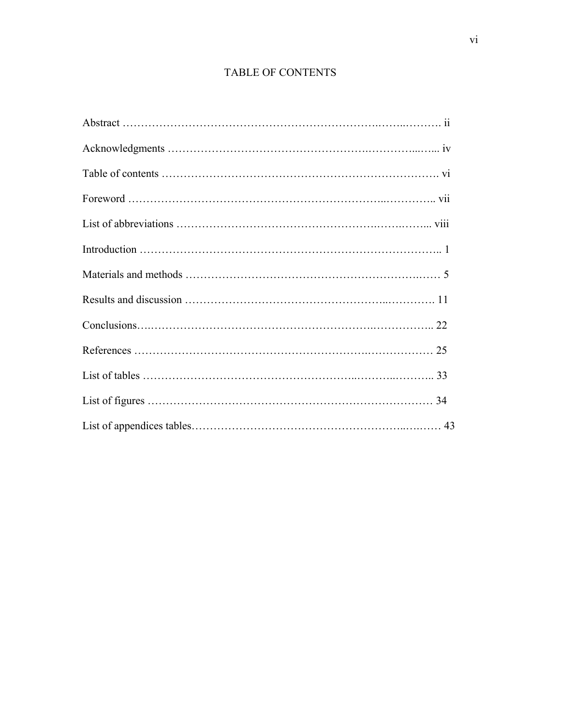## TABLE OF CONTENTS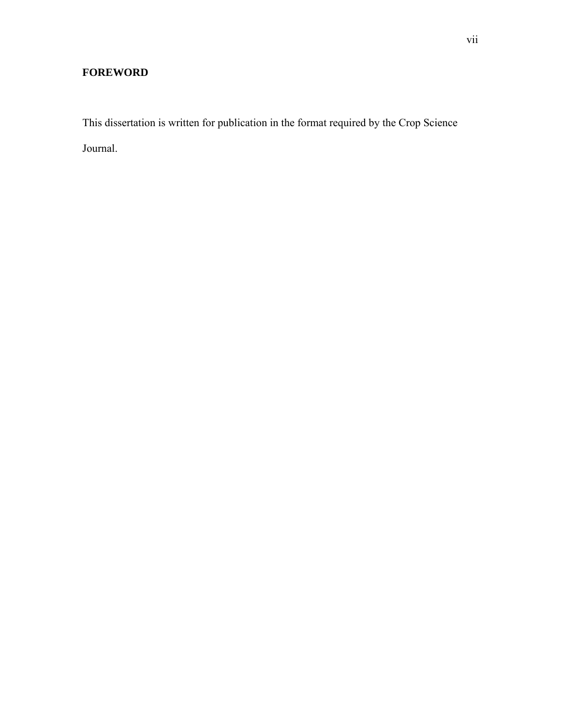## **FOREWORD**

This dissertation is written for publication in the format required by the Crop Science Journal.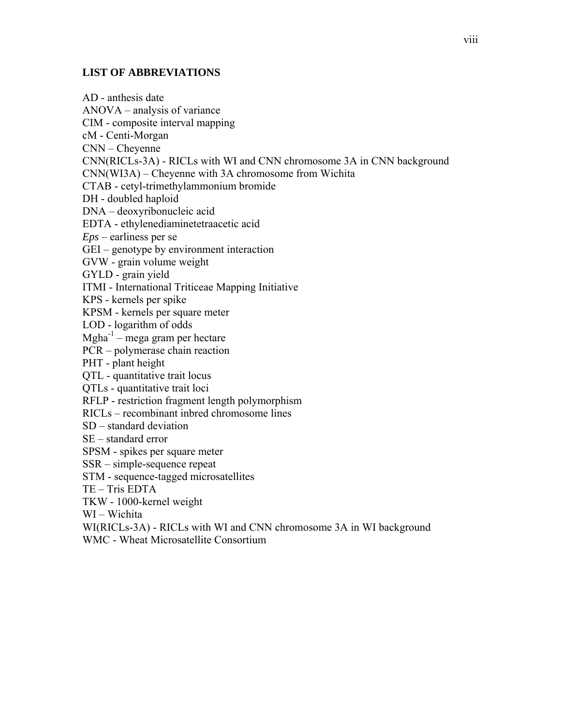#### **LIST OF ABBREVIATIONS**

AD - anthesis date ANOVA – analysis of variance CIM - composite interval mapping cM - Centi-Morgan CNN – Cheyenne CNN(RICLs-3A) - RICLs with WI and CNN chromosome 3A in CNN background CNN(WI3A) – Cheyenne with 3A chromosome from Wichita CTAB - cetyl-trimethylammonium bromide DH - doubled haploid DNA – deoxyribonucleic acid EDTA - ethylenediaminetetraacetic acid *Eps* – earliness per se GEI – genotype by environment interaction GVW - grain volume weight GYLD - grain yield ITMI - International Triticeae Mapping Initiative KPS - kernels per spike KPSM - kernels per square meter LOD - logarithm of odds  $Mgha^{-1}$  – mega gram per hectare PCR – polymerase chain reaction PHT - plant height QTL - quantitative trait locus QTLs - quantitative trait loci RFLP - restriction fragment length polymorphism RICLs – recombinant inbred chromosome lines SD – standard deviation SE – standard error SPSM - spikes per square meter SSR – simple-sequence repeat STM - sequence-tagged microsatellites TE – Tris EDTA TKW - 1000-kernel weight WI – Wichita WI(RICLs-3A) - RICLs with WI and CNN chromosome 3A in WI background WMC - Wheat Microsatellite Consortium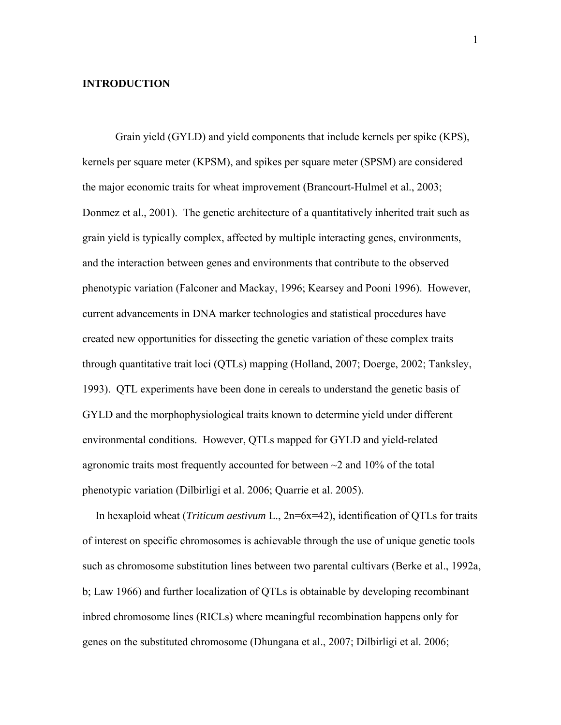#### **INTRODUCTION**

 Grain yield (GYLD) and yield components that include kernels per spike (KPS), kernels per square meter (KPSM), and spikes per square meter (SPSM) are considered the major economic traits for wheat improvement (Brancourt-Hulmel et al., 2003; Donmez et al., 2001). The genetic architecture of a quantitatively inherited trait such as grain yield is typically complex, affected by multiple interacting genes, environments, and the interaction between genes and environments that contribute to the observed phenotypic variation (Falconer and Mackay, 1996; Kearsey and Pooni 1996). However, current advancements in DNA marker technologies and statistical procedures have created new opportunities for dissecting the genetic variation of these complex traits through quantitative trait loci (QTLs) mapping (Holland, 2007; Doerge, 2002; Tanksley, 1993). QTL experiments have been done in cereals to understand the genetic basis of GYLD and the morphophysiological traits known to determine yield under different environmental conditions. However, QTLs mapped for GYLD and yield-related agronomic traits most frequently accounted for between  $\sim$  2 and 10% of the total phenotypic variation (Dilbirligi et al. 2006; Quarrie et al. 2005).

In hexaploid wheat (*Triticum aestivum* L., 2n=6x=42), identification of QTLs for traits of interest on specific chromosomes is achievable through the use of unique genetic tools such as chromosome substitution lines between two parental cultivars (Berke et al., 1992a, b; Law 1966) and further localization of QTLs is obtainable by developing recombinant inbred chromosome lines (RICLs) where meaningful recombination happens only for genes on the substituted chromosome (Dhungana et al., 2007; Dilbirligi et al. 2006;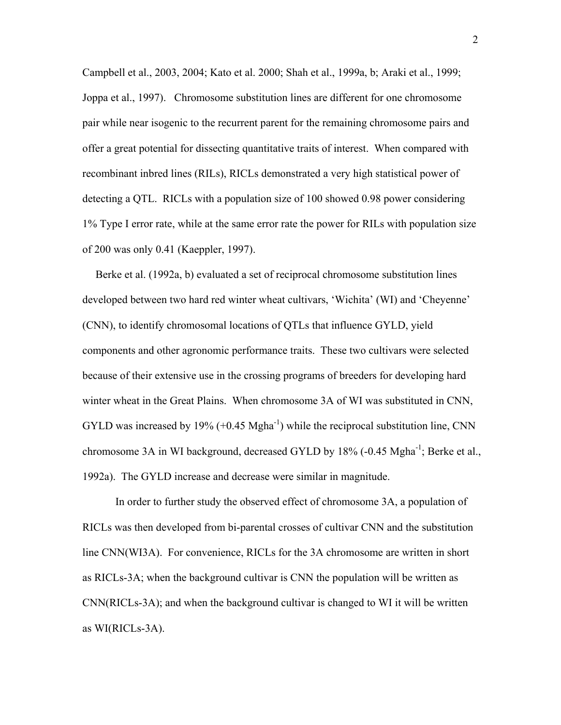Campbell et al., 2003, 2004; Kato et al. 2000; Shah et al., 1999a, b; Araki et al., 1999; Joppa et al., 1997). Chromosome substitution lines are different for one chromosome pair while near isogenic to the recurrent parent for the remaining chromosome pairs and offer a great potential for dissecting quantitative traits of interest. When compared with recombinant inbred lines (RILs), RICLs demonstrated a very high statistical power of detecting a QTL. RICLs with a population size of 100 showed 0.98 power considering 1% Type I error rate, while at the same error rate the power for RILs with population size of 200 was only 0.41 (Kaeppler, 1997).

Berke et al. (1992a, b) evaluated a set of reciprocal chromosome substitution lines developed between two hard red winter wheat cultivars, 'Wichita' (WI) and 'Cheyenne' (CNN), to identify chromosomal locations of QTLs that influence GYLD, yield components and other agronomic performance traits. These two cultivars were selected because of their extensive use in the crossing programs of breeders for developing hard winter wheat in the Great Plains. When chromosome 3A of WI was substituted in CNN, GYLD was increased by 19%  $(+0.45 \text{ Mgha}^{-1})$  while the reciprocal substitution line, CNN chromosome 3A in WI background, decreased GYLD by 18% (-0.45 Mgha<sup>-1</sup>; Berke et al., 1992a). The GYLD increase and decrease were similar in magnitude.

 In order to further study the observed effect of chromosome 3A, a population of RICLs was then developed from bi-parental crosses of cultivar CNN and the substitution line CNN(WI3A). For convenience, RICLs for the 3A chromosome are written in short as RICLs-3A; when the background cultivar is CNN the population will be written as CNN(RICLs-3A); and when the background cultivar is changed to WI it will be written as WI(RICLs-3A).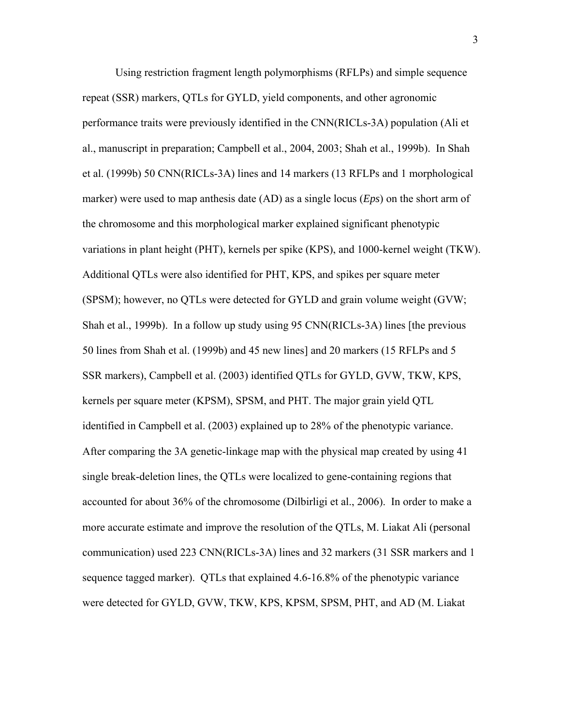Using restriction fragment length polymorphisms (RFLPs) and simple sequence repeat (SSR) markers, QTLs for GYLD, yield components, and other agronomic performance traits were previously identified in the CNN(RICLs-3A) population (Ali et al., manuscript in preparation; Campbell et al., 2004, 2003; Shah et al., 1999b). In Shah et al. (1999b) 50 CNN(RICLs-3A) lines and 14 markers (13 RFLPs and 1 morphological marker) were used to map anthesis date (AD) as a single locus (*Eps*) on the short arm of the chromosome and this morphological marker explained significant phenotypic variations in plant height (PHT), kernels per spike (KPS), and 1000-kernel weight (TKW). Additional QTLs were also identified for PHT, KPS, and spikes per square meter (SPSM); however, no QTLs were detected for GYLD and grain volume weight (GVW; Shah et al., 1999b). In a follow up study using 95 CNN(RICLs-3A) lines [the previous 50 lines from Shah et al. (1999b) and 45 new lines] and 20 markers (15 RFLPs and 5 SSR markers), Campbell et al. (2003) identified QTLs for GYLD, GVW, TKW, KPS, kernels per square meter (KPSM), SPSM, and PHT. The major grain yield QTL identified in Campbell et al. (2003) explained up to 28% of the phenotypic variance. After comparing the 3A genetic-linkage map with the physical map created by using 41 single break-deletion lines, the QTLs were localized to gene-containing regions that accounted for about 36% of the chromosome (Dilbirligi et al., 2006). In order to make a more accurate estimate and improve the resolution of the QTLs, M. Liakat Ali (personal communication) used 223 CNN(RICLs-3A) lines and 32 markers (31 SSR markers and 1 sequence tagged marker). QTLs that explained 4.6-16.8% of the phenotypic variance were detected for GYLD, GVW, TKW, KPS, KPSM, SPSM, PHT, and AD (M. Liakat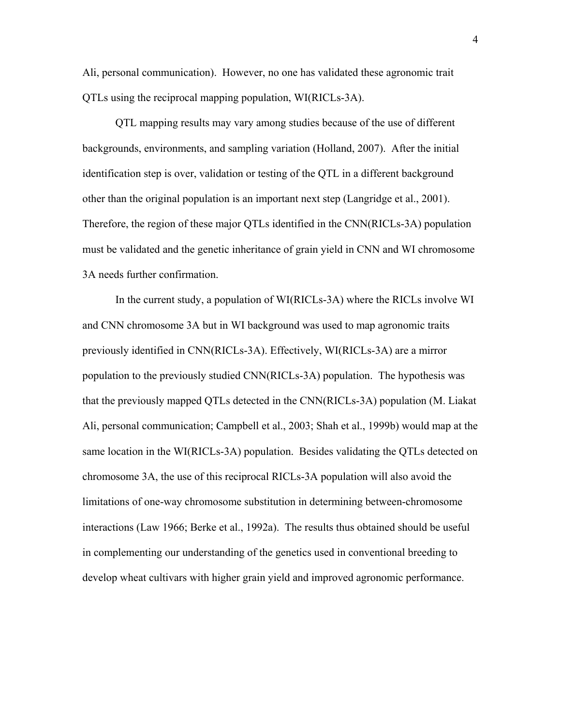Ali, personal communication). However, no one has validated these agronomic trait QTLs using the reciprocal mapping population, WI(RICLs-3A).

 QTL mapping results may vary among studies because of the use of different backgrounds, environments, and sampling variation (Holland, 2007). After the initial identification step is over, validation or testing of the QTL in a different background other than the original population is an important next step (Langridge et al., 2001). Therefore, the region of these major QTLs identified in the CNN(RICLs-3A) population must be validated and the genetic inheritance of grain yield in CNN and WI chromosome 3A needs further confirmation.

 In the current study, a population of WI(RICLs-3A) where the RICLs involve WI and CNN chromosome 3A but in WI background was used to map agronomic traits previously identified in CNN(RICLs-3A). Effectively, WI(RICLs-3A) are a mirror population to the previously studied CNN(RICLs-3A) population. The hypothesis was that the previously mapped QTLs detected in the CNN(RICLs-3A) population (M. Liakat Ali, personal communication; Campbell et al., 2003; Shah et al., 1999b) would map at the same location in the WI(RICLs-3A) population. Besides validating the QTLs detected on chromosome 3A, the use of this reciprocal RICLs-3A population will also avoid the limitations of one-way chromosome substitution in determining between-chromosome interactions (Law 1966; Berke et al., 1992a). The results thus obtained should be useful in complementing our understanding of the genetics used in conventional breeding to develop wheat cultivars with higher grain yield and improved agronomic performance.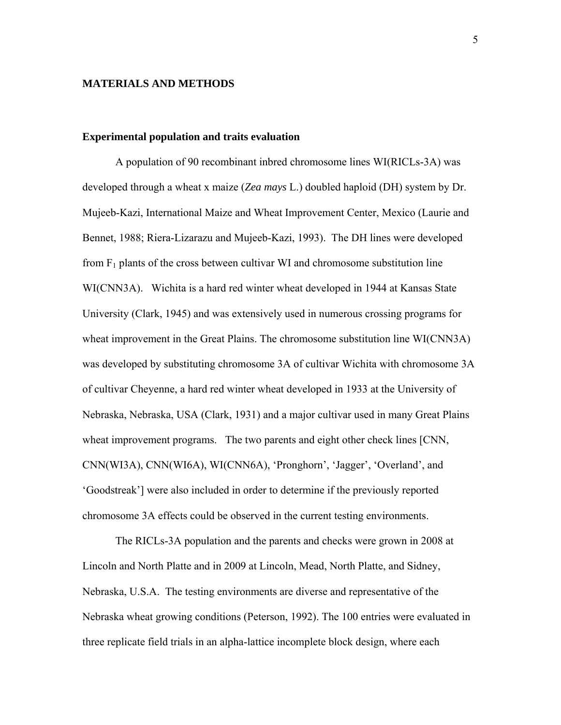#### **MATERIALS AND METHODS**

#### **Experimental population and traits evaluation**

 A population of 90 recombinant inbred chromosome lines WI(RICLs-3A) was developed through a wheat x maize (*Zea mays* L.) doubled haploid (DH) system by Dr. Mujeeb-Kazi, International Maize and Wheat Improvement Center, Mexico (Laurie and Bennet, 1988; Riera-Lizarazu and Mujeeb-Kazi, 1993). The DH lines were developed from  $F_1$  plants of the cross between cultivar WI and chromosome substitution line WI(CNN3A). Wichita is a hard red winter wheat developed in 1944 at Kansas State University (Clark, 1945) and was extensively used in numerous crossing programs for wheat improvement in the Great Plains. The chromosome substitution line WI(CNN3A) was developed by substituting chromosome 3A of cultivar Wichita with chromosome 3A of cultivar Cheyenne, a hard red winter wheat developed in 1933 at the University of Nebraska, Nebraska, USA (Clark, 1931) and a major cultivar used in many Great Plains wheat improvement programs. The two parents and eight other check lines [CNN, CNN(WI3A), CNN(WI6A), WI(CNN6A), 'Pronghorn', 'Jagger', 'Overland', and 'Goodstreak'] were also included in order to determine if the previously reported chromosome 3A effects could be observed in the current testing environments.

 The RICLs-3A population and the parents and checks were grown in 2008 at Lincoln and North Platte and in 2009 at Lincoln, Mead, North Platte, and Sidney, Nebraska, U.S.A. The testing environments are diverse and representative of the Nebraska wheat growing conditions (Peterson, 1992). The 100 entries were evaluated in three replicate field trials in an alpha-lattice incomplete block design, where each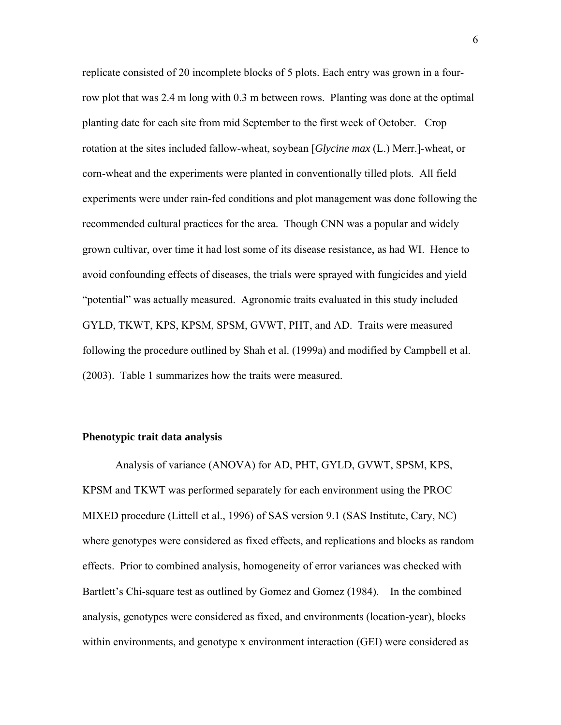replicate consisted of 20 incomplete blocks of 5 plots. Each entry was grown in a fourrow plot that was 2.4 m long with 0.3 m between rows. Planting was done at the optimal planting date for each site from mid September to the first week of October. Crop rotation at the sites included fallow-wheat, soybean [*Glycine max* (L.) Merr.]-wheat, or corn-wheat and the experiments were planted in conventionally tilled plots. All field experiments were under rain-fed conditions and plot management was done following the recommended cultural practices for the area. Though CNN was a popular and widely grown cultivar, over time it had lost some of its disease resistance, as had WI. Hence to avoid confounding effects of diseases, the trials were sprayed with fungicides and yield "potential" was actually measured. Agronomic traits evaluated in this study included GYLD, TKWT, KPS, KPSM, SPSM, GVWT, PHT, and AD. Traits were measured following the procedure outlined by Shah et al. (1999a) and modified by Campbell et al. (2003). Table 1 summarizes how the traits were measured.

#### **Phenotypic trait data analysis**

 Analysis of variance (ANOVA) for AD, PHT, GYLD, GVWT, SPSM, KPS, KPSM and TKWT was performed separately for each environment using the PROC MIXED procedure (Littell et al., 1996) of SAS version 9.1 (SAS Institute, Cary, NC) where genotypes were considered as fixed effects, and replications and blocks as random effects. Prior to combined analysis, homogeneity of error variances was checked with Bartlett's Chi-square test as outlined by Gomez and Gomez (1984). In the combined analysis, genotypes were considered as fixed, and environments (location-year), blocks within environments, and genotype x environment interaction (GEI) were considered as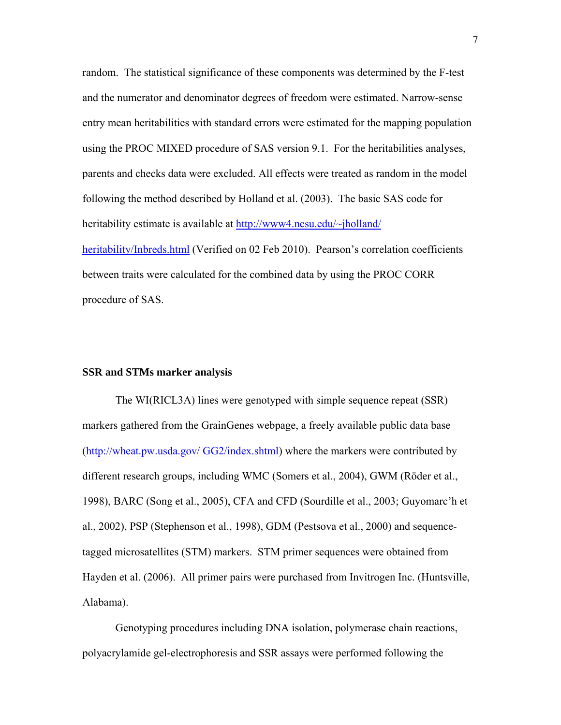random. The statistical significance of these components was determined by the F-test and the numerator and denominator degrees of freedom were estimated. Narrow-sense entry mean heritabilities with standard errors were estimated for the mapping population using the PROC MIXED procedure of SAS version 9.1. For the heritabilities analyses, parents and checks data were excluded. All effects were treated as random in the model following the method described by Holland et al. (2003). The basic SAS code for heritability estimate is available at http://www4.ncsu.edu/~jholland/ heritability/Inbreds.html (Verified on 02 Feb 2010). Pearson's correlation coefficients between traits were calculated for the combined data by using the PROC CORR procedure of SAS.

#### **SSR and STMs marker analysis**

 The WI(RICL3A) lines were genotyped with simple sequence repeat (SSR) markers gathered from the GrainGenes webpage, a freely available public data base (http://wheat.pw.usda.gov/ GG2/index.shtml) where the markers were contributed by different research groups, including WMC (Somers et al., 2004), GWM (Röder et al., 1998), BARC (Song et al., 2005), CFA and CFD (Sourdille et al., 2003; Guyomarc'h et al., 2002), PSP (Stephenson et al., 1998), GDM (Pestsova et al., 2000) and sequencetagged microsatellites (STM) markers. STM primer sequences were obtained from Hayden et al. (2006). All primer pairs were purchased from Invitrogen Inc. (Huntsville, Alabama).

 Genotyping procedures including DNA isolation, polymerase chain reactions, polyacrylamide gel-electrophoresis and SSR assays were performed following the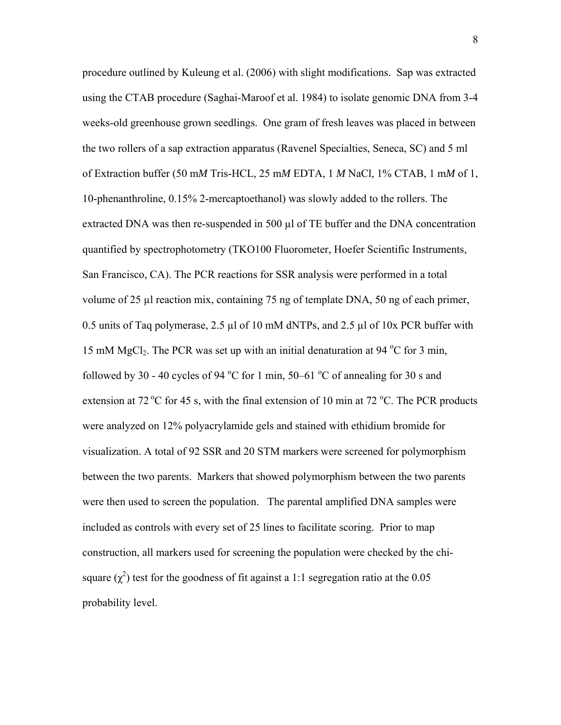procedure outlined by Kuleung et al. (2006) with slight modifications. Sap was extracted using the CTAB procedure (Saghai-Maroof et al. 1984) to isolate genomic DNA from 3-4 weeks-old greenhouse grown seedlings. One gram of fresh leaves was placed in between the two rollers of a sap extraction apparatus (Ravenel Specialties, Seneca, SC) and 5 ml of Extraction buffer (50 m*M* Tris-HCL, 25 m*M* EDTA, 1 *M* NaCl, 1% CTAB, 1 m*M* of 1, 10-phenanthroline, 0.15% 2-mercaptoethanol) was slowly added to the rollers. The extracted DNA was then re-suspended in 500 µl of TE buffer and the DNA concentration quantified by spectrophotometry (TKO100 Fluorometer, Hoefer Scientific Instruments, San Francisco, CA). The PCR reactions for SSR analysis were performed in a total volume of 25 µl reaction mix, containing 75 ng of template DNA, 50 ng of each primer, 0.5 units of Taq polymerase, 2.5  $\mu$ l of 10 mM dNTPs, and 2.5  $\mu$ l of 10x PCR buffer with 15 mM MgCl<sub>2</sub>. The PCR was set up with an initial denaturation at 94  $^{\circ}$ C for 3 min, followed by 30 - 40 cycles of 94  $^{\circ}$ C for 1 min, 50–61  $^{\circ}$ C of annealing for 30 s and extension at 72  $\mathrm{^{\circ}C}$  for 45 s, with the final extension of 10 min at 72  $\mathrm{^{\circ}C}$ . The PCR products were analyzed on 12% polyacrylamide gels and stained with ethidium bromide for visualization. A total of 92 SSR and 20 STM markers were screened for polymorphism between the two parents. Markers that showed polymorphism between the two parents were then used to screen the population. The parental amplified DNA samples were included as controls with every set of 25 lines to facilitate scoring. Prior to map construction, all markers used for screening the population were checked by the chisquare  $(\chi^2)$  test for the goodness of fit against a 1:1 segregation ratio at the 0.05 probability level.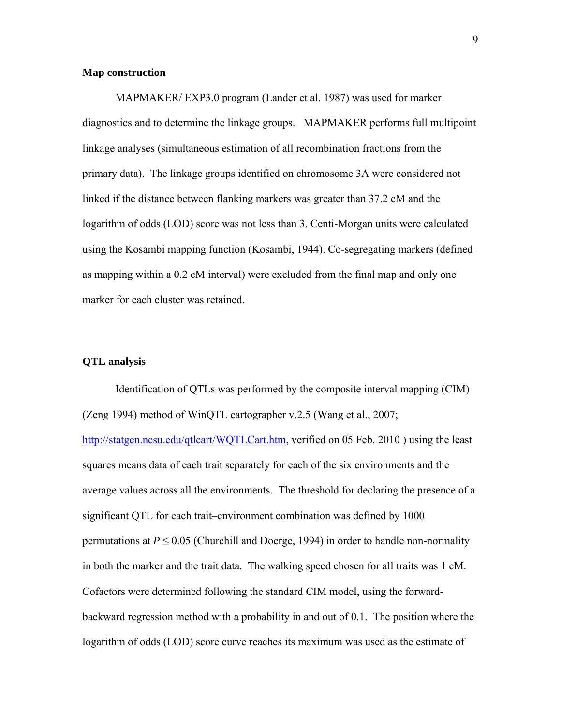#### **Map construction**

 MAPMAKER/ EXP3.0 program (Lander et al. 1987) was used for marker diagnostics and to determine the linkage groups. MAPMAKER performs full multipoint linkage analyses (simultaneous estimation of all recombination fractions from the primary data). The linkage groups identified on chromosome 3A were considered not linked if the distance between flanking markers was greater than 37.2 cM and the logarithm of odds (LOD) score was not less than 3. Centi-Morgan units were calculated using the Kosambi mapping function (Kosambi, 1944). Co-segregating markers (defined as mapping within a 0.2 cM interval) were excluded from the final map and only one marker for each cluster was retained.

#### **QTL analysis**

 Identification of QTLs was performed by the composite interval mapping (CIM) (Zeng 1994) method of WinQTL cartographer v.2.5 (Wang et al., 2007; http://statgen.ncsu.edu/qtlcart/WOTLCart.htm, verified on 05 Feb. 2010 ) using the least squares means data of each trait separately for each of the six environments and the average values across all the environments. The threshold for declaring the presence of a significant QTL for each trait–environment combination was defined by 1000 permutations at  $P \le 0.05$  (Churchill and Doerge, 1994) in order to handle non-normality in both the marker and the trait data. The walking speed chosen for all traits was 1 cM. Cofactors were determined following the standard CIM model, using the forwardbackward regression method with a probability in and out of 0.1. The position where the logarithm of odds (LOD) score curve reaches its maximum was used as the estimate of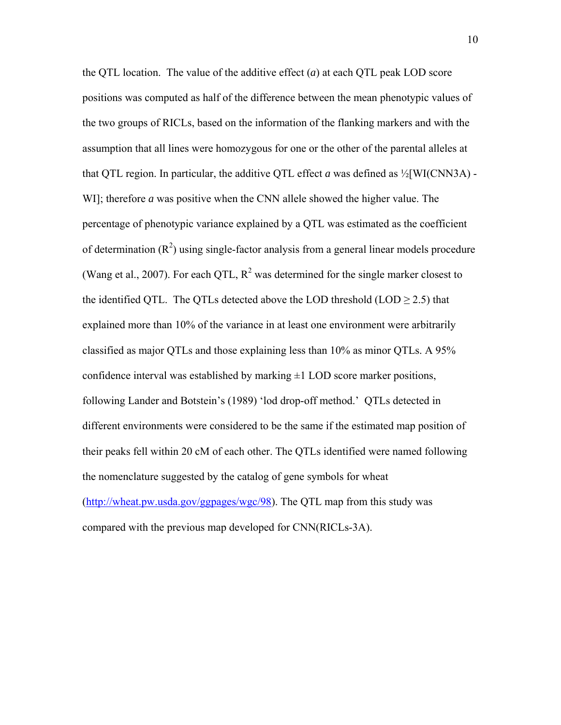the QTL location. The value of the additive effect (*a*) at each QTL peak LOD score positions was computed as half of the difference between the mean phenotypic values of the two groups of RICLs, based on the information of the flanking markers and with the assumption that all lines were homozygous for one or the other of the parental alleles at that QTL region. In particular, the additive QTL effect *a* was defined as ½[WI(CNN3A) - WI]; therefore *a* was positive when the CNN allele showed the higher value. The percentage of phenotypic variance explained by a QTL was estimated as the coefficient of determination  $(R^2)$  using single-factor analysis from a general linear models procedure (Wang et al., 2007). For each QTL,  $R^2$  was determined for the single marker closest to the identified QTL. The QTLs detected above the LOD threshold (LOD  $\geq$  2.5) that explained more than 10% of the variance in at least one environment were arbitrarily classified as major QTLs and those explaining less than 10% as minor QTLs. A 95% confidence interval was established by marking  $\pm 1$  LOD score marker positions, following Lander and Botstein's (1989) 'lod drop-off method.' QTLs detected in different environments were considered to be the same if the estimated map position of their peaks fell within 20 cM of each other. The QTLs identified were named following the nomenclature suggested by the catalog of gene symbols for wheat (http://wheat.pw.usda.gov/ggpages/wgc/98). The QTL map from this study was compared with the previous map developed for CNN(RICLs-3A).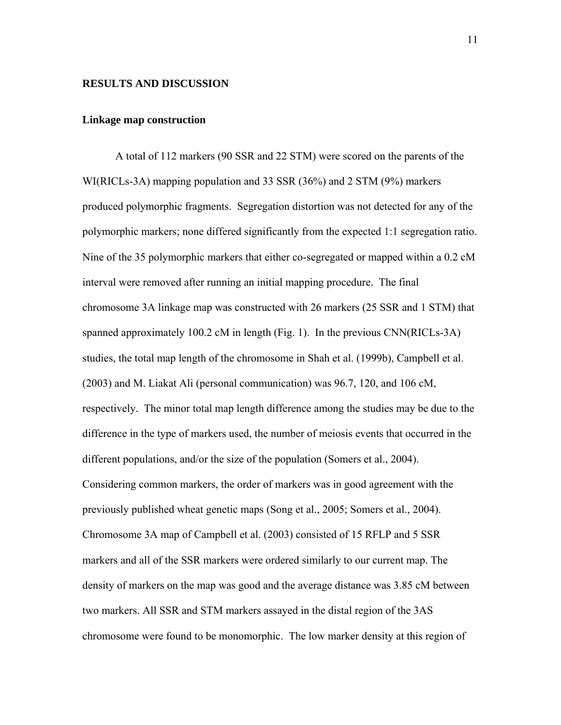#### **RESULTS AND DISCUSSION**

#### **Linkage map construction**

 A total of 112 markers (90 SSR and 22 STM) were scored on the parents of the WI(RICLs-3A) mapping population and 33 SSR (36%) and 2 STM (9%) markers produced polymorphic fragments. Segregation distortion was not detected for any of the polymorphic markers; none differed significantly from the expected 1:1 segregation ratio. Nine of the 35 polymorphic markers that either co-segregated or mapped within a 0.2 cM interval were removed after running an initial mapping procedure. The final chromosome 3A linkage map was constructed with 26 markers (25 SSR and 1 STM) that spanned approximately 100.2 cM in length (Fig. 1). In the previous  $CNN(RICLs-3A)$ studies, the total map length of the chromosome in Shah et al. (1999b), Campbell et al. (2003) and M. Liakat Ali (personal communication) was 96.7, 120, and 106 cM, respectively. The minor total map length difference among the studies may be due to the difference in the type of markers used, the number of meiosis events that occurred in the different populations, and/or the size of the population (Somers et al., 2004). Considering common markers, the order of markers was in good agreement with the previously published wheat genetic maps (Song et al., 2005; Somers et al., 2004). Chromosome 3A map of Campbell et al. (2003) consisted of 15 RFLP and 5 SSR markers and all of the SSR markers were ordered similarly to our current map. The density of markers on the map was good and the average distance was 3.85 cM between two markers. All SSR and STM markers assayed in the distal region of the 3AS chromosome were found to be monomorphic. The low marker density at this region of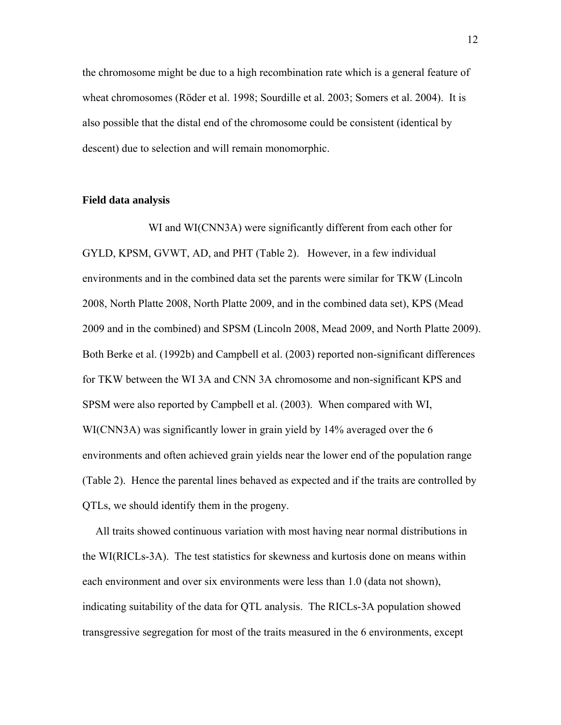the chromosome might be due to a high recombination rate which is a general feature of wheat chromosomes (Röder et al. 1998; Sourdille et al. 2003; Somers et al. 2004). It is also possible that the distal end of the chromosome could be consistent (identical by descent) due to selection and will remain monomorphic.

#### **Field data analysis**

WI and WI(CNN3A) were significantly different from each other for GYLD, KPSM, GVWT, AD, and PHT (Table 2). However, in a few individual environments and in the combined data set the parents were similar for TKW (Lincoln 2008, North Platte 2008, North Platte 2009, and in the combined data set), KPS (Mead 2009 and in the combined) and SPSM (Lincoln 2008, Mead 2009, and North Platte 2009). Both Berke et al. (1992b) and Campbell et al. (2003) reported non-significant differences for TKW between the WI 3A and CNN 3A chromosome and non-significant KPS and SPSM were also reported by Campbell et al. (2003). When compared with WI, WI(CNN3A) was significantly lower in grain yield by 14% averaged over the 6 environments and often achieved grain yields near the lower end of the population range (Table 2). Hence the parental lines behaved as expected and if the traits are controlled by QTLs, we should identify them in the progeny.

All traits showed continuous variation with most having near normal distributions in the WI(RICLs-3A). The test statistics for skewness and kurtosis done on means within each environment and over six environments were less than 1.0 (data not shown), indicating suitability of the data for QTL analysis. The RICLs-3A population showed transgressive segregation for most of the traits measured in the 6 environments, except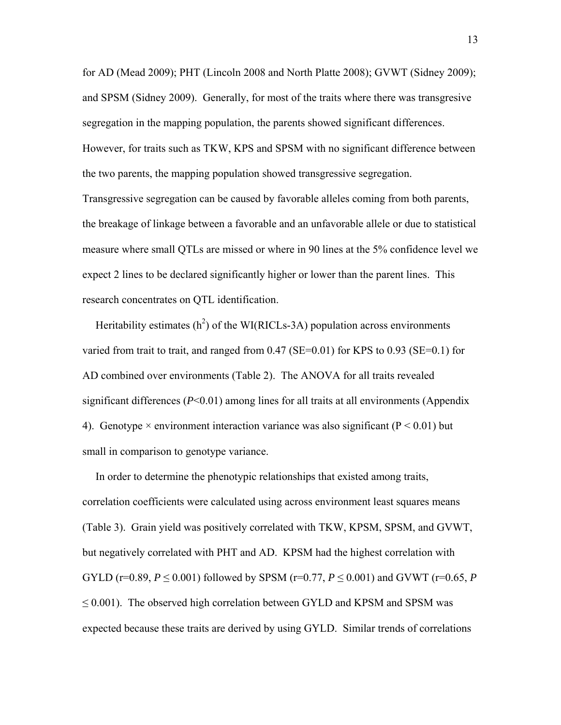for AD (Mead 2009); PHT (Lincoln 2008 and North Platte 2008); GVWT (Sidney 2009); and SPSM (Sidney 2009). Generally, for most of the traits where there was transgresive segregation in the mapping population, the parents showed significant differences. However, for traits such as TKW, KPS and SPSM with no significant difference between the two parents, the mapping population showed transgressive segregation. Transgressive segregation can be caused by favorable alleles coming from both parents, the breakage of linkage between a favorable and an unfavorable allele or due to statistical measure where small QTLs are missed or where in 90 lines at the 5% confidence level we expect 2 lines to be declared significantly higher or lower than the parent lines. This

research concentrates on QTL identification.

Heritability estimates  $(h^2)$  of the WI(RICLs-3A) population across environments varied from trait to trait, and ranged from  $0.47$  (SE=0.01) for KPS to  $0.93$  (SE=0.1) for AD combined over environments (Table 2). The ANOVA for all traits revealed significant differences (*P*<0.01) among lines for all traits at all environments (Appendix 4). Genotype  $\times$  environment interaction variance was also significant ( $P < 0.01$ ) but small in comparison to genotype variance.

In order to determine the phenotypic relationships that existed among traits, correlation coefficients were calculated using across environment least squares means (Table 3). Grain yield was positively correlated with TKW, KPSM, SPSM, and GVWT, but negatively correlated with PHT and AD. KPSM had the highest correlation with GYLD (r=0.89,  $P \le 0.001$ ) followed by SPSM (r=0.77,  $P \le 0.001$ ) and GVWT (r=0.65, P  $\leq$  0.001). The observed high correlation between GYLD and KPSM and SPSM was expected because these traits are derived by using GYLD. Similar trends of correlations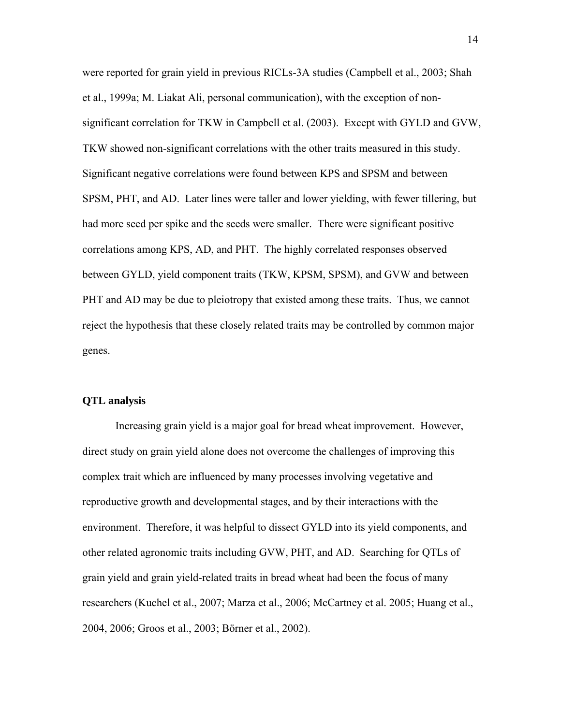were reported for grain yield in previous RICLs-3A studies (Campbell et al., 2003; Shah et al., 1999a; M. Liakat Ali, personal communication), with the exception of nonsignificant correlation for TKW in Campbell et al. (2003). Except with GYLD and GVW, TKW showed non-significant correlations with the other traits measured in this study. Significant negative correlations were found between KPS and SPSM and between SPSM, PHT, and AD. Later lines were taller and lower yielding, with fewer tillering, but had more seed per spike and the seeds were smaller. There were significant positive correlations among KPS, AD, and PHT. The highly correlated responses observed between GYLD, yield component traits (TKW, KPSM, SPSM), and GVW and between PHT and AD may be due to pleiotropy that existed among these traits. Thus, we cannot reject the hypothesis that these closely related traits may be controlled by common major genes.

#### **QTL analysis**

 Increasing grain yield is a major goal for bread wheat improvement. However, direct study on grain yield alone does not overcome the challenges of improving this complex trait which are influenced by many processes involving vegetative and reproductive growth and developmental stages, and by their interactions with the environment. Therefore, it was helpful to dissect GYLD into its yield components, and other related agronomic traits including GVW, PHT, and AD. Searching for QTLs of grain yield and grain yield-related traits in bread wheat had been the focus of many researchers (Kuchel et al., 2007; Marza et al., 2006; McCartney et al. 2005; Huang et al., 2004, 2006; Groos et al., 2003; Börner et al., 2002).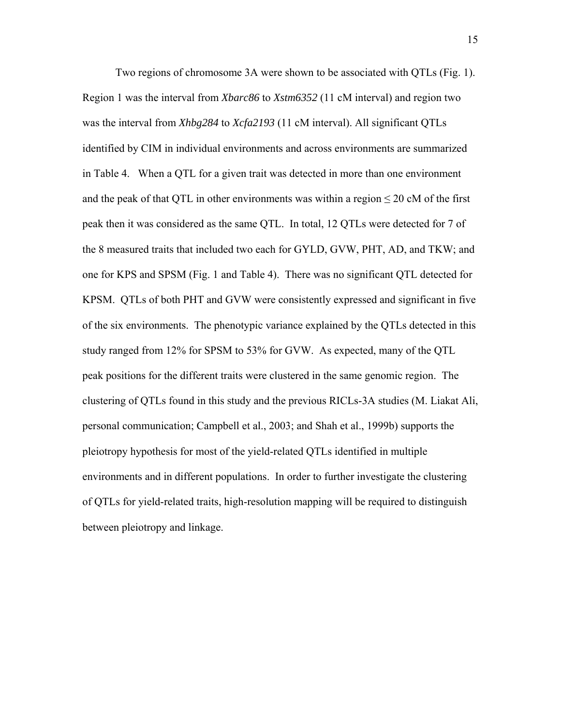Two regions of chromosome 3A were shown to be associated with QTLs (Fig. 1). Region 1 was the interval from *Xbarc86* to *Xstm6352* (11 cM interval) and region two was the interval from *Xhbg284* to *Xcfa2193* (11 cM interval). All significant QTLs identified by CIM in individual environments and across environments are summarized in Table 4. When a QTL for a given trait was detected in more than one environment and the peak of that QTL in other environments was within a region  $\leq$  20 cM of the first peak then it was considered as the same QTL. In total, 12 QTLs were detected for 7 of the 8 measured traits that included two each for GYLD, GVW, PHT, AD, and TKW; and one for KPS and SPSM (Fig. 1 and Table 4). There was no significant QTL detected for KPSM. QTLs of both PHT and GVW were consistently expressed and significant in five of the six environments. The phenotypic variance explained by the QTLs detected in this study ranged from 12% for SPSM to 53% for GVW. As expected, many of the QTL peak positions for the different traits were clustered in the same genomic region. The clustering of QTLs found in this study and the previous RICLs-3A studies (M. Liakat Ali, personal communication; Campbell et al., 2003; and Shah et al., 1999b) supports the pleiotropy hypothesis for most of the yield-related QTLs identified in multiple environments and in different populations. In order to further investigate the clustering of QTLs for yield-related traits, high-resolution mapping will be required to distinguish between pleiotropy and linkage.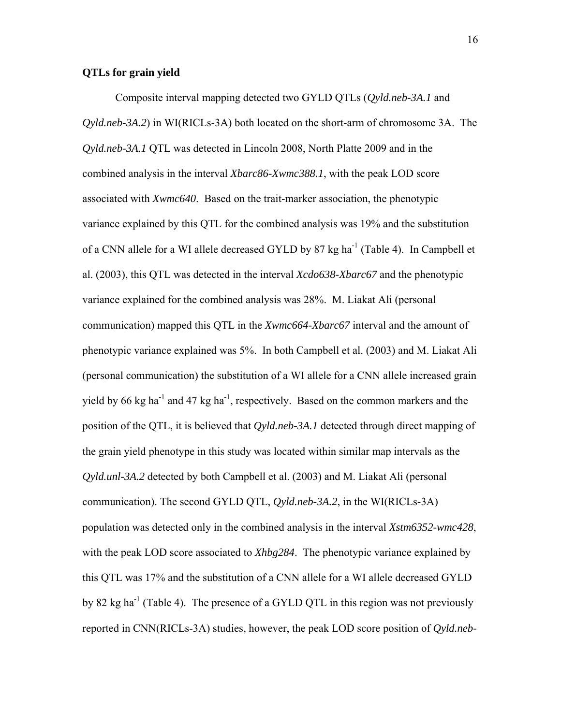#### **QTLs for grain yield**

 Composite interval mapping detected two GYLD QTLs (*Qyld.neb-3A.1* and *Qyld.neb-3A.2*) in WI(RICLs-3A) both located on the short-arm of chromosome 3A. The *Qyld.neb-3A.1* QTL was detected in Lincoln 2008, North Platte 2009 and in the combined analysis in the interval *Xbarc86-Xwmc388.1*, with the peak LOD score associated with *Xwmc640*. Based on the trait-marker association, the phenotypic variance explained by this QTL for the combined analysis was 19% and the substitution of a CNN allele for a WI allele decreased GYLD by 87 kg ha<sup>-1</sup> (Table 4). In Campbell et al. (2003), this QTL was detected in the interval *Xcdo638-Xbarc67* and the phenotypic variance explained for the combined analysis was 28%. M. Liakat Ali (personal communication) mapped this QTL in the *Xwmc664-Xbarc67* interval and the amount of phenotypic variance explained was 5%. In both Campbell et al. (2003) and M. Liakat Ali (personal communication) the substitution of a WI allele for a CNN allele increased grain yield by 66 kg ha<sup>-1</sup> and 47 kg ha<sup>-1</sup>, respectively. Based on the common markers and the position of the QTL, it is believed that *Qyld.neb-3A.1* detected through direct mapping of the grain yield phenotype in this study was located within similar map intervals as the *Qyld.unl-3A.2* detected by both Campbell et al. (2003) and M. Liakat Ali (personal communication). The second GYLD QTL, *Qyld.neb-3A.2*, in the WI(RICLs-3A) population was detected only in the combined analysis in the interval *Xstm6352-wmc428*, with the peak LOD score associated to *Xhbg284*. The phenotypic variance explained by this QTL was 17% and the substitution of a CNN allele for a WI allele decreased GYLD by 82 kg ha<sup>-1</sup> (Table 4). The presence of a GYLD QTL in this region was not previously reported in CNN(RICLs-3A) studies, however, the peak LOD score position of *Qyld.neb-*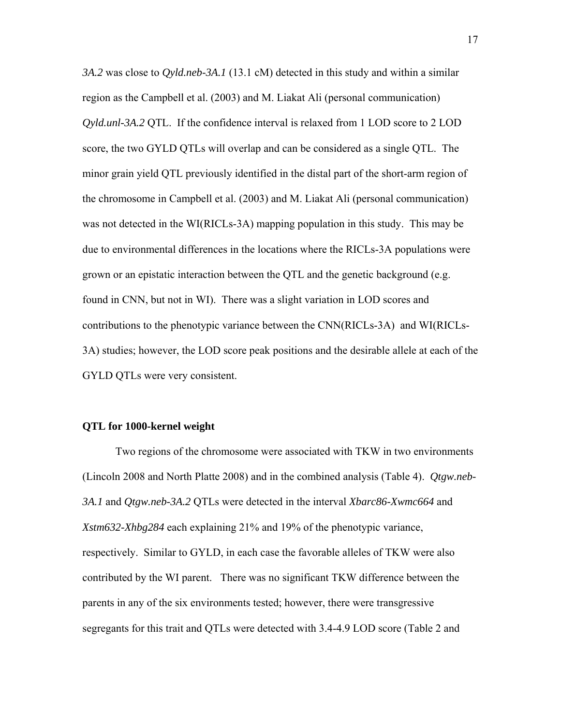*3A.2* was close to *Qyld.neb-3A.1* (13.1 cM) detected in this study and within a similar region as the Campbell et al. (2003) and M. Liakat Ali (personal communication) *Qyld.unl-3A.2* QTL. If the confidence interval is relaxed from 1 LOD score to 2 LOD score, the two GYLD QTLs will overlap and can be considered as a single QTL. The minor grain yield QTL previously identified in the distal part of the short-arm region of the chromosome in Campbell et al. (2003) and M. Liakat Ali (personal communication) was not detected in the WI(RICLs-3A) mapping population in this study. This may be due to environmental differences in the locations where the RICLs-3A populations were grown or an epistatic interaction between the QTL and the genetic background (e.g. found in CNN, but not in WI). There was a slight variation in LOD scores and contributions to the phenotypic variance between the CNN(RICLs-3A) and WI(RICLs-3A) studies; however, the LOD score peak positions and the desirable allele at each of the GYLD QTLs were very consistent.

#### **QTL for 1000-kernel weight**

 Two regions of the chromosome were associated with TKW in two environments (Lincoln 2008 and North Platte 2008) and in the combined analysis (Table 4). *Qtgw.neb-3A.1* and *Qtgw.neb-3A.2* QTLs were detected in the interval *Xbarc86-Xwmc664* and *Xstm632-Xhbg284* each explaining 21% and 19% of the phenotypic variance, respectively. Similar to GYLD, in each case the favorable alleles of TKW were also contributed by the WI parent. There was no significant TKW difference between the parents in any of the six environments tested; however, there were transgressive segregants for this trait and QTLs were detected with 3.4-4.9 LOD score (Table 2 and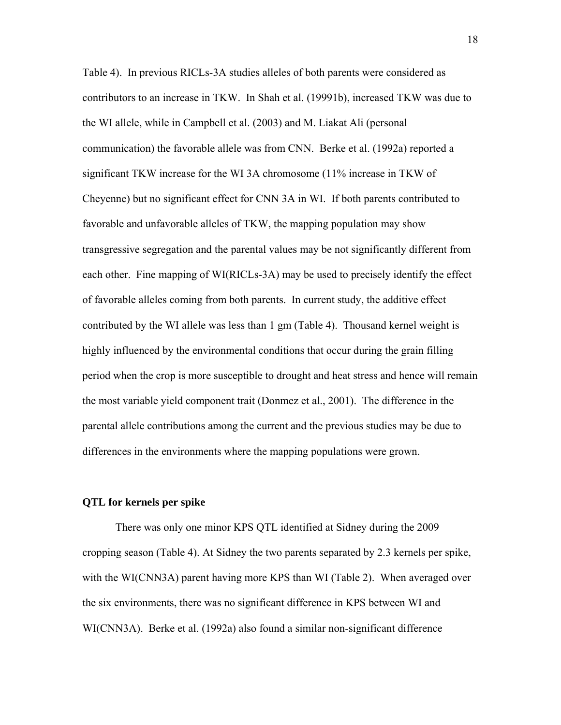Table 4). In previous RICLs-3A studies alleles of both parents were considered as contributors to an increase in TKW. In Shah et al. (19991b), increased TKW was due to the WI allele, while in Campbell et al. (2003) and M. Liakat Ali (personal communication) the favorable allele was from CNN. Berke et al. (1992a) reported a significant TKW increase for the WI 3A chromosome (11% increase in TKW of Cheyenne) but no significant effect for CNN 3A in WI. If both parents contributed to favorable and unfavorable alleles of TKW, the mapping population may show transgressive segregation and the parental values may be not significantly different from each other. Fine mapping of WI(RICLs-3A) may be used to precisely identify the effect of favorable alleles coming from both parents. In current study, the additive effect contributed by the WI allele was less than 1 gm (Table 4). Thousand kernel weight is highly influenced by the environmental conditions that occur during the grain filling period when the crop is more susceptible to drought and heat stress and hence will remain the most variable yield component trait (Donmez et al., 2001). The difference in the parental allele contributions among the current and the previous studies may be due to differences in the environments where the mapping populations were grown.

#### **QTL for kernels per spike**

 There was only one minor KPS QTL identified at Sidney during the 2009 cropping season (Table 4). At Sidney the two parents separated by 2.3 kernels per spike, with the WI(CNN3A) parent having more KPS than WI (Table 2). When averaged over the six environments, there was no significant difference in KPS between WI and WI(CNN3A). Berke et al. (1992a) also found a similar non-significant difference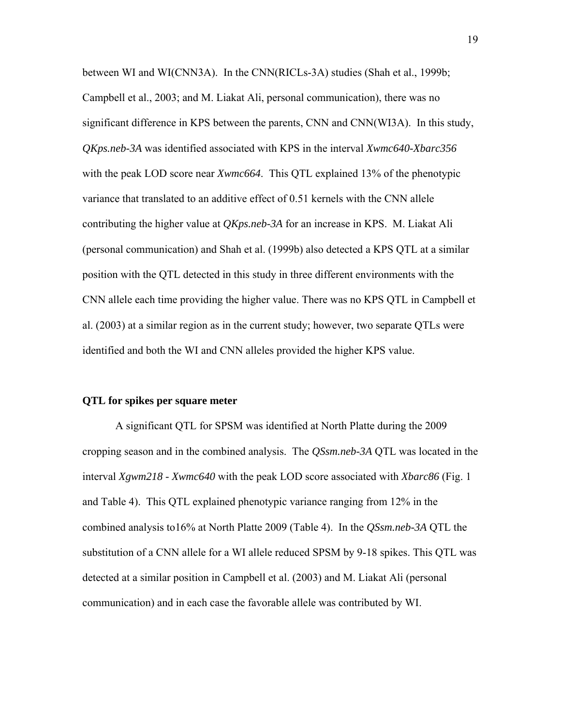between WI and WI(CNN3A). In the CNN(RICLs-3A) studies (Shah et al., 1999b; Campbell et al., 2003; and M. Liakat Ali, personal communication), there was no significant difference in KPS between the parents, CNN and CNN(WI3A). In this study, *QKps.neb-3A* was identified associated with KPS in the interval *Xwmc640-Xbarc356* with the peak LOD score near *Xwmc664*. This QTL explained 13% of the phenotypic variance that translated to an additive effect of 0.51 kernels with the CNN allele contributing the higher value at *QKps.neb-3A* for an increase in KPS. M. Liakat Ali (personal communication) and Shah et al. (1999b) also detected a KPS QTL at a similar position with the QTL detected in this study in three different environments with the CNN allele each time providing the higher value. There was no KPS QTL in Campbell et al. (2003) at a similar region as in the current study; however, two separate QTLs were identified and both the WI and CNN alleles provided the higher KPS value.

#### **QTL for spikes per square meter**

 A significant QTL for SPSM was identified at North Platte during the 2009 cropping season and in the combined analysis. The *QSsm.neb-3A* QTL was located in the interval *Xgwm218 - Xwmc640* with the peak LOD score associated with *Xbarc86* (Fig. 1 and Table 4). This QTL explained phenotypic variance ranging from 12% in the combined analysis to16% at North Platte 2009 (Table 4). In the *QSsm.neb-3A* QTL the substitution of a CNN allele for a WI allele reduced SPSM by 9-18 spikes. This QTL was detected at a similar position in Campbell et al. (2003) and M. Liakat Ali (personal communication) and in each case the favorable allele was contributed by WI.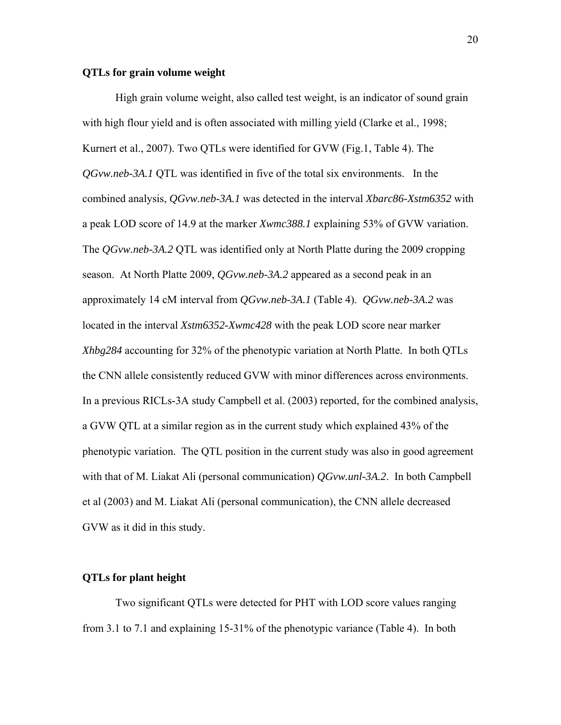#### **QTLs for grain volume weight**

 High grain volume weight, also called test weight, is an indicator of sound grain with high flour yield and is often associated with milling yield (Clarke et al., 1998; Kurnert et al., 2007). Two QTLs were identified for GVW (Fig.1, Table 4). The *QGvw.neb-3A.1* QTL was identified in five of the total six environments. In the combined analysis, *QGvw.neb-3A.1* was detected in the interval *Xbarc86-Xstm6352* with a peak LOD score of 14.9 at the marker *Xwmc388.1* explaining 53% of GVW variation. The *QGvw.neb-3A.2* QTL was identified only at North Platte during the 2009 cropping season. At North Platte 2009, *QGvw.neb-3A.2* appeared as a second peak in an approximately 14 cM interval from *QGvw.neb-3A.1* (Table 4). *QGvw.neb-3A.2* was located in the interval *Xstm6352-Xwmc428* with the peak LOD score near marker *Xhbg284* accounting for 32% of the phenotypic variation at North Platte. In both QTLs the CNN allele consistently reduced GVW with minor differences across environments. In a previous RICLs-3A study Campbell et al. (2003) reported, for the combined analysis, a GVW QTL at a similar region as in the current study which explained 43% of the phenotypic variation. The QTL position in the current study was also in good agreement with that of M. Liakat Ali (personal communication) *QGvw.unl-3A.2*. In both Campbell et al (2003) and M. Liakat Ali (personal communication), the CNN allele decreased GVW as it did in this study.

#### **QTLs for plant height**

 Two significant QTLs were detected for PHT with LOD score values ranging from 3.1 to 7.1 and explaining 15-31% of the phenotypic variance (Table 4). In both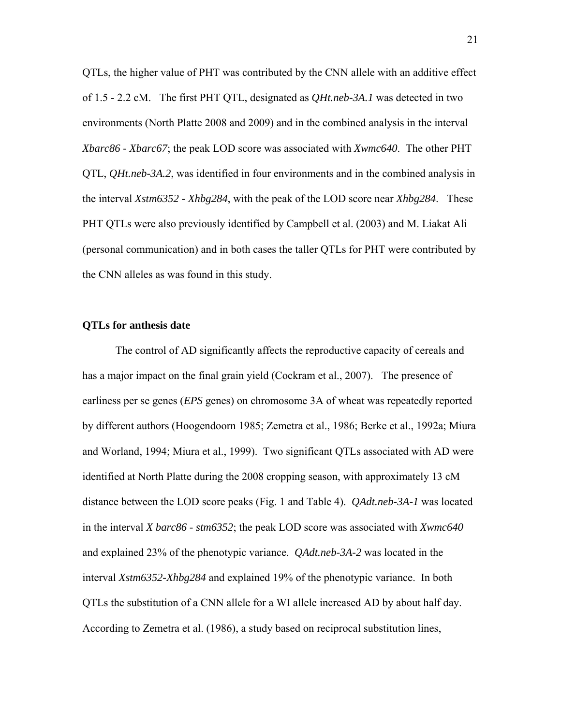QTLs, the higher value of PHT was contributed by the CNN allele with an additive effect of 1.5 - 2.2 cM. The first PHT QTL, designated as *QHt.neb-3A.1* was detected in two environments (North Platte 2008 and 2009) and in the combined analysis in the interval *Xbarc86 - Xbarc67*; the peak LOD score was associated with *Xwmc640*. The other PHT QTL, *QHt.neb-3A.2*, was identified in four environments and in the combined analysis in the interval *Xstm6352 - Xhbg284*, with the peak of the LOD score near *Xhbg284*. These PHT QTLs were also previously identified by Campbell et al. (2003) and M. Liakat Ali (personal communication) and in both cases the taller QTLs for PHT were contributed by the CNN alleles as was found in this study.

#### **QTLs for anthesis date**

 The control of AD significantly affects the reproductive capacity of cereals and has a major impact on the final grain yield (Cockram et al., 2007). The presence of earliness per se genes (*EPS* genes) on chromosome 3A of wheat was repeatedly reported by different authors (Hoogendoorn 1985; Zemetra et al., 1986; Berke et al., 1992a; Miura and Worland, 1994; Miura et al., 1999). Two significant QTLs associated with AD were identified at North Platte during the 2008 cropping season, with approximately 13 cM distance between the LOD score peaks (Fig. 1 and Table 4). *QAdt.neb-3A-1* was located in the interval *X barc86 - stm6352*; the peak LOD score was associated with *Xwmc640*  and explained 23% of the phenotypic variance. *QAdt.neb-3A-2* was located in the interval *Xstm6352-Xhbg284* and explained 19% of the phenotypic variance. In both QTLs the substitution of a CNN allele for a WI allele increased AD by about half day. According to Zemetra et al. (1986), a study based on reciprocal substitution lines,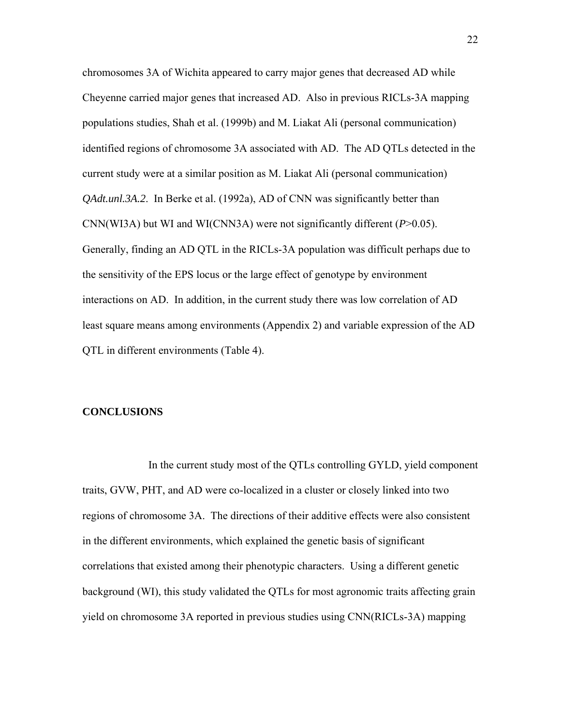chromosomes 3A of Wichita appeared to carry major genes that decreased AD while Cheyenne carried major genes that increased AD. Also in previous RICLs-3A mapping populations studies, Shah et al. (1999b) and M. Liakat Ali (personal communication) identified regions of chromosome 3A associated with AD. The AD QTLs detected in the current study were at a similar position as M. Liakat Ali (personal communication) *QAdt.unl.3A.2.* In Berke et al. (1992a), AD of CNN was significantly better than CNN(WI3A) but WI and WI(CNN3A) were not significantly different (*P*>0.05). Generally, finding an AD QTL in the RICLs-3A population was difficult perhaps due to the sensitivity of the EPS locus or the large effect of genotype by environment interactions on AD. In addition, in the current study there was low correlation of AD least square means among environments (Appendix 2) and variable expression of the AD QTL in different environments (Table 4).

#### **CONCLUSIONS**

 In the current study most of the QTLs controlling GYLD, yield component traits, GVW, PHT, and AD were co-localized in a cluster or closely linked into two regions of chromosome 3A. The directions of their additive effects were also consistent in the different environments, which explained the genetic basis of significant correlations that existed among their phenotypic characters. Using a different genetic background (WI), this study validated the QTLs for most agronomic traits affecting grain yield on chromosome 3A reported in previous studies using CNN(RICLs-3A) mapping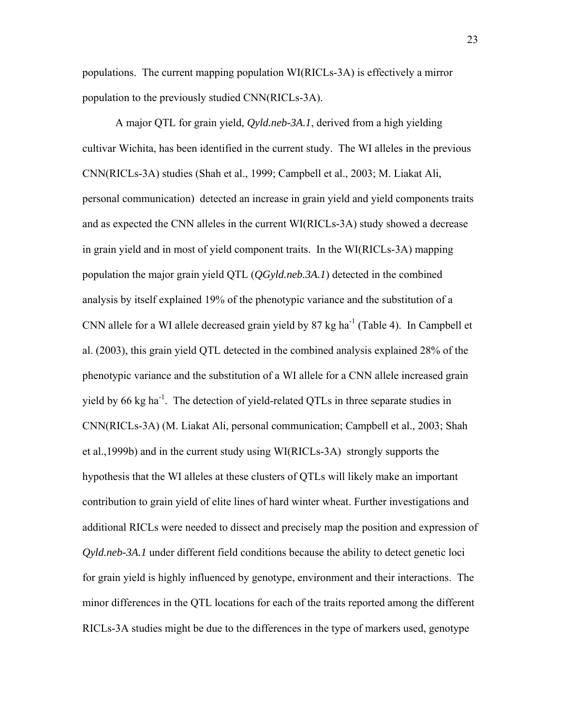populations. The current mapping population WI(RICLs-3A) is effectively a mirror population to the previously studied CNN(RICLs-3A).

 A major QTL for grain yield, *Qyld.neb-3A.1*, derived from a high yielding cultivar Wichita, has been identified in the current study. The WI alleles in the previous CNN(RICLs-3A) studies (Shah et al., 1999; Campbell et al., 2003; M. Liakat Ali, personal communication) detected an increase in grain yield and yield components traits and as expected the CNN alleles in the current WI(RICLs-3A) study showed a decrease in grain yield and in most of yield component traits. In the WI(RICLs-3A) mapping population the major grain yield QTL (*QGyld.neb.3A.1*) detected in the combined analysis by itself explained 19% of the phenotypic variance and the substitution of a CNN allele for a WI allele decreased grain yield by  $87 \text{ kg ha}^{-1}$  (Table 4). In Campbell et al. (2003), this grain yield QTL detected in the combined analysis explained 28% of the phenotypic variance and the substitution of a WI allele for a CNN allele increased grain yield by 66 kg ha<sup>-1</sup>. The detection of yield-related QTLs in three separate studies in CNN(RICLs-3A) (M. Liakat Ali, personal communication; Campbell et al., 2003; Shah et al.,1999b) and in the current study using WI(RICLs-3A) strongly supports the hypothesis that the WI alleles at these clusters of QTLs will likely make an important contribution to grain yield of elite lines of hard winter wheat. Further investigations and additional RICLs were needed to dissect and precisely map the position and expression of *Qyld.neb-3A.1* under different field conditions because the ability to detect genetic loci for grain yield is highly influenced by genotype, environment and their interactions. The minor differences in the QTL locations for each of the traits reported among the different RICLs-3A studies might be due to the differences in the type of markers used, genotype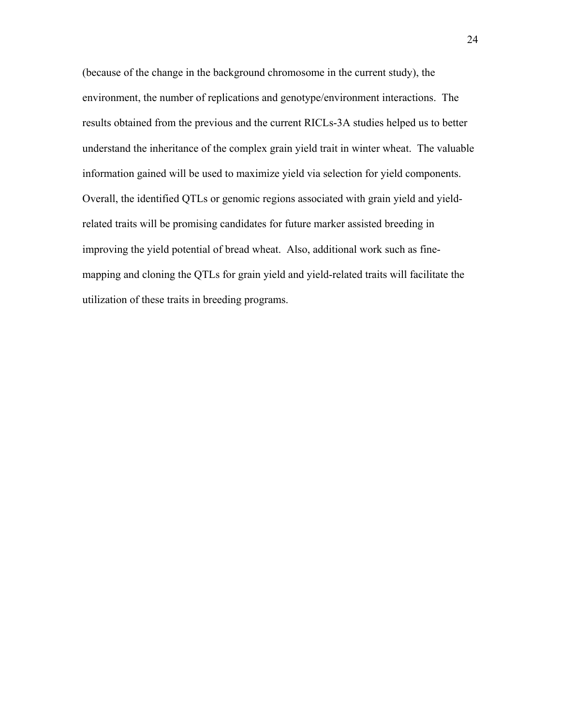(because of the change in the background chromosome in the current study), the environment, the number of replications and genotype/environment interactions. The results obtained from the previous and the current RICLs-3A studies helped us to better understand the inheritance of the complex grain yield trait in winter wheat. The valuable information gained will be used to maximize yield via selection for yield components. Overall, the identified QTLs or genomic regions associated with grain yield and yieldrelated traits will be promising candidates for future marker assisted breeding in improving the yield potential of bread wheat. Also, additional work such as finemapping and cloning the QTLs for grain yield and yield-related traits will facilitate the utilization of these traits in breeding programs.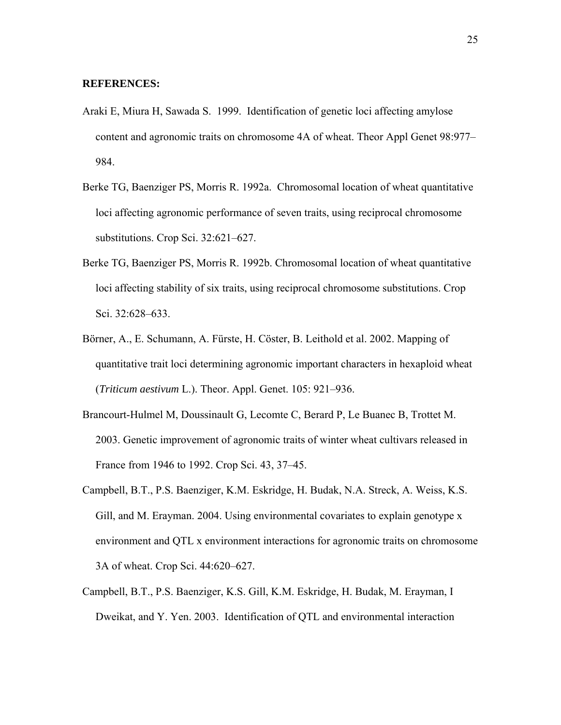#### **REFERENCES:**

- Araki E, Miura H, Sawada S. 1999. Identification of genetic loci affecting amylose content and agronomic traits on chromosome 4A of wheat. Theor Appl Genet 98:977– 984.
- Berke TG, Baenziger PS, Morris R. 1992a. Chromosomal location of wheat quantitative loci affecting agronomic performance of seven traits, using reciprocal chromosome substitutions. Crop Sci. 32:621–627.
- Berke TG, Baenziger PS, Morris R. 1992b. Chromosomal location of wheat quantitative loci affecting stability of six traits, using reciprocal chromosome substitutions. Crop Sci. 32:628–633.
- Börner, A., E. Schumann, A. Fürste, H. Cöster, B. Leithold et al. 2002. Mapping of quantitative trait loci determining agronomic important characters in hexaploid wheat (*Triticum aestivum* L.). Theor. Appl. Genet. 105: 921–936.
- Brancourt-Hulmel M, Doussinault G, Lecomte C, Berard P, Le Buanec B, Trottet M. 2003. Genetic improvement of agronomic traits of winter wheat cultivars released in France from 1946 to 1992. Crop Sci. 43, 37–45.
- Campbell, B.T., P.S. Baenziger, K.M. Eskridge, H. Budak, N.A. Streck, A. Weiss, K.S. Gill, and M. Erayman. 2004. Using environmental covariates to explain genotype x environment and QTL x environment interactions for agronomic traits on chromosome 3A of wheat. Crop Sci. 44:620–627.
- Campbell, B.T., P.S. Baenziger, K.S. Gill, K.M. Eskridge, H. Budak, M. Erayman, I Dweikat, and Y. Yen. 2003. Identification of QTL and environmental interaction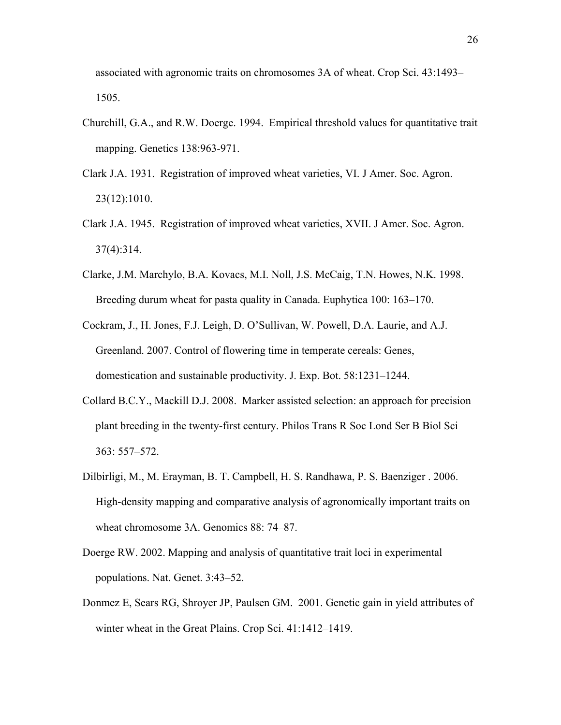associated with agronomic traits on chromosomes 3A of wheat. Crop Sci. 43:1493– 1505.

- Churchill, G.A., and R.W. Doerge. 1994. Empirical threshold values for quantitative trait mapping. Genetics 138:963-971.
- Clark J.A. 1931. Registration of improved wheat varieties, VI. J Amer. Soc. Agron. 23(12):1010.
- Clark J.A. 1945. Registration of improved wheat varieties, XVII. J Amer. Soc. Agron. 37(4):314.
- Clarke, J.M. Marchylo, B.A. Kovacs, M.I. Noll, J.S. McCaig, T.N. Howes, N.K. 1998. Breeding durum wheat for pasta quality in Canada. Euphytica 100: 163–170.
- Cockram, J., H. Jones, F.J. Leigh, D. O'Sullivan, W. Powell, D.A. Laurie, and A.J. Greenland. 2007. Control of flowering time in temperate cereals: Genes, domestication and sustainable productivity. J. Exp. Bot. 58:1231–1244.
- Collard B.C.Y., Mackill D.J. 2008. Marker assisted selection: an approach for precision plant breeding in the twenty-first century. Philos Trans R Soc Lond Ser B Biol Sci 363: 557–572.
- Dilbirligi, M., M. Erayman, B. T. Campbell, H. S. Randhawa, P. S. Baenziger . 2006. High-density mapping and comparative analysis of agronomically important traits on wheat chromosome 3A. Genomics 88: 74–87.
- Doerge RW. 2002. Mapping and analysis of quantitative trait loci in experimental populations. Nat. Genet. 3:43–52.
- Donmez E, Sears RG, Shroyer JP, Paulsen GM. 2001. Genetic gain in yield attributes of winter wheat in the Great Plains. Crop Sci. 41:1412–1419.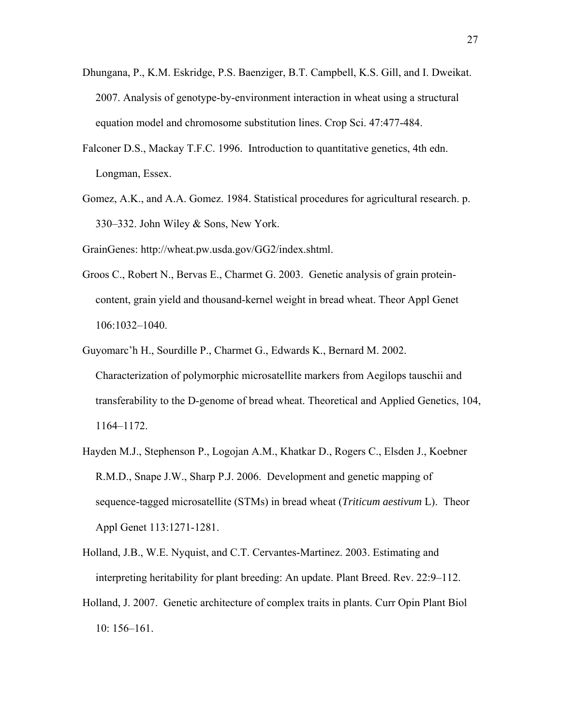- Dhungana, P., K.M. Eskridge, P.S. Baenziger, B.T. Campbell, K.S. Gill, and I. Dweikat. 2007. Analysis of genotype-by-environment interaction in wheat using a structural equation model and chromosome substitution lines. Crop Sci. 47:477-484.
- Falconer D.S., Mackay T.F.C. 1996. Introduction to quantitative genetics, 4th edn. Longman, Essex.
- Gomez, A.K., and A.A. Gomez. 1984. Statistical procedures for agricultural research. p. 330–332. John Wiley & Sons, New York.

GrainGenes: http://wheat.pw.usda.gov/GG2/index.shtml.

- Groos C., Robert N., Bervas E., Charmet G. 2003. Genetic analysis of grain proteincontent, grain yield and thousand-kernel weight in bread wheat. Theor Appl Genet 106:1032–1040.
- Guyomarc'h H., Sourdille P., Charmet G., Edwards K., Bernard M. 2002. Characterization of polymorphic microsatellite markers from Aegilops tauschii and transferability to the D-genome of bread wheat. Theoretical and Applied Genetics, 104, 1164–1172.
- Hayden M.J., Stephenson P., Logojan A.M., Khatkar D., Rogers C., Elsden J., Koebner R.M.D., Snape J.W., Sharp P.J. 2006. Development and genetic mapping of sequence-tagged microsatellite (STMs) in bread wheat (*Triticum aestivum* L). Theor Appl Genet 113:1271-1281.
- Holland, J.B., W.E. Nyquist, and C.T. Cervantes-Martinez. 2003. Estimating and interpreting heritability for plant breeding: An update. Plant Breed. Rev. 22:9–112.
- Holland, J. 2007. Genetic architecture of complex traits in plants. Curr Opin Plant Biol 10: 156–161.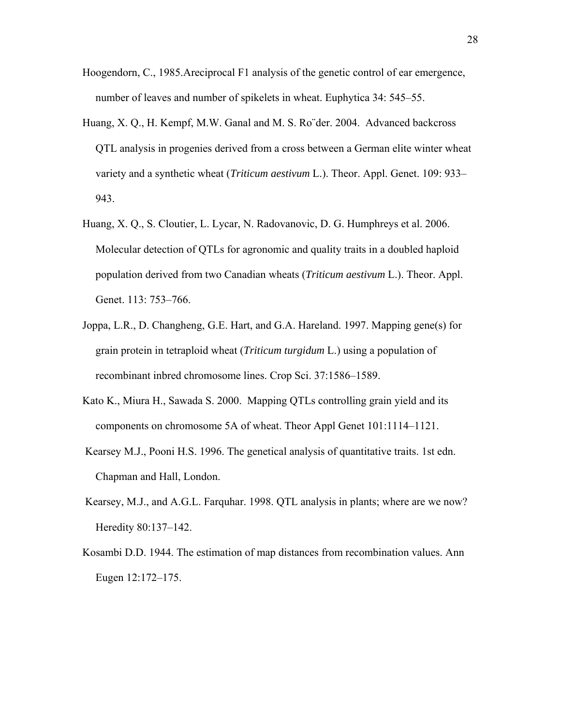- Hoogendorn, C., 1985.Areciprocal F1 analysis of the genetic control of ear emergence, number of leaves and number of spikelets in wheat. Euphytica 34: 545–55.
- Huang, X. Q., H. Kempf, M.W. Ganal and M. S. Ro¨der. 2004. Advanced backcross QTL analysis in progenies derived from a cross between a German elite winter wheat variety and a synthetic wheat (*Triticum aestivum* L.). Theor. Appl. Genet. 109: 933– 943.
- Huang, X. Q., S. Cloutier, L. Lycar, N. Radovanovic, D. G. Humphreys et al. 2006. Molecular detection of QTLs for agronomic and quality traits in a doubled haploid population derived from two Canadian wheats (*Triticum aestivum* L.). Theor. Appl. Genet. 113: 753–766.
- Joppa, L.R., D. Changheng, G.E. Hart, and G.A. Hareland. 1997. Mapping gene(s) for grain protein in tetraploid wheat (*Triticum turgidum* L.) using a population of recombinant inbred chromosome lines. Crop Sci. 37:1586–1589.
- Kato K., Miura H., Sawada S. 2000. Mapping QTLs controlling grain yield and its components on chromosome 5A of wheat. Theor Appl Genet 101:1114–1121.
- Kearsey M.J., Pooni H.S. 1996. The genetical analysis of quantitative traits. 1st edn. Chapman and Hall, London.
- Kearsey, M.J., and A.G.L. Farquhar. 1998. QTL analysis in plants; where are we now? Heredity 80:137–142.
- Kosambi D.D. 1944. The estimation of map distances from recombination values. Ann Eugen 12:172–175.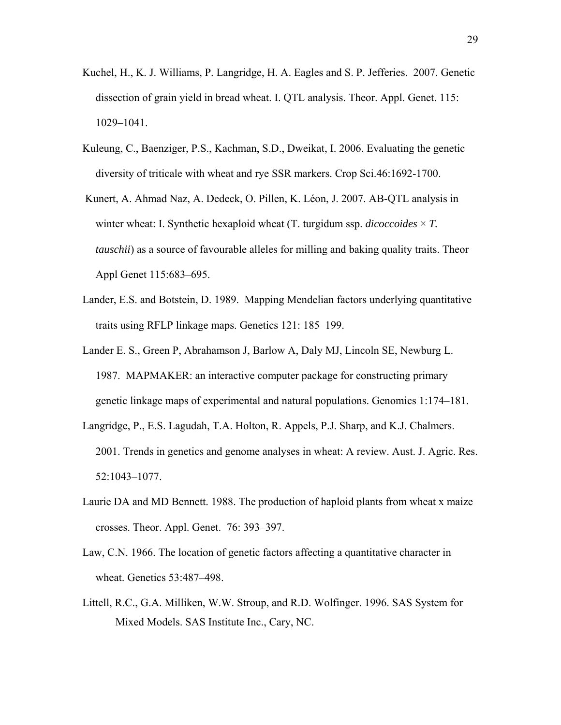- Kuchel, H., K. J. Williams, P. Langridge, H. A. Eagles and S. P. Jefferies. 2007. Genetic dissection of grain yield in bread wheat. I. QTL analysis. Theor. Appl. Genet. 115: 1029–1041.
- Kuleung, C., Baenziger, P.S., Kachman, S.D., Dweikat, I. 2006. Evaluating the genetic diversity of triticale with wheat and rye SSR markers. Crop Sci.46:1692-1700.
- Kunert, A. Ahmad Naz, A. Dedeck, O. Pillen, K. Léon, J. 2007. AB-QTL analysis in winter wheat: I. Synthetic hexaploid wheat  $(T$  turgidum ssp. *dicoccoides*  $\times$  *T*. *tauschii*) as a source of favourable alleles for milling and baking quality traits. Theor Appl Genet 115:683–695.
- Lander, E.S. and Botstein, D. 1989. Mapping Mendelian factors underlying quantitative traits using RFLP linkage maps. Genetics 121: 185–199.
- Lander E. S., Green P, Abrahamson J, Barlow A, Daly MJ, Lincoln SE, Newburg L. 1987. MAPMAKER: an interactive computer package for constructing primary genetic linkage maps of experimental and natural populations. Genomics 1:174–181.
- Langridge, P., E.S. Lagudah, T.A. Holton, R. Appels, P.J. Sharp, and K.J. Chalmers. 2001. Trends in genetics and genome analyses in wheat: A review. Aust. J. Agric. Res. 52:1043–1077.
- Laurie DA and MD Bennett. 1988. The production of haploid plants from wheat x maize crosses. Theor. Appl. Genet. 76: 393–397.
- Law, C.N. 1966. The location of genetic factors affecting a quantitative character in wheat. Genetics 53:487–498.
- Littell, R.C., G.A. Milliken, W.W. Stroup, and R.D. Wolfinger. 1996. SAS System for Mixed Models. SAS Institute Inc., Cary, NC.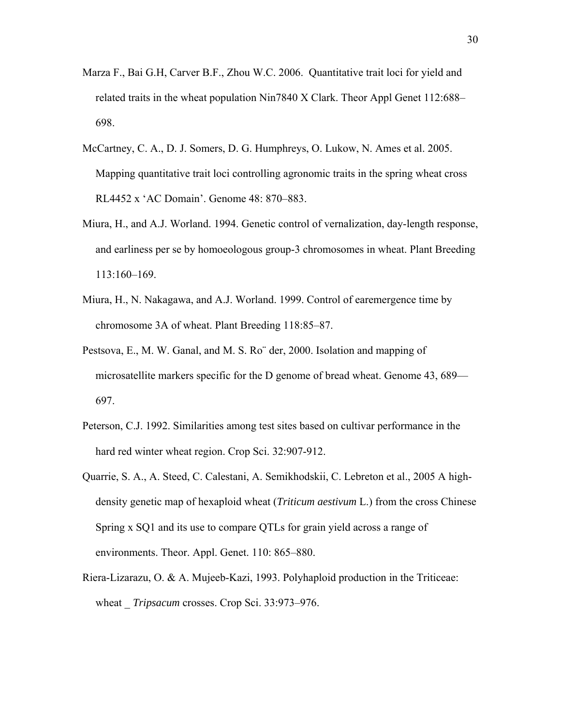- Marza F., Bai G.H, Carver B.F., Zhou W.C. 2006. Quantitative trait loci for yield and related traits in the wheat population Nin7840 X Clark. Theor Appl Genet 112:688– 698.
- McCartney, C. A., D. J. Somers, D. G. Humphreys, O. Lukow, N. Ames et al. 2005. Mapping quantitative trait loci controlling agronomic traits in the spring wheat cross RL4452 x 'AC Domain'. Genome 48: 870–883.
- Miura, H., and A.J. Worland. 1994. Genetic control of vernalization, day-length response, and earliness per se by homoeologous group-3 chromosomes in wheat. Plant Breeding 113:160–169.
- Miura, H., N. Nakagawa, and A.J. Worland. 1999. Control of earemergence time by chromosome 3A of wheat. Plant Breeding 118:85–87.
- Pestsova, E., M. W. Ganal, and M. S. Ro¨ der, 2000. Isolation and mapping of microsatellite markers specific for the D genome of bread wheat. Genome 43, 689— 697.
- Peterson, C.J. 1992. Similarities among test sites based on cultivar performance in the hard red winter wheat region. Crop Sci. 32:907-912.
- Quarrie, S. A., A. Steed, C. Calestani, A. Semikhodskii, C. Lebreton et al., 2005 A highdensity genetic map of hexaploid wheat (*Triticum aestivum* L.) from the cross Chinese Spring x SQ1 and its use to compare QTLs for grain yield across a range of environments. Theor. Appl. Genet. 110: 865–880.
- Riera-Lizarazu, O. & A. Mujeeb-Kazi, 1993. Polyhaploid production in the Triticeae: wheat *Tripsacum* crosses. Crop Sci. 33:973–976.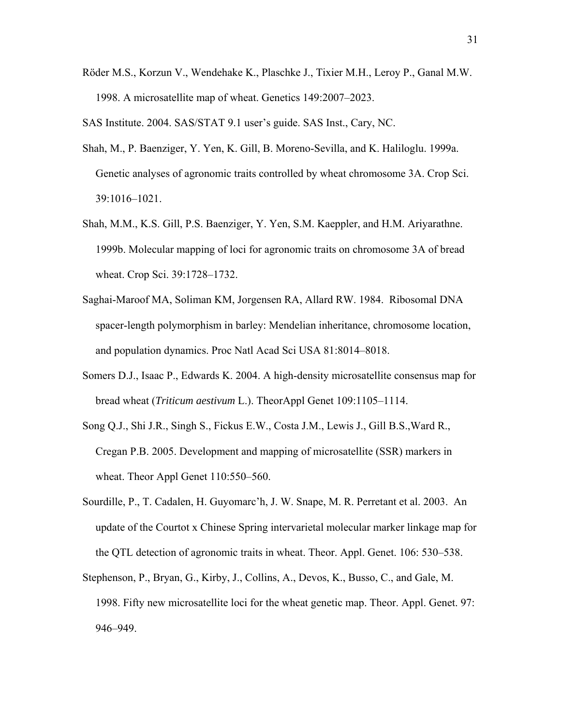Röder M.S., Korzun V., Wendehake K., Plaschke J., Tixier M.H., Leroy P., Ganal M.W. 1998. A microsatellite map of wheat. Genetics 149:2007–2023.

SAS Institute. 2004. SAS/STAT 9.1 user's guide. SAS Inst., Cary, NC.

- Shah, M., P. Baenziger, Y. Yen, K. Gill, B. Moreno-Sevilla, and K. Haliloglu. 1999a. Genetic analyses of agronomic traits controlled by wheat chromosome 3A. Crop Sci. 39:1016–1021.
- Shah, M.M., K.S. Gill, P.S. Baenziger, Y. Yen, S.M. Kaeppler, and H.M. Ariyarathne. 1999b. Molecular mapping of loci for agronomic traits on chromosome 3A of bread wheat. Crop Sci. 39:1728–1732.
- Saghai-Maroof MA, Soliman KM, Jorgensen RA, Allard RW. 1984. Ribosomal DNA spacer-length polymorphism in barley: Mendelian inheritance, chromosome location, and population dynamics. Proc Natl Acad Sci USA 81:8014–8018.
- Somers D.J., Isaac P., Edwards K. 2004. A high-density microsatellite consensus map for bread wheat (*Triticum aestivum* L.). TheorAppl Genet 109:1105–1114.
- Song Q.J., Shi J.R., Singh S., Fickus E.W., Costa J.M., Lewis J., Gill B.S.,Ward R., Cregan P.B. 2005. Development and mapping of microsatellite (SSR) markers in wheat. Theor Appl Genet 110:550–560.
- Sourdille, P., T. Cadalen, H. Guyomarc'h, J. W. Snape, M. R. Perretant et al. 2003. An update of the Courtot x Chinese Spring intervarietal molecular marker linkage map for the QTL detection of agronomic traits in wheat. Theor. Appl. Genet. 106: 530–538.
- Stephenson, P., Bryan, G., Kirby, J., Collins, A., Devos, K., Busso, C., and Gale, M. 1998. Fifty new microsatellite loci for the wheat genetic map. Theor. Appl. Genet. 97: 946–949.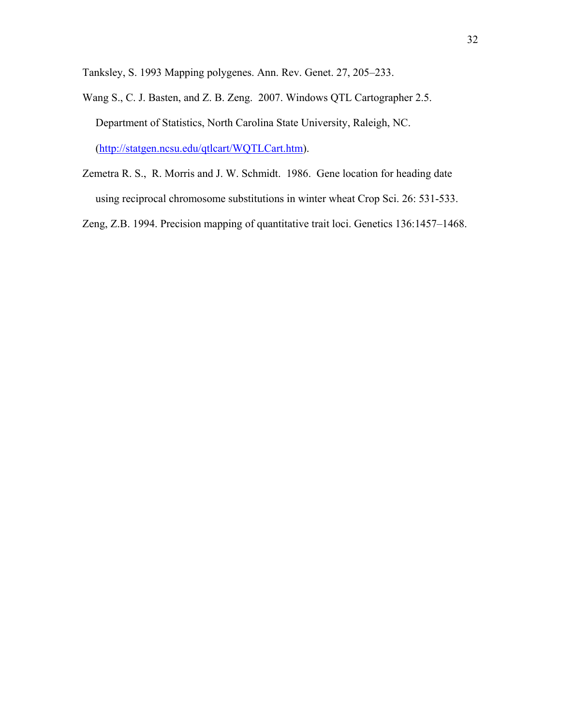Tanksley, S. 1993 Mapping polygenes. Ann. Rev. Genet. 27, 205–233.

- Wang S., C. J. Basten, and Z. B. Zeng. 2007. Windows QTL Cartographer 2.5. Department of Statistics, North Carolina State University, Raleigh, NC. (http://statgen.ncsu.edu/qtlcart/WQTLCart.htm).
- Zemetra R. S., R. Morris and J. W. Schmidt. 1986. Gene location for heading date using reciprocal chromosome substitutions in winter wheat Crop Sci. 26: 531-533.

Zeng, Z.B. 1994. Precision mapping of quantitative trait loci. Genetics 136:1457–1468.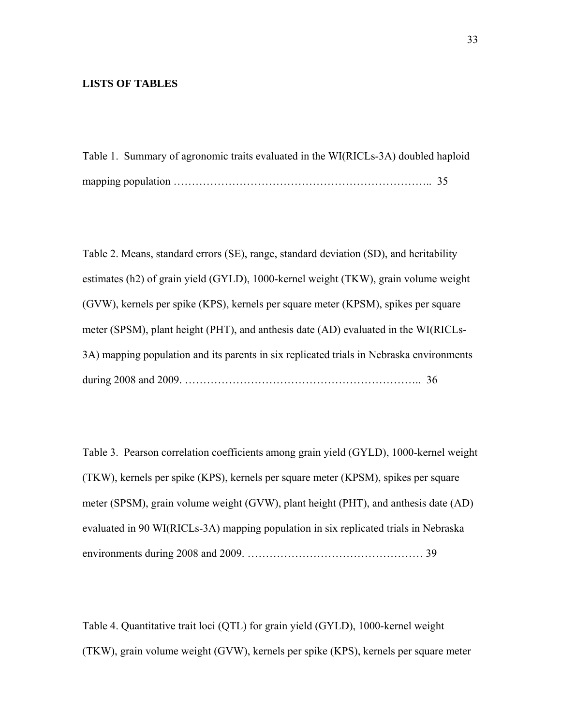### **LISTS OF TABLES**

Table 1. Summary of agronomic traits evaluated in the WI(RICLs-3A) doubled haploid mapping population …………………………………………………………….. 35

Table 2. Means, standard errors (SE), range, standard deviation (SD), and heritability estimates (h2) of grain yield (GYLD), 1000-kernel weight (TKW), grain volume weight (GVW), kernels per spike (KPS), kernels per square meter (KPSM), spikes per square meter (SPSM), plant height (PHT), and anthesis date (AD) evaluated in the WI(RICLs-3A) mapping population and its parents in six replicated trials in Nebraska environments during 2008 and 2009. ……………………………………………………….. 36

Table 3. Pearson correlation coefficients among grain yield (GYLD), 1000-kernel weight (TKW), kernels per spike (KPS), kernels per square meter (KPSM), spikes per square meter (SPSM), grain volume weight (GVW), plant height (PHT), and anthesis date (AD) evaluated in 90 WI(RICLs-3A) mapping population in six replicated trials in Nebraska environments during 2008 and 2009. ………………………………………… 39

Table 4. Quantitative trait loci (QTL) for grain yield (GYLD), 1000-kernel weight (TKW), grain volume weight (GVW), kernels per spike (KPS), kernels per square meter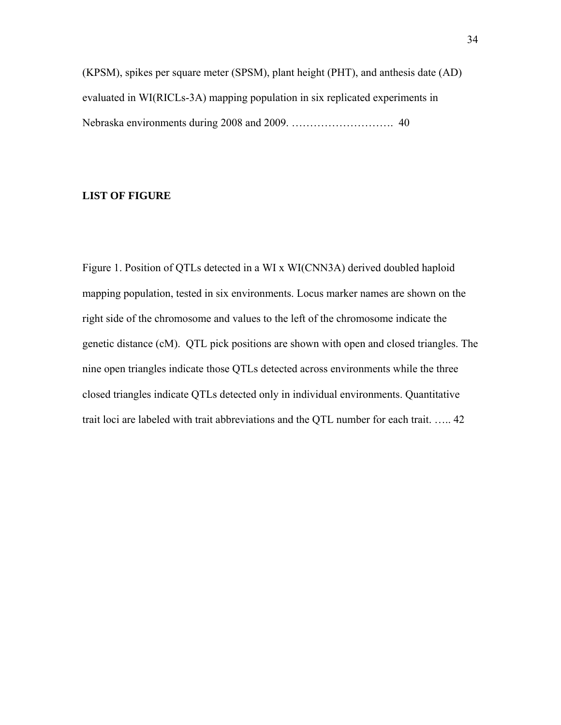(KPSM), spikes per square meter (SPSM), plant height (PHT), and anthesis date (AD) evaluated in WI(RICLs-3A) mapping population in six replicated experiments in Nebraska environments during 2008 and 2009. ………………………. 40

### **LIST OF FIGURE**

Figure 1. Position of QTLs detected in a WI x WI(CNN3A) derived doubled haploid mapping population, tested in six environments. Locus marker names are shown on the right side of the chromosome and values to the left of the chromosome indicate the genetic distance (cM). QTL pick positions are shown with open and closed triangles. The nine open triangles indicate those QTLs detected across environments while the three closed triangles indicate QTLs detected only in individual environments. Quantitative trait loci are labeled with trait abbreviations and the QTL number for each trait. ….. 42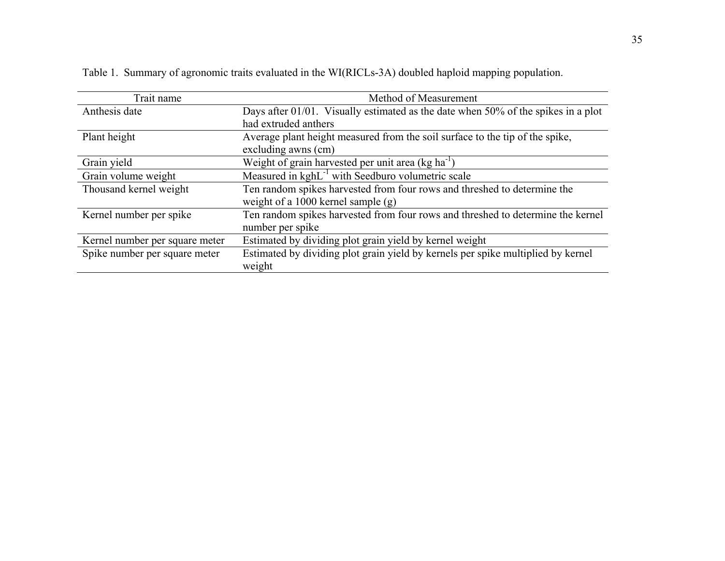| Trait name                     | Method of Measurement                                                             |
|--------------------------------|-----------------------------------------------------------------------------------|
| Anthesis date                  | Days after 01/01. Visually estimated as the date when 50% of the spikes in a plot |
|                                | had extruded anthers                                                              |
| Plant height                   | Average plant height measured from the soil surface to the tip of the spike,      |
|                                | excluding awns (cm)                                                               |
| Grain yield                    | Weight of grain harvested per unit area $(kg ha^{-1})$                            |
| Grain volume weight            | Measured in kghL <sup>-1</sup> with Seedburo volumetric scale                     |
| Thousand kernel weight         | Ten random spikes harvested from four rows and threshed to determine the          |
|                                | weight of a 1000 kernel sample $(g)$                                              |
| Kernel number per spike        | Ten random spikes harvested from four rows and threshed to determine the kernel   |
|                                | number per spike                                                                  |
| Kernel number per square meter | Estimated by dividing plot grain yield by kernel weight                           |
| Spike number per square meter  | Estimated by dividing plot grain yield by kernels per spike multiplied by kernel  |
|                                | weight                                                                            |

Table 1. Summary of agronomic traits evaluated in the WI(RICLs-3A) doubled haploid mapping population.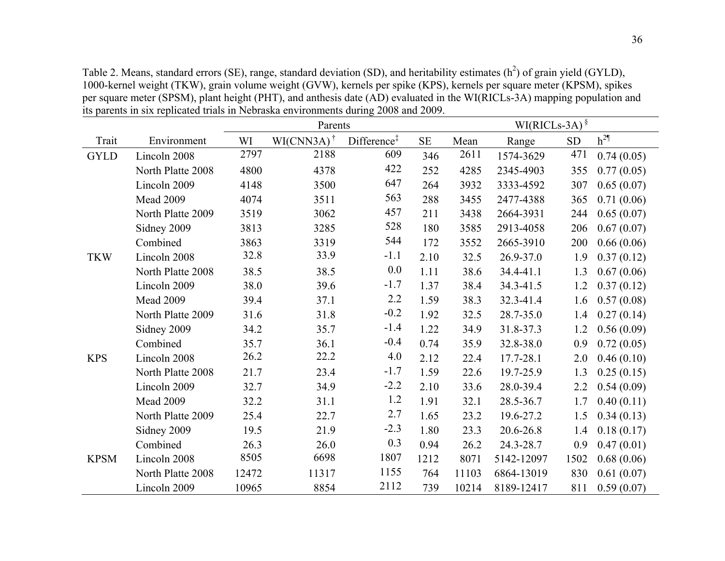Table 2. Means, standard errors (SE), range, standard deviation (SD), and heritability estimates  $(h^2)$  of grain yield (GYLD), 1000-kernel weight (TKW), grain volume weight (GVW), kernels per spike (KPS), kernels per square meter (KPSM), spikes per square meter (SPSM), plant height (PHT), and anthesis date (AD) evaluated in the WI(RICLs-3A) mapping population and its parents in six replicated trials in Nebraska environments during 2008 and 2009.

|             |                   |       | Parents                                |                         | $\text{WI(RICLs-3A)}$ <sup>§</sup> |       |            |      |            |
|-------------|-------------------|-------|----------------------------------------|-------------------------|------------------------------------|-------|------------|------|------------|
| Trait       | Environment       | WI    | $\text{WI}(\text{CNN3A})$ <sup>†</sup> | Difference <sup>‡</sup> | $\rm SE$                           | Mean  | Range      | SD   | $h^{2\P}$  |
| <b>GYLD</b> | Lincoln 2008      | 2797  | 2188                                   | 609                     | 346                                | 2611  | 1574-3629  | 471  | 0.74(0.05) |
|             | North Platte 2008 | 4800  | 4378                                   | 422                     | 252                                | 4285  | 2345-4903  | 355  | 0.77(0.05) |
|             | Lincoln 2009      | 4148  | 3500                                   | 647                     | 264                                | 3932  | 3333-4592  | 307  | 0.65(0.07) |
|             | Mead 2009         | 4074  | 3511                                   | 563                     | 288                                | 3455  | 2477-4388  | 365  | 0.71(0.06) |
|             | North Platte 2009 | 3519  | 3062                                   | 457                     | 211                                | 3438  | 2664-3931  | 244  | 0.65(0.07) |
|             | Sidney 2009       | 3813  | 3285                                   | 528                     | 180                                | 3585  | 2913-4058  | 206  | 0.67(0.07) |
|             | Combined          | 3863  | 3319                                   | 544                     | 172                                | 3552  | 2665-3910  | 200  | 0.66(0.06) |
| <b>TKW</b>  | Lincoln 2008      | 32.8  | 33.9                                   | $-1.1$                  | 2.10                               | 32.5  | 26.9-37.0  | 1.9  | 0.37(0.12) |
|             | North Platte 2008 | 38.5  | 38.5                                   | 0.0                     | 1.11                               | 38.6  | 34.4-41.1  | 1.3  | 0.67(0.06) |
|             | Lincoln 2009      | 38.0  | 39.6                                   | $-1.7$                  | 1.37                               | 38.4  | 34.3-41.5  | 1.2  | 0.37(0.12) |
|             | Mead 2009         | 39.4  | 37.1                                   | 2.2                     | 1.59                               | 38.3  | 32.3-41.4  | 1.6  | 0.57(0.08) |
|             | North Platte 2009 | 31.6  | 31.8                                   | $-0.2$                  | 1.92                               | 32.5  | 28.7-35.0  | 1.4  | 0.27(0.14) |
|             | Sidney 2009       | 34.2  | 35.7                                   | $-1.4$                  | 1.22                               | 34.9  | 31.8-37.3  | 1.2  | 0.56(0.09) |
|             | Combined          | 35.7  | 36.1                                   | $-0.4$                  | 0.74                               | 35.9  | 32.8-38.0  | 0.9  | 0.72(0.05) |
| <b>KPS</b>  | Lincoln 2008      | 26.2  | 22.2                                   | 4.0                     | 2.12                               | 22.4  | 17.7-28.1  | 2.0  | 0.46(0.10) |
|             | North Platte 2008 | 21.7  | 23.4                                   | $-1.7$                  | 1.59                               | 22.6  | 19.7-25.9  | 1.3  | 0.25(0.15) |
|             | Lincoln 2009      | 32.7  | 34.9                                   | $-2.2$                  | 2.10                               | 33.6  | 28.0-39.4  | 2.2  | 0.54(0.09) |
|             | <b>Mead 2009</b>  | 32.2  | 31.1                                   | 1.2                     | 1.91                               | 32.1  | 28.5-36.7  | 1.7  | 0.40(0.11) |
|             | North Platte 2009 | 25.4  | 22.7                                   | 2.7                     | 1.65                               | 23.2  | 19.6-27.2  | 1.5  | 0.34(0.13) |
|             | Sidney 2009       | 19.5  | 21.9                                   | $-2.3$                  | 1.80                               | 23.3  | 20.6-26.8  | 1.4  | 0.18(0.17) |
|             | Combined          | 26.3  | 26.0                                   | 0.3                     | 0.94                               | 26.2  | 24.3-28.7  | 0.9  | 0.47(0.01) |
| <b>KPSM</b> | Lincoln 2008      | 8505  | 6698                                   | 1807                    | 1212                               | 8071  | 5142-12097 | 1502 | 0.68(0.06) |
|             | North Platte 2008 | 12472 | 11317                                  | 1155                    | 764                                | 11103 | 6864-13019 | 830  | 0.61(0.07) |
|             | Lincoln 2009      | 10965 | 8854                                   | 2112                    | 739                                | 10214 | 8189-12417 | 811  | 0.59(0.07) |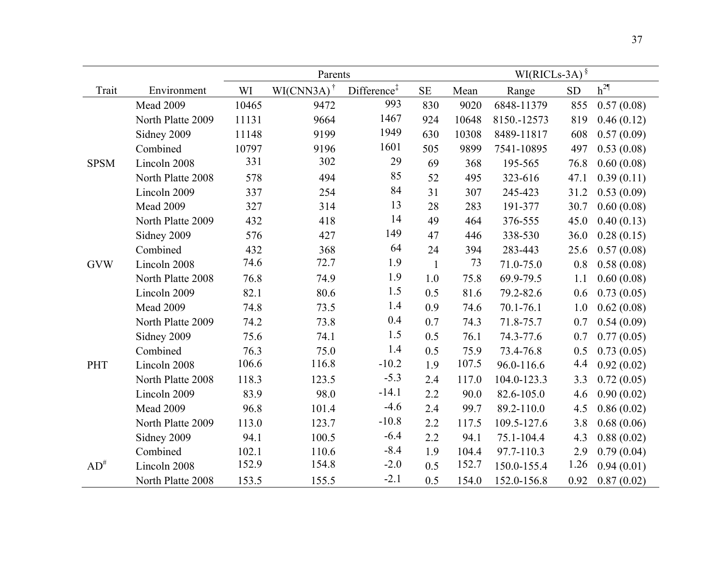|             |                   |       | Parents                             |                         | $\text{WI(RICLs-3A)}^{\frac{1}{9}}$ |       |             |           |            |
|-------------|-------------------|-------|-------------------------------------|-------------------------|-------------------------------------|-------|-------------|-----------|------------|
| Trait       | Environment       | WI    | $\text{WI}(\text{CNN3A})^{\dagger}$ | Difference <sup>‡</sup> | <b>SE</b>                           | Mean  | Range       | <b>SD</b> | $h^{2\P}$  |
|             | Mead 2009         | 10465 | 9472                                | 993                     | 830                                 | 9020  | 6848-11379  | 855       | 0.57(0.08) |
|             | North Platte 2009 | 11131 | 9664                                | 1467                    | 924                                 | 10648 | 8150.-12573 | 819       | 0.46(0.12) |
|             | Sidney 2009       | 11148 | 9199                                | 1949                    | 630                                 | 10308 | 8489-11817  | 608       | 0.57(0.09) |
|             | Combined          | 10797 | 9196                                | 1601                    | 505                                 | 9899  | 7541-10895  | 497       | 0.53(0.08) |
| <b>SPSM</b> | Lincoln 2008      | 331   | 302                                 | 29                      | 69                                  | 368   | 195-565     | 76.8      | 0.60(0.08) |
|             | North Platte 2008 | 578   | 494                                 | 85                      | 52                                  | 495   | 323-616     | 47.1      | 0.39(0.11) |
|             | Lincoln 2009      | 337   | 254                                 | 84                      | 31                                  | 307   | 245-423     | 31.2      | 0.53(0.09) |
|             | Mead 2009         | 327   | 314                                 | 13                      | 28                                  | 283   | 191-377     | 30.7      | 0.60(0.08) |
|             | North Platte 2009 | 432   | 418                                 | 14                      | 49                                  | 464   | 376-555     | 45.0      | 0.40(0.13) |
|             | Sidney 2009       | 576   | 427                                 | 149                     | 47                                  | 446   | 338-530     | 36.0      | 0.28(0.15) |
|             | Combined          | 432   | 368                                 | 64                      | 24                                  | 394   | 283-443     | 25.6      | 0.57(0.08) |
| <b>GVW</b>  | Lincoln 2008      | 74.6  | 72.7                                | 1.9                     | $\mathbf{1}$                        | 73    | 71.0-75.0   | 0.8       | 0.58(0.08) |
|             | North Platte 2008 | 76.8  | 74.9                                | 1.9                     | 1.0                                 | 75.8  | 69.9-79.5   | 1.1       | 0.60(0.08) |
|             | Lincoln 2009      | 82.1  | 80.6                                | 1.5                     | 0.5                                 | 81.6  | 79.2-82.6   | 0.6       | 0.73(0.05) |
|             | Mead 2009         | 74.8  | 73.5                                | 1.4                     | 0.9                                 | 74.6  | 70.1-76.1   | 1.0       | 0.62(0.08) |
|             | North Platte 2009 | 74.2  | 73.8                                | 0.4                     | 0.7                                 | 74.3  | 71.8-75.7   | 0.7       | 0.54(0.09) |
|             | Sidney 2009       | 75.6  | 74.1                                | 1.5                     | 0.5                                 | 76.1  | 74.3-77.6   | 0.7       | 0.77(0.05) |
|             | Combined          | 76.3  | 75.0                                | 1.4                     | 0.5                                 | 75.9  | 73.4-76.8   | 0.5       | 0.73(0.05) |
| <b>PHT</b>  | Lincoln 2008      | 106.6 | 116.8                               | $-10.2$                 | 1.9                                 | 107.5 | 96.0-116.6  | 4.4       | 0.92(0.02) |
|             | North Platte 2008 | 118.3 | 123.5                               | $-5.3$                  | 2.4                                 | 117.0 | 104.0-123.3 | 3.3       | 0.72(0.05) |
|             | Lincoln 2009      | 83.9  | 98.0                                | $-14.1$                 | 2.2                                 | 90.0  | 82.6-105.0  | 4.6       | 0.90(0.02) |
|             | Mead 2009         | 96.8  | 101.4                               | $-4.6$                  | 2.4                                 | 99.7  | 89.2-110.0  | 4.5       | 0.86(0.02) |
|             | North Platte 2009 | 113.0 | 123.7                               | $-10.8$                 | 2.2                                 | 117.5 | 109.5-127.6 | 3.8       | 0.68(0.06) |
|             | Sidney 2009       | 94.1  | 100.5                               | $-6.4$                  | 2.2                                 | 94.1  | 75.1-104.4  | 4.3       | 0.88(0.02) |
|             | Combined          | 102.1 | 110.6                               | $-8.4$                  | 1.9                                 | 104.4 | 97.7-110.3  | 2.9       | 0.79(0.04) |
| $AD^{\#}$   | Lincoln 2008      | 152.9 | 154.8                               | $-2.0$                  | 0.5                                 | 152.7 | 150.0-155.4 | 1.26      | 0.94(0.01) |
|             | North Platte 2008 | 153.5 | 155.5                               | $-2.1$                  | 0.5                                 | 154.0 | 152.0-156.8 | 0.92      | 0.87(0.02) |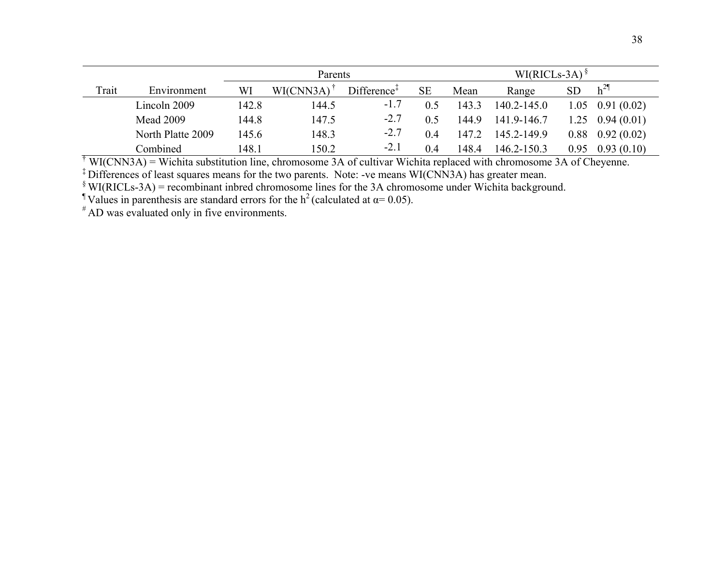|       |                   |       | Parents   |                         |           |       | $WI(RICLs-3A)$ <sup>§</sup> |           |                    |  |
|-------|-------------------|-------|-----------|-------------------------|-----------|-------|-----------------------------|-----------|--------------------|--|
| Trait | Environment       | WI    | WI(CNN3A) | Differente <sup>†</sup> | <b>SE</b> | Mean  | Range                       | <b>SD</b> | $h^{2\P}$          |  |
|       | Lincoln 2009      | 142.8 | 144.5     | $-1.7$                  |           | 143.3 | $140.2 - 145.0$             |           | $1.05$ 0.91 (0.02) |  |
|       | <b>Mead 2009</b>  | 144.8 | 147.5     | $-2.7$                  | 0.5       | 144.9 | 141.9-146.7                 | 1.25      | 0.94(0.01)         |  |
|       | North Platte 2009 | 145.6 | 148.3     | $-2.7$                  | 0.4       | 147.2 | 145.2-149.9                 | 0.88      | 0.92(0.02)         |  |
|       | Combined          | 148.1 | 150.2     | $-2.1$                  | 0.4       | 148.4 | 146.2-150.3                 | 0.95      | 0.93(0.10)         |  |

 $\overline{A}$  WI(CNN3A) = Wichita substitution line, chromosome 3A of cultivar Wichita replaced with chromosome 3A of Cheyenne.

‡ Differences of least squares means for the two parents. Note: -ve means WI(CNN3A) has greater mean.

 $\gamma$ <sup>§</sup> WI(RICLs-3A) = recombinant inbred chromosome lines for the 3A chromosome under Wichita background.

<sup>1</sup> Values in parenthesis are standard errors for the  $h^2$  (calculated at  $\alpha = 0.05$ ).

 $*$  AD was evaluated only in five environments.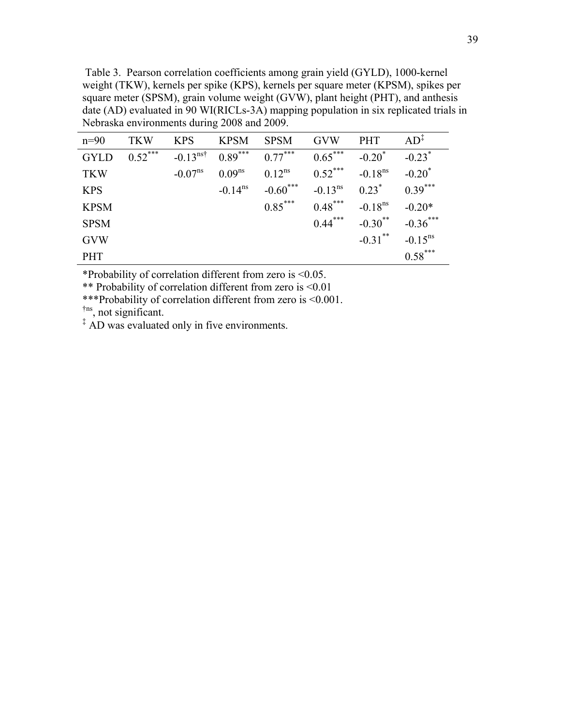Table 3. Pearson correlation coefficients among grain yield (GYLD), 1000-kernel weight (TKW), kernels per spike (KPS), kernels per square meter (KPSM), spikes per square meter (SPSM), grain volume weight (GVW), plant height (PHT), and anthesis date (AD) evaluated in 90 WI(RICLs-3A) mapping population in six replicated trials in Nebraska environments during 2008 and 2009.

| $n=90$      | <b>TKW</b> | <b>KPS</b>                 | <b>KPSM</b>         | <b>SPSM</b>            | <b>GVW</b>          | <b>PHT</b>            | AD <sup>T</sup>      |
|-------------|------------|----------------------------|---------------------|------------------------|---------------------|-----------------------|----------------------|
| <b>GYLD</b> | $0.52***$  | $-0.13^{\text{ns}\dagger}$ | $0.89***$           | $0.77***$              | $0.65***$           | $-0.20^*$             | $-0.23$ <sup>*</sup> |
| <b>TKW</b>  |            | $-0.07^{\text{ns}}$        | $0.09^{ns}$         | $0.12^{ns}$            | $0.52$ ***          | $-0.18$ <sup>ns</sup> | $-0.20^*$            |
| <b>KPS</b>  |            |                            | $-0.14^{\text{ns}}$ | $-0.60$ <sup>***</sup> | $-0.13^{\text{ns}}$ | $0.23^*$              | $0.39***$            |
| <b>KPSM</b> |            |                            |                     | $0.85***$              | $0.48***$           | $-0.18$ <sup>ns</sup> | $-0.20*$             |
| <b>SPSM</b> |            |                            |                     |                        | $0.44***$           | $-0.30$ <sup>**</sup> | $-0.36***$           |
| <b>GVW</b>  |            |                            |                     |                        |                     | $-0.31$ <sup>**</sup> | $-0.15^{\text{ns}}$  |
| <b>PHT</b>  |            |                            |                     |                        |                     |                       | $0.58***$            |

\*Probability of correlation different from zero is <0.05.

\*\* Probability of correlation different from zero is <0.01

\*\*\*Probability of correlation different from zero is <0.001.

 $\frac{f_{\text{ins}}}{f}$ , not significant.<br>  $\frac{f}{f}$  AD was evaluated only in five environments.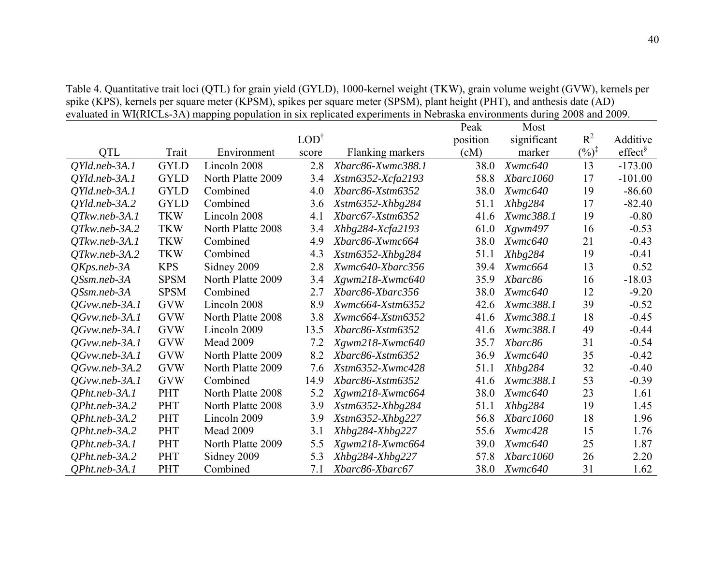OTL Trait Environment LOD† score Flanking markers Peak position  $(cM)$ Most significant marker  $R^2$  $($ %) $^{\ddagger}$ Additive  $effect^{\$}$ *QYld.neb-3A.1* GYLD Lincoln 2008 2.8 *Xbarc86-Xwmc388.1* 38.0 *Xwmc640* 13 -173.00 *QYld.neb-3A.1* GYLD North Platte 2009 3.4 *Xstm6352-Xcfa2193* 58.8 *Xbarc1060* 17 -101.00 *QYld.neb-3A.1* GYLD Combined 4.0 *Xbarc86-Xstm6352* 38.0 *Xwmc640* 19 -86.60 *QYld.neb-3A.2* GYLD Combined 3.6 *Xstm6352-Xhbg284* 51.1 *Xhbg284* 17 -82.40 *QTkw.neb-3A.1* TKW Lincoln 2008 4.1 *Xbarc67-Xstm6352* 41.6 *Xwmc388.1* 19 -0.80 *QTkw.neb-3A.2* TKW North Platte 2008 3.4 *Xhbg284-Xcfa2193* 61.0 *Xgwm497* 16 -0.53 *QTkw.neb-3A.1* TKW Combined 4.9 *Xbarc86-Xwmc664* 38.0 *Xwmc640* 21 -0.43 *QTkw.neb-3A.2* TKW Combined 4.3 *Xstm6352-Xhbg284* 51.1 *Xhbg284* 19 -0.41 *QKps.neb-3A* KPS Sidney 2009 2.8 *Xwmc640-Xbarc356* 39.4 *Xwmc664* 13 0.52 *QSsm.neb-3A* SPSM North Platte 2009 3.4 *Xgwm218-Xwmc640* 35.9 *Xbarc86* 16 -18.03 *QSsm.neb-3A* SPSM Combined 2.7 *Xbarc86-Xbarc356* 38.0 *Xwmc640* 12 -9.20 *QGvw.neb-3A.1* GVW Lincoln 2008 8.9 *Xwmc664-Xstm6352* 42.6 *Xwmc388.1* 39 -0.52 *QGvw.neb-3A.1* GVW North Platte 2008 3.8 *Xwmc664-Xstm6352* 41.6 *Xwmc388.1* 18 -0.45 *QGvw.neb-3A.1* GVW Lincoln 2009 13.5 *Xbarc86-Xstm6352* 41.6 *Xwmc388.1* 49 -0.44 *QGvw.neb-3A.1* GVW Mead 2009 7.2 *Xgwm218-Xwmc640* 35.7 *Xbarc86* 31 -0.54 *QGvw.neb-3A.1* GVW North Platte 2009 8.2 *Xbarc86-Xstm6352* 36.9 *Xwmc640* 35 -0.42 *QGvw.neb-3A.2* GVW North Platte 2009 7.6 *Xstm6352-Xwmc428* 51.1 *Xhbg284* 32 -0.40 *QGvw.neb-3A.1* GVW Combined 14.9 *Xbarc86-Xstm6352* 41.6 *Xwmc388.1* 53 -0.39 *QPht.neb-3A.1* PHT North Platte 2008 5.2 *Xgwm218-Xwmc664* 38.0 *Xwmc640* 23 1.61 *QPht.neb-3A.2* PHT North Platte 2008 3.9 *Xstm6352-Xhbg284* 51.1 *Xhbg284* 19 1.45 *QPht.neb-3A.2* PHT Lincoln 2009 3.9 *Xstm6352-Xhbg227* 56.8 *Xbarc1060* 18 1.96 *QPht.neb-3A.2* PHT Mead 2009 3.1 *Xhbg284-Xhbg227* 55.6 *Xwmc428* 15 1.76 *QPht.neb-3A.1* PHT North Platte 2009 5.5 *Xgwm218-Xwmc664* 39.0 *Xwmc640* 25 1.87 *QPht.neb-3A.2* PHT Sidney 2009 5.3 *Xhbg284-Xhbg227* 57.8 *Xbarc1060* 26 2.20 *QPht.neb-3A.1* PHT Combined 7.1 *Xbarc86-Xbarc67* 38.0 *Xwmc640* 31 1.62

Table 4. Quantitative trait loci (QTL) for grain yield (GYLD), 1000-kernel weight (TKW), grain volume weight (GVW), kernels per spike (KPS), kernels per square meter (KPSM), spikes per square meter (SPSM), plant height (PHT), and anthesis date (AD) evaluated in WI(RICLs-3A) mapping population in six replicated experiments in Nebraska environments during 2008 and 2009.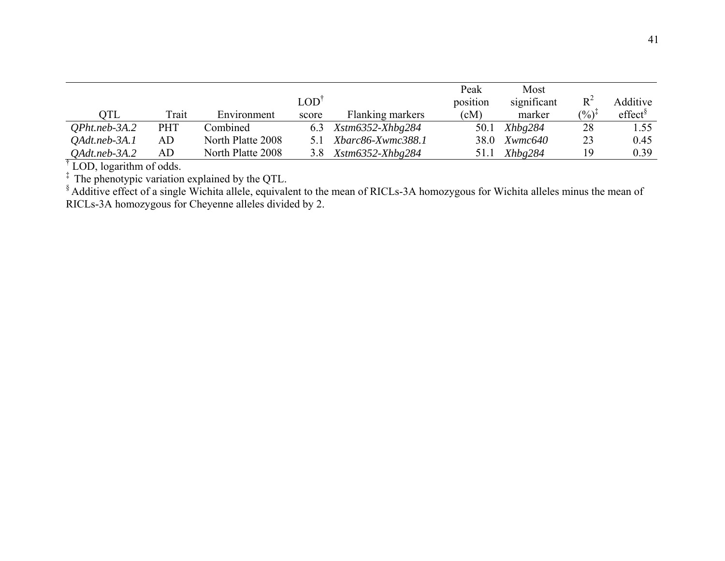|                  |            |                   |       |                                        | Peak     | Most        |                   |                     |
|------------------|------------|-------------------|-------|----------------------------------------|----------|-------------|-------------------|---------------------|
|                  |            |                   | LOD'  |                                        | position | significant | $R^2$             | Additive            |
| OTL              | Trait      | Environment       | score | Flanking markers                       | (cM)     | marker      | $(\%)^{\ddagger}$ | effect <sup>§</sup> |
| $QP$ ht.neb-3A.2 | <b>PHT</b> | Combined          | 6.3   | $X \text{stm} 6352 - X \text{hbg} 284$ | 50.1     | Xhbg284     | 28                | 1.55                |
| OAdt.neb-3A.1    | AD         | North Platte 2008 |       | Xbarc86-Xwmc388.1                      | 38.0     | Xwmc640     | 23                | 0.45                |
| $Q$ Adt.neb-3A.2 | AD         | North Platte 2008 | 3.8   | $X \text{stm} 6352 - X \text{hbg} 284$ | 51.1     | Xhbg284     | 19                | 0.39                |

† LOD, logarithm of odds.

<sup>‡</sup> The phenotypic variation explained by the QTL.

 $\frac{1}{2}$  Additive effect of a single Wichita allele, equivalent to the mean of RICLs-3A homozygous for Wichita alleles minus the mean of RICLs-3A homozygous for Cheyenne alleles divided by 2.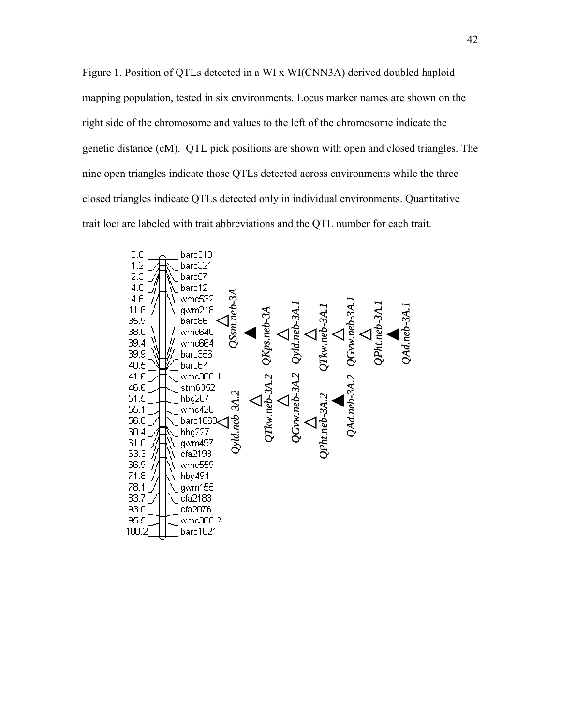Figure 1. Position of QTLs detected in a WI x WI(CNN3A) derived doubled haploid mapping population, tested in six environments. Locus marker names are shown on the right side of the chromosome and values to the left of the chromosome indicate the genetic distance (cM). QTL pick positions are shown with open and closed triangles. The nine open triangles indicate those QTLs detected across environments while the three closed triangles indicate QTLs detected only in individual environments. Quantitative trait loci are labeled with trait abbreviations and the QTL number for each trait.

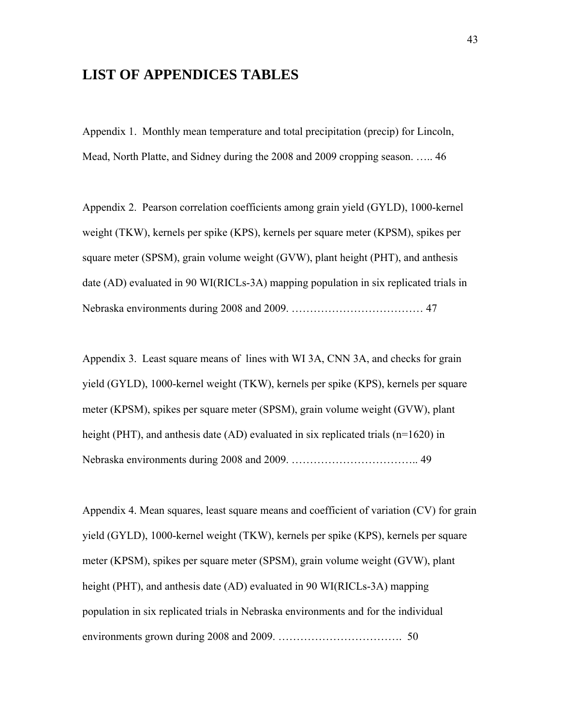# **LIST OF APPENDICES TABLES**

Appendix 1. Monthly mean temperature and total precipitation (precip) for Lincoln, Mead, North Platte, and Sidney during the 2008 and 2009 cropping season. ….. 46

Appendix 2. Pearson correlation coefficients among grain yield (GYLD), 1000-kernel weight (TKW), kernels per spike (KPS), kernels per square meter (KPSM), spikes per square meter (SPSM), grain volume weight (GVW), plant height (PHT), and anthesis date (AD) evaluated in 90 WI(RICLs-3A) mapping population in six replicated trials in Nebraska environments during 2008 and 2009. ……………………………… 47

Appendix 3. Least square means of lines with WI 3A, CNN 3A, and checks for grain yield (GYLD), 1000-kernel weight (TKW), kernels per spike (KPS), kernels per square meter (KPSM), spikes per square meter (SPSM), grain volume weight (GVW), plant height (PHT), and anthesis date (AD) evaluated in six replicated trials (n=1620) in Nebraska environments during 2008 and 2009. …………………………….. 49

Appendix 4. Mean squares, least square means and coefficient of variation (CV) for grain yield (GYLD), 1000-kernel weight (TKW), kernels per spike (KPS), kernels per square meter (KPSM), spikes per square meter (SPSM), grain volume weight (GVW), plant height (PHT), and anthesis date (AD) evaluated in 90 WI(RICLs-3A) mapping population in six replicated trials in Nebraska environments and for the individual environments grown during 2008 and 2009. ……………………………. 50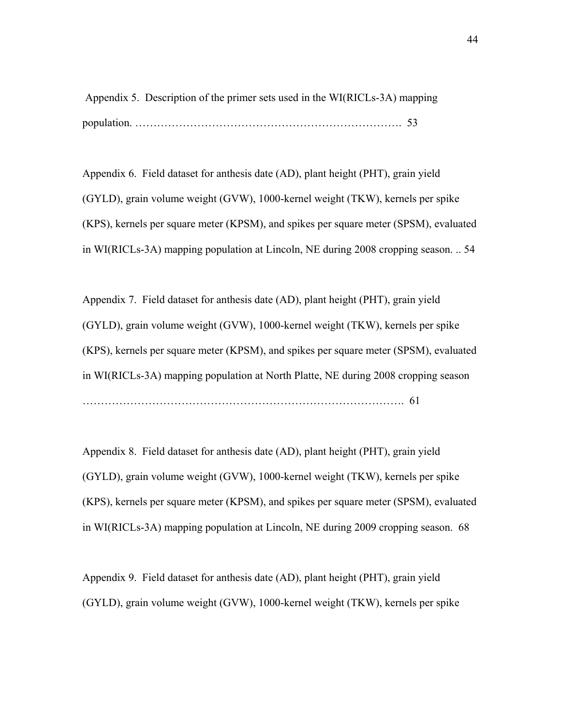Appendix 5. Description of the primer sets used in the WI(RICLs-3A) mapping population. ………………………………………………………………. 53

Appendix 6. Field dataset for anthesis date (AD), plant height (PHT), grain yield (GYLD), grain volume weight (GVW), 1000-kernel weight (TKW), kernels per spike (KPS), kernels per square meter (KPSM), and spikes per square meter (SPSM), evaluated in WI(RICLs-3A) mapping population at Lincoln, NE during 2008 cropping season. .. 54

Appendix 7. Field dataset for anthesis date (AD), plant height (PHT), grain yield (GYLD), grain volume weight (GVW), 1000-kernel weight (TKW), kernels per spike (KPS), kernels per square meter (KPSM), and spikes per square meter (SPSM), evaluated in WI(RICLs-3A) mapping population at North Platte, NE during 2008 cropping season ……………………………………………………………………………. 61

Appendix 8. Field dataset for anthesis date (AD), plant height (PHT), grain yield (GYLD), grain volume weight (GVW), 1000-kernel weight (TKW), kernels per spike (KPS), kernels per square meter (KPSM), and spikes per square meter (SPSM), evaluated in WI(RICLs-3A) mapping population at Lincoln, NE during 2009 cropping season. 68

Appendix 9. Field dataset for anthesis date (AD), plant height (PHT), grain yield (GYLD), grain volume weight (GVW), 1000-kernel weight (TKW), kernels per spike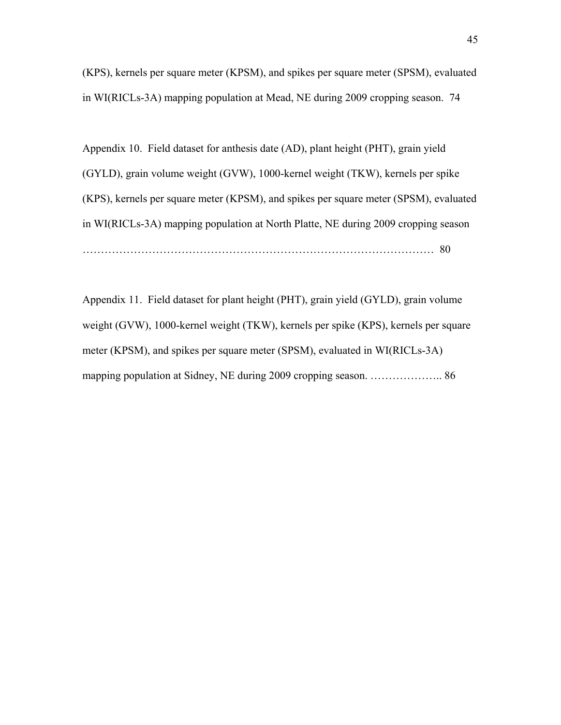(KPS), kernels per square meter (KPSM), and spikes per square meter (SPSM), evaluated in WI(RICLs-3A) mapping population at Mead, NE during 2009 cropping season. 74

Appendix 10. Field dataset for anthesis date (AD), plant height (PHT), grain yield (GYLD), grain volume weight (GVW), 1000-kernel weight (TKW), kernels per spike (KPS), kernels per square meter (KPSM), and spikes per square meter (SPSM), evaluated in WI(RICLs-3A) mapping population at North Platte, NE during 2009 cropping season …………………………………………………………………………………… 80

Appendix 11. Field dataset for plant height (PHT), grain yield (GYLD), grain volume weight (GVW), 1000-kernel weight (TKW), kernels per spike (KPS), kernels per square meter (KPSM), and spikes per square meter (SPSM), evaluated in WI(RICLs-3A) mapping population at Sidney, NE during 2009 cropping season. ……………….. 86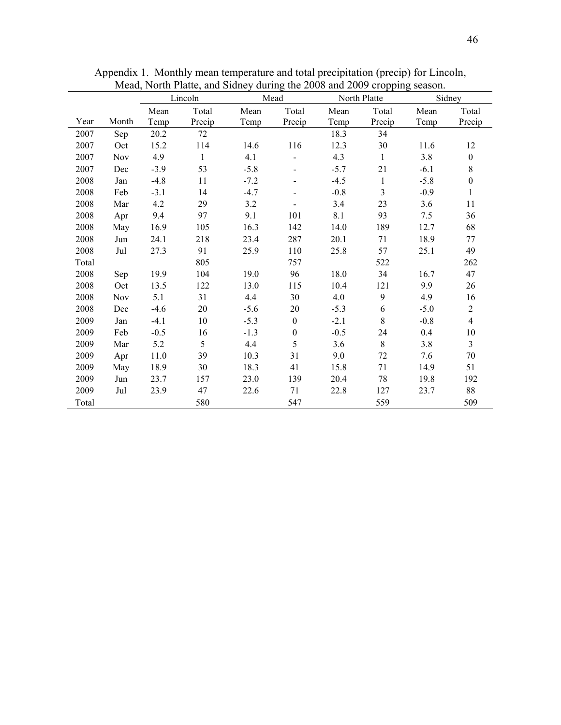|       |            |          | Lincoln      |        | Mead             |        | North Platte |        | Sidney           |
|-------|------------|----------|--------------|--------|------------------|--------|--------------|--------|------------------|
|       |            | Mean     | Total        | Mean   | Total            | Mean   | Total        | Mean   | Total            |
| Year  | Month      | Temp     | Precip       | Temp   | Precip           | Temp   | Precip       | Temp   | Precip           |
| 2007  | Sep        | 20.2     | 72           |        |                  | 18.3   | 34           |        |                  |
| 2007  | Oct        | 15.2     | 114          | 14.6   | 116              | 12.3   | 30           | 11.6   | 12               |
| 2007  | <b>Nov</b> | 4.9      | $\mathbf{1}$ | 4.1    |                  | 4.3    | $\mathbf{1}$ | 3.8    | $\boldsymbol{0}$ |
| 2007  | Dec        | $-3.9$   | 53           | $-5.8$ |                  | $-5.7$ | 21           | $-6.1$ | $8\,$            |
| 2008  | Jan        | $-4.8$   | 11           | $-7.2$ |                  | $-4.5$ | $\mathbf{1}$ | $-5.8$ | $\boldsymbol{0}$ |
| 2008  | Feb        | $-3.1$   | 14           | $-4.7$ |                  | $-0.8$ | 3            | $-0.9$ | $\mathbf{1}$     |
| 2008  | Mar        | 4.2      | 29           | 3.2    |                  | 3.4    | 23           | 3.6    | 11               |
| 2008  | Apr        | 9.4      | 97           | 9.1    | 101              | 8.1    | 93           | 7.5    | 36               |
| 2008  | May        | 16.9     | 105          | 16.3   | 142              | 14.0   | 189          | 12.7   | 68               |
| 2008  | Jun        | 24.1     | 218          | 23.4   | 287              | 20.1   | 71           | 18.9   | 77               |
| 2008  | Jul        | 27.3     | 91           | 25.9   | 110              | 25.8   | 57           | 25.1   | 49               |
| Total |            |          | 805          |        | 757              |        | 522          |        | 262              |
| 2008  | Sep        | 19.9     | 104          | 19.0   | 96               | 18.0   | 34           | 16.7   | 47               |
| 2008  | Oct        | 13.5     | 122          | 13.0   | 115              | 10.4   | 121          | 9.9    | 26               |
| 2008  | <b>Nov</b> | 5.1      | 31           | 4.4    | 30               | 4.0    | 9            | 4.9    | 16               |
| 2008  | Dec        | $-4.6$   | 20           | $-5.6$ | 20               | $-5.3$ | 6            | $-5.0$ | $\overline{2}$   |
| 2009  | Jan        | $-4.1$   | $10\,$       | $-5.3$ | $\boldsymbol{0}$ | $-2.1$ | 8            | $-0.8$ | $\overline{4}$   |
| 2009  | Feb        | $-0.5$   | 16           | $-1.3$ | $\boldsymbol{0}$ | $-0.5$ | 24           | 0.4    | 10               |
| 2009  | Mar        | 5.2      | 5            | 4.4    | 5                | 3.6    | 8            | 3.8    | $\overline{3}$   |
| 2009  | Apr        | $11.0\,$ | 39           | 10.3   | 31               | 9.0    | $72\,$       | 7.6    | 70               |
| 2009  | May        | 18.9     | 30           | 18.3   | 41               | 15.8   | 71           | 14.9   | 51               |
| 2009  | Jun        | 23.7     | 157          | 23.0   | 139              | 20.4   | 78           | 19.8   | 192              |
| 2009  | Jul        | 23.9     | 47           | 22.6   | 71               | 22.8   | 127          | 23.7   | 88               |
| Total |            |          | 580          |        | 547              |        | 559          |        | 509              |

Appendix 1. Monthly mean temperature and total precipitation (precip) for Lincoln, Mead, North Platte, and Sidney during the 2008 and 2009 cropping season.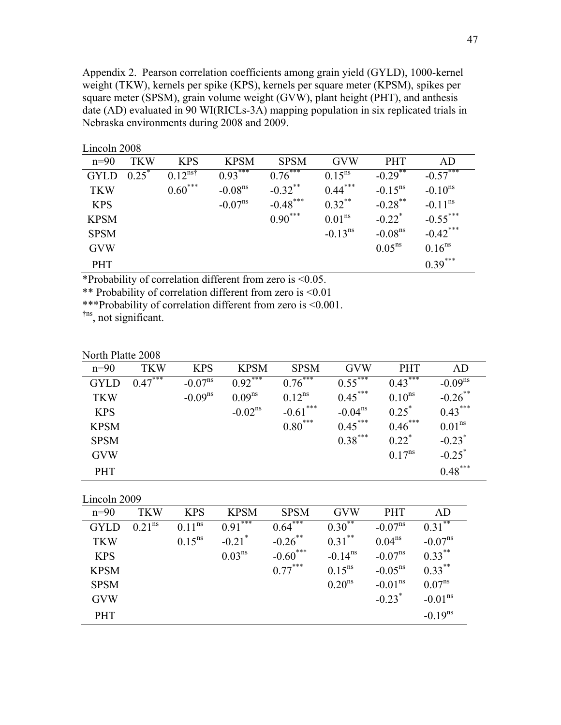Appendix 2. Pearson correlation coefficients among grain yield (GYLD), 1000-kernel weight (TKW), kernels per spike (KPS), kernels per square meter (KPSM), spikes per square meter (SPSM), grain volume weight (GVW), plant height (PHT), and anthesis date (AD) evaluated in 90 WI(RICLs-3A) mapping population in six replicated trials in Nebraska environments during 2008 and 2009.

| $\mathbf{L}$ $\mathbf{L}$ $\mathbf{L}$ $\mathbf{L}$ $\mathbf{L}$ $\mathbf{L}$ $\mathbf{L}$ $\mathbf{L}$ $\mathbf{L}$ $\mathbf{L}$ $\mathbf{L}$ |            |                        |                       |             |                       |                       |                     |
|------------------------------------------------------------------------------------------------------------------------------------------------|------------|------------------------|-----------------------|-------------|-----------------------|-----------------------|---------------------|
| $n=90$                                                                                                                                         | <b>TKW</b> | <b>KPS</b>             | <b>KPSM</b>           | <b>SPSM</b> | <b>GVW</b>            | <b>PHT</b>            | AD                  |
| <b>GYLD</b>                                                                                                                                    | $0.25^*$   | $0.12^{\overline{n}5}$ | $0.93***$             | $0.76***$   | $0.15^{ns}$           | $-0.29$ <sup>**</sup> | $-0.57$             |
| <b>TKW</b>                                                                                                                                     |            | $0.60***$              | $-0.08ns$             | $-0.32$ **  | $0.44***$             | $-0.15^{\text{ns}}$   | $-0.10^{ns}$        |
| <b>KPS</b>                                                                                                                                     |            |                        | $-0.07$ <sup>ns</sup> | $-0.48$ *** | $0.32$ **             | $-0.28$ <sup>**</sup> | $-0.11^{\text{ns}}$ |
| <b>KPSM</b>                                                                                                                                    |            |                        |                       | $0.90***$   | 0.01 <sup>ns</sup>    | $-0.22$ <sup>*</sup>  | $-0.55$ ***         |
| <b>SPSM</b>                                                                                                                                    |            |                        |                       |             | $-0.13$ <sup>ns</sup> | $-0.08$ <sup>ns</sup> | $-0.42$ ***         |
| <b>GVW</b>                                                                                                                                     |            |                        |                       |             |                       | $0.05^{ns}$           | $0.16^{ns}$         |
| <b>PHT</b>                                                                                                                                     |            |                        |                       |             |                       |                       | $0.39***$           |

Lincoln 2008

\*Probability of correlation different from zero is <0.05.

\*\* Probability of correlation different from zero is <0.01

\*\*\*Probability of correlation different from zero is <0.001.

†ns, not significant.

| North Platte 2008 |            |                     |                     |             |                     |                     |                      |
|-------------------|------------|---------------------|---------------------|-------------|---------------------|---------------------|----------------------|
| $n=90$            | <b>TKW</b> | <b>KPS</b>          | <b>KPSM</b>         | <b>SPSM</b> | <b>GVW</b>          | <b>PHT</b>          | AD                   |
| <b>GYLD</b>       | $0.47***$  | $-0.07^{\text{ns}}$ | $0.92***$           | $0.76***$   | $0.55***$           | ***<br>0.43         | $-0.09ns$            |
| <b>TKW</b>        |            | $-0.09^{ns}$        | $0.09^{ns}$         | $0.12^{ns}$ | $0.45***$           | $0.10^{ns}$         | $-0.26$ **           |
| <b>KPS</b>        |            |                     | $-0.02^{\text{ns}}$ | $-0.61$ *** | $-0.04^{\text{ns}}$ | $0.25^*$            | $0.43***$            |
| <b>KPSM</b>       |            |                     |                     | $0.80***$   | $0.45***$           | $0.46***$           | $0.01^{ns}$          |
| <b>SPSM</b>       |            |                     |                     |             | $0.38***$           | $0.22$ <sup>*</sup> | $-0.23$ <sup>*</sup> |
| <b>GVW</b>        |            |                     |                     |             |                     | $0.17^{ns}$         | $-0.25^*$            |
| <b>PHT</b>        |            |                     |                     |             |                     |                     | $0.48***$            |

Lincoln 2009

| $n=90$      | <b>TKW</b>         | <b>KPS</b>  | <b>KPSM</b>          | <b>SPSM</b>              | <b>GVW</b>            | <b>PHT</b>           | AD                        |
|-------------|--------------------|-------------|----------------------|--------------------------|-----------------------|----------------------|---------------------------|
| <b>GYLD</b> | 0.21 <sup>ns</sup> | $0.11^{ns}$ | ***<br>0.91          | ***<br>$0.64^{\degree}$  | $0.30^{**}$           | $-0.07^{\text{ns}}$  | **<br>$0.31$ <sup>*</sup> |
| <b>TKW</b>  |                    | $0.15^{ns}$ | $-0.21$ <sup>*</sup> | $-0.26$ **               | $0.31***$             | $0.04^{ns}$          | $-0.07^{\text{ns}}$       |
| <b>KPS</b>  |                    |             | $0.03^{ns}$          | ***<br>$-0.60^{\degree}$ | $-0.14$ <sup>ns</sup> | $-0.07^{\text{ns}}$  | $0.33***$                 |
| <b>KPSM</b> |                    |             |                      | $0.77***$                | $0.15^{ns}$           | $-0.05^{\text{ns}}$  | $0.33***$                 |
| <b>SPSM</b> |                    |             |                      |                          | 0.20 <sup>ns</sup>    | $-0.01^{\text{ns}}$  | $0.07^{ns}$               |
| <b>GVW</b>  |                    |             |                      |                          |                       | $-0.23$ <sup>*</sup> | $-0.01^{\text{ns}}$       |
| <b>PHT</b>  |                    |             |                      |                          |                       |                      | $-0.19^{ns}$              |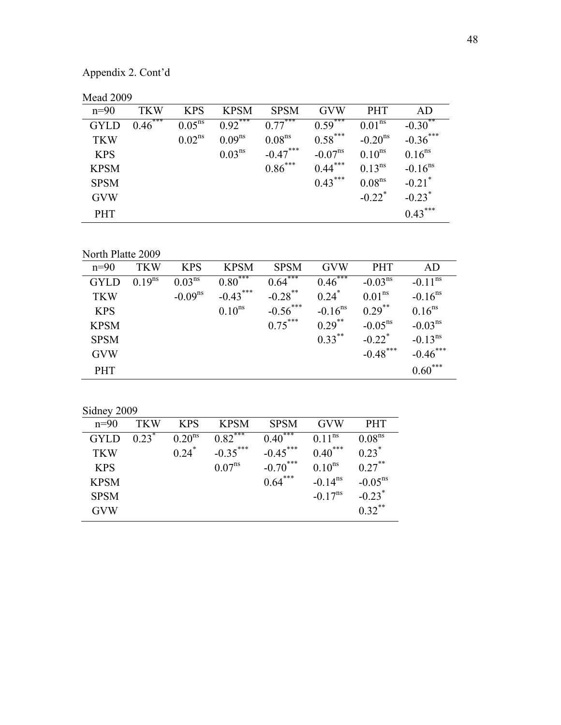Appendix 2. Cont'd

| <b>Mead 2009</b> |  |
|------------------|--|
|------------------|--|

| $n=90$      | <b>TKW</b> | <b>KPS</b>  | <b>KPSM</b> | <b>SPSM</b>        | <b>GVW</b>          | <b>PHT</b>           | AD                    |
|-------------|------------|-------------|-------------|--------------------|---------------------|----------------------|-----------------------|
| <b>GYLD</b> | $0.46***$  | $0.05^{ns}$ | $0.92***$   | $0.77***$          | $0.59***$           | $0.01^{ns}$          | $-0.30$ <sup>**</sup> |
| <b>TKW</b>  |            | $0.02^{ns}$ | $0.09^{ns}$ | 0.08 <sup>ns</sup> | $0.58***$           | $-0.20^{\text{ns}}$  | $-0.36$ ***           |
| <b>KPS</b>  |            |             | $0.03^{ns}$ | $-0.47***$         | $-0.07^{\text{ns}}$ | $0.10^{ns}$          | $0.16^{ns}$           |
| <b>KPSM</b> |            |             |             | $0.86***$          | $0.44***$           | $0.13^{ns}$          | $-0.16$ <sup>ns</sup> |
| <b>SPSM</b> |            |             |             |                    | $0.43***$           | 0.08 <sup>ns</sup>   | $-0.21$ <sup>*</sup>  |
| <b>GVW</b>  |            |             |             |                    |                     | $-0.22$ <sup>*</sup> | $-0.23$ <sup>*</sup>  |
| <b>PHT</b>  |            |             |             |                    |                     |                      | $0.43***$             |

North Platte 2009

| $n=90$      | <b>TKW</b>  | <b>KPS</b>         | <b>KPSM</b>              | <b>SPSM</b>           | <b>GVW</b>              | <b>PHT</b>           | AD                    |
|-------------|-------------|--------------------|--------------------------|-----------------------|-------------------------|----------------------|-----------------------|
| <b>GYLD</b> | $0.19^{ns}$ | 0.03 <sup>ns</sup> | ,***<br>$0.80^{\degree}$ | $0.64***$             | ***<br>$0.46^{\degree}$ | $-0.03ns$            | $-0.11^{\text{ns}}$   |
| <b>TKW</b>  |             | $-0.09ns$          | $-0.43$ ***              | $-0.28$ <sup>**</sup> | $0.24$ <sup>*</sup>     | 0.01 <sup>ns</sup>   | $-0.16$ <sup>ns</sup> |
| <b>KPS</b>  |             |                    | $0.10^{ns}$              | $-0.56$ ***           | $-0.16$ <sup>ns</sup>   | $0.29$ **            | $0.16^{ns}$           |
| <b>KPSM</b> |             |                    |                          | $0.75***$             | $0.29$ **               | $-0.05^{\text{ns}}$  | $-0.03ns$             |
| <b>SPSM</b> |             |                    |                          |                       | $0.33***$               | $-0.22$ <sup>*</sup> | $-0.13^{ns}$          |
| <b>GVW</b>  |             |                    |                          |                       |                         | $-0.48$ ***          | $-0.46$ ***           |
| <b>PHT</b>  |             |                    |                          |                       |                         |                      | $0.60***$             |

Sidney 2009

| $n=90$      | <b>TKW</b>          | <b>KPS</b>          | <b>KPSM</b>           | <b>SPSM</b>  | <b>GVW</b>          | <b>PHT</b>           |
|-------------|---------------------|---------------------|-----------------------|--------------|---------------------|----------------------|
| <b>GYLD</b> | $0.23$ <sup>*</sup> | 0.20 <sup>ns</sup>  | $0.82$ <sup>***</sup> | $0.40^{***}$ | $0.11^{\text{ns}}$  | 0.08 <sup>ns</sup>   |
| <b>TKW</b>  |                     | $0.24$ <sup>*</sup> | $-0.35***$            | $-0.45***$   | $0.40***$           | $0.23$ <sup>*</sup>  |
| <b>KPS</b>  |                     |                     | $0.07^{ns}$           | $-0.70***$   | $0.10^{ns}$         | $0.27***$            |
| <b>KPSM</b> |                     |                     |                       | $0.64***$    | $-0.14^{\text{ns}}$ | $-0.05^{\text{ns}}$  |
| <b>SPSM</b> |                     |                     |                       |              | $-0.17^{\text{ns}}$ | $-0.23$ <sup>*</sup> |
| <b>GVW</b>  |                     |                     |                       |              |                     | $0.32$ **            |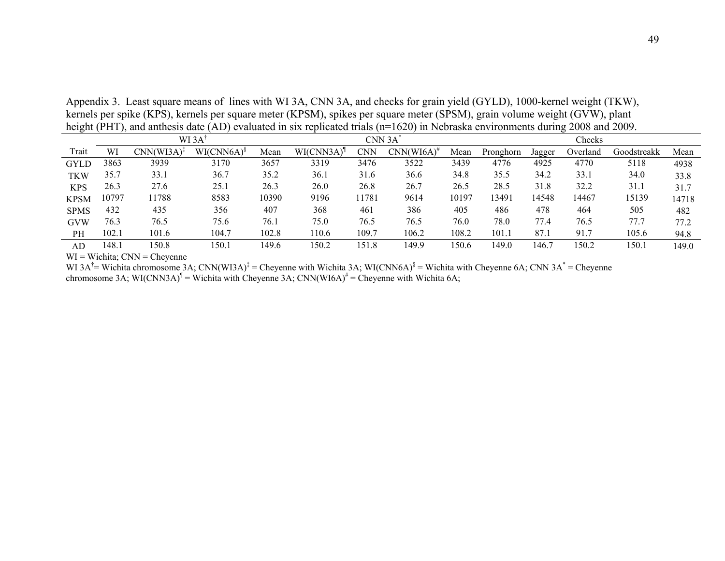Appendix 3. Least square means of lines with WI 3A, CNN 3A, and checks for grain yield (GYLD), 1000-kernel weight (TKW), kernels per spike (KPS), kernels per square meter (KPSM), spikes per square meter (SPSM), grain volume weight (GVW), plant height (PHT), and anthesis date (AD) evaluated in six replicated trials (n=1620) in Nebraska environments during 2008 and 2009.

|             |       |                 | WI 3A         |       |           | CNN 3A |                       |       |           |        | Checks   |             |       |
|-------------|-------|-----------------|---------------|-------|-----------|--------|-----------------------|-------|-----------|--------|----------|-------------|-------|
| Trait       | WI    | $CNN(WI3A)^{T}$ | $WI(CNN6A)^8$ | Mean  | WI(CNN3A) | CNN    | $CNN(WI6A)^{\dagger}$ | Mean  | Pronghorn | Jagger | Overland | Goodstreakk | Mean  |
| <b>GYLD</b> | 3863  | 3939            | 3170          | 3657  | 3319      | 3476   | 3522                  | 3439  | 4776      | 4925   | 4770     | 5118        | 4938  |
| TKW         | 35.7  | 33.1            | 36.7          | 35.2  | 36.1      | 31.6   | 36.6                  | 34.8  | 35.5      | 34.2   | 33.1     | 34.0        | 33.8  |
| <b>KPS</b>  | 26.3  | 27.6            | 25.1          | 26.3  | 26.0      | 26.8   | 26.7                  | 26.5  | 28.5      | 31.8   | 32.2     | 31.1        | 31.7  |
| <b>KPSM</b> | 10797 | 11788           | 8583          | 10390 | 9196      | 1781   | 9614                  | 10197 | 13491     | 14548  | 14467    | 15139       | 14718 |
| <b>SPMS</b> | 432   | 435             | 356           | 407   | 368       | 461    | 386                   | 405   | 486       | 478    | 464      | 505         | 482   |
| <b>GVW</b>  | 76.3  | 76.5            | 75.6          | 76.1  | 75.0      | 76.5   | 76.5                  | 76.0  | 78.0      | 77.4   | 76.5     | 77.7        | 77.2  |
| <b>PH</b>   | 102.1 | 101.6           | 104.7         | 102.8 | 110.6     | 109.7  | 106.2                 | 108.2 | 101.1     | 87.1   | 91.7     | 105.6       | 94.8  |
| AD          | 148.1 | 150.8           | 50.1          | 149.6 | 150.2     | 151.8  | 149.9                 | 150.6 | 149.0     | 146.   | 150.2    | 150.1       | 149.0 |

 $WI = Wichita$ ;  $CNN = Cheyenne$ 

WI 3A<sup>†</sup>= Wichita chromosome 3A; CNN(WI3A)<sup>‡</sup> = Cheyenne with Wichita 3A; WI(CNN6A)<sup>§</sup> = Wichita with Cheyenne 6A; CNN 3A<sup>\*</sup> = Cheyenne chromosome 3A; WI(CNN3A)<sup>¶</sup> = Wichita with Cheyenne 3A; CNN(WI6A)<sup>#</sup> = Cheyenne with Wichita 6A;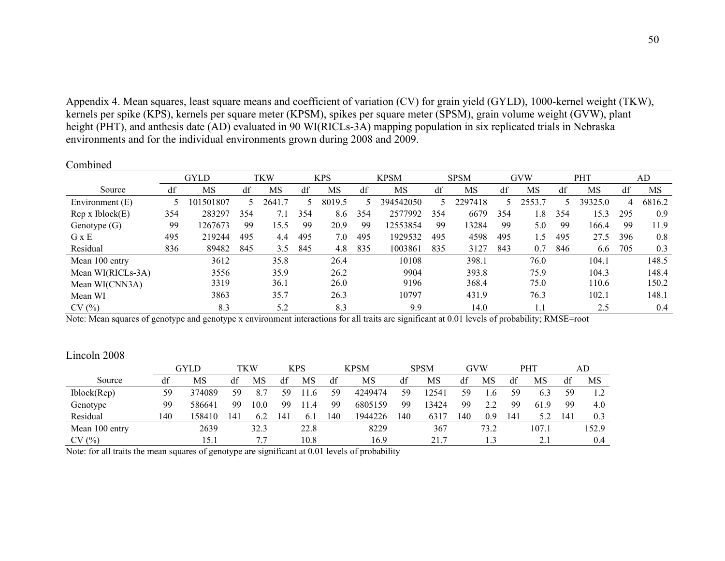Appendix 4. Mean squares, least square means and coefficient of variation (CV) for grain yield (GYLD), 1000-kernel weight (TKW), kernels per spike (KPS), kernels per square meter (KPSM), spikes per square meter (SPSM), grain volume weight (GVW), plant height (PHT), and anthesis date (AD) evaluated in 90 WI(RICLs-3A) mapping population in six replicated trials in Nebraska environments and for the individual environments grown during 2008 and 2009.

Combined

|                         |     | <b>GYLD</b> |     | TKW   |     | <b>KPS</b> |     | <b>KPSM</b> |     | <b>SPSM</b> |     | <b>GVW</b> |     | PHT     |     | AD     |
|-------------------------|-----|-------------|-----|-------|-----|------------|-----|-------------|-----|-------------|-----|------------|-----|---------|-----|--------|
| Source                  | df  | MS          | df  | MS    | df  | MS         | df  | MS          | df  | MS          | df  | MS         | df  | MS      | df  | MS     |
| Environment (E)         |     | 101501807   |     | 2641. |     | 8019.5     |     | 394542050   | 5.  | 2297418     |     | 2553.7     |     | 39325.0 | 4   | 6816.2 |
| Rep x <i>Iblock</i> (E) | 354 | 283297      | 354 | 7.1   | 354 | 8.6        | 354 | 2577992     | 354 | 6679        | 354 | l.8        | 354 | 15.3    | 295 | 0.9    |
| Genotype $(G)$          | 99  | 1267673     | 99  | 15.5  | 99  | 20.9       | 99  | 12553854    | 99  | 13284       | 99  | 5.0        | -99 | 166.4   | 99  | 11.9   |
| G x E                   | 495 | 219244      | 495 | 4.4   | 495 | 7.0        | 495 | 1929532     | 495 | 4598        | 495 | 1.5        | 495 | 27.5    | 396 | 0.8    |
| Residual                | 836 | 89482       | 845 | 3.5   | 845 | 4.8        | 835 | 1003861     | 835 | 3127        | 843 | 0.7        | 846 | 6.6     | 705 | 0.3    |
| Mean 100 entry          |     | 3612        |     | 35.8  |     | 26.4       |     | 10108       |     | 398.1       |     | 76.0       |     | 104.1   |     | 148.5  |
| Mean WI(RICLs-3A)       |     | 3556        |     | 35.9  |     | 26.2       |     | 9904        |     | 393.8       |     | 75.9       |     | 104.3   |     | 148.4  |
| Mean WI(CNN3A)          |     | 3319        |     | 36.1  |     | 26.0       |     | 9196        |     | 368.4       |     | 75.0       |     | 110.6   |     | 150.2  |
| Mean WI                 |     | 3863        |     | 35.7  |     | 26.3       |     | 10797       |     | 431.9       |     | 76.3       |     | 102.1   |     | 148.1  |
| CV(%)                   |     | 8.3         |     | 5.2   |     | 8.3        |     | 9.9         |     | 14.0        |     | 1.1        |     | 2.5     |     | 0.4    |

Note: Mean squares of genotype and genotype x environment interactions for all traits are significant at 0.01 levels of probability; RMSE=root

| Lincoln 2008 |  |  |
|--------------|--|--|
|              |  |  |
|              |  |  |

|                |     | GYLD   |    | TKW  |     | KPS  |    | KPSM    |     | <b>SPSM</b> |     | GVW  |     | PHT   |     | AD    |
|----------------|-----|--------|----|------|-----|------|----|---------|-----|-------------|-----|------|-----|-------|-----|-------|
| Source         | df  | MS     | df | MS   | df  | MS   | df | MS      | df  | MS          | df  | MS   | df  | MS    | df  | MS    |
| Iblock(Rep)    | 59  | 374089 | 59 | 8.7  | 59  | 1.6  | 59 | 4249474 | 59  | 12541       | 59  |      | 59  | 6.3   | 59  | 1.2   |
| Genotype       | 99  | 586641 | 99 | 10.0 | 99  | 1.4  | 99 | 6805159 | 99  | 13424       | 99  | 2.2  | 99  | 61.9  | 99  | 4.0   |
| Residual       | 140 | 58410  | 41 | 6.2  | 141 | 61   | 40 | 1944226 | 140 | 6317        | 140 | 0.9  | 141 |       | 141 | 0.3   |
| Mean 100 entry |     | 2639   |    | 32.3 |     | 22.8 |    | 8229    |     | 367         |     | 73.2 |     | 107.1 |     | 152.9 |
| CV(%)          |     | 15.1   |    |      |     | 10.8 |    | 16.9    |     | 21.7        |     |      |     | 2.1   |     | 0.4   |

Note: for all traits the mean squares of genotype are significant at 0.01 levels of probability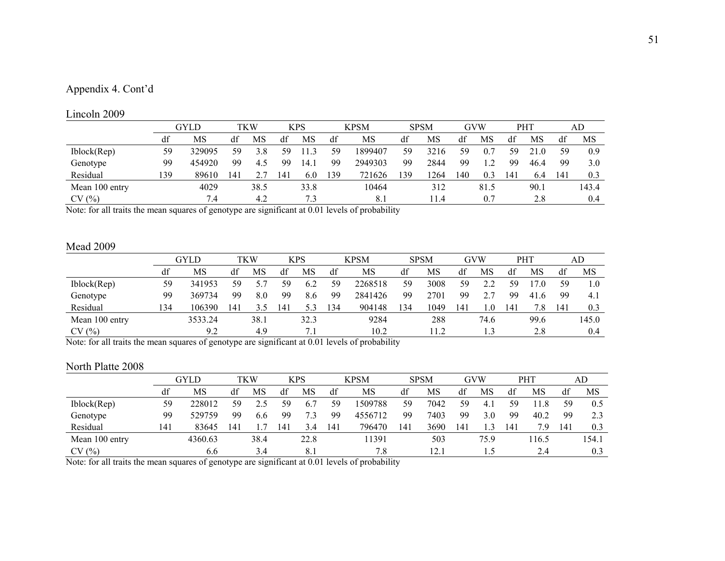## Appendix 4. Cont'd

#### Lincoln 2009

| $\mathbf{L}$ mvoni 2007 |     |        |    |      |     |      |     |             |     |             |     |            |     |      |     |       |
|-------------------------|-----|--------|----|------|-----|------|-----|-------------|-----|-------------|-----|------------|-----|------|-----|-------|
|                         |     | GYLD   |    | TKW  |     | KPS  |     | <b>KPSM</b> |     | <b>SPSM</b> |     | <b>GVW</b> |     | PHT  |     | AD    |
|                         | df  | MS     | df | MS   | df  | MS   | df  | MS          | df  | MS          | df  | MS         | df  | MS   | df  | MS    |
| Iblock(Rep)             | 59  | 329095 | 59 | 3.8  | 59  | .3   | 59  | 1899407     | 59  | 3216        | 59  | 0.7        | 59  |      | 59  | 0.9   |
| Genotype                | 99  | 454920 | 99 | 4.5  | 99  | 14.1 | 99  | 2949303     | 99  | 2844        | 99  | $\sqrt{2}$ | 99  | 46.4 | 99  | 3.0   |
| Residual                | 139 | 89610  | 4  |      | 141 | 6.0  | 139 | 721626      | 139 | 264         | 140 | 0.3        | 141 | 6.4  | 14! | 0.3   |
| Mean 100 entry          |     | 4029   |    | 38.5 |     | 33.8 |     | 10464       |     | 312         |     | 81.5       |     | 90.1 |     | 143.4 |
| CV(%)                   |     | 7.4    |    | 4.2  |     | 7.3  |     | 8.1         |     | 11.4        |     | 0.7        |     | 2.8  |     | 0.4   |

Note: for all traits the mean squares of genotype are significant at 0.01 levels of probability

#### Mead 2009

|                |     | GYLD    |                | TKW  |                | <b>KPS</b> |      | <b>KPSM</b> |    | <b>SPSM</b> |     | GVW  |     | PHT              |    | AD    |
|----------------|-----|---------|----------------|------|----------------|------------|------|-------------|----|-------------|-----|------|-----|------------------|----|-------|
|                | df  | MS      | df             | MS   | df             | MS         | df   | MS          | df | MS          | dt  | MS   | df  | MS               | di | MS    |
| Iblock(Rep)    | 59  | 341953  | 59             |      | 59             | 6.2        | 59   | 2268518     | 59 | 3008        | 59  | っっ   | 59  |                  | 59 | 1.0   |
| Genotype       | 99  | 369734  | 99             | 8.0  | 99             | 8.6        | 99   | 2841426     | 99 | 2701        | 99  |      | 99  | 41<br>$\epsilon$ | 99 | 4.1   |
| Residual       | .34 | 106390  | $\overline{4}$ |      | $\overline{4}$ | 53         | 34   | 904148      | 34 | .049        | 141 | 0    | 41، | 7.8              | 14 | 0.3   |
| Mean 100 entry |     | 3533.24 |                | 38.1 |                | 32.3       |      | 9284        |    | 288         |     | 74.6 |     | 99.6             |    | 145.0 |
| CV(%)          |     | 9.2     |                | 4.9  |                |            | 10.2 |             |    | 1.2         |     |      |     | 2.8              |    | 0.4   |

Note: for all traits the mean squares of genotype are significant at 0.01 levels of probability

#### North Platte 2008

|                     |     | GYLD    |     | TKW       |     | KPS              |     | <b>KPSM</b> |     | <b>SPSM</b> |     | GVW           |     | <b>PHT</b>      |                 | AD    |
|---------------------|-----|---------|-----|-----------|-----|------------------|-----|-------------|-----|-------------|-----|---------------|-----|-----------------|-----------------|-------|
|                     | df  | MS      | df  | <b>MS</b> | df  | MS               | df  | MS          | df  | MS          | df  | MS            | df  | MS              | df              | MS    |
| Iblock(Rep)         | 59  | 228012  | 59  |           | 59  | $\mathfrak{b}$ . | 59  | 1509788     | 59  | 7042        | 59  | 4.1           | 59  | $\overline{.8}$ | 59              | 0.5   |
| Genotype            | 99  | 529759  | 99  | 6.6       | 99  | 7.3              | 99  | 4556712     | 99  | 7403        | 99  | 3.0           | 99  | 40.2            | 99              | 2.3   |
| Residual            | 141 | 83645   | 141 |           | 141 | 3.4              | 141 | 796470      | 141 | 3690        | 141 | $\mathcal{L}$ | 141 | 7.9             | $\overline{14}$ | 0.3   |
| Mean 100 entry      |     | 4360.63 |     | 38.4      |     | 22.8             |     | 11391       |     | 503         |     | 75.9          |     | 16.5            |                 | 154.1 |
| $($ %)<br><b>CV</b> |     | 6.6     |     | 3.4       |     | 8.1              |     | 7.8         |     | 12.1        |     | 1.5           |     | 2.4             |                 | 0.3   |

Note: for all traits the mean squares of genotype are significant at 0.01 levels of probability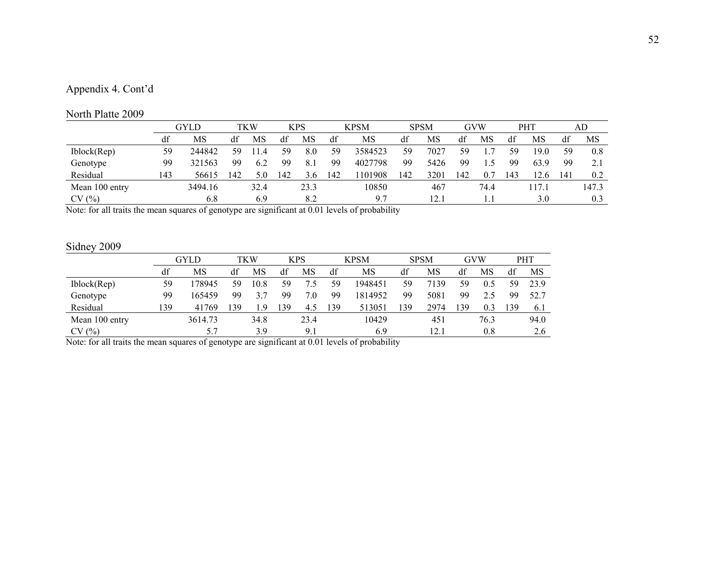## Appendix 4. Cont'd

#### North Platte 2009

| $1101$ the term $2002$ |     |         |     |            |     |            |     |             |     |             |     |            |     |      |              |       |
|------------------------|-----|---------|-----|------------|-----|------------|-----|-------------|-----|-------------|-----|------------|-----|------|--------------|-------|
|                        |     | GYLD    |     | <b>TKW</b> |     | <b>KPS</b> |     | <b>KPSM</b> |     | <b>SPSM</b> |     | <b>GVW</b> |     | PHT  |              | AD    |
|                        | df  | MS      | df  | MS         | df  | MS         | df  | MS          | df  | MS          | df  | MS         | df  | MS   | df           | MS    |
| Iblock(Rep)            | 59  | 244842  | 59  | 1.4        | 59  | 8.0        | 59  | 3584523     | 59  | 7027        | 59  |            | 59  | 19.0 | 59           | 0.8   |
| Genotype               | 99  | 321563  | 99  | 6.2        | 99  | 8.1        | 99  | 4027798     | 99  | 5426        | 99  | i 4        | 99  | 63.9 | 99           |       |
| Residual               | 143 | 56615   | 142 | 5.0        | -42 | 3.6        | 142 | 101908      | 142 | 3201        | 142 | 0.7        | 143 | 2.6  | $14^{\circ}$ | 0.2   |
| Mean 100 entry         |     | 3494.16 |     | 32.4       |     | 23.3       |     | 10850       |     | 467         |     | 74.4       |     |      |              | 147.3 |
| CV(%)                  |     | 6.8     |     | 6.9        |     | 8.2        |     | 9.7         |     | 12.1        |     |            |     | 3.0  |              | 0.3   |

Note: for all traits the mean squares of genotype are significant at 0.01 levels of probability

## Sidney 2009

| $U1$ $U1$ $V$ $UU$ |     |         |    |      |     |            |     |             |     |             |    |      |     |            |
|--------------------|-----|---------|----|------|-----|------------|-----|-------------|-----|-------------|----|------|-----|------------|
|                    |     | GYLD    |    | TKW  |     | <b>KPS</b> |     | <b>KPSM</b> |     | <b>SPSM</b> |    | GVW  |     | <b>PHT</b> |
|                    | df  | MS      | df | MS   | df  | MS         | df  | MS          | df  | MS          | df | MS   | df  | MS         |
| Iblock(Rep)        | 59  | 178945  | 59 | 10.8 | 59  | 7.5        | 59  | 1948451     | 59  | 7139        | 59 | 0.5  | 59  | 23.9       |
| Genotype           | 99  | 165459  | 99 | 3.7  | 99  | 7.0        | 99  | 1814952     | 99  | 5081        | 99 | 2.5  | 99  | 52.7       |
| Residual           | 139 | 41769   | 39 | .9   | 139 | 4.5        | 139 | 513051      | 139 | 2974        | 39 | 0.3  | 139 | 6.1        |
| Mean 100 entry     |     | 3614.73 |    | 34.8 |     | 23.4       |     | 10429       |     | 451         |    | 76.3 |     | 94.0       |
| CV(%)              |     | 5.7     |    | 3.9  |     | 9.1        |     | 6.9         |     | 12.1        |    | 0.8  |     | 2.6        |

Note: for all traits the mean squares of genotype are significant at 0.01 levels of probability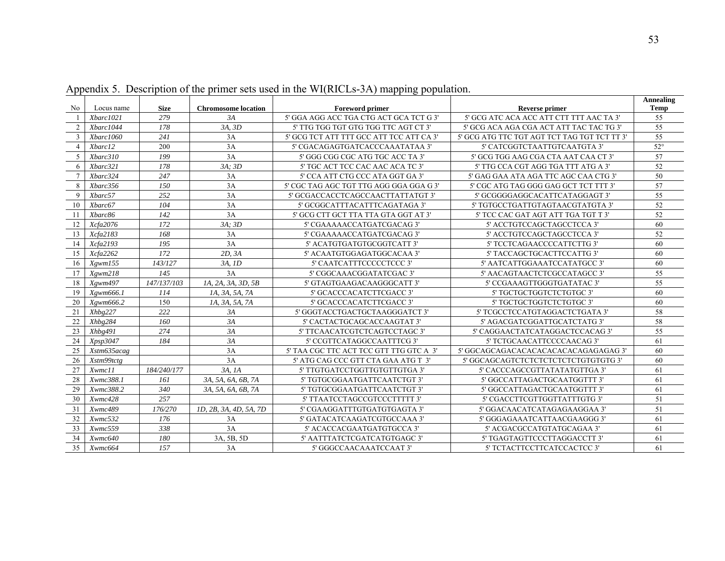| No              | Locus name  | <b>Size</b> | <b>Chromosome</b> location | <b>Foreword primer</b>                   | <b>Reverse primer</b>                        | <b>Annealing</b><br><b>Temp</b> |
|-----------------|-------------|-------------|----------------------------|------------------------------------------|----------------------------------------------|---------------------------------|
|                 | Xbarc1021   | 279         | 3A                         | 5' GGA AGG ACC TGA CTG ACT GCA TCT G 3'  | 5' GCG ATC ACA ACC ATT CTT TTT AAC TA 3'     | 55                              |
| 2               | Xbarc1044   | 178         | 3A. 3D                     | 5' TTG TGG TGT GTG TGG TTC AGT CT 3'     | 5' GCG ACA AGA CGA ACT ATT TAC TAC TG 3'     | 55                              |
| 3               | Xbarc1060   | 241         | 3A                         | 5' GCG TCT ATT TTT GCC ATT TCC ATT CA 3' | 5' GCG ATG TTC TGT AGT TCT TAG TGT TCT TT 3' | 55                              |
| $\overline{4}$  | Xbarc12     | 200         | 3A                         | 5' CGACAGAGTGATCACCCAAATATAA 3'          | 5' CATCGGTCTAATTGTCAATGTA 3'                 | $52^{\circ}$                    |
| .5              | Xbarc310    | 199         | 3A                         | 5' GGG CGG CGC ATG TGC ACC TA 3'         | 5' GCG TGG AAG CGA CTA AAT CAA CT 3'         | 57                              |
| 6               | Xbarc321    | 178         | 3A: 3D                     | 5' TGC ACT TCC CAC AAC ACA TC 3'         | 5' TTG CCA CGT AGG TGA TTT ATG A 3'          | 52                              |
| $7\phantom{.0}$ | Xbarc324    | 247         | 3A                         | 5' CCA ATT CTG CCC ATA GGT GA 3'         | 5' GAG GAA ATA AGA TTC AGC CAA CTG 3'        | 50                              |
| 8               | Xbarc356    | 150         | 3A                         | 5' CGC TAG AGC TGT TTG AGG GGA GGA G 3'  | 5' CGC ATG TAG GGG GAG GCT TCT TTT 3'        | 57                              |
| 9               | Xbarc57     | 252         | 3A                         | 5' GCGACCACCTCAGCCAACTTATTATGT 3'        | 5' GCGGGGAGGCACATTCATAGGAGT 3'               | 55                              |
| 10              | Xbarc67     | 104         | 3A                         | 5' GCGGCATTTACATTTCAGATAGA 3'            | 5' TGTGCCTGATTGTAGTAACGTATGTA 3'             | 52                              |
| -11             | Xbarc86     | 142         | 3A                         | 5' GCG CTT GCT TTA TTA GTA GGT AT 3'     | 5' TCC CAC GAT AGT ATT TGA TGT T 3'          | $\overline{52}$                 |
| 12              | Xcfa2076    | 172         | $3A$ ; $3D$                | 5' CGAAAAACCATGATCGACAG 3'               | 5' ACCTGTCCAGCTAGCCTCCA 3'                   | 60                              |
| 13              | Xcfa2183    | 168         | 3A                         | 5' CGAAAAACCATGATCGACAG 3'               | 5' ACCTGTCCAGCTAGCCTCCA 3'                   | $\overline{52}$                 |
| 14              | Xcfa2193    | 195         | 3A                         | 5' ACATGTGATGTGCGGTCATT 3'               | 5' TCCTCAGAACCCCATTCTTG 3'                   | 60                              |
| 15              | Xcfa2262    | 172         | 2D, 3A                     | 5' ACAATGTGGAGATGGCACAA 3'               | 5' TACCAGCTGCACTTCCATTG 3'                   | 60                              |
| 16              | Xgwm155     | 143/127     | 3A, 1D                     | 5' CAATCATTTCCCCCTCCC 3'                 | 5' AATCATTGGAAATCCATATGCC 3'                 | 60                              |
| 17              | Xgwm218     | 145         | 3A                         | 5' CGGCAAACGGATATCGAC 3'                 | 5' AACAGTAACTCTCGCCATAGCC 3'                 | 55                              |
| 18              | Xgwm497     | 147/137/103 | 1A, 2A, 3A, 3D, 5B         | 5' GTAGTGAAGACAAGGGCATT 3'               | 5' CCGAAAGTTGGGTGATATAC 3'                   | 55                              |
| 19              | Xgwm666.1   | 114         | 1A, 3A, 5A, 7A             | 5' GCACCCACATCTTCGACC 3'                 | 5' TGCTGCTGGTCTCTGTGC 3'                     | 60                              |
| 20              | Xgwm666.2   | 150         | 1A, 3A, 5A, 7A             | 5' GCACCCACATCTTCGACC 3'                 | 5' TGCTGCTGGTCTCTGTGC 3'                     | 60                              |
| 21              | Xhbg227     | 222         | 3A                         | 5' GGGTACCTGACTGCTAAGGGATCT 3'           | 5' TCGCCTCCATGTAGGACTCTGATA 3'               | 58                              |
| 22              | Xhbg284     | 160         | 3A                         | 5' CACTACTGCAGCACCAAGTAT 3'              | 5' AGACGATCGGATTGCATCTATG 3'                 | 58                              |
| 23              | Xhbg491     | 274         | 3A                         | 5' TTCAACATCGTCTCAGTCCTAGC 3'            | 5' CAGGAACTATCATAGGACTCCACAG 3'              | $\overline{55}$                 |
| 24              | Xpsp3047    | 184         | 3A                         | 5' CCGTTCATAGGCCAATTTCG 3'               | 5' TCTGCAACATTCCCCAACAG 3'                   | 61                              |
| 25              | Xstm635acag |             | 3A                         | 5' TAA CGC TTC ACT TCC GTT TTG GTC A 3'  | 5' GGCAGCAGACACACACACACACAGAGAGAG 3'         | 60                              |
| 26              | Xstm99tctg  |             | 3A                         | 5' ATG CAG CCC GTT CTA GAA ATG T 3'      | 5' GGCAGCAGTCTCTCTCTCTCTCTGTGTGTG 3'         | 60                              |
| 27              | Xwmc11      | 184/240/177 | 3A, IA                     | 5' TTGTGATCCTGGTTGTGTTGTGA 3'            | 5' CACCCAGCCGTTATATATGTTGA 3'                | 61                              |
| 28              | Xwmc388.1   | 161         | 3A, 5A, 6A, 6B, 7A         | 5' TGTGCGGAATGATTCAATCTGT 3'             | 5' GGCCATTAGACTGCAATGGTTT 3'                 | 61                              |
| 29              | Xwmc388.2   | 340         | 3A, 5A, 6A, 6B, 7A         | 5' TGTGCGGAATGATTCAATCTGT 3'             | 5' GGCCATTAGACTGCAATGGTTT 3'                 | 61                              |
| 30              | Xwmc428     | 257         |                            | 5' TTAATCCTAGCCGTCCCTTTTT 3'             | 5' CGACCTTCGTTGGTTATTTGTG 3'                 | 51                              |
| 31              | Xwmc489     | 176/270     | 1D, 2B, 3A, 4D, 5A, 7D     | 5' CGAAGGATTTGTGATGTGAGTA 3'             | 5' GGACAACATCATAGAGAAGGAA 3'                 | 51                              |
| 32              | Xwmc532     | 176         | 3A                         | 5' GATACATCAAGATCGTGCCAAA 3'             | 5' GGGAGAAATCATTAACGAAGGG 3'                 | 61                              |
| 33              | Xwmc559     | 338         | 3A                         | 5' ACACCACGAATGATGTGCCA 3'               | 5' ACGACGCCATGTATGCAGAA 3'                   | 61                              |
| 34              | Xwmc640     | 180         | 3A, 5B, 5D                 | 5' AATTTATCTCGATCATGTGAGC 3'             | 5' TGAGTAGTTCCCTTAGGACCTT 3'                 | 61                              |
| 35              | Xwmc664     | 157         | 3A                         | 5' GGGCCAACAAATCCAAT 3'                  | 5' TCTACTTCCTTCATCCACTCC 3'                  | 61                              |

Appendix 5. Description of the primer sets used in the WI(RICLs-3A) mapping population.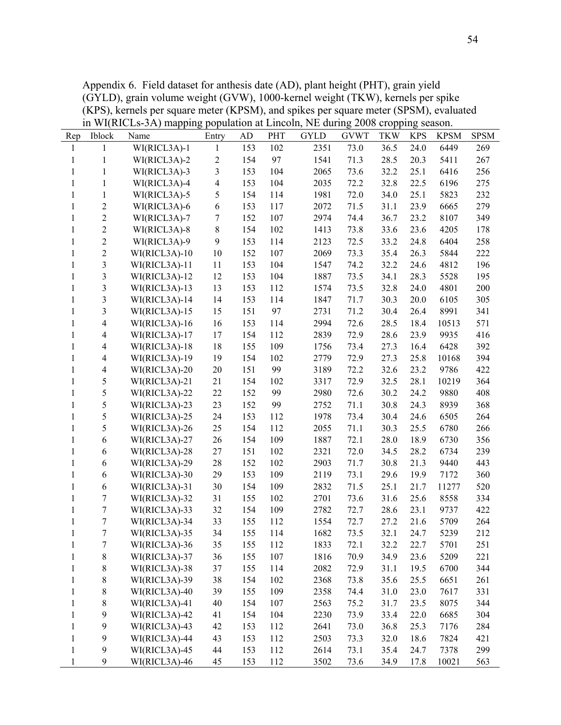Appendix 6. Field dataset for anthesis date (AD), plant height (PHT), grain yield (GYLD), grain volume weight (GVW), 1000-kernel weight (TKW), kernels per spike (KPS), kernels per square meter (KPSM), and spikes per square meter (SPSM), evaluated in WI(RICLs-3A) mapping population at Lincoln, NE during 2008 cropping season.

| Rep          | Iblock           | Name            | Entry          | <b>AD</b> | <b>PHT</b> | <b>GYLD</b> | <b>GVWT</b> | <b>TKW</b> | <b>KPS</b> | <b>KPSM</b> | <b>SPSM</b> |
|--------------|------------------|-----------------|----------------|-----------|------------|-------------|-------------|------------|------------|-------------|-------------|
| 1            | 1                | WI(RICL3A)-1    | 1              | 153       | 102        | 2351        | 73.0        | 36.5       | 24.0       | 6449        | 269         |
| 1            | $\mathbf{1}$     | WI(RICL3A)-2    | $\sqrt{2}$     | 154       | 97         | 1541        | 71.3        | 28.5       | 20.3       | 5411        | 267         |
| 1            | 1                | WI(RICL3A)-3    | $\overline{3}$ | 153       | 104        | 2065        | 73.6        | 32.2       | 25.1       | 6416        | 256         |
| 1            | $\mathbf{1}$     | WI(RICL3A)-4    | 4              | 153       | 104        | 2035        | 72.2        | 32.8       | 22.5       | 6196        | 275         |
| 1            | $\mathbf{1}$     | WI(RICL3A)-5    | 5              | 154       | 114        | 1981        | 72.0        | 34.0       | 25.1       | 5823        | 232         |
| $\mathbf{1}$ | $\overline{c}$   | WI(RICL3A)-6    | 6              | 153       | 117        | 2072        | 71.5        | 31.1       | 23.9       | 6665        | 279         |
| 1            | $\overline{c}$   | WI(RICL3A)-7    | 7              | 152       | 107        | 2974        | 74.4        | 36.7       | 23.2       | 8107        | 349         |
| 1            | $\overline{2}$   | WI(RICL3A)-8    | $\,8\,$        | 154       | 102        | 1413        | 73.8        | 33.6       | 23.6       | 4205        | 178         |
| 1            | $\overline{2}$   | WI(RICL3A)-9    | 9              | 153       | 114        | 2123        | 72.5        | 33.2       | 24.8       | 6404        | 258         |
| 1            | $\overline{c}$   | $WI(RICL3A)-10$ | 10             | 152       | 107        | 2069        | 73.3        | 35.4       | 26.3       | 5844        | 222         |
| 1            | 3                | WI(RICL3A)-11   | 11             | 153       | 104        | 1547        | 74.2        | 32.2       | 24.6       | 4812        | 196         |
| $\mathbf{1}$ | 3                | WI(RICL3A)-12   | 12             | 153       | 104        | 1887        | 73.5        | 34.1       | 28.3       | 5528        | 195         |
| 1            | 3                | WI(RICL3A)-13   | 13             | 153       | 112        | 1574        | 73.5        | 32.8       | 24.0       | 4801        | 200         |
| 1            | 3                | WI(RICL3A)-14   | 14             | 153       | 114        | 1847        | 71.7        | 30.3       | 20.0       | 6105        | 305         |
| 1            | 3                | WI(RICL3A)-15   | 15             | 151       | 97         | 2731        | 71.2        | 30.4       | 26.4       | 8991        | 341         |
| 1            | $\overline{4}$   | WI(RICL3A)-16   | 16             | 153       | 114        | 2994        | 72.6        | 28.5       | 18.4       | 10513       | 571         |
| $\mathbf{1}$ | 4                | WI(RICL3A)-17   | 17             | 154       | 112        | 2839        | 72.9        | 28.6       | 23.9       | 9935        | 416         |
| $\mathbf{1}$ | 4                | WI(RICL3A)-18   | 18             | 155       | 109        | 1756        | 73.4        | 27.3       | 16.4       | 6428        | 392         |
| 1            | 4                | WI(RICL3A)-19   | 19             | 154       | 102        | 2779        | 72.9        | 27.3       | 25.8       | 10168       | 394         |
| 1            | 4                | WI(RICL3A)-20   | $20\,$         | 151       | 99         | 3189        | 72.2        | 32.6       | 23.2       | 9786        | 422         |
| $\mathbf{1}$ | 5                | WI(RICL3A)-21   | 21             | 154       | 102        | 3317        | 72.9        | 32.5       | 28.1       | 10219       | 364         |
| 1            | 5                | WI(RICL3A)-22   | 22             | 152       | 99         | 2980        | 72.6        | 30.2       | 24.2       | 9880        | 408         |
| 1            | 5                | WI(RICL3A)-23   | 23             | 152       | 99         | 2752        | 71.1        | 30.8       | 24.3       | 8939        | 368         |
| $\mathbf{1}$ | 5                | WI(RICL3A)-25   | 24             | 153       | 112        | 1978        | 73.4        | 30.4       | 24.6       | 6505        | 264         |
| 1            | 5                | WI(RICL3A)-26   | 25             | 154       | 112        | 2055        | 71.1        | 30.3       | 25.5       | 6780        | 266         |
| 1            | 6                | WI(RICL3A)-27   | 26             | 154       | 109        | 1887        | 72.1        | 28.0       | 18.9       | 6730        | 356         |
| 1            | 6                | WI(RICL3A)-28   | 27             | 151       | 102        | 2321        | 72.0        | 34.5       | 28.2       | 6734        | 239         |
| $\mathbf{1}$ | 6                | WI(RICL3A)-29   | 28             | 152       | 102        | 2903        | 71.7        | 30.8       | 21.3       | 9440        | 443         |
| 1            | 6                | WI(RICL3A)-30   | 29             | 153       | 109        | 2119        | 73.1        | 29.6       | 19.9       | 7172        | 360         |
| 1            | 6                | WI(RICL3A)-31   | 30             | 154       | 109        | 2832        | 71.5        | 25.1       | 21.7       | 11277       | 520         |
| 1            | $\tau$           | WI(RICL3A)-32   | 31             | 155       | 102        | 2701        | 73.6        | 31.6       | 25.6       | 8558        | 334         |
| 1            | 7                | WI(RICL3A)-33   | 32             | 154       | 109        | 2782        | 72.7        | 28.6       | 23.1       | 9737        | 422         |
| 1            | $\overline{7}$   | WI(RICL3A)-34   | 33             | 155       | 112        | 1554        | 72.7        | 27.2       | 21.6       | 5709        | 264         |
| 1            | $\tau$           | WI(RICL3A)-35   | 34             | 155       | 114        | 1682        | 73.5        | 32.1       | 24.7       | 5239        | 212         |
| 1            | $\boldsymbol{7}$ | WI(RICL3A)-36   | 35             | 155       | 112        | 1833        | 72.1        | 32.2       | 22.7       | 5701        | 251         |
| 1            | 8                | WI(RICL3A)-37   | 36             | 155       | 107        | 1816        | 70.9        | 34.9       | 23.6       | 5209        | 221         |
| 1            | 8                | WI(RICL3A)-38   | 37             | 155       | 114        | 2082        | 72.9        | 31.1       | 19.5       | 6700        | 344         |
| 1            | 8                | WI(RICL3A)-39   | 38             | 154       | 102        | 2368        | 73.8        | 35.6       | 25.5       | 6651        | 261         |
| 1            | 8                | WI(RICL3A)-40   | 39             | 155       | 109        | 2358        | 74.4        | 31.0       | 23.0       | 7617        | 331         |
| 1            | 8                | WI(RICL3A)-41   | 40             | 154       | 107        | 2563        | 75.2        | 31.7       | 23.5       | 8075        | 344         |
| 1            | 9                | WI(RICL3A)-42   | 41             | 154       | 104        | 2230        | 73.9        | 33.4       | 22.0       | 6685        | 304         |
| 1            | 9                | WI(RICL3A)-43   | 42             | 153       | 112        | 2641        | 73.0        | 36.8       | 25.3       | 7176        | 284         |
| 1            | 9                | WI(RICL3A)-44   | 43             | 153       | 112        | 2503        | 73.3        | 32.0       | 18.6       | 7824        | 421         |
| $\mathbf{1}$ | 9                | WI(RICL3A)-45   | 44             | 153       | 112        | 2614        | 73.1        | 35.4       | 24.7       | 7378        | 299         |
| $\mathbf{1}$ | 9                | WI(RICL3A)-46   | 45             | 153       | 112        | 3502        | 73.6        | 34.9       | 17.8       | 10021       | 563         |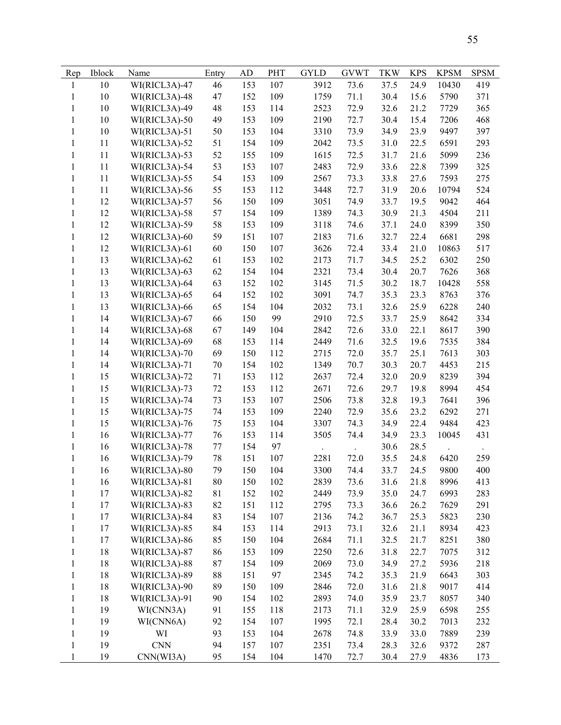| Rep          | Iblock | Name          | Entry  | AD  | PHT        | <b>GYLD</b> | <b>GVWT</b> | <b>TKW</b> | <b>KPS</b> | <b>KPSM</b> | <b>SPSM</b> |
|--------------|--------|---------------|--------|-----|------------|-------------|-------------|------------|------------|-------------|-------------|
| 1            | $10\,$ | WI(RICL3A)-47 | 46     | 153 | 107        | 3912        | 73.6        | 37.5       | 24.9       | 10430       | 419         |
| 1            | 10     | WI(RICL3A)-48 | 47     | 152 | 109        | 1759        | 71.1        | 30.4       | 15.6       | 5790        | 371         |
| $\mathbf{1}$ | 10     | WI(RICL3A)-49 | 48     | 153 | 114        | 2523        | 72.9        | 32.6       | 21.2       | 7729        | 365         |
| $\mathbf{1}$ | 10     | WI(RICL3A)-50 | 49     | 153 | 109        | 2190        | 72.7        | 30.4       | 15.4       | 7206        | 468         |
| $\mathbf{1}$ | 10     | WI(RICL3A)-51 | 50     | 153 | 104        | 3310        | 73.9        | 34.9       | 23.9       | 9497        | 397         |
| $\mathbf{1}$ | 11     | WI(RICL3A)-52 | 51     | 154 | 109        | 2042        | 73.5        | 31.0       | 22.5       | 6591        | 293         |
| $\mathbf{1}$ | 11     | WI(RICL3A)-53 | 52     | 155 | 109        | 1615        | 72.5        | 31.7       | 21.6       | 5099        | 236         |
| $\mathbf{1}$ | 11     | WI(RICL3A)-54 | 53     | 153 | 107        | 2483        | 72.9        | 33.6       | 22.8       | 7399        | 325         |
| $\mathbf{1}$ | 11     | WI(RICL3A)-55 | 54     | 153 | 109        | 2567        | 73.3        | 33.8       | 27.6       | 7593        | 275         |
| $\mathbf{1}$ | 11     | WI(RICL3A)-56 | 55     | 153 | 112        | 3448        | 72.7        | 31.9       | 20.6       | 10794       | 524         |
| $\mathbf{1}$ | 12     | WI(RICL3A)-57 | 56     | 150 | 109        | 3051        | 74.9        | 33.7       | 19.5       | 9042        | 464         |
| $\mathbf{1}$ | 12     | WI(RICL3A)-58 | 57     | 154 | 109        | 1389        | 74.3        | 30.9       | 21.3       | 4504        | 211         |
| $\mathbf{1}$ | 12     | WI(RICL3A)-59 | 58     | 153 | 109        | 3118        | 74.6        | 37.1       | 24.0       | 8399        | 350         |
| $\mathbf{1}$ | 12     | WI(RICL3A)-60 | 59     | 151 | 107        | 2183        | 71.6        | 32.7       | 22.4       | 6681        | 298         |
| $\mathbf{1}$ | 12     | WI(RICL3A)-61 | 60     | 150 | 107        | 3626        | 72.4        | 33.4       | 21.0       | 10863       | 517         |
| $\mathbf{1}$ | 13     | WI(RICL3A)-62 | 61     | 153 | 102        | 2173        | 71.7        | 34.5       | 25.2       | 6302        | 250         |
| $\mathbf{1}$ | 13     | WI(RICL3A)-63 | 62     | 154 | 104        | 2321        | 73.4        | 30.4       | 20.7       | 7626        | 368         |
|              | 13     | WI(RICL3A)-64 |        |     |            | 3145        |             |            |            | 10428       |             |
| $\mathbf{1}$ |        |               | 63     | 152 | 102<br>102 |             | 71.5        | 30.2       | 18.7       |             | 558         |
| $\mathbf{1}$ | 13     | WI(RICL3A)-65 | 64     | 152 |            | 3091        | 74.7        | 35.3       | 23.3       | 8763        | 376         |
| $\mathbf{1}$ | 13     | WI(RICL3A)-66 | 65     | 154 | 104        | 2032        | 73.1        | 32.6       | 25.9       | 6228        | 240         |
| $\mathbf{1}$ | 14     | WI(RICL3A)-67 | 66     | 150 | 99         | 2910        | 72.5        | 33.7       | 25.9       | 8642        | 334         |
| $\mathbf{1}$ | 14     | WI(RICL3A)-68 | 67     | 149 | 104        | 2842        | 72.6        | 33.0       | 22.1       | 8617        | 390         |
| $\mathbf{1}$ | 14     | WI(RICL3A)-69 | 68     | 153 | 114        | 2449        | 71.6        | 32.5       | 19.6       | 7535        | 384         |
| $\mathbf{1}$ | 14     | WI(RICL3A)-70 | 69     | 150 | 112        | 2715        | 72.0        | 35.7       | 25.1       | 7613        | 303         |
| $\mathbf{1}$ | 14     | WI(RICL3A)-71 | $70\,$ | 154 | 102        | 1349        | 70.7        | 30.3       | 20.7       | 4453        | 215         |
| $\mathbf{1}$ | 15     | WI(RICL3A)-72 | 71     | 153 | 112        | 2637        | 72.4        | 32.0       | 20.9       | 8239        | 394         |
| $\mathbf{1}$ | 15     | WI(RICL3A)-73 | 72     | 153 | 112        | 2671        | 72.6        | 29.7       | 19.8       | 8994        | 454         |
| $\mathbf{1}$ | 15     | WI(RICL3A)-74 | 73     | 153 | 107        | 2506        | 73.8        | 32.8       | 19.3       | 7641        | 396         |
| $\mathbf{1}$ | 15     | WI(RICL3A)-75 | 74     | 153 | 109        | 2240        | 72.9        | 35.6       | 23.2       | 6292        | 271         |
| $\mathbf{1}$ | 15     | WI(RICL3A)-76 | 75     | 153 | 104        | 3307        | 74.3        | 34.9       | 22.4       | 9484        | 423         |
| $\mathbf{1}$ | 16     | WI(RICL3A)-77 | 76     | 153 | 114        | 3505        | 74.4        | 34.9       | 23.3       | 10045       | 431         |
| $\mathbf{1}$ | 16     | WI(RICL3A)-78 | 77     | 154 | 97         |             | $\cdot$     | 30.6       | 28.5       |             |             |
| 1            | 16     | WI(RICL3A)-79 | 78     | 151 | 107        | 2281        | 72.0        | 35.5       | 24.8       | 6420        | 259         |
| $\mathbf{1}$ | 16     | WI(RICL3A)-80 | 79     | 150 | 104        | 3300        | 74.4        | 33.7       | 24.5       | 9800        | 400         |
| $\mathbf{1}$ | 16     | WI(RICL3A)-81 | 80     | 150 | 102        | 2839        | 73.6        | 31.6       | 21.8       | 8996        | 413         |
| $\mathbf{1}$ | 17     | WI(RICL3A)-82 | 81     | 152 | 102        | 2449        | 73.9        | 35.0       | 24.7       | 6993        | 283         |
| $\mathbf{1}$ | 17     | WI(RICL3A)-83 | 82     | 151 | 112        | 2795        | 73.3        | 36.6       | 26.2       | 7629        | 291         |
| 1            | 17     | WI(RICL3A)-84 | 83     | 154 | 107        | 2136        | 74.2        | 36.7       | 25.3       | 5823        | 230         |
| $\mathbf{1}$ | 17     | WI(RICL3A)-85 | 84     | 153 | 114        | 2913        | 73.1        | 32.6       | 21.1       | 8934        | 423         |
| $\mathbf{1}$ | 17     | WI(RICL3A)-86 | 85     | 150 | 104        | 2684        | 71.1        | 32.5       | 21.7       | 8251        | 380         |
| $\mathbf{1}$ | 18     | WI(RICL3A)-87 | 86     | 153 | 109        | 2250        | 72.6        | 31.8       | 22.7       | 7075        | 312         |
| $\mathbf{1}$ | 18     | WI(RICL3A)-88 | 87     | 154 | 109        | 2069        | 73.0        | 34.9       | 27.2       | 5936        | 218         |
| $\mathbf{1}$ | 18     | WI(RICL3A)-89 | 88     | 151 | 97         | 2345        | 74.2        | 35.3       | 21.9       | 6643        | 303         |
| $\mathbf{1}$ | 18     | WI(RICL3A)-90 | 89     | 150 | 109        | 2846        | 72.0        | 31.6       | 21.8       | 9017        | 414         |
| $\mathbf{1}$ | 18     | WI(RICL3A)-91 | 90     | 154 | 102        | 2893        | 74.0        | 35.9       | 23.7       | 8057        | 340         |
| $\mathbf{1}$ | 19     | WI(CNN3A)     | 91     | 155 | 118        | 2173        | 71.1        | 32.9       | 25.9       | 6598        | 255         |
| $\mathbf{1}$ | 19     | WI(CNN6A)     | 92     | 154 | 107        | 1995        | 72.1        | 28.4       | 30.2       | 7013        | 232         |
| $\mathbf{1}$ | 19     | WI            | 93     | 153 | 104        | 2678        | 74.8        | 33.9       | 33.0       | 7889        | 239         |
| $\mathbf{1}$ | 19     | <b>CNN</b>    | 94     | 157 | 107        | 2351        | 73.4        | 28.3       | 32.6       | 9372        | 287         |
| $\mathbf{1}$ | 19     | CNN(WI3A)     | 95     | 154 | 104        | 1470        | 72.7        | 30.4       | 27.9       | 4836        | 173         |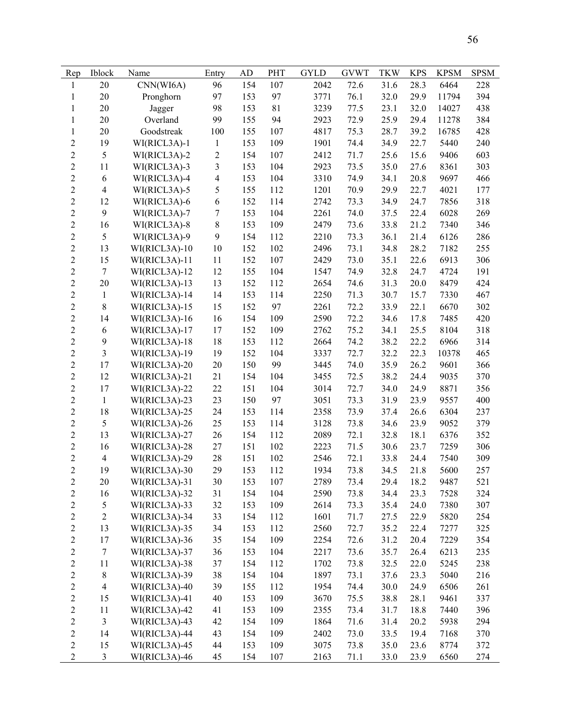| Rep                     | Iblock         | Name            | Entry            | AD  | <b>PHT</b> | <b>GYLD</b> | <b>GVWT</b> | <b>TKW</b> | <b>KPS</b> | <b>KPSM</b> | <b>SPSM</b> |
|-------------------------|----------------|-----------------|------------------|-----|------------|-------------|-------------|------------|------------|-------------|-------------|
| 1                       | 20             | CNN(WI6A)       | 96               | 154 | 107        | 2042        | 72.6        | 31.6       | 28.3       | 6464        | 228         |
| 1                       | 20             | Pronghorn       | 97               | 153 | 97         | 3771        | 76.1        | 32.0       | 29.9       | 11794       | 394         |
| $\mathbf{1}$            | 20             | Jagger          | 98               | 153 | 81         | 3239        | 77.5        | 23.1       | 32.0       | 14027       | 438         |
| $\mathbf{1}$            | 20             | Overland        | 99               | 155 | 94         | 2923        | 72.9        | 25.9       | 29.4       | 11278       | 384         |
| $\mathbf{1}$            | 20             | Goodstreak      | 100              | 155 | 107        | 4817        | 75.3        | 28.7       | 39.2       | 16785       | 428         |
| $\sqrt{2}$              | 19             | WI(RICL3A)-1    | $\mathbf{1}$     | 153 | 109        | 1901        | 74.4        | 34.9       | 22.7       | 5440        | 240         |
| $\overline{2}$          | 5              | WI(RICL3A)-2    | $\mathbf{2}$     | 154 | 107        | 2412        | 71.7        | 25.6       | 15.6       | 9406        | 603         |
| $\sqrt{2}$              | 11             | WI(RICL3A)-3    | 3                | 153 | 104        | 2923        | 73.5        | 35.0       | 27.6       | 8361        | 303         |
| $\sqrt{2}$              | 6              | WI(RICL3A)-4    | 4                | 153 | 104        | 3310        | 74.9        | 34.1       | 20.8       | 9697        | 466         |
| $\sqrt{2}$              | $\overline{4}$ | WI(RICL3A)-5    | 5                | 155 | 112        | 1201        | 70.9        | 29.9       | 22.7       | 4021        | 177         |
| $\overline{2}$          | 12             | WI(RICL3A)-6    | 6                | 152 | 114        | 2742        | 73.3        | 34.9       | 24.7       | 7856        | 318         |
| $\sqrt{2}$              | 9              | WI(RICL3A)-7    | $\boldsymbol{7}$ | 153 | 104        | 2261        | 74.0        | 37.5       | 22.4       | 6028        | 269         |
| $\sqrt{2}$              | 16             | WI(RICL3A)-8    | 8                | 153 | 109        | 2479        | 73.6        | 33.8       | 21.2       | 7340        | 346         |
| $\sqrt{2}$              | 5              | WI(RICL3A)-9    | 9                | 154 | 112        | 2210        | 73.3        | 36.1       | 21.4       | 6126        | 286         |
| $\overline{2}$          | 13             | WI(RICL3A)-10   | 10               | 152 | 102        | 2496        | 73.1        | 34.8       | 28.2       | 7182        | 255         |
| $\sqrt{2}$              | 15             | WI(RICL3A)-11   | 11               | 152 | 107        | 2429        | 73.0        | 35.1       | 22.6       | 6913        | 306         |
| $\sqrt{2}$              | $\tau$         | WI(RICL3A)-12   | 12               | 155 | 104        | 1547        | 74.9        | 32.8       | 24.7       | 4724        | 191         |
| $\boldsymbol{2}$        | 20             | WI(RICL3A)-13   | 13               | 152 | 112        | 2654        | 74.6        | 31.3       | 20.0       | 8479        | 424         |
| $\boldsymbol{2}$        | $\mathbf{1}$   | WI(RICL3A)-14   | 14               | 153 | 114        | 2250        | 71.3        | 30.7       | 15.7       | 7330        | 467         |
| $\overline{2}$          | $\,$ 8 $\,$    | WI(RICL3A)-15   | 15               | 152 | 97         | 2261        | 72.2        | 33.9       | 22.1       | 6670        | 302         |
| $\overline{2}$          | 14             | WI(RICL3A)-16   | 16               | 154 | 109        | 2590        | 72.2        | 34.6       | 17.8       | 7485        | 420         |
| $\sqrt{2}$              | $\sqrt{6}$     | WI(RICL3A)-17   | 17               | 152 | 109        | 2762        | 75.2        | 34.1       | 25.5       | 8104        | 318         |
| $\overline{2}$          | $\mathbf{9}$   | WI(RICL3A)-18   | 18               | 153 | 112        | 2664        | 74.2        | 38.2       | 22.2       | 6966        | 314         |
| $\sqrt{2}$              | 3              | WI(RICL3A)-19   | 19               | 152 | 104        | 3337        | 72.7        | 32.2       | 22.3       | 10378       | 465         |
| $\overline{2}$          | 17             | WI(RICL3A)-20   | 20               | 150 | 99         | 3445        | 74.0        | 35.9       | 26.2       | 9601        | 366         |
| $\overline{2}$          | 12             | WI(RICL3A)-21   | 21               | 154 | 104        | 3455        | 72.5        | 38.2       | 24.4       | 9035        | 370         |
| $\sqrt{2}$              | 17             | WI(RICL3A)-22   | 22               | 151 | 104        | 3014        | 72.7        | 34.0       | 24.9       | 8871        | 356         |
| $\sqrt{2}$              | $\mathbf{1}$   | WI(RICL3A)-23   | 23               | 150 | 97         | 3051        | 73.3        | 31.9       | 23.9       | 9557        | 400         |
| $\sqrt{2}$              | 18             | WI(RICL3A)-25   | 24               | 153 | 114        | 2358        | 73.9        | 37.4       | 26.6       | 6304        | 237         |
| $\overline{2}$          | 5              | WI(RICL3A)-26   | 25               | 153 | 114        | 3128        | 73.8        | 34.6       | 23.9       | 9052        | 379         |
| $\overline{2}$          | 13             | WI(RICL3A)-27   | 26               | 154 | 112        | 2089        | 72.1        | 32.8       | 18.1       | 6376        | 352         |
| $\overline{2}$          | 16             | WI(RICL3A)-28   | 27               | 151 | 102        | 2223        | 71.5        | 30.6       | 23.7       | 7259        | 306         |
| $\sqrt{2}$              | $\overline{4}$ | WI(RICL3A)-29   | 28               | 151 | 102        | 2546        | 72.1        | 33.8       | 24.4       | 7540        | 309         |
| $\overline{2}$          | 19             | WI(RICL3A)-30   | 29               | 153 | 112        | 1934        | 73.8        | 34.5       | 21.8       | 5600        | 257         |
| $\boldsymbol{2}$        | 20             | WI(RICL3A)-31   | 30               | 153 | 107        | 2789        | 73.4        | 29.4       | 18.2       | 9487        | 521         |
| $\overline{c}$          | 16             | WI(RICL3A)-32   | 31               | 154 | 104        | 2590        | 73.8        | 34.4       | 23.3       | 7528        | 324         |
| $\overline{c}$          | 5              | WI(RICL3A)-33   | 32               | 153 | 109        | 2614        | 73.3        | 35.4       | 24.0       | 7380        | 307         |
| $\overline{\mathbf{c}}$ | $\mathfrak{2}$ | WI(RICL3A)-34   | 33               | 154 | 112        | 1601        | 71.7        | 27.5       | 22.9       | 5820        | 254         |
| $\overline{c}$          | 13             | $WI(RICL3A)-35$ | 34               | 153 | 112        | 2560        | 72.7        | 35.2       | 22.4       | 7277        | 325         |
| $\overline{c}$          | 17             | WI(RICL3A)-36   | 35               | 154 | 109        | 2254        | 72.6        | 31.2       | 20.4       | 7229        | 354         |
| $\overline{c}$          | $\tau$         | WI(RICL3A)-37   | 36               | 153 | 104        | 2217        | 73.6        | 35.7       | 26.4       | 6213        | 235         |
| $\overline{c}$          | 11             | WI(RICL3A)-38   | 37               | 154 | 112        | 1702        | 73.8        | 32.5       | 22.0       | 5245        | 238         |
| $\overline{c}$          | $\,$ $\,$      | WI(RICL3A)-39   | 38               | 154 | 104        | 1897        | 73.1        | 37.6       | 23.3       | 5040        | 216         |
| $\overline{c}$          | $\overline{4}$ | WI(RICL3A)-40   | 39               | 155 | 112        | 1954        | 74.4        | 30.0       | 24.9       | 6506        | 261         |
| $\overline{c}$          | 15             | WI(RICL3A)-41   | $40\,$           | 153 | 109        | 3670        | 75.5        | 38.8       | 28.1       | 9461        | 337         |
| $\overline{c}$          | 11             | WI(RICL3A)-42   | 41               | 153 | 109        | 2355        | 73.4        | 31.7       | 18.8       | 7440        | 396         |
| $\overline{c}$          | $\mathfrak{Z}$ | WI(RICL3A)-43   | 42               | 154 | 109        | 1864        | 71.6        | 31.4       | 20.2       | 5938        | 294         |
| $\sqrt{2}$              | 14             | WI(RICL3A)-44   | 43               | 154 | 109        | 2402        | 73.0        | 33.5       | 19.4       | 7168        | 370         |
| $\overline{c}$          | 15             | WI(RICL3A)-45   | 44               | 153 | 109        | 3075        | 73.8        | 35.0       | 23.6       | 8774        | 372         |
| $\overline{2}$          | $\overline{3}$ | WI(RICL3A)-46   | 45               | 154 | 107        | 2163        | 71.1        | 33.0       | 23.9       | 6560        | 274         |
|                         |                |                 |                  |     |            |             |             |            |            |             |             |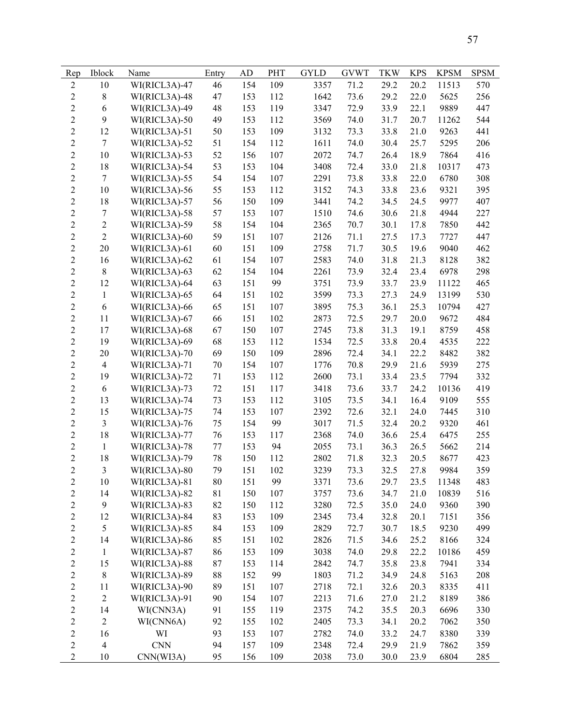| Rep            | Iblock           | Name          | Entry       | AD  | PHT | <b>GYLD</b> | <b>GVWT</b> | <b>TKW</b> | <b>KPS</b> | <b>KPSM</b> | <b>SPSM</b> |
|----------------|------------------|---------------|-------------|-----|-----|-------------|-------------|------------|------------|-------------|-------------|
| $\mathbf{2}$   | 10               | WI(RICL3A)-47 | 46          | 154 | 109 | 3357        | 71.2        | 29.2       | 20.2       | 11513       | 570         |
| $\mathbf{2}$   | $8\,$            | WI(RICL3A)-48 | 47          | 153 | 112 | 1642        | 73.6        | 29.2       | 22.0       | 5625        | 256         |
| $\overline{2}$ | 6                | WI(RICL3A)-49 | 48          | 153 | 119 | 3347        | 72.9        | 33.9       | 22.1       | 9889        | 447         |
| $\overline{2}$ | 9                | WI(RICL3A)-50 | 49          | 153 | 112 | 3569        | 74.0        | 31.7       | 20.7       | 11262       | 544         |
| $\overline{c}$ | 12               | WI(RICL3A)-51 | 50          | 153 | 109 | 3132        | 73.3        | 33.8       | 21.0       | 9263        | 441         |
| $\overline{c}$ | $\overline{7}$   | WI(RICL3A)-52 | 51          | 154 | 112 | 1611        | 74.0        | 30.4       | 25.7       | 5295        | 206         |
| $\overline{c}$ | 10               | WI(RICL3A)-53 | 52          | 156 | 107 | 2072        | 74.7        | 26.4       | 18.9       | 7864        | 416         |
| $\overline{c}$ | 18               | WI(RICL3A)-54 | 53          | 153 | 104 | 3408        | 72.4        | 33.0       | 21.8       | 10317       | 473         |
| $\overline{c}$ | $\tau$           | WI(RICL3A)-55 | 54          | 154 | 107 | 2291        | 73.8        | 33.8       | 22.0       | 6780        | 308         |
| $\overline{2}$ | 10               | WI(RICL3A)-56 | 55          | 153 | 112 | 3152        | 74.3        | 33.8       | 23.6       | 9321        | 395         |
| $\overline{2}$ | 18               | WI(RICL3A)-57 | 56          | 150 | 109 | 3441        | 74.2        | 34.5       | 24.5       | 9977        | 407         |
| $\overline{2}$ | $\boldsymbol{7}$ | WI(RICL3A)-58 | 57          | 153 | 107 | 1510        | 74.6        | 30.6       | 21.8       | 4944        | 227         |
| $\overline{c}$ | $\overline{c}$   | WI(RICL3A)-59 | 58          | 154 | 104 | 2365        | 70.7        | 30.1       | 17.8       | 7850        | 442         |
| $\overline{c}$ | $\overline{2}$   | WI(RICL3A)-60 | 59          | 151 | 107 | 2126        | 71.1        | 27.5       | 17.3       | 7727        | 447         |
| $\overline{2}$ | 20               | WI(RICL3A)-61 | 60          | 151 | 109 | 2758        | 71.7        | 30.5       | 19.6       | 9040        | 462         |
| $\overline{2}$ | 16               | WI(RICL3A)-62 | 61          | 154 | 107 | 2583        | 74.0        | 31.8       | 21.3       | 8128        | 382         |
| $\overline{c}$ | $8\,$            | WI(RICL3A)-63 | 62          | 154 | 104 | 2261        | 73.9        | 32.4       | 23.4       | 6978        | 298         |
| $\overline{2}$ |                  | WI(RICL3A)-64 |             |     | 99  |             |             |            |            | 11122       |             |
| $\overline{c}$ | 12               |               | 63          | 151 |     | 3751        | 73.9        | 33.7       | 23.9       |             | 465         |
|                | $\mathbf{1}$     | WI(RICL3A)-65 | 64          | 151 | 102 | 3599        | 73.3        | 27.3       | 24.9       | 13199       | 530         |
| $\overline{2}$ | 6                | WI(RICL3A)-66 | 65          | 151 | 107 | 3895        | 75.3        | 36.1       | 25.3       | 10794       | 427         |
| $\overline{c}$ | 11               | WI(RICL3A)-67 | 66          | 151 | 102 | 2873        | 72.5        | 29.7       | 20.0       | 9672        | 484         |
| $\overline{c}$ | 17               | WI(RICL3A)-68 | 67          | 150 | 107 | 2745        | 73.8        | 31.3       | 19.1       | 8759        | 458         |
| $\overline{2}$ | 19               | WI(RICL3A)-69 | 68          | 153 | 112 | 1534        | 72.5        | 33.8       | 20.4       | 4535        | 222         |
| $\overline{2}$ | 20               | WI(RICL3A)-70 | 69          | 150 | 109 | 2896        | 72.4        | 34.1       | 22.2       | 8482        | 382         |
| $\overline{c}$ | $\overline{4}$   | WI(RICL3A)-71 | $70\,$      | 154 | 107 | 1776        | 70.8        | 29.9       | 21.6       | 5939        | 275         |
| $\overline{c}$ | 19               | WI(RICL3A)-72 | 71          | 153 | 112 | 2600        | 73.1        | 33.4       | 23.5       | 7794        | 332         |
| $\overline{2}$ | 6                | WI(RICL3A)-73 | 72          | 151 | 117 | 3418        | 73.6        | 33.7       | 24.2       | 10136       | 419         |
| $\overline{2}$ | 13               | WI(RICL3A)-74 | 73          | 153 | 112 | 3105        | 73.5        | 34.1       | 16.4       | 9109        | 555         |
| $\overline{2}$ | 15               | WI(RICL3A)-75 | 74          | 153 | 107 | 2392        | 72.6        | 32.1       | 24.0       | 7445        | 310         |
| $\overline{c}$ | $\overline{3}$   | WI(RICL3A)-76 | 75          | 154 | 99  | 3017        | 71.5        | 32.4       | 20.2       | 9320        | 461         |
| $\overline{2}$ | 18               | WI(RICL3A)-77 | 76          | 153 | 117 | 2368        | 74.0        | 36.6       | 25.4       | 6475        | 255         |
| $\overline{2}$ | $\mathbf{1}$     | WI(RICL3A)-78 | 77          | 153 | 94  | 2055        | 73.1        | 36.3       | 26.5       | 5662        | 214         |
| $\overline{c}$ | 18               | WI(RICL3A)-79 | 78          | 150 | 112 | 2802        | 71.8        | 32.3       | 20.5       | 8677        | 423         |
| $\overline{2}$ | $\overline{3}$   | WI(RICL3A)-80 | 79          | 151 | 102 | 3239        | 73.3        | 32.5       | 27.8       | 9984        | 359         |
| $\overline{c}$ | 10               | WI(RICL3A)-81 | 80          | 151 | 99  | 3371        | 73.6        | 29.7       | 23.5       | 11348       | 483         |
| $\overline{c}$ | 14               | WI(RICL3A)-82 | $8\sqrt{1}$ | 150 | 107 | 3757        | 73.6        | 34.7       | 21.0       | 10839       | 516         |
| $\overline{c}$ | 9                | WI(RICL3A)-83 | 82          | 150 | 112 | 3280        | 72.5        | 35.0       | 24.0       | 9360        | 390         |
| $\overline{c}$ | 12               | WI(RICL3A)-84 | 83          | 153 | 109 | 2345        | 73.4        | 32.8       | 20.1       | 7151        | 356         |
| $\overline{c}$ | 5                | WI(RICL3A)-85 | 84          | 153 | 109 | 2829        | 72.7        | 30.7       | 18.5       | 9230        | 499         |
| $\overline{c}$ | 14               | WI(RICL3A)-86 | 85          | 151 | 102 | 2826        | 71.5        | 34.6       | 25.2       | 8166        | 324         |
| $\overline{c}$ | $\mathbf{1}$     | WI(RICL3A)-87 | 86          | 153 | 109 | 3038        | 74.0        | 29.8       | 22.2       | 10186       | 459         |
| $\overline{c}$ | 15               | WI(RICL3A)-88 | 87          | 153 | 114 | 2842        | 74.7        | 35.8       | 23.8       | 7941        | 334         |
| $\overline{c}$ | $8\,$            | WI(RICL3A)-89 | 88          | 152 | 99  | 1803        | 71.2        | 34.9       | 24.8       | 5163        | 208         |
| $\overline{c}$ | 11               | WI(RICL3A)-90 | 89          | 151 | 107 | 2718        | 72.1        | 32.6       | 20.3       | 8335        | 411         |
| $\overline{c}$ | $\overline{c}$   | WI(RICL3A)-91 | 90          | 154 | 107 | 2213        | 71.6        | 27.0       | 21.2       | 8189        | 386         |
| $\overline{c}$ | 14               | WI(CNN3A)     | 91          | 155 | 119 | 2375        | 74.2        | 35.5       | 20.3       | 6696        | 330         |
| $\overline{c}$ | $\overline{c}$   | WI(CNN6A)     | 92          | 155 | 102 | 2405        | 73.3        | 34.1       | 20.2       | 7062        | 350         |
| $\overline{c}$ | 16               | WI            | 93          | 153 | 107 | 2782        | 74.0        | 33.2       | 24.7       | 8380        | 339         |
| $\overline{c}$ | $\overline{4}$   | <b>CNN</b>    | 94          | 157 | 109 | 2348        | 72.4        | 29.9       | 21.9       | 7862        | 359         |
| $\overline{c}$ | 10               | CNN(WI3A)     | 95          | 156 | 109 | 2038        | 73.0        | 30.0       | 23.9       | 6804        | 285         |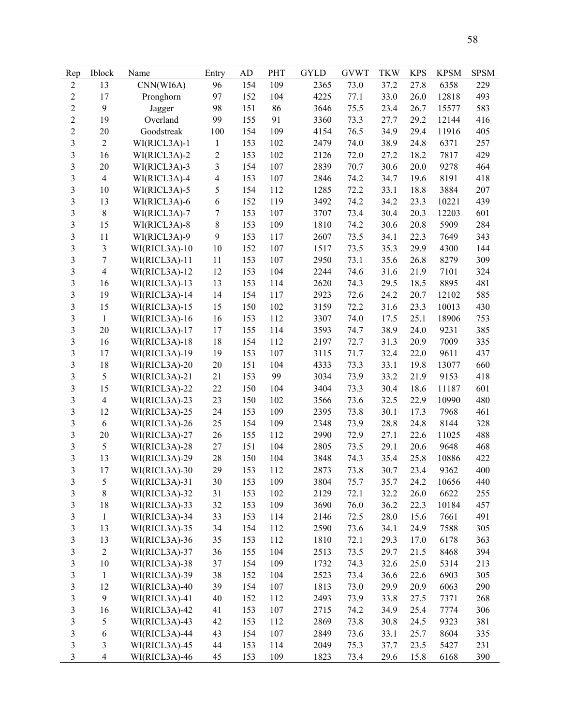| Rep                     | Iblock                  | Name                           | Entry                   | AD         | PHT | <b>GYLD</b> | <b>GVWT</b> | <b>TKW</b> | <b>KPS</b>   | <b>KPSM</b> | <b>SPSM</b> |
|-------------------------|-------------------------|--------------------------------|-------------------------|------------|-----|-------------|-------------|------------|--------------|-------------|-------------|
| $\mathbf{2}$            | 13                      | CNN(WI6A)                      | 96                      | 154        | 109 | 2365        | 73.0        | 37.2       | 27.8         | 6358        | 229         |
| $\mathbf{2}$            | 17                      | Pronghorn                      | 97                      | 152        | 104 | 4225        | 77.1        | 33.0       | 26.0         | 12818       | 493         |
| $\overline{2}$          | 9                       | Jagger                         | 98                      | 151        | 86  | 3646        | 75.5        | 23.4       | 26.7         | 15577       | 583         |
| $\overline{2}$          | 19                      | Overland                       | 99                      | 155        | 91  | 3360        | 73.3        | 27.7       | 29.2         | 12144       | 416         |
| $\overline{c}$          | 20                      | Goodstreak                     | 100                     | 154        | 109 | 4154        | 76.5        | 34.9       | 29.4         | 11916       | 405         |
| $\overline{\mathbf{3}}$ | $\boldsymbol{2}$        | WI(RICL3A)-1                   | $\mathbf{1}$            | 153        | 102 | 2479        | 74.0        | 38.9       | 24.8         | 6371        | 257         |
| $\overline{\mathbf{3}}$ | 16                      | WI(RICL3A)-2                   | $\mathbf{2}$            | 153        | 102 | 2126        | 72.0        | 27.2       | 18.2         | 7817        | 429         |
| $\overline{\mathbf{3}}$ | 20                      | WI(RICL3A)-3                   | 3                       | 154        | 107 | 2839        | 70.7        | 30.6       | 20.0         | 9278        | 464         |
| $\overline{\mathbf{3}}$ | $\overline{4}$          | WI(RICL3A)-4                   | $\overline{\mathbf{4}}$ | 153        | 107 | 2846        | 74.2        | 34.7       | 19.6         | 8191        | 418         |
| $\overline{\mathbf{3}}$ | 10                      | WI(RICL3A)-5                   | 5                       | 154        | 112 | 1285        | 72.2        | 33.1       | 18.8         | 3884        | 207         |
| 3                       | 13                      | WI(RICL3A)-6                   | 6                       | 152        | 119 | 3492        | 74.2        | 34.2       | 23.3         | 10221       | 439         |
| 3                       | $8\,$                   | WI(RICL3A)-7                   | $\tau$                  | 153        | 107 | 3707        | 73.4        | 30.4       | 20.3         | 12203       | 601         |
| $\overline{\mathbf{3}}$ | 15                      | WI(RICL3A)-8                   | $\,8\,$                 | 153        | 109 | 1810        | 74.2        | 30.6       | 20.8         | 5909        | 284         |
| $\overline{\mathbf{3}}$ | 11                      | WI(RICL3A)-9                   | 9                       | 153        | 117 | 2607        | 73.5        | 34.1       | 22.3         | 7649        | 343         |
| 3                       | $\overline{3}$          | WI(RICL3A)-10                  | 10                      | 152        | 107 | 1517        | 73.5        | 35.3       | 29.9         | 4300        | 144         |
| $\overline{\mathbf{3}}$ | $\overline{7}$          | WI(RICL3A)-11                  | 11                      | 153        | 107 | 2950        | 73.1        | 35.6       | 26.8         | 8279        | 309         |
| $\overline{\mathbf{3}}$ | $\overline{4}$          | WI(RICL3A)-12                  | 12                      | 153        | 104 | 2244        | 74.6        | 31.6       | 21.9         | 7101        | 324         |
| 3                       | 16                      | WI(RICL3A)-13                  | 13                      | 153        | 114 | 2620        | 74.3        | 29.5       | 18.5         | 8895        | 481         |
| 3                       | 19                      | WI(RICL3A)-14                  | 14                      | 154        | 117 | 2923        | 72.6        | 24.2       | 20.7         | 12102       | 585         |
| 3                       | 15                      | WI(RICL3A)-15                  | 15                      | 150        | 102 | 3159        | 72.2        | 31.6       | 23.3         | 10013       | 430         |
| 3                       | $\mathbf{1}$            | WI(RICL3A)-16                  | 16                      | 153        | 112 | 3307        | 74.0        | 17.5       | 25.1         | 18906       | 753         |
| $\overline{\mathbf{3}}$ | 20                      | WI(RICL3A)-17                  | 17                      | 155        | 114 | 3593        | 74.7        | 38.9       | 24.0         | 9231        | 385         |
| $\overline{\mathbf{3}}$ | 16                      | WI(RICL3A)-18                  | 18                      | 154        | 112 | 2197        | 72.7        | 31.3       | 20.9         | 7009        | 335         |
| $\overline{\mathbf{3}}$ | 17                      | WI(RICL3A)-19                  | 19                      | 153        | 107 | 3115        | 71.7        | 32.4       | 22.0         | 9611        | 437         |
| 3                       | 18                      | WI(RICL3A)-20                  | 20                      | 151        | 104 | 4333        | 73.3        | 33.1       | 19.8         | 13077       | 660         |
| 3                       | 5                       | WI(RICL3A)-21                  | 21                      | 153        | 99  | 3034        | 73.9        | 33.2       | 21.9         | 9153        | 418         |
| 3                       | 15                      | WI(RICL3A)-22                  | 22                      | 150        | 104 | 3404        | 73.3        | 30.4       | 18.6         | 11187       | 601         |
| 3                       | $\overline{4}$          | WI(RICL3A)-23                  | 23                      | 150        | 102 | 3566        | 73.6        | 32.5       | 22.9         | 10990       | 480         |
| 3                       | 12                      | WI(RICL3A)-25                  | 24                      | 153        | 109 | 2395        | 73.8        | 30.1       | 17.3         | 7968        | 461         |
| 3                       | 6                       | WI(RICL3A)-26                  | 25                      | 154        | 109 | 2348        | 73.9        | 28.8       | 24.8         | 8144        | 328         |
| $\overline{\mathbf{3}}$ | 20                      | WI(RICL3A)-27                  | 26                      | 155        | 112 | 2990        | 72.9        | 27.1       | 22.6         | 11025       | 488         |
| 3                       | 5                       | WI(RICL3A)-28                  | 27                      | 151        | 104 | 2805        | 73.5        | 29.1       | 20.6         | 9648        | 468         |
| $\overline{\mathbf{3}}$ | 13                      | WI(RICL3A)-29                  | 28                      | 150        | 104 | 3848        | 74.3        | 35.4       | 25.8         | 10886       | 422         |
| $\overline{3}$          | 17                      | WI(RICL3A)-30                  | 29                      | 153        | 112 | 2873        | 73.8        | 30.7       | 23.4         | 9362        | 400         |
| 3                       | 5                       | WI(RICL3A)-31                  | 30                      | 153        | 109 | 3804        | 75.7        | 35.7       | 24.2         | 10656       | 440         |
| 3                       | $8\,$                   | WI(RICL3A)-32                  | 31                      | 153        | 102 | 2129        | 72.1        | 32.2       | 26.0         | 6622        | 255         |
| 3                       | 18                      | WI(RICL3A)-33                  | 32                      | 153        | 109 | 3690        | 76.0        | 36.2       | 22.3         | 10184       | 457         |
| 3                       | $\mathbf{1}$            | WI(RICL3A)-34                  | 33                      | 153        | 114 | 2146        | 72.5        | 28.0       | 15.6         | 7661        | 491         |
| $\overline{\mathbf{3}}$ | 13                      | WI(RICL3A)-35                  | 34                      | 154        | 112 | 2590        | 73.6        | 34.1       | 24.9         | 7588        | 305         |
| $\overline{\mathbf{3}}$ | 13                      | WI(RICL3A)-36                  | 35                      | 153        | 112 | 1810        | 72.1        | 29.3       | 17.0         | 6178        | 363         |
| $\overline{\mathbf{3}}$ | $\overline{2}$          | WI(RICL3A)-37                  | 36                      | 155        | 104 | 2513        | 73.5        | 29.7       | 21.5         | 8468        | 394         |
|                         | 10                      |                                |                         |            | 109 |             |             |            |              |             |             |
| 3<br>3                  |                         | WI(RICL3A)-38<br>WI(RICL3A)-39 | 37                      | 154<br>152 | 104 | 1732        | 74.3        | 32.6       | 25.0<br>22.6 | 5314        | 213         |
|                         | $\mathbf{1}$            |                                | 38                      |            |     | 2523        | 73.4        | 36.6       |              | 6903        | 305         |
| 3                       | 12                      | WI(RICL3A)-40                  | 39                      | 154        | 107 | 1813        | 73.0        | 29.9       | 20.9         | 6063        | 290         |
| $\overline{\mathbf{3}}$ | 9                       | WI(RICL3A)-41                  | $40\,$                  | 152        | 112 | 2493        | 73.9        | 33.8       | 27.5         | 7371        | 268         |
| $\overline{\mathbf{3}}$ | 16                      | WI(RICL3A)-42                  | 41                      | 153        | 107 | 2715        | 74.2        | 34.9       | 25.4         | 7774        | 306         |
| $\overline{\mathbf{3}}$ | 5                       | WI(RICL3A)-43                  | 42                      | 153        | 112 | 2869        | 73.8        | 30.8       | 24.5         | 9323        | 381         |
| $\overline{\mathbf{3}}$ | 6                       | WI(RICL3A)-44                  | 43                      | 154        | 107 | 2849        | 73.6        | 33.1       | 25.7         | 8604        | 335         |
| $\overline{\mathbf{3}}$ | 3                       | WI(RICL3A)-45                  | 44                      | 153        | 114 | 2049        | 75.3        | 37.7       | 23.5         | 5427        | 231         |
| $\overline{3}$          | $\overline{\mathbf{4}}$ | WI(RICL3A)-46                  | 45                      | 153        | 109 | 1823        | 73.4        | 29.6       | 15.8         | 6168        | 390         |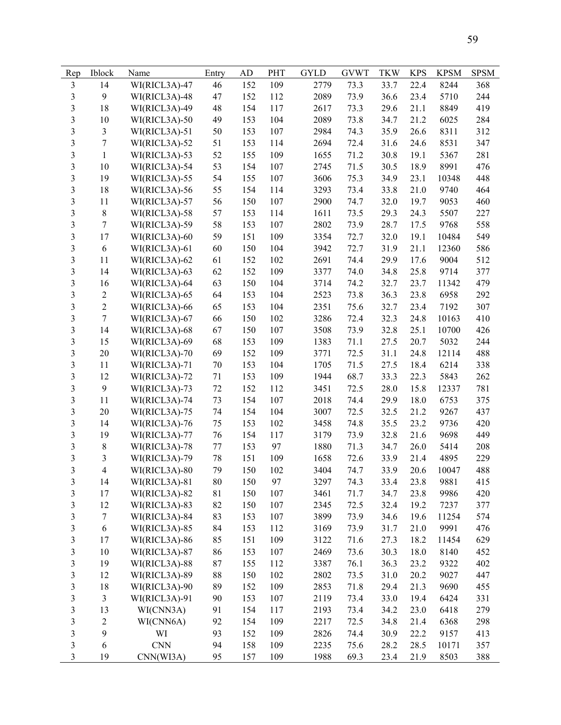| Rep                          | <b>Iblock</b>           | Name          | Entry       | AD  | PHT | <b>GYLD</b>  | <b>GVWT</b> | <b>TKW</b> | <b>KPS</b> | <b>KPSM</b> | <b>SPSM</b> |
|------------------------------|-------------------------|---------------|-------------|-----|-----|--------------|-------------|------------|------------|-------------|-------------|
| $\overline{\mathbf{3}}$      | 14                      | WI(RICL3A)-47 | 46          | 152 | 109 | 2779         | 73.3        | 33.7       | 22.4       | 8244        | 368         |
| 3                            | 9                       | WI(RICL3A)-48 | 47          | 152 | 112 | 2089         | 73.9        | 36.6       | 23.4       | 5710        | 244         |
| 3                            | 18                      | WI(RICL3A)-49 | 48          | 154 | 117 | 2617         | 73.3        | 29.6       | 21.1       | 8849        | 419         |
| 3                            | 10                      | WI(RICL3A)-50 | 49          | 153 | 104 | 2089         | 73.8        | 34.7       | 21.2       | 6025        | 284         |
| 3                            | $\mathfrak{Z}$          | WI(RICL3A)-51 | 50          | 153 | 107 | 2984         | 74.3        | 35.9       | 26.6       | 8311        | 312         |
| 3                            | $\overline{7}$          | WI(RICL3A)-52 | 51          | 153 | 114 | 2694         | 72.4        | 31.6       | 24.6       | 8531        | 347         |
| $\overline{\mathbf{3}}$      | $\mathbf{1}$            | WI(RICL3A)-53 | 52          | 155 | 109 | 1655         | 71.2        | 30.8       | 19.1       | 5367        | 281         |
| 3                            | 10                      | WI(RICL3A)-54 | 53          | 154 | 107 | 2745         | 71.5        | 30.5       | 18.9       | 8991        | 476         |
| 3                            | 19                      | WI(RICL3A)-55 | 54          | 155 | 107 | 3606         | 75.3        | 34.9       | 23.1       | 10348       | 448         |
| 3                            | 18                      | WI(RICL3A)-56 | 55          | 154 | 114 | 3293         | 73.4        | 33.8       | 21.0       | 9740        | 464         |
| 3                            | 11                      | WI(RICL3A)-57 | 56          | 150 | 107 | 2900         | 74.7        | 32.0       | 19.7       | 9053        | 460         |
| 3                            | $8\,$                   | WI(RICL3A)-58 | 57          | 153 | 114 | 1611         | 73.5        | 29.3       | 24.3       | 5507        | 227         |
| 3                            | $\tau$                  | WI(RICL3A)-59 | 58          | 153 | 107 | 2802         | 73.9        | 28.7       | 17.5       | 9768        | 558         |
| 3                            | 17                      | WI(RICL3A)-60 | 59          | 151 | 109 | 3354         | 72.7        | 32.0       | 19.1       | 10484       | 549         |
| $\overline{\mathbf{3}}$      | $\sqrt{6}$              | WI(RICL3A)-61 | 60          | 150 | 104 | 3942         | 72.7        | 31.9       | 21.1       | 12360       | 586         |
| 3                            | 11                      | WI(RICL3A)-62 | 61          | 152 | 102 | 2691         | 74.4        | 29.9       | 17.6       | 9004        | 512         |
| 3                            | 14                      | WI(RICL3A)-63 | 62          | 152 | 109 | 3377         | 74.0        | 34.8       | 25.8       | 9714        | 377         |
| 3                            | 16                      | WI(RICL3A)-64 | 63          | 150 | 104 | 3714         | 74.2        | 32.7       | 23.7       | 11342       | 479         |
| 3                            | $\sqrt{2}$              | WI(RICL3A)-65 | 64          | 153 | 104 | 2523         | 73.8        | 36.3       | 23.8       | 6958        | 292         |
| 3                            | $\overline{2}$          | WI(RICL3A)-66 |             | 153 | 104 |              | 75.6        | 32.7       | 23.4       | 7192        | 307         |
| 3                            | $\boldsymbol{7}$        |               | 65          | 150 | 102 | 2351<br>3286 |             | 32.3       |            |             | 410         |
|                              |                         | WI(RICL3A)-67 | 66          |     |     |              | 72.4        |            | 24.8       | 10163       |             |
| 3<br>$\overline{\mathbf{3}}$ | 14                      | WI(RICL3A)-68 | 67          | 150 | 107 | 3508         | 73.9        | 32.8       | 25.1       | 10700       | 426         |
|                              | 15                      | WI(RICL3A)-69 | 68          | 153 | 109 | 1383         | 71.1        | 27.5       | 20.7       | 5032        | 244         |
| 3                            | 20                      | WI(RICL3A)-70 | 69          | 152 | 109 | 3771         | 72.5        | 31.1       | 24.8       | 12114       | 488         |
| 3                            | 11                      | WI(RICL3A)-71 | $70\,$      | 153 | 104 | 1705         | 71.5        | 27.5       | 18.4       | 6214        | 338         |
| 3                            | 12                      | WI(RICL3A)-72 | 71          | 153 | 109 | 1944         | 68.7        | 33.3       | 22.3       | 5843        | 262         |
| 3                            | 9                       | WI(RICL3A)-73 | 72          | 152 | 112 | 3451         | 72.5        | 28.0       | 15.8       | 12337       | 781         |
| 3                            | 11                      | WI(RICL3A)-74 | 73          | 154 | 107 | 2018         | 74.4        | 29.9       | 18.0       | 6753        | 375         |
| $\overline{\mathbf{3}}$      | 20                      | WI(RICL3A)-75 | 74          | 154 | 104 | 3007         | 72.5        | 32.5       | 21.2       | 9267        | 437         |
| 3                            | 14                      | WI(RICL3A)-76 | 75          | 153 | 102 | 3458         | 74.8        | 35.5       | 23.2       | 9736        | 420         |
| 3                            | 19                      | WI(RICL3A)-77 | 76          | 154 | 117 | 3179         | 73.9        | 32.8       | 21.6       | 9698        | 449         |
| 3                            | $8\,$                   | WI(RICL3A)-78 | 77          | 153 | 97  | 1880         | 71.3        | 34.7       | 26.0       | 5414        | 208         |
| 3                            | 3                       | WI(RICL3A)-79 | 78          | 151 | 109 | 1658         | 72.6        | 33.9       | 21.4       | 4895        | 229         |
| 3                            | 4                       | WI(RICL3A)-80 | 79          | 150 | 102 | 3404         | 74.7        | 33.9       | 20.6       | 10047       | 488         |
| 3                            | 14                      | WI(RICL3A)-81 | 80          | 150 | 97  | 3297         | 74.3        | 33.4       | 23.8       | 9881        | 415         |
| 3                            | 17                      | WI(RICL3A)-82 | $8\sqrt{1}$ | 150 | 107 | 3461         | 71.7        | 34.7       | 23.8       | 9986        | 420         |
| 3                            | 12                      | WI(RICL3A)-83 | 82          | 150 | 107 | 2345         | 72.5        | 32.4       | 19.2       | 7237        | 377         |
| 3                            | $\tau$                  | WI(RICL3A)-84 | 83          | 153 | 107 | 3899         | 73.9        | 34.6       | 19.6       | 11254       | 574         |
| $\overline{\mathbf{3}}$      | 6                       | WI(RICL3A)-85 | 84          | 153 | 112 | 3169         | 73.9        | 31.7       | 21.0       | 9991        | 476         |
| 3                            | 17                      | WI(RICL3A)-86 | 85          | 151 | 109 | 3122         | 71.6        | 27.3       | 18.2       | 11454       | 629         |
| 3                            | 10                      | WI(RICL3A)-87 | 86          | 153 | 107 | 2469         | 73.6        | 30.3       | 18.0       | 8140        | 452         |
| 3                            | 19                      | WI(RICL3A)-88 | 87          | 155 | 112 | 3387         | 76.1        | 36.3       | 23.2       | 9322        | 402         |
| 3                            | 12                      | WI(RICL3A)-89 | 88          | 150 | 102 | 2802         | 73.5        | 31.0       | 20.2       | 9027        | 447         |
| 3                            | 18                      | WI(RICL3A)-90 | 89          | 152 | 109 | 2853         | 71.8        | 29.4       | 21.3       | 9690        | 455         |
| $\overline{\mathbf{3}}$      | $\mathfrak{Z}$          | WI(RICL3A)-91 | 90          | 153 | 107 | 2119         | 73.4        | 33.0       | 19.4       | 6424        | 331         |
| $\overline{\mathbf{3}}$      | 13                      | WI(CNN3A)     | 91          | 154 | 117 | 2193         | 73.4        | 34.2       | 23.0       | 6418        | 279         |
| $\overline{\mathbf{3}}$      | $\overline{\mathbf{c}}$ | WI(CNN6A)     | 92          | 154 | 109 | 2217         | 72.5        | 34.8       | 21.4       | 6368        | 298         |
| 3                            | 9                       | WI            | 93          | 152 | 109 | 2826         | 74.4        | 30.9       | 22.2       | 9157        | 413         |
| 3                            | 6                       | <b>CNN</b>    | 94          | 158 | 109 | 2235         | 75.6        | 28.2       | 28.5       | 10171       | 357         |
| $\overline{\mathbf{3}}$      | 19                      | CNN(WI3A)     | 95          | 157 | 109 | 1988         | 69.3        | 23.4       | 21.9       | 8503        | 388         |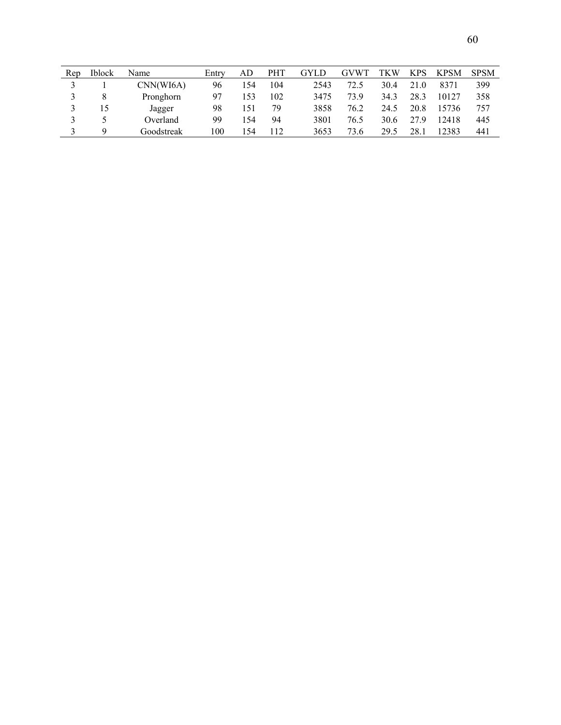| Rep | <b>Iblock</b> | Name       | Entrv | AD  | <b>PHT</b> | GYLD | GVW <sub>1</sub> | TKW  | <b>KPS</b> | <b>KPSM</b> | <b>SPSM</b> |
|-----|---------------|------------|-------|-----|------------|------|------------------|------|------------|-------------|-------------|
|     |               | CNN(WI6A)  | 96    | .54 | 104        | 2543 | 72.5             | 30.4 | 21.0       | 8371        | 399         |
|     |               | Pronghorn  | 97    | 153 | 102        | 3475 | 73.9             | 34.3 | 28.3       | 10127       | 358         |
|     | 15            | Jagger     | 98    | 151 | 79         | 3858 | 76.2             | 24.5 | 20.8       | 15736       | 757         |
|     |               | Overland   | 99    | -54 | 94         | 3801 | 76.5             | 30.6 | 27.9       | 12418       | 445         |
|     | Q             | Goodstreak | 100   | -54 | 112        | 3653 | 73.6             | 29.5 | 28.1       | 12383       | 441         |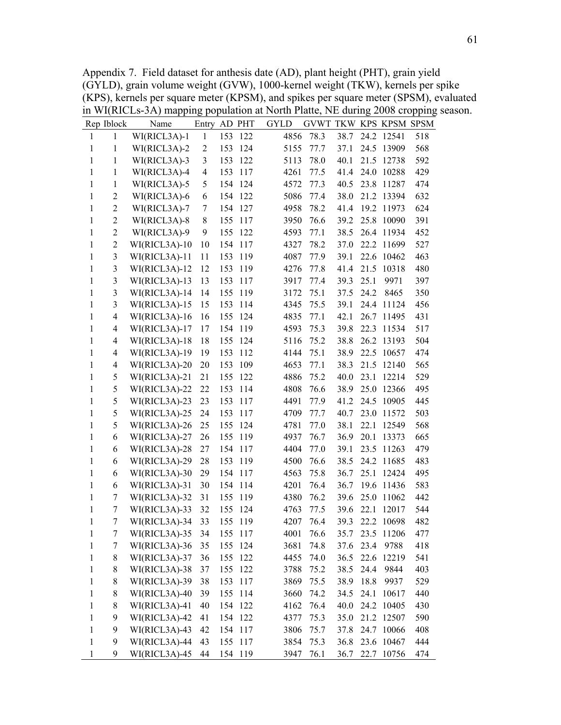Appendix 7. Field dataset for anthesis date (AD), plant height (PHT), grain yield (GYLD), grain volume weight (GVW), 1000-kernel weight (TKW), kernels per spike (KPS), kernels per square meter (KPSM), and spikes per square meter (SPSM), evaluated in WI(RICLs-3A) mapping population at North Platte, NE during 2008 cropping season.

|              | Rep Iblock              | Name            | Entry          |     | AD PHT  | <b>GYLD</b> | GVWT TKW KPS KPSM SPSM |      |      |            |     |
|--------------|-------------------------|-----------------|----------------|-----|---------|-------------|------------------------|------|------|------------|-----|
| 1            | 1                       | WI(RICL3A)-1    | $\mathbf{1}$   | 153 | 122     | 4856        | 78.3                   | 38.7 |      | 24.2 12541 | 518 |
| $\mathbf{1}$ | 1                       | WI(RICL3A)-2    | $\overline{c}$ | 153 | 124     | 5155        | 77.7                   | 37.1 |      | 24.5 13909 | 568 |
| $\mathbf{1}$ | 1                       | WI(RICL3A)-3    | 3              | 153 | 122     | 5113        | 78.0                   | 40.1 | 21.5 | 12738      | 592 |
| $\mathbf{1}$ | 1                       | WI(RICL3A)-4    | $\overline{4}$ | 153 | 117     | 4261        | 77.5                   | 41.4 | 24.0 | 10288      | 429 |
| 1            | 1                       | WI(RICL3A)-5    | 5              | 154 | 124     | 4572        | 77.3                   | 40.5 | 23.8 | 11287      | 474 |
| $\mathbf{1}$ | $\overline{2}$          | WI(RICL3A)-6    | 6              |     | 154 122 | 5086        | 77.4                   | 38.0 |      | 21.2 13394 | 632 |
| $\mathbf{1}$ | $\sqrt{2}$              | WI(RICL3A)-7    | 7              | 154 | 127     | 4958        | 78.2                   | 41.4 | 19.2 | 11973      | 624 |
| $\mathbf{1}$ | $\overline{2}$          | WI(RICL3A)-8    | $8\,$          | 155 | 117     | 3950        | 76.6                   | 39.2 | 25.8 | 10090      | 391 |
| $\mathbf{1}$ | $\overline{2}$          | WI(RICL3A)-9    | 9              | 155 | 122     | 4593        | 77.1                   | 38.5 | 26.4 | 11934      | 452 |
| $\mathbf{1}$ | $\overline{2}$          | WI(RICL3A)-10   | 10             | 154 | 117     | 4327        | 78.2                   | 37.0 | 22.2 | 11699      | 527 |
| $\mathbf{1}$ | $\overline{\mathbf{3}}$ | WI(RICL3A)-11   | 11             | 153 | 119     | 4087        | 77.9                   | 39.1 |      | 22.6 10462 | 463 |
| $\mathbf{1}$ | $\overline{\mathbf{3}}$ | WI(RICL3A)-12   | 12             | 153 | 119     | 4276        | 77.8                   | 41.4 | 21.5 | 10318      | 480 |
| $\mathbf{1}$ | $\overline{\mathbf{3}}$ | WI(RICL3A)-13   | 13             | 153 | 117     | 3917        | 77.4                   | 39.3 | 25.1 | 9971       | 397 |
| $\mathbf{1}$ | $\overline{\mathbf{3}}$ | WI(RICL3A)-14   | 14             | 155 | 119     | 3172        | 75.1                   | 37.5 | 24.2 | 8465       | 350 |
| 1            | 3                       | $WI(RICL3A)-15$ | 15             | 153 | 114     | 4345        | 75.5                   | 39.1 | 24.4 | 11124      | 456 |
| $\mathbf{1}$ | $\overline{4}$          | WI(RICL3A)-16   | 16             | 155 | 124     | 4835        | 77.1                   | 42.1 | 26.7 | 11495      | 431 |
| $\mathbf{1}$ | $\overline{4}$          | WI(RICL3A)-17   | 17             | 154 | 119     | 4593        | 75.3                   | 39.8 | 22.3 | 11534      | 517 |
| 1            | $\overline{4}$          | WI(RICL3A)-18   | 18             | 155 | 124     | 5116        | 75.2                   | 38.8 | 26.2 | 13193      | 504 |
| 1            | $\overline{4}$          | WI(RICL3A)-19   | 19             | 153 | 112     | 4144        | 75.1                   | 38.9 | 22.5 | 10657      | 474 |
| $\mathbf{1}$ | $\overline{4}$          | WI(RICL3A)-20   | 20             | 153 | 109     | 4653        | 77.1                   | 38.3 | 21.5 | 12140      | 565 |
| $\mathbf{1}$ | 5                       | WI(RICL3A)-21   | 21             | 155 | 122     | 4886        | 75.2                   | 40.0 | 23.1 | 12214      | 529 |
| $\mathbf{1}$ | 5                       | WI(RICL3A)-22   | 22             | 153 | 114     | 4808        | 76.6                   | 38.9 |      | 25.0 12366 | 495 |
| 1            | 5                       | WI(RICL3A)-23   | 23             | 153 | 117     | 4491        | 77.9                   | 41.2 | 24.5 | 10905      | 445 |
| $\mathbf{1}$ | 5                       | WI(RICL3A)-25   | 24             | 153 | 117     | 4709        | 77.7                   | 40.7 | 23.0 | 11572      | 503 |
| 1            | 5                       | WI(RICL3A)-26   | 25             | 155 | 124     | 4781        | 77.0                   | 38.1 | 22.1 | 12549      | 568 |
| $\mathbf{1}$ | $\epsilon$              | WI(RICL3A)-27   | 26             | 155 | 119     | 4937        | 76.7                   | 36.9 | 20.1 | 13373      | 665 |
| 1            | 6                       | WI(RICL3A)-28   | 27             | 154 | 117     | 4404        | 77.0                   | 39.1 | 23.5 | 11263      | 479 |
| 1            | 6                       | WI(RICL3A)-29   | 28             | 153 | 119     | 4500        | 76.6                   | 38.5 | 24.2 | 11685      | 483 |
| $\mathbf{1}$ | 6                       | WI(RICL3A)-30   | 29             | 154 | 117     | 4563        | 75.8                   | 36.7 | 25.1 | 12424      | 495 |
| $\mathbf{1}$ | 6                       | WI(RICL3A)-31   | 30             | 154 | 114     | 4201        | 76.4                   | 36.7 | 19.6 | 11436      | 583 |
| 1            | 7                       | WI(RICL3A)-32   | 31             | 155 | 119     | 4380        | 76.2                   | 39.6 | 25.0 | 11062      | 442 |
| $\mathbf{1}$ | 7                       | WI(RICL3A)-33   | 32             | 155 | 124     | 4763        | 77.5                   | 39.6 | 22.1 | 12017      | 544 |
| 1            | 7                       | WI(RICL3A)-34   | 33             | 155 | 119     | 4207        | 76.4                   | 39.3 |      | 22.2 10698 | 482 |
| 1            | 7                       | WI(RICL3A)-35   | 34             |     | 155 117 | 4001        | 76.6                   | 35.7 |      | 23.5 11206 | 477 |
| 1            | 7                       | WI(RICL3A)-36   | 35             | 155 | 124     | 3681        | 74.8                   | 37.6 | 23.4 | 9788       | 418 |
| $\mathbf{1}$ | $8\,$                   | WI(RICL3A)-37   | 36             | 155 | 122     | 4455        | 74.0                   | 36.5 |      | 22.6 12219 | 541 |
| $\,1$        | $8\,$                   | WI(RICL3A)-38   | 37             | 155 | 122     | 3788        | 75.2                   | 38.5 | 24.4 | 9844       | 403 |
| $\,1$        | $8\,$                   | WI(RICL3A)-39   | 38             | 153 | 117     | 3869        | 75.5                   | 38.9 | 18.8 | 9937       | 529 |
| $\mathbf{1}$ | 8                       | WI(RICL3A)-40   | 39             | 155 | 114     | 3660        | 74.2                   | 34.5 | 24.1 | 10617      | 440 |
| $\mathbf{1}$ | $8\,$                   | WI(RICL3A)-41   | 40             |     | 154 122 | 4162        | 76.4                   | 40.0 | 24.2 | 10405      | 430 |
| $\mathbf{1}$ | 9                       | WI(RICL3A)-42   | 41             |     | 154 122 | 4377        | 75.3                   | 35.0 |      | 21.2 12507 | 590 |
| $\mathbf{1}$ | 9                       | WI(RICL3A)-43   | 42             |     | 154 117 | 3806        | 75.7                   | 37.8 |      | 24.7 10066 | 408 |
| $\mathbf{1}$ | 9                       | WI(RICL3A)-44   | 43             |     | 155 117 | 3854        | 75.3                   | 36.8 |      | 23.6 10467 | 444 |
| 1            | 9                       | WI(RICL3A)-45   | 44             |     | 154 119 | 3947        | 76.1                   | 36.7 |      | 22.7 10756 | 474 |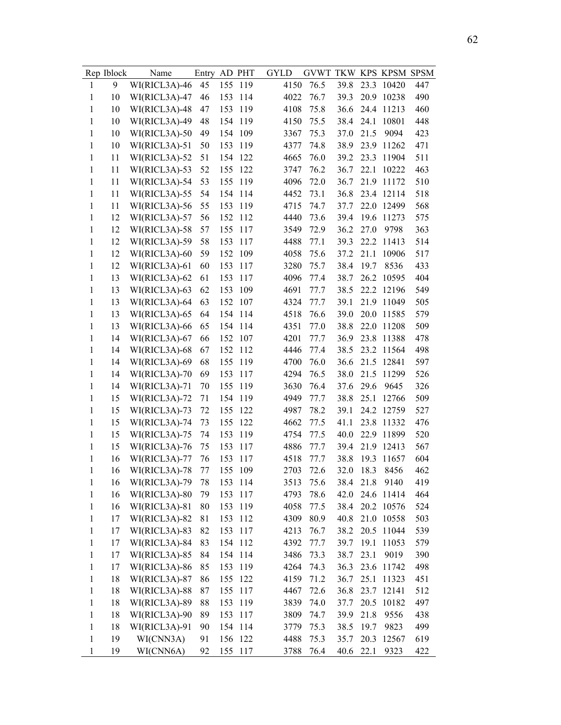|              | Rep Iblock | Name          | Entry |     | AD PHT  | <b>GYLD</b> | GVWT TKW KPS KPSM SPSM |      |      |            |     |
|--------------|------------|---------------|-------|-----|---------|-------------|------------------------|------|------|------------|-----|
| $\mathbf{1}$ | 9          | WI(RICL3A)-46 | 45    | 155 | 119     | 4150        | 76.5                   | 39.8 | 23.3 | 10420      | 447 |
| 1            | 10         | WI(RICL3A)-47 | 46    | 153 | 114     | 4022        | 76.7                   | 39.3 | 20.9 | 10238      | 490 |
| 1            | 10         | WI(RICL3A)-48 | 47    | 153 | 119     | 4108        | 75.8                   | 36.6 | 24.4 | 11213      | 460 |
| 1            | 10         | WI(RICL3A)-49 | 48    | 154 | 119     | 4150        | 75.5                   | 38.4 | 24.1 | 10801      | 448 |
| $\mathbf{1}$ | 10         | WI(RICL3A)-50 | 49    | 154 | 109     | 3367        | 75.3                   | 37.0 | 21.5 | 9094       | 423 |
| $\mathbf{1}$ | 10         | WI(RICL3A)-51 | 50    | 153 | 119     | 4377        | 74.8                   | 38.9 | 23.9 | 11262      | 471 |
| $\mathbf{1}$ | 11         | WI(RICL3A)-52 | 51    | 154 | 122     | 4665        | 76.0                   | 39.2 | 23.3 | 11904      | 511 |
| $\mathbf{1}$ | 11         | WI(RICL3A)-53 | 52    | 155 | 122     | 3747        | 76.2                   | 36.7 | 22.1 | 10222      | 463 |
| $\mathbf{1}$ | 11         | WI(RICL3A)-54 | 53    | 155 | 119     | 4096        | 72.0                   | 36.7 | 21.9 | 11172      | 510 |
| $\mathbf{1}$ | 11         | WI(RICL3A)-55 | 54    | 154 | 114     | 4452        | 73.1                   | 36.8 | 23.4 | 12114      | 518 |
| $\mathbf{1}$ | 11         | WI(RICL3A)-56 | 55    | 153 | 119     | 4715        | 74.7                   | 37.7 | 22.0 | 12499      | 568 |
| $\mathbf{1}$ | 12         | WI(RICL3A)-57 | 56    | 152 | 112     | 4440        | 73.6                   | 39.4 | 19.6 | 11273      | 575 |
| $\mathbf{1}$ | 12         | WI(RICL3A)-58 | 57    | 155 | 117     | 3549        | 72.9                   | 36.2 | 27.0 | 9798       | 363 |
| $\mathbf{1}$ | 12         | WI(RICL3A)-59 | 58    | 153 | 117     | 4488        | 77.1                   | 39.3 | 22.2 | 11413      | 514 |
| $\mathbf{1}$ | 12         | WI(RICL3A)-60 | 59    | 152 | 109     | 4058        | 75.6                   | 37.2 | 21.1 | 10906      | 517 |
| 1            | 12         | WI(RICL3A)-61 | 60    | 153 | 117     | 3280        | 75.7                   | 38.4 | 19.7 | 8536       | 433 |
| $\mathbf{1}$ | 13         | WI(RICL3A)-62 | 61    | 153 | 117     | 4096        | 77.4                   | 38.7 | 26.2 | 10595      | 404 |
| $\mathbf{1}$ | 13         | WI(RICL3A)-63 | 62    | 153 | 109     | 4691        | 77.7                   | 38.5 | 22.2 | 12196      | 549 |
| 1            | 13         | WI(RICL3A)-64 | 63    | 152 | 107     | 4324        | 77.7                   | 39.1 | 21.9 | 11049      | 505 |
| $\mathbf{1}$ | 13         | WI(RICL3A)-65 | 64    | 154 | 114     | 4518        | 76.6                   | 39.0 | 20.0 | 11585      | 579 |
| $\mathbf{1}$ | 13         | WI(RICL3A)-66 | 65    | 154 | 114     | 4351        | 77.0                   | 38.8 | 22.0 | 11208      | 509 |
| $\mathbf{1}$ | 14         | WI(RICL3A)-67 | 66    | 152 | 107     | 4201        | 77.7                   | 36.9 | 23.8 | 11388      | 478 |
| $\mathbf{1}$ | 14         | WI(RICL3A)-68 | 67    | 152 | 112     | 4446        | 77.4                   | 38.5 | 23.2 | 11564      | 498 |
| $\mathbf{1}$ | 14         | WI(RICL3A)-69 | 68    | 155 | 119     | 4700        | 76.0                   | 36.6 | 21.5 | 12841      | 597 |
| 1            | 14         | WI(RICL3A)-70 | 69    | 153 | 117     | 4294        | 76.5                   | 38.0 | 21.5 | 11299      | 526 |
| 1            | 14         | WI(RICL3A)-71 | 70    | 155 | 119     | 3630        | 76.4                   | 37.6 | 29.6 | 9645       | 326 |
| $\mathbf{1}$ | 15         | WI(RICL3A)-72 | 71    | 154 | 119     | 4949        | 77.7                   | 38.8 | 25.1 | 12766      | 509 |
| $\mathbf{1}$ | 15         | WI(RICL3A)-73 | 72    | 155 | 122     | 4987        | 78.2                   | 39.1 | 24.2 | 12759      | 527 |
| $\mathbf{1}$ | 15         | WI(RICL3A)-74 | 73    | 155 | 122     | 4662        | 77.5                   | 41.1 | 23.8 | 11332      | 476 |
| 1            | 15         | WI(RICL3A)-75 | 74    | 153 | 119     | 4754        | 77.5                   | 40.0 | 22.9 | 11899      | 520 |
| $\mathbf{1}$ | 15         | WI(RICL3A)-76 | 75    | 153 | 117     | 4886        | 77.7                   | 39.4 | 21.9 | 12413      | 567 |
| $\mathbf{1}$ | 16         | WI(RICL3A)-77 | 76    | 153 | 117     | 4518        | 77.7                   | 38.8 | 19.3 | 11657      | 604 |
| $\mathbf{1}$ | 16         | WI(RICL3A)-78 | 77    | 155 | 109     | 2703        | 72.6                   | 32.0 | 18.3 | 8456       | 462 |
| 1            | 16         | WI(RICL3A)-79 | 78    |     | 153 114 | 3513        | 75.6                   | 38.4 | 21.8 | 9140       | 419 |
| 1            | 16         | WI(RICL3A)-80 | 79    | 153 | 117     | 4793        | 78.6                   | 42.0 | 24.6 | 11414      | 464 |
| $\mathbf{1}$ | 16         | WI(RICL3A)-81 | 80    | 153 | 119     | 4058        | 77.5                   | 38.4 |      | 20.2 10576 | 524 |
| $\mathbf{1}$ | 17         | WI(RICL3A)-82 | 81    | 153 | 112     | 4309        | 80.9                   | 40.8 |      | 21.0 10558 | 503 |
| $\,1$        | 17         | WI(RICL3A)-83 | 82    | 153 | 117     | 4213        | 76.7                   | 38.2 |      | 20.5 11044 | 539 |
| $\,1$        | 17         | WI(RICL3A)-84 | 83    |     | 154 112 | 4392        | 77.7                   | 39.7 | 19.1 | 11053      | 579 |
| $\mathbf{1}$ | 17         | WI(RICL3A)-85 | 84    |     | 154 114 | 3486        | 73.3                   | 38.7 | 23.1 | 9019       | 390 |
| $\mathbf{1}$ | 17         | WI(RICL3A)-86 | 85    | 153 | 119     | 4264        | 74.3                   | 36.3 | 23.6 | 11742      | 498 |
| $\mathbf{1}$ | 18         | WI(RICL3A)-87 | 86    | 155 | 122     | 4159        | 71.2                   | 36.7 | 25.1 | 11323      | 451 |
| $\mathbf{1}$ | 18         | WI(RICL3A)-88 | 87    | 155 | 117     | 4467        | 72.6                   | 36.8 |      | 23.7 12141 | 512 |
| $\mathbf{1}$ | 18         | WI(RICL3A)-89 | 88    | 153 | 119     | 3839        | 74.0                   | 37.7 | 20.5 | 10182      | 497 |
| 1            | 18         | WI(RICL3A)-90 | 89    | 153 | 117     | 3809        | 74.7                   | 39.9 | 21.8 | 9556       | 438 |
| $\mathbf{1}$ | 18         | WI(RICL3A)-91 | 90    |     | 154 114 | 3779        | 75.3                   | 38.5 | 19.7 | 9823       | 499 |
| 1            | 19         | WI(CNN3A)     | 91    |     | 156 122 | 4488        | 75.3                   | 35.7 | 20.3 | 12567      | 619 |
| 1            | 19         | WI(CNN6A)     | 92    |     | 155 117 | 3788        | 76.4                   | 40.6 | 22.1 | 9323       | 422 |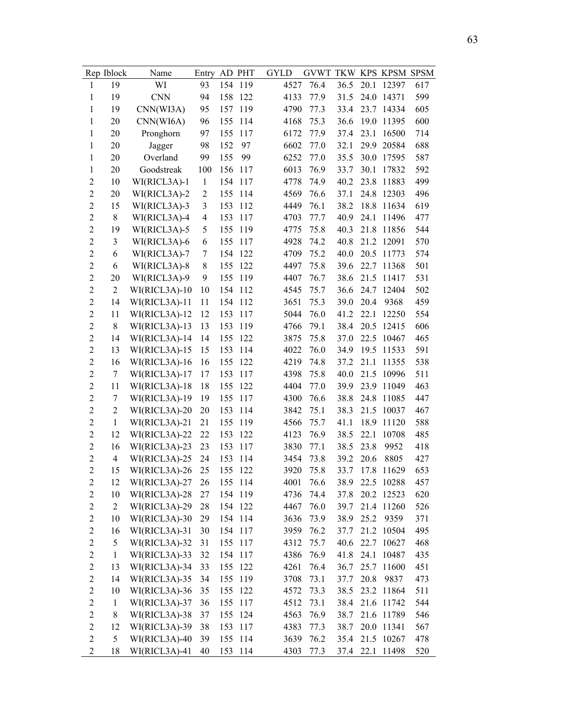|                | Rep Iblock     | Name            | Entry          |     | AD PHT  | <b>GYLD</b> | GVWT TKW KPS KPSM SPSM |      |      |                 |     |
|----------------|----------------|-----------------|----------------|-----|---------|-------------|------------------------|------|------|-----------------|-----|
| $\mathbf{1}$   | 19             | WI              | 93             | 154 | 119     | 4527        | 76.4                   | 36.5 | 20.1 | 12397           | 617 |
| 1              | 19             | <b>CNN</b>      | 94             | 158 | 122     | 4133        | 77.9                   | 31.5 | 24.0 | 14371           | 599 |
| $\mathbf{1}$   | 19             | CNN(WI3A)       | 95             | 157 | 119     | 4790        | 77.3                   | 33.4 | 23.7 | 14334           | 605 |
| 1              | 20             | CNN(WI6A)       | 96             | 155 | 114     | 4168        | 75.3                   | 36.6 | 19.0 | 11395           | 600 |
| 1              | 20             | Pronghorn       | 97             | 155 | 117     | 6172        | 77.9                   | 37.4 | 23.1 | 16500           | 714 |
| 1              | 20             | Jagger          | 98             | 152 | 97      | 6602        | 77.0                   | 32.1 | 29.9 | 20584           | 688 |
| 1              | 20             | Overland        | 99             | 155 | 99      | 6252        | 77.0                   | 35.5 | 30.0 | 17595           | 587 |
| $\mathbf{1}$   | 20             | Goodstreak      | 100            | 156 | 117     | 6013        | 76.9                   | 33.7 | 30.1 | 17832           | 592 |
| $\overline{c}$ | 10             | WI(RICL3A)-1    | $\mathbf{1}$   | 154 | 117     | 4778        | 74.9                   | 40.2 | 23.8 | 11883           | 499 |
| $\overline{2}$ | 20             | WI(RICL3A)-2    | $\overline{2}$ | 155 | 114     | 4569        | 76.6                   | 37.1 | 24.8 | 12303           | 496 |
| $\overline{c}$ | 15             | WI(RICL3A)-3    | 3              | 153 | 112     | 4449        | 76.1                   | 38.2 | 18.8 | 11634           | 619 |
| $\overline{c}$ | $8\,$          | WI(RICL3A)-4    | $\overline{4}$ | 153 | 117     | 4703        | 77.7                   | 40.9 | 24.1 | 11496           | 477 |
| $\overline{c}$ | 19             | WI(RICL3A)-5    | 5              | 155 | 119     | 4775        | 75.8                   | 40.3 | 21.8 | 11856           | 544 |
| $\overline{2}$ | 3              | WI(RICL3A)-6    | 6              | 155 | 117     | 4928        | 74.2                   | 40.8 | 21.2 | 12091           | 570 |
| $\overline{c}$ | 6              | WI(RICL3A)-7    | 7              | 154 | 122     | 4709        | 75.2                   | 40.0 | 20.5 | 11773           | 574 |
| $\overline{c}$ | 6              | WI(RICL3A)-8    | 8              | 155 | 122     | 4497        | 75.8                   | 39.6 | 22.7 | 11368           | 501 |
| $\overline{c}$ | 20             | WI(RICL3A)-9    | 9              | 155 | 119     | 4407        | 76.7                   | 38.6 | 21.5 | 11417           | 531 |
| $\overline{c}$ | $\overline{2}$ | WI(RICL3A)-10   | 10             | 154 | 112     | 4545        | 75.7                   | 36.6 | 24.7 | 12404           | 502 |
| $\overline{2}$ | 14             | WI(RICL3A)-11   | 11             | 154 | 112     | 3651        | 75.3                   | 39.0 | 20.4 | 9368            | 459 |
| $\overline{c}$ | 11             | WI(RICL3A)-12   | 12             | 153 | 117     | 5044        | 76.0                   | 41.2 | 22.1 | 12250           | 554 |
| $\overline{2}$ | 8              | WI(RICL3A)-13   | 13             | 153 | 119     | 4766        | 79.1                   | 38.4 | 20.5 | 12415           | 606 |
| $\overline{c}$ | 14             | WI(RICL3A)-14   | 14             | 155 | 122     | 3875        | 75.8                   | 37.0 | 22.5 | 10467           | 465 |
| $\overline{2}$ | 13             | WI(RICL3A)-15   | 15             | 153 | 114     | 4022        | 76.0                   | 34.9 | 19.5 | 11533           | 591 |
| $\overline{c}$ | 16             | WI(RICL3A)-16   | 16             | 155 | 122     | 4219        | 74.8                   | 37.2 | 21.1 | 11355           | 538 |
| $\overline{2}$ | 7              | WI(RICL3A)-17   | 17             | 153 | 117     | 4398        | 75.8                   | 40.0 | 21.5 | 10996           | 511 |
| $\overline{c}$ | 11             | WI(RICL3A)-18   | 18             | 155 | 122     | 4404        | 77.0                   | 39.9 | 23.9 | 11049           | 463 |
| $\overline{2}$ | 7              | WI(RICL3A)-19   | 19             | 155 | 117     | 4300        | 76.6                   | 38.8 | 24.8 | 11085           | 447 |
| $\overline{c}$ | $\overline{2}$ | WI(RICL3A)-20   | 20             | 153 | 114     | 3842        | 75.1                   | 38.3 | 21.5 | 10037           | 467 |
| $\overline{c}$ | $\mathbf{1}$   | WI(RICL3A)-21   | 21             | 155 | 119     | 4566        | 75.7                   | 41.1 | 18.9 | 11120           | 588 |
| $\overline{2}$ | 12             | WI(RICL3A)-22   | 22             | 153 | 122     | 4123        | 76.9                   | 38.5 | 22.1 | 10708           | 485 |
| $\overline{c}$ | 16             | WI(RICL3A)-23   | 23             | 153 | 117     | 3830        | 77.1                   | 38.5 | 23.8 | 9952            | 418 |
| $\overline{2}$ | $\overline{4}$ | WI(RICL3A)-25   | 24             | 153 | 114     | 3454        | 73.8                   | 39.2 | 20.6 | 8805            | 427 |
| $\overline{2}$ | 15             | WI(RICL3A)-26   | 25             | 155 | 122     | 3920        | 75.8                   | 33.7 | 17.8 | 11629           | 653 |
| 2              | 12             | WI(RICL3A)-27   | 26             |     | 155 114 | 4001        | 76.6                   | 38.9 |      | 22.5 10288      | 457 |
| $\overline{c}$ | 10             | WI(RICL3A)-28   | 27             |     | 154 119 | 4736        | 74.4                   | 37.8 | 20.2 | 12523           | 620 |
| $\overline{c}$ | $\overline{2}$ | $WI(RICL3A)-29$ | 28             |     | 154 122 | 4467        | 76.0                   | 39.7 |      | 21.4 11260      | 526 |
| $\overline{c}$ | 10             | WI(RICL3A)-30   | 29             |     | 154 114 | 3636        | 73.9                   | 38.9 | 25.2 | 9359            | 371 |
| $\overline{c}$ | 16             | WI(RICL3A)-31   | 30             |     | 154 117 | 3959        | 76.2                   | 37.7 |      | 21.2 10504      | 495 |
| $\overline{c}$ | 5              | WI(RICL3A)-32   | 31             |     | 155 117 | 4312        | 75.7                   | 40.6 |      | 22.7 10627      | 468 |
| $\overline{c}$ | $\mathbf{1}$   | WI(RICL3A)-33   | 32             | 154 | 117     | 4386        | 76.9                   | 41.8 | 24.1 | 10487           | 435 |
| $\overline{c}$ | 13             | WI(RICL3A)-34   | 33             |     | 155 122 | 4261        | 76.4                   | 36.7 | 25.7 | 11600           | 451 |
| $\overline{c}$ | 14             | WI(RICL3A)-35   | 34             | 155 | 119     | 3708        | 73.1                   | 37.7 | 20.8 | 9837            | 473 |
| $\overline{c}$ | 10             | WI(RICL3A)-36   | 35             | 155 | 122     | 4572        | 73.3                   | 38.5 |      | 23.2 11864      | 511 |
| $\overline{c}$ | $\mathbf{1}$   | WI(RICL3A)-37   | 36             | 155 | 117     | 4512        | 73.1                   | 38.4 |      | 21.6 11742      | 544 |
| $\overline{c}$ | 8              | WI(RICL3A)-38   | 37             |     | 155 124 | 4563        | 76.9                   | 38.7 |      | 21.6 11789      | 546 |
| $\overline{c}$ | 12             | WI(RICL3A)-39   | 38             | 153 | 117     | 4383        | 77.3                   | 38.7 |      | 20.0 11341      | 567 |
| $\overline{2}$ | 5              | WI(RICL3A)-40   | 39             |     | 155 114 | 3639        | 76.2                   | 35.4 |      | 21.5 10267      | 478 |
| $\overline{c}$ | 18             | WI(RICL3A)-41   | 40             |     | 153 114 | 4303        | 77.3                   |      |      | 37.4 22.1 11498 | 520 |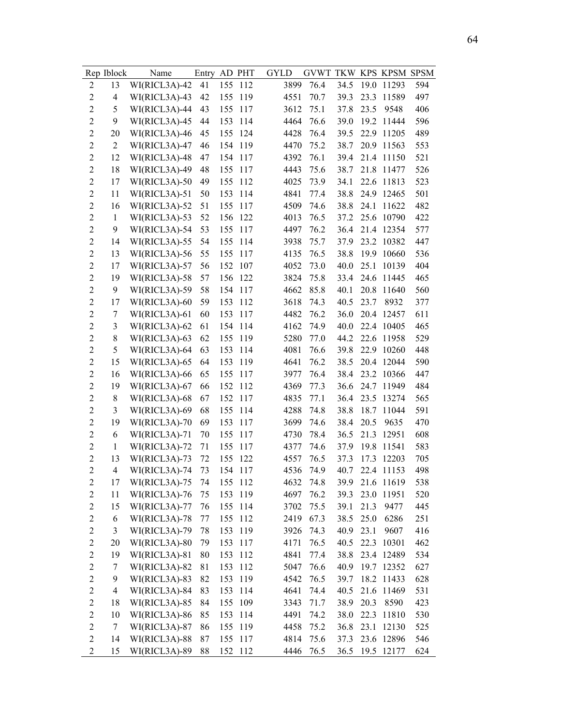|                  | Rep Iblock               | Name          | Entry AD PHT |     |         | <b>GYLD</b> | GVWT TKW KPS KPSM SPSM |      |      |                 |     |
|------------------|--------------------------|---------------|--------------|-----|---------|-------------|------------------------|------|------|-----------------|-----|
| $\overline{2}$   | 13                       | WI(RICL3A)-42 | 41           | 155 | 112     | 3899        | 76.4                   | 34.5 |      | 19.0 11293      | 594 |
| $\overline{c}$   | $\overline{\mathcal{L}}$ | WI(RICL3A)-43 | 42           | 155 | 119     | 4551        | 70.7                   | 39.3 |      | 23.3 11589      | 497 |
| $\overline{c}$   | 5                        | WI(RICL3A)-44 | 43           | 155 | 117     | 3612        | 75.1                   | 37.8 | 23.5 | 9548            | 406 |
| $\overline{2}$   | 9                        | WI(RICL3A)-45 | 44           | 153 | 114     | 4464        | 76.6                   | 39.0 |      | 19.2 11444      | 596 |
| $\overline{2}$   | 20                       | WI(RICL3A)-46 | 45           | 155 | 124     | 4428        | 76.4                   | 39.5 |      | 22.9 11205      | 489 |
| $\overline{2}$   | $\overline{2}$           | WI(RICL3A)-47 | 46           |     | 154 119 | 4470        | 75.2                   | 38.7 |      | 20.9 11563      | 553 |
| $\overline{2}$   | 12                       | WI(RICL3A)-48 | 47           |     | 154 117 | 4392        | 76.1                   | 39.4 |      | 21.4 11150      | 521 |
| $\overline{2}$   | 18                       | WI(RICL3A)-49 | 48           | 155 | 117     | 4443        | 75.6                   | 38.7 |      | 21.8 11477      | 526 |
| $\boldsymbol{2}$ | 17                       | WI(RICL3A)-50 | 49           | 155 | 112     | 4025        | 73.9                   | 34.1 |      | 22.6 11813      | 523 |
| $\boldsymbol{2}$ | 11                       | WI(RICL3A)-51 | 50           | 153 | 114     | 4841        | 77.4                   | 38.8 |      | 24.9 12465      | 501 |
| $\boldsymbol{2}$ | 16                       | WI(RICL3A)-52 | 51           | 155 | 117     | 4509        | 74.6                   | 38.8 | 24.1 | 11622           | 482 |
| $\overline{2}$   | $\mathbf{1}$             | WI(RICL3A)-53 | 52           | 156 | 122     | 4013        | 76.5                   | 37.2 |      | 25.6 10790      | 422 |
| $\overline{c}$   | 9                        | WI(RICL3A)-54 | 53           | 155 | 117     | 4497        | 76.2                   | 36.4 |      | 21.4 12354      | 577 |
| $\boldsymbol{2}$ | 14                       | WI(RICL3A)-55 | 54           | 155 | 114     | 3938        | 75.7                   | 37.9 |      | 23.2 10382      | 447 |
| $\boldsymbol{2}$ | 13                       | WI(RICL3A)-56 | 55           | 155 | 117     | 4135        | 76.5                   | 38.8 | 19.9 | 10660           | 536 |
| $\boldsymbol{2}$ | 17                       | WI(RICL3A)-57 | 56           | 152 | 107     | 4052        | 73.0                   | 40.0 | 25.1 | 10139           | 404 |
| $\overline{2}$   | 19                       | WI(RICL3A)-58 | 57           | 156 | 122     | 3824        | 75.8                   | 33.4 |      | 24.6 11445      | 465 |
| $\overline{2}$   | 9                        | WI(RICL3A)-59 | 58           |     | 154 117 | 4662        | 85.8                   | 40.1 | 20.8 | 11640           | 560 |
| $\boldsymbol{2}$ | 17                       | WI(RICL3A)-60 | 59           | 153 | 112     | 3618        | 74.3                   | 40.5 | 23.7 | 8932            | 377 |
| $\boldsymbol{2}$ | $\boldsymbol{7}$         | WI(RICL3A)-61 | 60           | 153 | 117     | 4482        | 76.2                   | 36.0 |      | 20.4 12457      | 611 |
| $\overline{2}$   | 3                        | WI(RICL3A)-62 | 61           |     | 154 114 | 4162        | 74.9                   | 40.0 |      | 22.4 10405      | 465 |
| $\overline{2}$   | 8                        | WI(RICL3A)-63 | 62           | 155 | 119     | 5280        | 77.0                   | 44.2 |      | 22.6 11958      | 529 |
| $\overline{c}$   | 5                        | WI(RICL3A)-64 | 63           | 153 | 114     | 4081        | 76.6                   | 39.8 |      | 22.9 10260      | 448 |
| $\overline{c}$   | 15                       | WI(RICL3A)-65 | 64           | 153 | 119     | 4641        | 76.2                   | 38.5 |      | 20.4 12044      | 590 |
| $\boldsymbol{2}$ | 16                       | WI(RICL3A)-66 | 65           | 155 | 117     | 3977        | 76.4                   | 38.4 |      | 23.2 10366      | 447 |
| $\overline{2}$   | 19                       | WI(RICL3A)-67 | 66           | 152 | 112     | 4369        | 77.3                   | 36.6 |      | 24.7 11949      | 484 |
| $\boldsymbol{2}$ | 8                        | WI(RICL3A)-68 | 67           | 152 | 117     | 4835        | 77.1                   | 36.4 |      | 23.5 13274      | 565 |
| $\overline{c}$   | 3                        | WI(RICL3A)-69 | 68           | 155 | 114     | 4288        | 74.8                   | 38.8 |      | 18.7 11044      | 591 |
| $\overline{2}$   | 19                       | WI(RICL3A)-70 | 69           | 153 | 117     | 3699        | 74.6                   | 38.4 | 20.5 | 9635            | 470 |
| $\boldsymbol{2}$ | 6                        | WI(RICL3A)-71 | 70           | 155 | 117     | 4730        | 78.4                   | 36.5 |      | 21.3 12951      | 608 |
| $\boldsymbol{2}$ | $\mathbf{1}$             | WI(RICL3A)-72 | 71           | 155 | 117     | 4377        | 74.6                   | 37.9 | 19.8 | 11541           | 583 |
| $\overline{2}$   | 13                       | WI(RICL3A)-73 | 72           |     | 155 122 | 4557        | 76.5                   | 37.3 |      | 17.3 12203      | 705 |
| $\overline{c}$   | 4                        | WI(RICL3A)-74 | 73           |     | 154 117 |             | 4536 74.9              |      |      | 40.7 22.4 11153 | 498 |
| $\boldsymbol{2}$ | 17                       | WI(RICL3A)-75 | 74           |     | 155 112 | 4632        | 74.8                   | 39.9 |      | 21.6 11619      | 538 |
| $\sqrt{2}$       | 11                       | WI(RICL3A)-76 | 75           |     | 153 119 | 4697        | 76.2                   | 39.3 |      | 23.0 11951      | 520 |
| $\sqrt{2}$       | 15                       | WI(RICL3A)-77 | 76           |     | 155 114 | 3702        | 75.5                   | 39.1 | 21.3 | 9477            | 445 |
| $\overline{c}$   | 6                        | WI(RICL3A)-78 | 77           |     | 155 112 | 2419        | 67.3                   | 38.5 | 25.0 | 6286            | 251 |
| $\boldsymbol{2}$ | $\mathfrak{Z}$           | WI(RICL3A)-79 | 78           |     | 153 119 | 3926        | 74.3                   | 40.9 | 23.1 | 9607            | 416 |
| $\overline{c}$   | 20                       | WI(RICL3A)-80 | 79           |     | 153 117 | 4171        | 76.5                   | 40.5 |      | 22.3 10301      | 462 |
| $\overline{c}$   | 19                       | WI(RICL3A)-81 | 80           |     | 153 112 | 4841        | 77.4                   | 38.8 |      | 23.4 12489      | 534 |
| $\overline{c}$   | $\boldsymbol{7}$         | WI(RICL3A)-82 | 81           |     | 153 112 | 5047        | 76.6                   | 40.9 |      | 19.7 12352      | 627 |
| $\overline{2}$   | 9                        | WI(RICL3A)-83 | 82           |     | 153 119 | 4542        | 76.5                   | 39.7 |      | 18.2 11433      | 628 |
| $\boldsymbol{2}$ | $\overline{\mathbf{4}}$  | WI(RICL3A)-84 | 83           |     | 153 114 | 4641        | 74.4                   | 40.5 |      | 21.6 11469      | 531 |
| $\overline{c}$   | 18                       | WI(RICL3A)-85 | 84           |     | 155 109 | 3343        | 71.7                   | 38.9 | 20.3 | 8590            | 423 |
| $\sqrt{2}$       | 10                       | WI(RICL3A)-86 | 85           |     | 153 114 | 4491        | 74.2                   | 38.0 |      | 22.3 11810      | 530 |
| $\overline{c}$   | 7                        | WI(RICL3A)-87 | 86           |     | 155 119 | 4458        | 75.2                   | 36.8 |      | 23.1 12130      | 525 |
| $\overline{2}$   | 14                       | WI(RICL3A)-88 | 87           |     | 155 117 | 4814        | 75.6                   | 37.3 |      | 23.6 12896      | 546 |
| $\overline{c}$   | 15                       | WI(RICL3A)-89 | 88           |     | 152 112 | 4446        | 76.5                   | 36.5 |      | 19.5 12177      | 624 |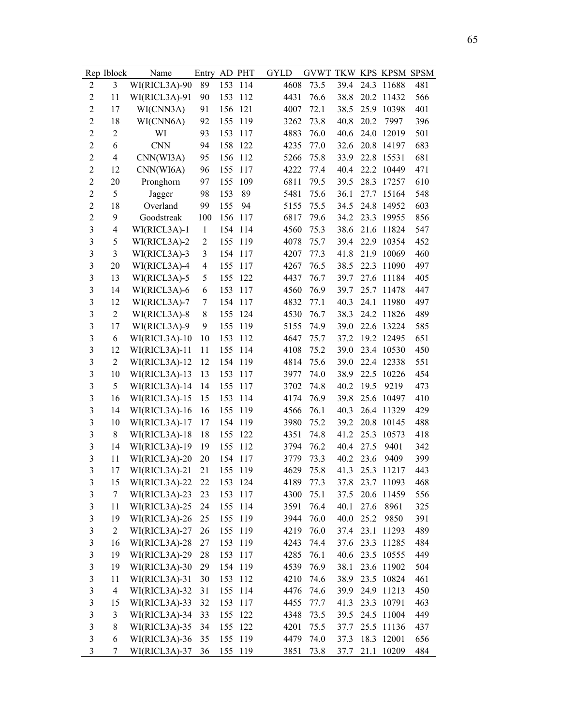|                         | Rep Iblock     | Name            | Entry          |     | AD PHT  | <b>GYLD</b> | GVWT TKW KPS KPSM SPSM |      |      |            |     |
|-------------------------|----------------|-----------------|----------------|-----|---------|-------------|------------------------|------|------|------------|-----|
| $\overline{2}$          | 3              | WI(RICL3A)-90   | 89             | 153 | 114     | 4608        | 73.5                   | 39.4 | 24.3 | 11688      | 481 |
| $\overline{2}$          | 11             | WI(RICL3A)-91   | 90             | 153 | 112     | 4431        | 76.6                   | 38.8 | 20.2 | 11432      | 566 |
| $\boldsymbol{2}$        | 17             | WI(CNN3A)       | 91             | 156 | 121     | 4007        | 72.1                   | 38.5 | 25.9 | 10398      | 401 |
| $\overline{2}$          | 18             | WI(CNN6A)       | 92             | 155 | 119     | 3262        | 73.8                   | 40.8 | 20.2 | 7997       | 396 |
| $\overline{c}$          | $\overline{c}$ | WI              | 93             | 153 | 117     | 4883        | 76.0                   | 40.6 | 24.0 | 12019      | 501 |
| $\overline{2}$          | 6              | <b>CNN</b>      | 94             | 158 | 122     | 4235        | 77.0                   | 32.6 | 20.8 | 14197      | 683 |
| $\overline{c}$          | $\overline{4}$ | CNN(WI3A)       | 95             | 156 | 112     | 5266        | 75.8                   | 33.9 | 22.8 | 15531      | 681 |
| $\boldsymbol{2}$        | 12             | CNN(WI6A)       | 96             | 155 | 117     | 4222        | 77.4                   | 40.4 | 22.2 | 10449      | 471 |
| $\overline{c}$          | 20             | Pronghorn       | 97             | 155 | 109     | 6811        | 79.5                   | 39.5 | 28.3 | 17257      | 610 |
| $\overline{2}$          | 5              | Jagger          | 98             | 153 | 89      | 5481        | 75.6                   | 36.1 | 27.7 | 15164      | 548 |
| $\overline{c}$          | 18             | Overland        | 99             | 155 | 94      | 5155        | 75.5                   | 34.5 | 24.8 | 14952      | 603 |
| $\overline{2}$          | 9              | Goodstreak      | 100            | 156 | 117     | 6817        | 79.6                   | 34.2 | 23.3 | 19955      | 856 |
| $\overline{3}$          | $\overline{4}$ | WI(RICL3A)-1    | $\mathbf{1}$   | 154 | 114     | 4560        | 75.3                   | 38.6 | 21.6 | 11824      | 547 |
| $\overline{3}$          | 5              | WI(RICL3A)-2    | $\overline{2}$ | 155 | 119     | 4078        | 75.7                   | 39.4 | 22.9 | 10354      | 452 |
| $\overline{\mathbf{3}}$ | 3              | WI(RICL3A)-3    | 3              | 154 | 117     | 4207        | 77.3                   | 41.8 | 21.9 | 10069      | 460 |
| $\overline{\mathbf{3}}$ | 20             | WI(RICL3A)-4    | $\overline{4}$ | 155 | 117     | 4267        | 76.5                   | 38.5 | 22.3 | 11090      | 497 |
| 3                       | 13             | WI(RICL3A)-5    | 5              | 155 | 122     | 4437        | 76.7                   | 39.7 | 27.6 | 11184      | 405 |
| $\overline{3}$          | 14             | WI(RICL3A)-6    | 6              | 153 | 117     | 4560        | 76.9                   | 39.7 | 25.7 | 11478      | 447 |
| $\overline{3}$          | 12             | WI(RICL3A)-7    | 7              | 154 | 117     | 4832        | 77.1                   | 40.3 | 24.1 | 11980      | 497 |
| $\overline{\mathbf{3}}$ | $\overline{c}$ | WI(RICL3A)-8    | 8              | 155 | 124     | 4530        | 76.7                   | 38.3 | 24.2 | 11826      | 489 |
| $\overline{\mathbf{3}}$ | 17             | WI(RICL3A)-9    | 9              | 155 | 119     | 5155        | 74.9                   | 39.0 | 22.6 | 13224      | 585 |
| $\overline{\mathbf{3}}$ | 6              | $WI(RICL3A)-10$ | 10             | 153 | 112     | 4647        | 75.7                   | 37.2 | 19.2 | 12495      | 651 |
| $\mathfrak{Z}$          | 12             | WI(RICL3A)-11   | 11             | 155 | 114     | 4108        | 75.2                   | 39.0 | 23.4 | 10530      | 450 |
| $\overline{\mathbf{3}}$ | $\overline{c}$ | WI(RICL3A)-12   | 12             | 154 | 119     | 4814        | 75.6                   | 39.0 | 22.4 | 12338      | 551 |
| $\overline{3}$          | 10             | WI(RICL3A)-13   | 13             | 153 | 117     | 3977        | 74.0                   | 38.9 | 22.5 | 10226      | 454 |
| 3                       | 5              | WI(RICL3A)-14   | 14             | 155 | 117     | 3702        | 74.8                   | 40.2 | 19.5 | 9219       | 473 |
| $\overline{3}$          | 16             | WI(RICL3A)-15   | 15             | 153 | 114     | 4174        | 76.9                   | 39.8 | 25.6 | 10497      | 410 |
| 3                       | 14             | WI(RICL3A)-16   | 16             | 155 | 119     | 4566        | 76.1                   | 40.3 | 26.4 | 11329      | 429 |
| 3                       | 10             | WI(RICL3A)-17   | 17             | 154 | 119     | 3980        | 75.2                   | 39.2 | 20.8 | 10145      | 488 |
| 3                       | 8              | WI(RICL3A)-18   | 18             | 155 | 122     | 4351        | 74.8                   | 41.2 | 25.3 | 10573      | 418 |
| $\overline{3}$          | 14             | WI(RICL3A)-19   | 19             | 155 | 112     | 3794        | 76.2                   | 40.4 | 27.5 | 9401       | 342 |
| $\overline{3}$          | 11             | WI(RICL3A)-20   | 20             | 154 | 117     | 3779        | 73.3                   | 40.2 | 23.6 | 9409       | 399 |
| $\overline{3}$          | 17             | WI(RICL3A)-21   | 21             | 155 | 119     | 4629        | 75.8                   | 41.3 | 25.3 | 11217      | 443 |
| 3                       | 15             | $WI(RICL3A)-22$ | 22             |     | 153 124 | 4189        | 77.3                   | 37.8 |      | 23.7 11093 | 468 |
| 3                       | 7              | $WI(RICL3A)-23$ | 23             | 153 | 117     | 4300        | 75.1                   | 37.5 | 20.6 | 11459      | 556 |
| $\overline{\mathbf{3}}$ | 11             | WI(RICL3A)-25   | 24             | 155 | 114     | 3591        | 76.4                   | 40.1 | 27.6 | 8961       | 325 |
| $\mathfrak{Z}$          | 19             | WI(RICL3A)-26   | 25             | 155 | 119     | 3944        | 76.0                   | 40.0 | 25.2 | 9850       | 391 |
| 3                       | $\overline{2}$ | WI(RICL3A)-27   | 26             | 155 | 119     | 4219        | 76.0                   | 37.4 |      | 23.1 11293 | 489 |
| 3                       | 16             | WI(RICL3A)-28   | 27             | 153 | 119     | 4243        | 74.4                   | 37.6 |      | 23.3 11285 | 484 |
| 3                       | 19             | WI(RICL3A)-29   | 28             | 153 | 117     | 4285        | 76.1                   | 40.6 |      | 23.5 10555 | 449 |
| 3                       | 19             | WI(RICL3A)-30   | 29             |     | 154 119 | 4539        | 76.9                   | 38.1 | 23.6 | 11902      | 504 |
| 3                       | 11             | WI(RICL3A)-31   | 30             | 153 | 112     | 4210        | 74.6                   | 38.9 | 23.5 | 10824      | 461 |
| 3                       | $\overline{4}$ | WI(RICL3A)-32   | 31             | 155 | 114     | 4476        | 74.6                   | 39.9 |      | 24.9 11213 | 450 |
| 3                       | 15             | WI(RICL3A)-33   | 32             | 153 | 117     | 4455        | 77.7                   | 41.3 | 23.3 | 10791      | 463 |
| $\mathfrak{Z}$          | 3              | WI(RICL3A)-34   | 33             | 155 | 122     | 4348        | 73.5                   | 39.5 |      | 24.5 11004 | 449 |
| 3                       | 8              | WI(RICL3A)-35   | 34             | 155 | 122     | 4201        | 75.5                   | 37.7 | 25.5 | 11136      | 437 |
| $\overline{3}$          | 6              | WI(RICL3A)-36   | 35             |     | 155 119 | 4479        | 74.0                   | 37.3 | 18.3 | 12001      | 656 |
| $\overline{\mathbf{3}}$ | 7              | WI(RICL3A)-37   | 36             |     | 155 119 | 3851        | 73.8                   | 37.7 | 21.1 | 10209      | 484 |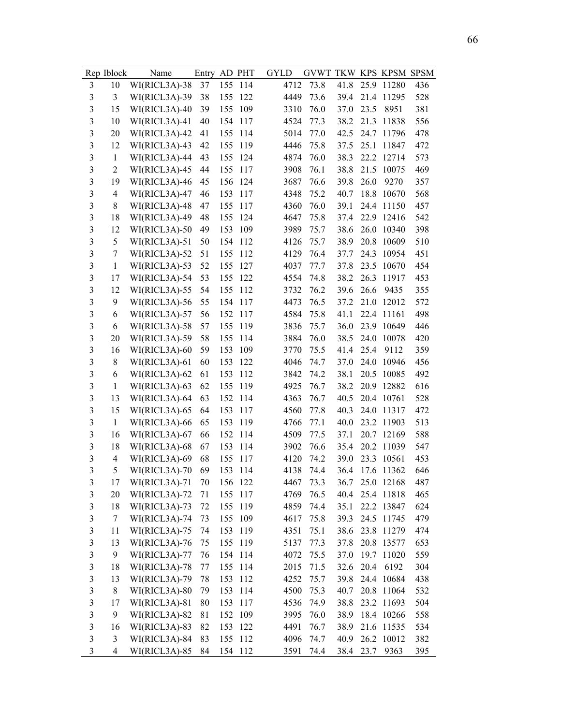|                         | Rep Iblock     | Name                           | Entry |     | AD PHT  | <b>GYLD</b> | GVWT TKW KPS KPSM SPSM |              |      |            |     |
|-------------------------|----------------|--------------------------------|-------|-----|---------|-------------|------------------------|--------------|------|------------|-----|
| 3                       | 10             | WI(RICL3A)-38                  | 37    | 155 | 114     | 4712        | 73.8                   | 41.8         | 25.9 | 11280      | 436 |
| $\mathfrak{Z}$          | 3              | WI(RICL3A)-39                  | 38    | 155 | 122     | 4449        | 73.6                   | 39.4         | 21.4 | 11295      | 528 |
| $\overline{3}$          | 15             | WI(RICL3A)-40                  | 39    | 155 | 109     | 3310        | 76.0                   | 37.0         | 23.5 | 8951       | 381 |
| $\overline{3}$          | 10             | WI(RICL3A)-41                  | 40    | 154 | 117     | 4524        | 77.3                   | 38.2         | 21.3 | 11838      | 556 |
| $\overline{3}$          | 20             | WI(RICL3A)-42                  | 41    | 155 | 114     | 5014        | 77.0                   | 42.5         | 24.7 | 11796      | 478 |
| $\overline{3}$          | 12             | WI(RICL3A)-43                  | 42    | 155 | 119     | 4446        | 75.8                   | 37.5         | 25.1 | 11847      | 472 |
| 3                       | $\mathbf{1}$   | WI(RICL3A)-44                  | 43    | 155 | 124     | 4874        | 76.0                   | 38.3         | 22.2 | 12714      | 573 |
| $\overline{3}$          | $\overline{2}$ | WI(RICL3A)-45                  | 44    | 155 | 117     | 3908        | 76.1                   | 38.8         | 21.5 | 10075      | 469 |
| $\overline{3}$          | 19             | WI(RICL3A)-46                  | 45    | 156 | 124     | 3687        | 76.6                   | 39.8         | 26.0 | 9270       | 357 |
| 3                       | $\overline{4}$ | WI(RICL3A)-47                  | 46    | 153 | 117     | 4348        | 75.2                   | 40.7         | 18.8 | 10670      | 568 |
| 3                       | 8              | WI(RICL3A)-48                  | 47    | 155 | 117     | 4360        | 76.0                   | 39.1         | 24.4 | 11150      | 457 |
| 3                       | 18             | WI(RICL3A)-49                  | 48    | 155 | 124     | 4647        | 75.8                   | 37.4         | 22.9 | 12416      | 542 |
| $\overline{3}$          | 12             | WI(RICL3A)-50                  | 49    | 153 | 109     | 3989        | 75.7                   | 38.6         | 26.0 | 10340      | 398 |
| $\overline{3}$          | 5              | WI(RICL3A)-51                  | 50    | 154 | 112     | 4126        | 75.7                   | 38.9         | 20.8 | 10609      | 510 |
| $\overline{\mathbf{3}}$ | 7              | WI(RICL3A)-52                  | 51    | 155 | 112     | 4129        | 76.4                   | 37.7         | 24.3 | 10954      | 451 |
| 3                       | $\mathbf{1}$   | WI(RICL3A)-53                  | 52    | 155 | 127     | 4037        | 77.7                   | 37.8         | 23.5 | 10670      | 454 |
| 3                       | 17             | WI(RICL3A)-54                  | 53    | 155 | 122     | 4554        | 74.8                   | 38.2         | 26.3 | 11917      | 453 |
| $\mathfrak{Z}$          | 12             | WI(RICL3A)-55                  | 54    | 155 | 112     | 3732        | 76.2                   | 39.6         | 26.6 | 9435       | 355 |
| $\overline{3}$          | 9              | WI(RICL3A)-56                  | 55    | 154 | 117     | 4473        | 76.5                   | 37.2         | 21.0 | 12012      | 572 |
| $\overline{\mathbf{3}}$ | 6              | WI(RICL3A)-57                  | 56    | 152 | 117     | 4584        | 75.8                   | 41.1         | 22.4 | 11161      | 498 |
| 3                       | 6              | WI(RICL3A)-58                  | 57    | 155 | 119     | 3836        | 75.7                   | 36.0         | 23.9 | 10649      | 446 |
| 3                       | 20             | WI(RICL3A)-59                  | 58    | 155 | 114     | 3884        | 76.0                   | 38.5         | 24.0 | 10078      | 420 |
| $\mathfrak{Z}$          | 16             | WI(RICL3A)-60                  | 59    | 153 | 109     | 3770        | 75.5                   | 41.4         | 25.4 | 9112       | 359 |
| $\overline{3}$          | 8              | WI(RICL3A)-61                  | 60    | 153 | 122     | 4046        | 74.7                   | 37.0         | 24.0 | 10946      | 456 |
| $\overline{3}$          | 6              | WI(RICL3A)-62                  | 61    | 153 | 112     | 3842        | 74.2                   | 38.1         | 20.5 | 10085      | 492 |
| 3                       | $\mathbf{1}$   | WI(RICL3A)-63                  | 62    | 155 | 119     | 4925        | 76.7                   | 38.2         | 20.9 | 12882      | 616 |
| $\overline{3}$          | 13             | WI(RICL3A)-64                  | 63    | 152 | 114     | 4363        | 76.7                   | 40.5         | 20.4 | 10761      | 528 |
| 3                       | 15             | WI(RICL3A)-65                  | 64    | 153 | 117     | 4560        | 77.8                   | 40.3         | 24.0 | 11317      | 472 |
| $\mathfrak{Z}$          | $\mathbf{1}$   | WI(RICL3A)-66                  | 65    | 153 | 119     | 4766        | 77.1                   | 40.0         | 23.2 | 11903      | 513 |
| 3                       | 16             | WI(RICL3A)-67                  | 66    | 152 | 114     | 4509        | 77.5                   | 37.1         | 20.7 | 12169      | 588 |
| 3                       | 18             | WI(RICL3A)-68                  | 67    | 153 | 114     | 3902        | 76.6                   | 35.4         | 20.2 | 11039      | 547 |
| 3                       | $\overline{4}$ | WI(RICL3A)-69                  | 68    | 155 | 117     | 4120        | 74.2                   | 39.0         | 23.3 | 10561      | 453 |
| $\overline{3}$          | 5              | WI(RICL3A)-70                  | 69    | 153 | 114     | 4138        | 74.4                   | 36.4         | 17.6 | 11362      | 646 |
| 3                       | 17             | WI(RICL3A)-71                  | 70    |     | 156 122 | 4467        | 73.3                   | 36.7         |      | 25.0 12168 | 487 |
| $\mathfrak{Z}$          | 20             | WI(RICL3A)-72                  | 71    | 155 | 117     | 4769        | 76.5                   | 40.4         |      | 25.4 11818 | 465 |
| $\mathfrak{Z}$          | 18             | WI(RICL3A)-73                  | 72    | 155 | 119     | 4859        | 74.4                   | 35.1         |      | 22.2 13847 | 624 |
| 3                       | $\overline{7}$ | WI(RICL3A)-74                  | 73    | 155 | 109     | 4617        | 75.8                   | 39.3         | 24.5 | 11745      | 479 |
| 3                       |                | WI(RICL3A)-75                  | 74    | 153 |         | 4351        |                        | 38.6         |      | 23.8 11279 | 474 |
| 3                       | 11             |                                |       |     | 119     |             | 75.1                   |              |      | 20.8 13577 |     |
| 3                       | 13             | WI(RICL3A)-76<br>WI(RICL3A)-77 | 75    |     | 155 119 | 5137        | 77.3                   | 37.8         |      |            | 653 |
|                         | 9              |                                | 76    | 154 | 114     | 4072        | 75.5                   | 37.0         | 19.7 | 11020      | 559 |
| 3<br>$\mathfrak{Z}$     | 18             | WI(RICL3A)-78                  | 77    | 155 | 114     | 2015        | 71.5                   | 32.6<br>39.8 | 20.4 | 6192       | 304 |
|                         | 13             | WI(RICL3A)-79                  | 78    | 153 | 112     | 4252        | 75.7                   |              | 24.4 | 10684      | 438 |
| 3                       | $8\,$          | WI(RICL3A)-80                  | 79    | 153 | 114     | 4500        | 75.3                   | 40.7         | 20.8 | 11064      | 532 |
| 3                       | 17             | WI(RICL3A)-81                  | 80    | 153 | 117     | 4536        | 74.9                   | 38.8         |      | 23.2 11693 | 504 |
| $\mathfrak{Z}$          | 9              | WI(RICL3A)-82                  | 81    | 152 | 109     | 3995        | 76.0                   | 38.9         |      | 18.4 10266 | 558 |
| 3                       | 16             | WI(RICL3A)-83                  | 82    | 153 | 122     | 4491        | 76.7                   | 38.9         | 21.6 | 11535      | 534 |
| 3                       | 3              | WI(RICL3A)-84                  | 83    |     | 155 112 | 4096        | 74.7                   | 40.9         | 26.2 | 10012      | 382 |
| 3                       | $\overline{4}$ | WI(RICL3A)-85                  | 84    |     | 154 112 | 3591        | 74.4                   | 38.4         | 23.7 | 9363       | 395 |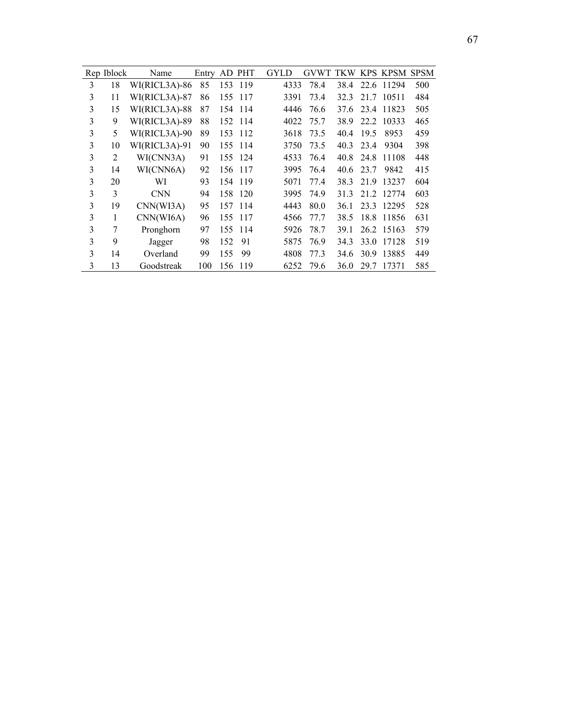|   | Rep Iblock | Name          | Entry |     | AD PHT  | <b>GYLD</b> | GVWT TKW KPS KPSM SPSM |      |      |            |     |
|---|------------|---------------|-------|-----|---------|-------------|------------------------|------|------|------------|-----|
| 3 | 18         | WI(RICL3A)-86 | 85    | 153 | 119     | 4333        | 78.4                   | 38.4 |      | 22.6 11294 | 500 |
| 3 | 11         | WI(RICL3A)-87 | 86    | 155 | 117     | 3391        | 73.4                   | 32.3 |      | 21.7 10511 | 484 |
| 3 | 15         | WI(RICL3A)-88 | 87    | 154 | 114     | 4446        | 76.6                   | 37.6 | 23.4 | 11823      | 505 |
| 3 | 9          | WI(RICL3A)-89 | 88    | 152 | 114     | 4022        | 75.7                   | 38.9 | 22.2 | 10333      | 465 |
| 3 | 5          | WI(RICL3A)-90 | 89    | 153 | 112     | 3618        | 73.5                   | 40.4 | 19.5 | 8953       | 459 |
| 3 | 10         | WI(RICL3A)-91 | 90    | 155 | 114     | 3750        | 73.5                   | 40.3 | 23.4 | 9304       | 398 |
| 3 | 2          | WI(CNN3A)     | 91    | 155 | 124     | 4533        | 76.4                   | 40.8 | 24.8 | 11108      | 448 |
| 3 | 14         | WI(CNN6A)     | 92    | 156 | 117     | 3995        | 76.4                   | 40.6 | 23.7 | 9842       | 415 |
| 3 | 20         | WI            | 93    |     | 154 119 | 5071        | 77.4                   | 38.3 | 21.9 | 13237      | 604 |
| 3 | 3          | <b>CNN</b>    | 94    | 158 | 120     | 3995        | 74.9                   | 31.3 |      | 21.2 12774 | 603 |
| 3 | 19         | CNN(WI3A)     | 95    | 157 | 114     | 4443        | 80.0                   | 36.1 | 23.3 | 12295      | 528 |
| 3 | 1          | CNN(WI6A)     | 96    | 155 | 117     | 4566        | 77.7                   | 38.5 | 18.8 | 11856      | 631 |
| 3 | 7          | Pronghorn     | 97    | 155 | 114     | 5926        | 78.7                   | 39.1 |      | 26.2 15163 | 579 |
| 3 | 9          | Jagger        | 98    | 152 | 91      | 5875        | 76.9                   | 34.3 |      | 33.0 17128 | 519 |
| 3 | 14         | Overland      | 99    | 155 | 99      | 4808        | 77.3                   | 34.6 | 30.9 | 13885      | 449 |
| 3 | 13         | Goodstreak    | 100   | 156 | 119     | 6252        | 79.6                   | 36.0 | 29.7 | 17371      | 585 |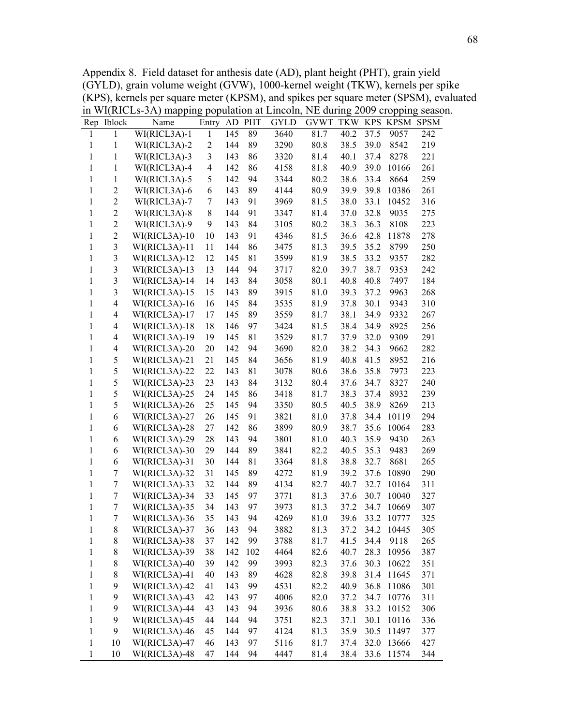Appendix 8. Field dataset for anthesis date (AD), plant height (PHT), grain yield (GYLD), grain volume weight (GVW), 1000-kernel weight (TKW), kernels per spike (KPS), kernels per square meter (KPSM), and spikes per square meter (SPSM), evaluated in WI(RICLs-3A) mapping population at Lincoln, NE during 2009 cropping season.

|              | Rep Iblock               | Name                           | Entry          | AD         | PHT | <b>GYLD</b> | <b>GVWT</b> | <b>TKW</b> |      | KPS KPSM   | <b>SPSM</b> |
|--------------|--------------------------|--------------------------------|----------------|------------|-----|-------------|-------------|------------|------|------------|-------------|
| 1            | 1                        | WI(RICL3A)-1                   | 1              | 145        | 89  | 3640        | 81.7        | 40.2       | 37.5 | 9057       | 242         |
| $\mathbf{1}$ | $\mathbf{1}$             | WI(RICL3A)-2                   | $\overline{c}$ | 144        | 89  | 3290        | 80.8        | 38.5       | 39.0 | 8542       | 219         |
| $\mathbf{1}$ | 1                        | WI(RICL3A)-3                   | 3              | 143        | 86  | 3320        | 81.4        | 40.1       | 37.4 | 8278       | 221         |
| $\mathbf{1}$ | 1                        | WI(RICL3A)-4                   | $\overline{4}$ | 142        | 86  | 4158        | 81.8        | 40.9       | 39.0 | 10166      | 261         |
| 1            | 1                        | WI(RICL3A)-5                   | 5              | 142        | 94  | 3344        | 80.2        | 38.6       | 33.4 | 8664       | 259         |
| $\mathbf{1}$ | $\sqrt{2}$               | WI(RICL3A)-6                   | 6              | 143        | 89  | 4144        | 80.9        | 39.9       | 39.8 | 10386      | 261         |
| 1            | $\sqrt{2}$               | WI(RICL3A)-7                   | 7              | 143        | 91  | 3969        | 81.5        | 38.0       | 33.1 | 10452      | 316         |
| 1            | $\boldsymbol{2}$         | WI(RICL3A)-8                   | 8              | 144        | 91  | 3347        | 81.4        | 37.0       | 32.8 | 9035       | 275         |
| 1            | $\overline{c}$           | WI(RICL3A)-9                   | 9              | 143        | 84  | 3105        | 80.2        | 38.3       | 36.3 | 8108       | 223         |
| $\mathbf{1}$ | $\overline{2}$           | WI(RICL3A)-10                  | 10             | 143        | 91  | 4346        | 81.5        | 36.6       | 42.8 | 11878      | 278         |
| 1            | 3                        | WI(RICL3A)-11                  | 11             | 144        | 86  | 3475        | 81.3        | 39.5       | 35.2 | 8799       | 250         |
| $\mathbf{1}$ | 3                        | WI(RICL3A)-12                  | 12             | 145        | 81  | 3599        | 81.9        | 38.5       | 33.2 | 9357       | 282         |
| $\mathbf{1}$ | 3                        | WI(RICL3A)-13                  | 13             | 144        | 94  | 3717        | 82.0        | 39.7       | 38.7 | 9353       | 242         |
| 1            | $\mathfrak{Z}$           | WI(RICL3A)-14                  | 14             | 143        | 84  | 3058        | 80.1        | 40.8       | 40.8 | 7497       | 184         |
| $\mathbf{1}$ | 3                        | $WI(RICL3A)-15$                | 15             | 143        | 89  | 3915        | 81.0        | 39.3       | 37.2 | 9963       | 268         |
| 1            | $\overline{\mathcal{A}}$ | WI(RICL3A)-16                  | 16             | 145        | 84  | 3535        | 81.9        | 37.8       | 30.1 | 9343       | 310         |
| $\mathbf{1}$ | 4                        | WI(RICL3A)-17                  | 17             | 145        | 89  | 3559        | 81.7        | 38.1       | 34.9 | 9332       | 267         |
| 1            | 4                        | WI(RICL3A)-18                  | 18             | 146        | 97  | 3424        | 81.5        | 38.4       | 34.9 | 8925       | 256         |
| $\mathbf{1}$ | $\overline{\mathcal{A}}$ | WI(RICL3A)-19                  | 19             | 145        | 81  | 3529        | 81.7        | 37.9       | 32.0 | 9309       | 291         |
| $\mathbf{1}$ | $\overline{\mathcal{A}}$ | WI(RICL3A)-20                  | 20             | 142        | 94  | 3690        | 82.0        | 38.2       | 34.3 | 9662       | 282         |
| $\mathbf{1}$ | 5                        | WI(RICL3A)-21                  | 21             | 145        | 84  | 3656        | 81.9        | 40.8       | 41.5 | 8952       | 216         |
| 1            | 5                        | WI(RICL3A)-22                  | 22             | 143        | 81  | 3078        | 80.6        | 38.6       | 35.8 | 7973       | 223         |
| 1            | 5                        | WI(RICL3A)-23                  | 23             | 143        | 84  | 3132        | 80.4        | 37.6       | 34.7 | 8327       | 240         |
| $\mathbf{1}$ | 5                        | WI(RICL3A)-25                  | 24             | 145        | 86  | 3418        | 81.7        | 38.3       | 37.4 | 8932       | 239         |
| 1            | 5                        | WI(RICL3A)-26                  | 25             | 145        | 94  | 3350        | 80.5        | 40.5       | 38.9 | 8269       | 213         |
| $\mathbf{1}$ | 6                        | WI(RICL3A)-27                  | 26             | 145        | 91  | 3821        | 81.0        | 37.8       | 34.4 | 10119      | 294         |
| $\mathbf{1}$ | 6                        | WI(RICL3A)-28                  | 27             | 142        | 86  | 3899        | 80.9        | 38.7       | 35.6 | 10064      | 283         |
| 1            | 6                        | WI(RICL3A)-29                  | 28             | 143        | 94  | 3801        | 81.0        | 40.3       | 35.9 | 9430       | 263         |
| 1            | 6                        | WI(RICL3A)-30                  | 29             | 144        | 89  | 3841        | 82.2        | 40.5       | 35.3 | 9483       | 269         |
| 1            | 6                        | WI(RICL3A)-31                  | 30             | 144        | 81  | 3364        | 81.8        | 38.8       | 32.7 | 8681       | 265         |
| 1            | 7                        | WI(RICL3A)-32                  | 31             | 145        | 89  | 4272        | 81.9        | 39.2       | 37.6 | 10890      | 290         |
| $\mathbf{1}$ | $\tau$                   | WI(RICL3A)-33                  | 32             | 144        | 89  | 4134        | 82.7        | 40.7       | 32.7 | 10164      | 311         |
| $\mathbf{1}$ | 7                        | WI(RICL3A)-34                  | 33             | 145        | 97  | 3771        | 81.3        | 37.6       | 30.7 | 10040      | 327         |
| 1            | $\overline{7}$           | WI(RICL3A)-35                  | 34             | 143        | 97  | 3973        | 81.3        | 37.2       | 34.7 | 10669      | 307         |
| 1            | $\boldsymbol{7}$         | WI(RICL3A)-36                  | 35             | 143        | 94  | 4269        | 81.0        | 39.6       | 33.2 | 10777      | 325         |
| $\mathbf{1}$ | $\,$ $\,$                | WI(RICL3A)-37                  | 36             | 143        | 94  | 3882        | 81.3        | 37.2       |      | 34.2 10445 | 305         |
| $\mathbf{1}$ | $\,8$                    | WI(RICL3A)-38                  | 37             | 142        | 99  | 3788        | 81.7        | 41.5       | 34.4 | 9118       | 265         |
| $\mathbf{1}$ | $\,$ $\,$                | WI(RICL3A)-39                  | 38             | 142        | 102 | 4464        | 82.6        | 40.7       | 28.3 | 10956      | 387         |
| $\mathbf{1}$ | $\,$ $\,$                | WI(RICL3A)-40                  | 39             | 142        | 99  | 3993        | 82.3        | 37.6       | 30.3 | 10622      | 351         |
|              |                          | WI(RICL3A)-41                  | 40             | 143        | 89  |             |             | 39.8       | 31.4 | 11645      | 371         |
| $\mathbf{1}$ | $\,$ $\,$                |                                |                |            | 99  | 4628        | 82.8        |            |      | 11086      |             |
| $\mathbf{1}$ | 9                        | WI(RICL3A)-42<br>WI(RICL3A)-43 | 41             | 143        |     | 4531        | 82.2        | 40.9       | 36.8 |            | 301         |
| $\mathbf{1}$ | 9                        |                                | 42             | 143        | 97  | 4006        | 82.0        | 37.2       | 34.7 | 10776      | 311         |
| $\mathbf{1}$ | 9                        | WI(RICL3A)-44                  | 43             | 143        | 94  | 3936        | 80.6        | 38.8       | 33.2 | 10152      | 306         |
| $\mathbf{1}$ | 9                        | WI(RICL3A)-45<br>WI(RICL3A)-46 | 44             | 144<br>144 | 94  | 3751        | 82.3        | 37.1       | 30.1 | 10116      | 336         |
| $\mathbf{1}$ | 9                        |                                | 45             |            | 97  | 4124        | 81.3        | 35.9       | 30.5 | 11497      | 377         |
| $\mathbf{1}$ | 10                       | WI(RICL3A)-47                  | 46             | 143        | 97  | 5116        | 81.7        | 37.4       | 32.0 | 13666      | 427         |
| $\mathbf{1}$ | 10                       | WI(RICL3A)-48                  | 47             | 144        | 94  | 4447        | 81.4        | 38.4       | 33.6 | 11574      | 344         |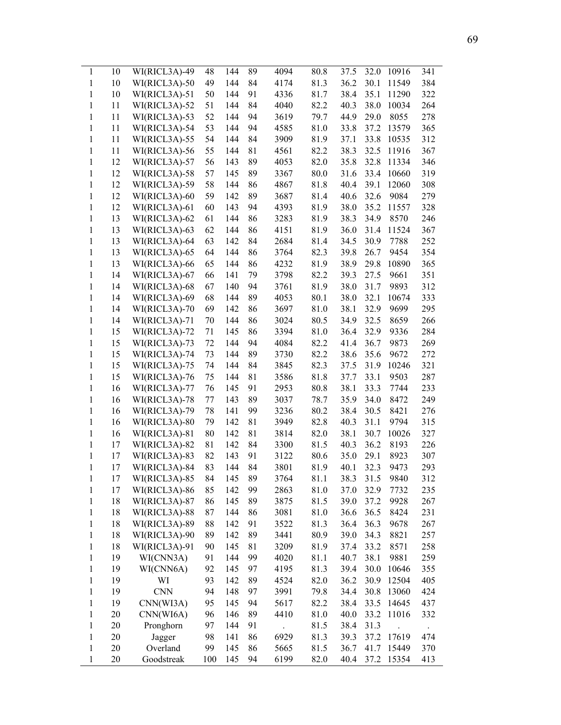| $\mathbf{1}$ | 10 | $WI(RICL3A)-49$ | 48  | 144 | 89 | 4094 | 80.8 | 37.5 | 32.0 | 10916 | 341 |
|--------------|----|-----------------|-----|-----|----|------|------|------|------|-------|-----|
| $\mathbf{1}$ | 10 | WI(RICL3A)-50   | 49  | 144 | 84 | 4174 | 81.3 | 36.2 | 30.1 | 11549 | 384 |
| 1            | 10 | WI(RICL3A)-51   | 50  | 144 | 91 | 4336 | 81.7 | 38.4 | 35.1 | 11290 | 322 |
| 1            | 11 | WI(RICL3A)-52   | 51  | 144 | 84 | 4040 | 82.2 | 40.3 | 38.0 | 10034 | 264 |
| $\mathbf{1}$ | 11 | WI(RICL3A)-53   | 52  | 144 | 94 | 3619 | 79.7 | 44.9 | 29.0 | 8055  | 278 |
| 1            | 11 | WI(RICL3A)-54   | 53  | 144 | 94 | 4585 | 81.0 | 33.8 | 37.2 | 13579 | 365 |
| 1            | 11 | WI(RICL3A)-55   | 54  | 144 | 84 | 3909 | 81.9 | 37.1 | 33.8 | 10535 | 312 |
| 1            | 11 | WI(RICL3A)-56   | 55  | 144 | 81 | 4561 | 82.2 | 38.3 | 32.5 | 11916 | 367 |
| 1            | 12 | WI(RICL3A)-57   | 56  | 143 | 89 | 4053 | 82.0 | 35.8 | 32.8 | 11334 | 346 |
| 1            | 12 | WI(RICL3A)-58   | 57  | 145 | 89 | 3367 | 80.0 | 31.6 | 33.4 | 10660 | 319 |
| 1            | 12 | WI(RICL3A)-59   | 58  | 144 | 86 | 4867 | 81.8 | 40.4 | 39.1 | 12060 | 308 |
| 1            | 12 | WI(RICL3A)-60   | 59  | 142 | 89 | 3687 | 81.4 | 40.6 | 32.6 | 9084  | 279 |
| 1            | 12 | WI(RICL3A)-61   | 60  | 143 | 94 | 4393 | 81.9 | 38.0 | 35.2 | 11557 | 328 |
| 1            | 13 | WI(RICL3A)-62   | 61  | 144 | 86 | 3283 | 81.9 | 38.3 | 34.9 | 8570  | 246 |
| 1            | 13 | WI(RICL3A)-63   | 62  | 144 | 86 | 4151 | 81.9 | 36.0 | 31.4 | 11524 | 367 |
| 1            | 13 | WI(RICL3A)-64   | 63  | 142 | 84 | 2684 | 81.4 | 34.5 | 30.9 | 7788  | 252 |
| 1            | 13 | WI(RICL3A)-65   | 64  | 144 | 86 | 3764 | 82.3 | 39.8 | 26.7 | 9454  | 354 |
| $\mathbf{1}$ | 13 | WI(RICL3A)-66   | 65  | 144 | 86 | 4232 | 81.9 | 38.9 | 29.8 | 10890 | 365 |
| $\mathbf{1}$ | 14 | WI(RICL3A)-67   | 66  | 141 | 79 | 3798 | 82.2 | 39.3 | 27.5 | 9661  | 351 |
| 1            | 14 | WI(RICL3A)-68   | 67  | 140 | 94 | 3761 | 81.9 | 38.0 | 31.7 | 9893  | 312 |
| 1            | 14 | WI(RICL3A)-69   | 68  | 144 | 89 | 4053 | 80.1 | 38.0 | 32.1 | 10674 | 333 |
| 1            | 14 | WI(RICL3A)-70   | 69  | 142 | 86 | 3697 | 81.0 | 38.1 | 32.9 | 9699  | 295 |
| 1            | 14 | WI(RICL3A)-71   |     | 144 | 86 | 3024 | 80.5 | 34.9 | 32.5 | 8659  | 266 |
|              |    |                 | 70  |     |    |      |      |      |      |       |     |
| 1            | 15 | WI(RICL3A)-72   | 71  | 145 | 86 | 3394 | 81.0 | 36.4 | 32.9 | 9336  | 284 |
| 1            | 15 | WI(RICL3A)-73   | 72  | 144 | 94 | 4084 | 82.2 | 41.4 | 36.7 | 9873  | 269 |
| 1            | 15 | WI(RICL3A)-74   | 73  | 144 | 89 | 3730 | 82.2 | 38.6 | 35.6 | 9672  | 272 |
| 1            | 15 | WI(RICL3A)-75   | 74  | 144 | 84 | 3845 | 82.3 | 37.5 | 31.9 | 10246 | 321 |
| $\mathbf{1}$ | 15 | WI(RICL3A)-76   | 75  | 144 | 81 | 3586 | 81.8 | 37.7 | 33.1 | 9503  | 287 |
| 1            | 16 | WI(RICL3A)-77   | 76  | 145 | 91 | 2953 | 80.8 | 38.1 | 33.3 | 7744  | 233 |
| 1            | 16 | WI(RICL3A)-78   | 77  | 143 | 89 | 3037 | 78.7 | 35.9 | 34.0 | 8472  | 249 |
| 1            | 16 | WI(RICL3A)-79   | 78  | 141 | 99 | 3236 | 80.2 | 38.4 | 30.5 | 8421  | 276 |
| 1            | 16 | WI(RICL3A)-80   | 79  | 142 | 81 | 3949 | 82.8 | 40.3 | 31.1 | 9794  | 315 |
| 1            | 16 | WI(RICL3A)-81   | 80  | 142 | 81 | 3814 | 82.0 | 38.1 | 30.7 | 10026 | 327 |
| 1            | 17 | WI(RICL3A)-82   | 81  | 142 | 84 | 3300 | 81.5 | 40.3 | 36.2 | 8193  | 226 |
| $\mathbf{1}$ | 17 | WI(RICL3A)-83   | 82  | 143 | 91 | 3122 | 80.6 | 35.0 | 29.1 | 8923  | 307 |
| $\mathbf{1}$ | 17 | WI(RICL3A)-84   | 83  | 144 | 84 | 3801 | 81.9 | 40.1 | 32.3 | 9473  | 293 |
| 1            | 17 | WI(RICL3A)-85   | 84  | 145 | 89 | 3764 | 81.1 | 38.3 | 31.5 | 9840  | 312 |
| $\mathbf{1}$ | 17 | WI(RICL3A)-86   | 85  | 142 | 99 | 2863 | 81.0 | 37.0 | 32.9 | 7732  | 235 |
| $\mathbf{1}$ | 18 | WI(RICL3A)-87   | 86  | 145 | 89 | 3875 | 81.5 | 39.0 | 37.2 | 9928  | 267 |
| $\mathbf{1}$ | 18 | WI(RICL3A)-88   | 87  | 144 | 86 | 3081 | 81.0 | 36.6 | 36.5 | 8424  | 231 |
| $\mathbf{1}$ | 18 | WI(RICL3A)-89   | 88  | 142 | 91 | 3522 | 81.3 | 36.4 | 36.3 | 9678  | 267 |
| $\mathbf{1}$ | 18 | WI(RICL3A)-90   | 89  | 142 | 89 | 3441 | 80.9 | 39.0 | 34.3 | 8821  | 257 |
| 1            | 18 | WI(RICL3A)-91   | 90  | 145 | 81 | 3209 | 81.9 | 37.4 | 33.2 | 8571  | 258 |
| $\mathbf{1}$ | 19 | WI(CNN3A)       | 91  | 144 | 99 | 4020 | 81.1 | 40.7 | 38.1 | 9881  | 259 |
| $\mathbf{1}$ | 19 | WI(CNN6A)       | 92  | 145 | 97 | 4195 | 81.3 | 39.4 | 30.0 | 10646 | 355 |
| 1            | 19 | WI              | 93  | 142 | 89 | 4524 | 82.0 | 36.2 | 30.9 | 12504 | 405 |
| $\mathbf{1}$ | 19 | <b>CNN</b>      | 94  | 148 | 97 | 3991 | 79.8 | 34.4 | 30.8 | 13060 | 424 |
| $\mathbf{1}$ | 19 | CNN(WI3A)       | 95  | 145 | 94 | 5617 | 82.2 | 38.4 | 33.5 | 14645 | 437 |
| $\mathbf{1}$ | 20 | CNN(WI6A)       | 96  | 146 | 89 | 4410 | 81.0 | 40.0 | 33.2 | 11016 | 332 |
| $\mathbf{1}$ | 20 | Pronghorn       | 97  | 144 | 91 |      | 81.5 | 38.4 | 31.3 |       |     |
| $\mathbf{1}$ | 20 | Jagger          | 98  | 141 | 86 | 6929 | 81.3 | 39.3 | 37.2 | 17619 | 474 |
| 1            | 20 | Overland        | 99  | 145 | 86 | 5665 | 81.5 | 36.7 | 41.7 | 15449 | 370 |
| $\mathbf{1}$ | 20 | Goodstreak      | 100 | 145 | 94 | 6199 | 82.0 | 40.4 | 37.2 | 15354 | 413 |
|              |    |                 |     |     |    |      |      |      |      |       |     |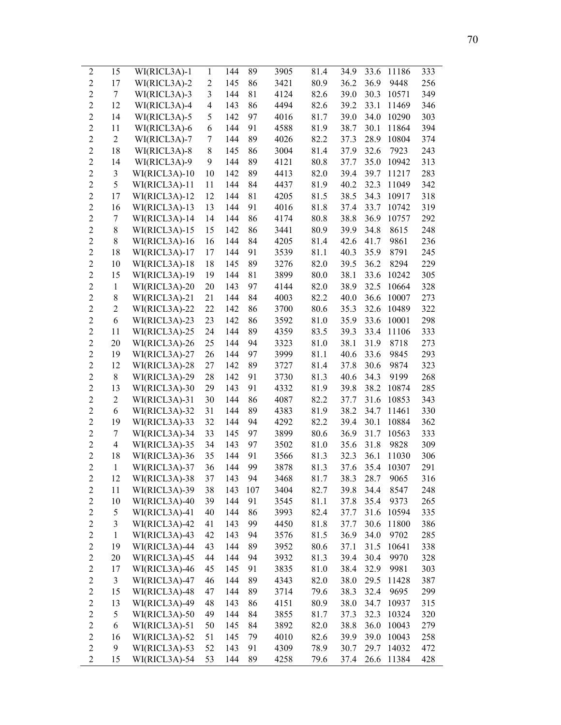| $\boldsymbol{2}$ | 15             | WI(RICL3A)-1  | $\mathbf{1}$   | 144 | 89  | 3905 | 81.4 | 34.9 | 33.6 | 11186 | 333 |
|------------------|----------------|---------------|----------------|-----|-----|------|------|------|------|-------|-----|
| $\mathfrak{2}$   | 17             | WI(RICL3A)-2  | $\overline{2}$ | 145 | 86  | 3421 | 80.9 | 36.2 | 36.9 | 9448  | 256 |
| $\overline{2}$   | 7              | WI(RICL3A)-3  | 3              | 144 | 81  | 4124 | 82.6 | 39.0 | 30.3 | 10571 | 349 |
| $\overline{2}$   | 12             | WI(RICL3A)-4  | $\overline{4}$ | 143 | 86  | 4494 | 82.6 | 39.2 | 33.1 | 11469 | 346 |
| $\overline{2}$   | 14             | WI(RICL3A)-5  | 5              | 142 | 97  | 4016 | 81.7 | 39.0 | 34.0 | 10290 | 303 |
| $\overline{2}$   | 11             | WI(RICL3A)-6  | 6              | 144 | 91  | 4588 | 81.9 | 38.7 | 30.1 | 11864 | 394 |
| $\overline{2}$   | 2              | WI(RICL3A)-7  | 7              | 144 | 89  | 4026 | 82.2 | 37.3 | 28.9 | 10804 | 374 |
| $\overline{2}$   | 18             | WI(RICL3A)-8  | 8              | 145 | 86  | 3004 | 81.4 | 37.9 | 32.6 | 7923  | 243 |
| $\overline{2}$   | 14             | WI(RICL3A)-9  | 9              | 144 | 89  | 4121 | 80.8 | 37.7 | 35.0 | 10942 | 313 |
| $\sqrt{2}$       | 3              | WI(RICL3A)-10 | 10             | 142 | 89  | 4413 | 82.0 | 39.4 | 39.7 | 11217 | 283 |
| $\overline{2}$   | 5              | WI(RICL3A)-11 | 11             | 144 | 84  | 4437 | 81.9 | 40.2 | 32.3 | 11049 | 342 |
| $\overline{2}$   | 17             | WI(RICL3A)-12 | 12             | 144 | 81  | 4205 | 81.5 | 38.5 | 34.3 | 10917 | 318 |
| $\overline{2}$   | 16             | WI(RICL3A)-13 | 13             | 144 | 91  | 4016 | 81.8 | 37.4 | 33.7 | 10742 | 319 |
| $\overline{2}$   | 7              | WI(RICL3A)-14 | 14             | 144 | 86  | 4174 | 80.8 | 38.8 | 36.9 | 10757 | 292 |
| $\overline{2}$   | $\,$ $\,$      | WI(RICL3A)-15 | 15             | 142 | 86  | 3441 | 80.9 | 39.9 | 34.8 | 8615  | 248 |
| $\overline{2}$   | 8              | WI(RICL3A)-16 | 16             | 144 | 84  | 4205 | 81.4 | 42.6 | 41.7 | 9861  | 236 |
| $\overline{2}$   | 18             | WI(RICL3A)-17 | 17             | 144 | 91  | 3539 | 81.1 | 40.3 | 35.9 | 8791  | 245 |
| $\sqrt{2}$       | 10             | WI(RICL3A)-18 | 18             | 145 | 89  | 3276 | 82.0 | 39.5 | 36.2 | 8294  | 229 |
| $\overline{2}$   | 15             | WI(RICL3A)-19 | 19             | 144 | 81  | 3899 | 80.0 | 38.1 | 33.6 | 10242 | 305 |
| $\overline{2}$   | $\mathbf{1}$   | WI(RICL3A)-20 | 20             | 143 | 97  | 4144 | 82.0 | 38.9 | 32.5 | 10664 | 328 |
| $\overline{2}$   | 8              | WI(RICL3A)-21 | 21             | 144 | 84  | 4003 | 82.2 | 40.0 | 36.6 | 10007 | 273 |
| $\overline{2}$   | $\overline{2}$ | WI(RICL3A)-22 | 22             | 142 | 86  | 3700 | 80.6 | 35.3 | 32.6 | 10489 | 322 |
| $\overline{2}$   | 6              | WI(RICL3A)-23 | 23             | 142 | 86  | 3592 | 81.0 | 35.9 | 33.6 | 10001 | 298 |
| $\overline{2}$   | 11             | WI(RICL3A)-25 | 24             | 144 | 89  | 4359 | 83.5 | 39.3 | 33.4 | 11106 | 333 |
| $\overline{2}$   | 20             | WI(RICL3A)-26 | 25             | 144 | 94  | 3323 | 81.0 | 38.1 | 31.9 | 8718  | 273 |
| $\overline{2}$   | 19             | WI(RICL3A)-27 | 26             | 144 | 97  | 3999 | 81.1 | 40.6 | 33.6 | 9845  | 293 |
| $\sqrt{2}$       | 12             | WI(RICL3A)-28 | 27             | 142 | 89  | 3727 | 81.4 | 37.8 | 30.6 | 9874  | 323 |
| $\overline{2}$   | $\,$ $\,$      | WI(RICL3A)-29 | 28             | 142 | 91  | 3730 | 81.3 | 40.6 | 34.3 | 9199  | 268 |
| $\sqrt{2}$       | 13             | WI(RICL3A)-30 | 29             | 143 | 91  | 4332 | 81.9 | 39.8 | 38.2 | 10874 | 285 |
| $\overline{2}$   | $\overline{2}$ | WI(RICL3A)-31 | 30             | 144 | 86  | 4087 | 82.2 | 37.7 | 31.6 | 10853 | 343 |
| $\overline{2}$   | 6              | WI(RICL3A)-32 | 31             | 144 | 89  | 4383 | 81.9 | 38.2 | 34.7 | 11461 | 330 |
| $\overline{2}$   | 19             | WI(RICL3A)-33 | 32             | 144 | 94  | 4292 | 82.2 | 39.4 | 30.1 | 10884 | 362 |
| $\sqrt{2}$       | 7              | WI(RICL3A)-34 | 33             | 145 | 97  | 3899 | 80.6 | 36.9 | 31.7 | 10563 | 333 |
| $\overline{2}$   | $\overline{4}$ | WI(RICL3A)-35 | 34             | 143 | 97  | 3502 | 81.0 | 35.6 | 31.8 | 9828  | 309 |
| $\overline{2}$   | 18             | WI(RICL3A)-36 | 35             | 144 | 91  | 3566 | 81.3 | 32.3 | 36.1 | 11030 | 306 |
| $\overline{2}$   | $\mathbf{1}$   | WI(RICL3A)-37 | 36             | 144 | 99  | 3878 | 81.3 | 37.6 | 35.4 | 10307 | 291 |
| 2                | 12             | WI(RICL3A)-38 | 37             | 143 | 94  | 3468 | 81.7 | 38.3 | 28.7 | 9065  | 316 |
| $\overline{c}$   | 11             | WI(RICL3A)-39 | 38             | 143 | 107 | 3404 | 82.7 | 39.8 | 34.4 | 8547  | 248 |
| $\overline{c}$   | 10             | WI(RICL3A)-40 | 39             | 144 | 91  | 3545 | 81.1 | 37.8 | 35.4 | 9373  | 265 |
| $\overline{c}$   | 5              | WI(RICL3A)-41 | 40             | 144 | 86  | 3993 | 82.4 | 37.7 | 31.6 | 10594 | 335 |
| $\overline{2}$   | 3              | WI(RICL3A)-42 | 41             | 143 | 99  | 4450 | 81.8 | 37.7 | 30.6 | 11800 | 386 |
| $\overline{c}$   | $\mathbf{1}$   | WI(RICL3A)-43 | 42             | 143 | 94  | 3576 | 81.5 | 36.9 | 34.0 | 9702  | 285 |
| $\overline{2}$   | 19             | WI(RICL3A)-44 | 43             | 144 | 89  | 3952 | 80.6 | 37.1 | 31.5 | 10641 | 338 |
| $\boldsymbol{2}$ | 20             | WI(RICL3A)-45 | 44             | 144 | 94  | 3932 | 81.3 | 39.4 | 30.4 | 9970  | 328 |
| $\boldsymbol{2}$ | 17             | WI(RICL3A)-46 | 45             | 145 | 91  | 3835 | 81.0 | 38.4 | 32.9 | 9981  | 303 |
| $\boldsymbol{2}$ | 3              | WI(RICL3A)-47 | 46             | 144 | 89  | 4343 | 82.0 | 38.0 | 29.5 | 11428 | 387 |
| $\overline{2}$   | 15             | WI(RICL3A)-48 | 47             | 144 | 89  | 3714 | 79.6 | 38.3 | 32.4 | 9695  | 299 |
| $\boldsymbol{2}$ | 13             | WI(RICL3A)-49 | 48             | 143 | 86  | 4151 | 80.9 | 38.0 | 34.7 | 10937 | 315 |
| $\overline{c}$   | 5              | WI(RICL3A)-50 | 49             | 144 | 84  | 3855 | 81.7 | 37.3 | 32.3 | 10324 | 320 |
| $\overline{c}$   | 6              | WI(RICL3A)-51 | 50             | 145 | 84  | 3892 | 82.0 | 38.8 | 36.0 | 10043 | 279 |
| $\overline{c}$   | 16             | WI(RICL3A)-52 | 51             | 145 | 79  | 4010 | 82.6 | 39.9 | 39.0 | 10043 | 258 |
| $\overline{2}$   | 9              | WI(RICL3A)-53 | 52             | 143 | 91  | 4309 | 78.9 | 30.7 | 29.7 | 14032 | 472 |
| $\boldsymbol{2}$ | 15             | WI(RICL3A)-54 | 53             | 144 | 89  | 4258 | 79.6 | 37.4 | 26.6 | 11384 | 428 |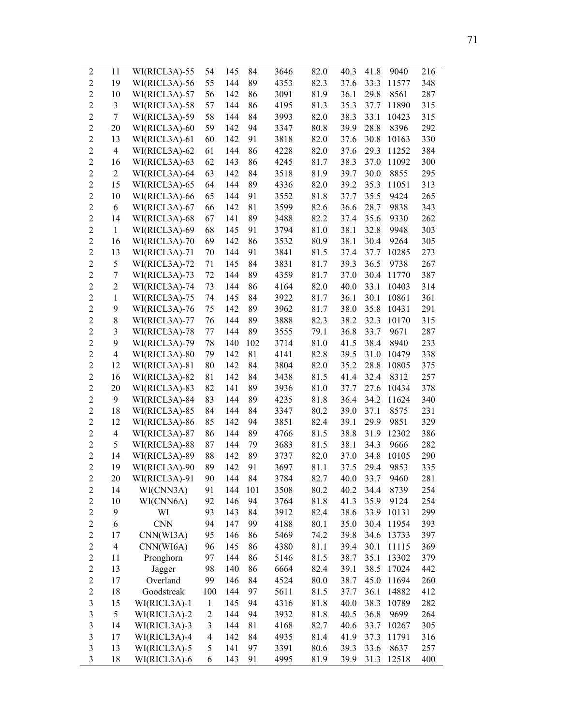| $\overline{c}$ | 11                       | WI(RICL3A)-55 | 54                      | 145 | 84  | 3646 | 82.0         | 40.3 | 41.8 | 9040  | 216 |
|----------------|--------------------------|---------------|-------------------------|-----|-----|------|--------------|------|------|-------|-----|
| $\overline{2}$ | 19                       | WI(RICL3A)-56 | 55                      | 144 | 89  | 4353 | 82.3         | 37.6 | 33.3 | 11577 | 348 |
| $\overline{c}$ | 10                       | WI(RICL3A)-57 | 56                      | 142 | 86  | 3091 | 81.9         | 36.1 | 29.8 | 8561  | 287 |
| $\overline{2}$ | 3                        | WI(RICL3A)-58 | 57                      | 144 | 86  | 4195 | 81.3         | 35.3 | 37.7 | 11890 | 315 |
| $\overline{c}$ | 7                        | WI(RICL3A)-59 | 58                      | 144 | 84  | 3993 | 82.0         | 38.3 | 33.1 | 10423 | 315 |
| $\overline{2}$ | 20                       | WI(RICL3A)-60 | 59                      | 142 | 94  | 3347 | 80.8         | 39.9 | 28.8 | 8396  | 292 |
| $\overline{2}$ | 13                       | WI(RICL3A)-61 | 60                      | 142 | 91  | 3818 | 82.0         | 37.6 | 30.8 | 10163 | 330 |
| $\overline{2}$ | $\overline{4}$           | WI(RICL3A)-62 | 61                      | 144 | 86  | 4228 | 82.0         | 37.6 | 29.3 | 11252 | 384 |
| $\overline{2}$ | 16                       | WI(RICL3A)-63 | 62                      | 143 | 86  | 4245 | 81.7         | 38.3 | 37.0 | 11092 | 300 |
| $\overline{c}$ | $\overline{c}$           | WI(RICL3A)-64 | 63                      | 142 | 84  | 3518 | 81.9         | 39.7 | 30.0 | 8855  | 295 |
| $\overline{2}$ | 15                       | WI(RICL3A)-65 | 64                      | 144 | 89  | 4336 | 82.0         | 39.2 | 35.3 | 11051 | 313 |
| $\overline{2}$ | 10                       | WI(RICL3A)-66 | 65                      | 144 | 91  | 3552 | 81.8         | 37.7 | 35.5 | 9424  | 265 |
| $\overline{2}$ | 6                        | WI(RICL3A)-67 | 66                      | 142 | 81  | 3599 | 82.6         | 36.6 | 28.7 | 9838  | 343 |
| $\overline{2}$ | 14                       | WI(RICL3A)-68 | 67                      | 141 | 89  | 3488 | 82.2         | 37.4 | 35.6 | 9330  | 262 |
| $\overline{2}$ | $\mathbf{1}$             | WI(RICL3A)-69 | 68                      | 145 | 91  | 3794 | 81.0         | 38.1 | 32.8 | 9948  | 303 |
| $\overline{2}$ | 16                       | WI(RICL3A)-70 | 69                      | 142 | 86  | 3532 | 80.9         | 38.1 | 30.4 | 9264  | 305 |
| $\overline{2}$ | 13                       | WI(RICL3A)-71 | 70                      | 144 | 91  | 3841 | 81.5         | 37.4 | 37.7 | 10285 | 273 |
| $\overline{c}$ | 5                        | WI(RICL3A)-72 | 71                      | 145 | 84  | 3831 | 81.7         | 39.3 | 36.5 | 9738  | 267 |
| $\overline{2}$ | 7                        | WI(RICL3A)-73 | 72                      | 144 | 89  | 4359 | 81.7         | 37.0 | 30.4 | 11770 | 387 |
| $\overline{c}$ | $\sqrt{2}$               | WI(RICL3A)-74 | 73                      | 144 | 86  | 4164 | 82.0         | 40.0 | 33.1 | 10403 | 314 |
| $\overline{c}$ | $\mathbf{1}$             | WI(RICL3A)-75 | 74                      | 145 | 84  | 3922 | 81.7         | 36.1 | 30.1 | 10861 | 361 |
| $\overline{2}$ | 9                        | WI(RICL3A)-76 | 75                      | 142 | 89  | 3962 | 81.7         | 38.0 | 35.8 | 10431 | 291 |
| $\overline{c}$ | $8\,$                    | WI(RICL3A)-77 | 76                      | 144 | 89  | 3888 | 82.3         | 38.2 | 32.3 | 10170 | 315 |
| $\overline{2}$ | 3                        | WI(RICL3A)-78 | 77                      | 144 | 89  | 3555 | 79.1         | 36.8 | 33.7 | 9671  | 287 |
| $\overline{2}$ | 9                        | WI(RICL3A)-79 | 78                      | 140 | 102 | 3714 | 81.0         | 41.5 | 38.4 | 8940  | 233 |
| $\overline{2}$ | $\overline{\mathcal{A}}$ | WI(RICL3A)-80 | 79                      | 142 | 81  | 4141 | 82.8         | 39.5 | 31.0 | 10479 | 338 |
| $\overline{c}$ | 12                       | WI(RICL3A)-81 | 80                      | 142 | 84  | 3804 | 82.0         | 35.2 | 28.8 | 10805 | 375 |
| $\overline{2}$ | 16                       | WI(RICL3A)-82 | 81                      | 142 | 84  | 3438 | 81.5         | 41.4 | 32.4 | 8312  | 257 |
| $\overline{c}$ | 20                       | WI(RICL3A)-83 | 82                      | 141 | 89  | 3936 | 81.0         | 37.7 | 27.6 | 10434 | 378 |
| $\overline{2}$ | 9                        | WI(RICL3A)-84 | 83                      | 144 | 89  | 4235 | 81.8         | 36.4 | 34.2 | 11624 | 340 |
| $\overline{c}$ | 18                       | WI(RICL3A)-85 | 84                      | 144 | 84  | 3347 | 80.2         | 39.0 | 37.1 | 8575  | 231 |
| $\overline{2}$ | 12                       | WI(RICL3A)-86 | 85                      | 142 | 94  | 3851 | 82.4         | 39.1 | 29.9 | 9851  | 329 |
| $\overline{2}$ | $\overline{\mathcal{A}}$ | WI(RICL3A)-87 | 86                      | 144 | 89  | 4766 | 81.5         | 38.8 | 31.9 | 12302 | 386 |
| $\overline{2}$ | 5                        | WI(RICL3A)-88 | 87                      | 144 | 79  | 3683 | 81.5         | 38.1 | 34.3 | 9666  | 282 |
| $\overline{2}$ | 14                       | WI(RICL3A)-89 | 88                      | 142 | 89  | 3737 | 82.0         | 37.0 | 34.8 | 10105 | 290 |
| $\overline{2}$ | 19                       | WI(RICL3A)-90 | 89                      | 142 | 91  | 3697 | 81.1         | 37.5 | 29.4 | 9853  | 335 |
| $\overline{2}$ | 20                       | WI(RICL3A)-91 | 90                      | 144 | 84  | 3784 | 82.7         | 40.0 | 33.7 | 9460  | 281 |
| $\overline{c}$ | 14                       | WI(CNN3A)     | 91                      | 144 | 101 | 3508 | 80.2         | 40.2 | 34.4 | 8739  | 254 |
| $\overline{c}$ | 10                       | WI(CNN6A)     | 92                      | 146 | 94  | 3764 | 81.8         | 41.3 | 35.9 | 9124  | 254 |
| $\overline{c}$ | 9                        | WI            | 93                      | 143 | 84  | 3912 | 82.4         | 38.6 | 33.9 | 10131 | 299 |
| $\overline{c}$ | 6                        | <b>CNN</b>    | 94                      | 147 | 99  | 4188 | 80.1         | 35.0 | 30.4 | 11954 | 393 |
| $\overline{c}$ | 17                       | CNN(WI3A)     | 95                      | 146 | 86  | 5469 | 74.2         | 39.8 | 34.6 | 13733 | 397 |
| $\overline{c}$ | 4                        | CNN(WI6A)     | 96                      | 145 | 86  | 4380 | 81.1         | 39.4 | 30.1 | 11115 | 369 |
| $\overline{c}$ | 11                       | Pronghorn     | 97                      | 144 | 86  | 5146 | 81.5         | 38.7 | 35.1 | 13302 | 379 |
| $\overline{c}$ | 13                       | Jagger        | 98                      | 140 | 86  | 6664 | 82.4         | 39.1 | 38.5 | 17024 | 442 |
| $\overline{c}$ | 17                       | Overland      | 99                      | 146 | 84  | 4524 | 80.0         | 38.7 | 45.0 | 11694 | 260 |
| $\overline{c}$ | 18                       | Goodstreak    | 100                     | 144 | 97  | 5611 | 81.5         | 37.7 | 36.1 | 14882 | 412 |
| $\mathfrak{Z}$ | 15                       | WI(RICL3A)-1  | $\mathbf{1}$            | 145 | 94  | 4316 | 81.8         | 40.0 | 38.3 | 10789 | 282 |
| $\mathfrak{Z}$ | 5                        | WI(RICL3A)-2  | $\overline{c}$          | 144 | 94  | 3932 |              | 40.5 | 36.8 | 9699  | 264 |
| $\mathfrak{Z}$ | 14                       | WI(RICL3A)-3  | 3                       | 144 | 81  | 4168 | 81.8<br>82.7 | 40.6 | 33.7 | 10267 | 305 |
| $\mathfrak{Z}$ | 17                       | WI(RICL3A)-4  | $\overline{\mathbf{4}}$ | 142 | 84  | 4935 | 81.4         | 41.9 | 37.3 | 11791 | 316 |
| $\mathfrak{Z}$ | 13                       | WI(RICL3A)-5  | 5                       | 141 | 97  | 3391 | 80.6         | 39.3 | 33.6 | 8637  | 257 |
| $\mathfrak{Z}$ | 18                       | WI(RICL3A)-6  | 6                       | 143 | 91  | 4995 | 81.9         | 39.9 | 31.3 | 12518 | 400 |
|                |                          |               |                         |     |     |      |              |      |      |       |     |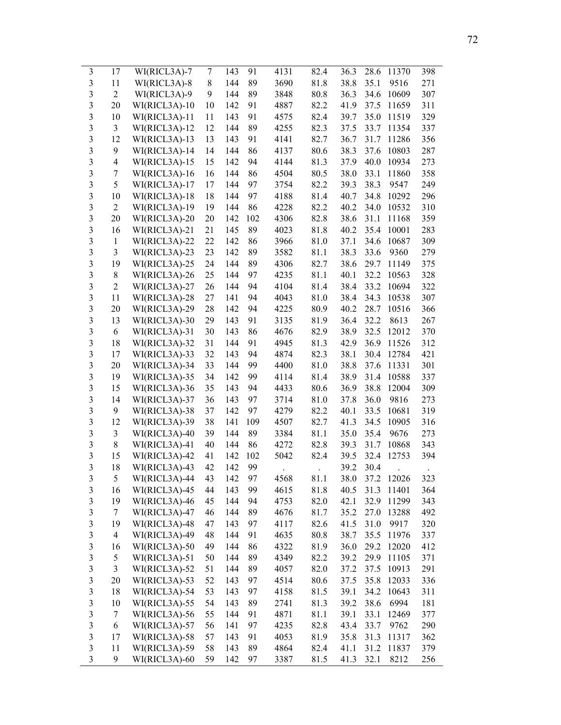| 3                       | 17               | WI(RICL3A)-7  | 7  | 143 | 91  | 4131 | 82.4 | 36.3 | 28.6 | 11370 | 398 |
|-------------------------|------------------|---------------|----|-----|-----|------|------|------|------|-------|-----|
| $\mathfrak{Z}$          | 11               | WI(RICL3A)-8  | 8  | 144 | 89  | 3690 | 81.8 | 38.8 | 35.1 | 9516  | 271 |
| 3                       | $\overline{2}$   | WI(RICL3A)-9  | 9  | 144 | 89  | 3848 | 80.8 | 36.3 | 34.6 | 10609 | 307 |
| 3                       | 20               | WI(RICL3A)-10 | 10 | 142 | 91  | 4887 | 82.2 | 41.9 | 37.5 | 11659 | 311 |
| 3                       | 10               | WI(RICL3A)-11 | 11 | 143 | 91  | 4575 | 82.4 | 39.7 | 35.0 | 11519 | 329 |
| 3                       | $\mathfrak{Z}$   | WI(RICL3A)-12 | 12 | 144 | 89  | 4255 | 82.3 | 37.5 | 33.7 | 11354 | 337 |
| 3                       | 12               | WI(RICL3A)-13 | 13 | 143 | 91  | 4141 | 82.7 | 36.7 | 31.7 | 11286 | 356 |
| 3                       | 9                | WI(RICL3A)-14 | 14 | 144 | 86  | 4137 | 80.6 | 38.3 | 37.6 | 10803 | 287 |
| 3                       | 4                | WI(RICL3A)-15 | 15 | 142 | 94  | 4144 | 81.3 | 37.9 | 40.0 | 10934 | 273 |
| 3                       | 7                | WI(RICL3A)-16 | 16 | 144 | 86  | 4504 | 80.5 | 38.0 | 33.1 | 11860 | 358 |
| $\mathfrak{Z}$          | 5                | WI(RICL3A)-17 | 17 | 144 | 97  | 3754 | 82.2 | 39.3 | 38.3 | 9547  | 249 |
| $\mathfrak{Z}$          | 10               | WI(RICL3A)-18 | 18 | 144 | 97  | 4188 | 81.4 | 40.7 | 34.8 | 10292 | 296 |
| $\mathfrak{Z}$          | $\overline{2}$   | WI(RICL3A)-19 | 19 | 144 | 86  | 4228 | 82.2 | 40.2 | 34.0 | 10532 | 310 |
| 3                       | 20               | WI(RICL3A)-20 | 20 | 142 | 102 | 4306 | 82.8 | 38.6 | 31.1 | 11168 | 359 |
| 3                       | 16               | WI(RICL3A)-21 | 21 | 145 | 89  | 4023 | 81.8 | 40.2 | 35.4 | 10001 | 283 |
| $\mathfrak{Z}$          | $\mathbf{1}$     | WI(RICL3A)-22 | 22 | 142 | 86  | 3966 | 81.0 | 37.1 | 34.6 | 10687 | 309 |
| $\overline{\mathbf{3}}$ | $\mathfrak{Z}$   | WI(RICL3A)-23 | 23 | 142 | 89  | 3582 | 81.1 | 38.3 | 33.6 | 9360  | 279 |
| $\overline{3}$          | 19               | WI(RICL3A)-25 | 24 | 144 | 89  | 4306 | 82.7 | 38.6 | 29.7 | 11149 | 375 |
| $\mathfrak{Z}$          | 8                | WI(RICL3A)-26 | 25 | 144 | 97  | 4235 | 81.1 | 40.1 | 32.2 | 10563 | 328 |
| $\overline{\mathbf{3}}$ | $\overline{2}$   | WI(RICL3A)-27 | 26 | 144 | 94  | 4104 | 81.4 | 38.4 | 33.2 | 10694 | 322 |
| $\mathfrak{Z}$          | 11               | WI(RICL3A)-28 | 27 | 141 | 94  | 4043 | 81.0 | 38.4 | 34.3 | 10538 | 307 |
| $\overline{\mathbf{3}}$ | 20               | WI(RICL3A)-29 | 28 | 142 | 94  | 4225 | 80.9 | 40.2 | 28.7 | 10516 | 366 |
| 3                       | 13               | WI(RICL3A)-30 | 29 | 143 | 91  | 3135 | 81.9 | 36.4 | 32.2 | 8613  | 267 |
| 3                       | 6                | WI(RICL3A)-31 | 30 | 143 | 86  | 4676 | 82.9 | 38.9 | 32.5 | 12012 | 370 |
| 3                       | 18               | WI(RICL3A)-32 | 31 | 144 | 91  | 4945 | 81.3 | 42.9 | 36.9 | 11526 | 312 |
| $\mathfrak{Z}$          | 17               | WI(RICL3A)-33 | 32 | 143 | 94  | 4874 | 82.3 | 38.1 | 30.4 | 12784 | 421 |
| 3                       | 20               | WI(RICL3A)-34 | 33 | 144 | 99  | 4400 | 81.0 | 38.8 | 37.6 | 11331 | 301 |
| $\mathfrak{Z}$          | 19               | WI(RICL3A)-35 | 34 | 142 | 99  | 4114 | 81.4 | 38.9 | 31.4 | 10588 | 337 |
| $\mathfrak{Z}$          | 15               | WI(RICL3A)-36 | 35 | 143 | 94  | 4433 | 80.6 | 36.9 | 38.8 | 12004 | 309 |
| $\mathfrak{Z}$          | 14               | WI(RICL3A)-37 | 36 | 143 | 97  | 3714 | 81.0 | 37.8 | 36.0 | 9816  | 273 |
| 3                       | 9                | WI(RICL3A)-38 | 37 | 142 | 97  | 4279 | 82.2 | 40.1 | 33.5 | 10681 | 319 |
| $\mathfrak{Z}$          | 12               | WI(RICL3A)-39 | 38 | 141 | 109 | 4507 | 82.7 | 41.3 | 34.5 | 10905 | 316 |
| $\mathfrak{Z}$          | 3                | WI(RICL3A)-40 | 39 | 144 | 89  | 3384 | 81.1 | 35.0 | 35.4 | 9676  | 273 |
| $\mathfrak{Z}$          | $8\,$            | WI(RICL3A)-41 | 40 | 144 | 86  | 4272 | 82.8 | 39.3 | 31.7 | 10868 | 343 |
| $\overline{3}$          | 15               | WI(RICL3A)-42 | 41 | 142 | 102 | 5042 | 82.4 | 39.5 | 32.4 | 12753 | 394 |
| 3                       | 18               | WI(RICL3A)-43 | 42 | 142 | 99  |      |      | 39.2 | 30.4 |       |     |
| 3                       | 5                | WI(RICL3A)-44 | 43 | 142 | 97  | 4568 | 81.1 | 38.0 | 37.2 | 12026 | 323 |
| $\mathfrak{Z}$          | 16               | WI(RICL3A)-45 | 44 | 143 | 99  | 4615 | 81.8 | 40.5 | 31.3 | 11401 | 364 |
| $\mathfrak{Z}$          | 19               | WI(RICL3A)-46 | 45 | 144 | 94  | 4753 | 82.0 | 42.1 | 32.9 | 11299 | 343 |
| $\mathfrak{Z}$          | 7                | WI(RICL3A)-47 | 46 | 144 | 89  | 4676 | 81.7 | 35.2 | 27.0 | 13288 | 492 |
| $\mathfrak{Z}$          | 19               | WI(RICL3A)-48 | 47 | 143 | 97  | 4117 | 82.6 | 41.5 | 31.0 | 9917  | 320 |
| $\mathfrak{Z}$          | $\overline{4}$   | WI(RICL3A)-49 | 48 | 144 | 91  | 4635 | 80.8 | 38.7 | 35.5 | 11976 | 337 |
| $\mathfrak{Z}$          | 16               | WI(RICL3A)-50 | 49 | 144 | 86  | 4322 | 81.9 | 36.0 | 29.2 | 12020 | 412 |
| $\mathfrak{Z}$          | 5                | WI(RICL3A)-51 | 50 | 144 | 89  | 4349 | 82.2 | 39.2 | 29.9 | 11105 | 371 |
| $\mathfrak{Z}$          | 3                | WI(RICL3A)-52 | 51 | 144 | 89  | 4057 | 82.0 | 37.2 | 37.5 | 10913 | 291 |
| $\mathfrak{Z}$          | 20               | WI(RICL3A)-53 | 52 | 143 | 97  | 4514 | 80.6 | 37.5 | 35.8 | 12033 | 336 |
| $\mathfrak{Z}$          | 18               | WI(RICL3A)-54 | 53 | 143 | 97  | 4158 | 81.5 | 39.1 | 34.2 | 10643 | 311 |
| $\mathfrak{Z}$          | 10               | WI(RICL3A)-55 | 54 | 143 | 89  | 2741 | 81.3 | 39.2 | 38.6 | 6994  | 181 |
| $\mathfrak{Z}$          | 7                | WI(RICL3A)-56 | 55 | 144 | 91  | 4871 | 81.1 | 39.1 | 33.1 | 12469 | 377 |
| $\mathfrak{Z}$          | $\boldsymbol{6}$ | WI(RICL3A)-57 | 56 | 141 | 97  | 4235 | 82.8 | 43.4 | 33.7 | 9762  | 290 |
| $\mathfrak{Z}$          | 17               | WI(RICL3A)-58 | 57 | 143 | 91  | 4053 | 81.9 | 35.8 | 31.3 | 11317 | 362 |
| $\overline{\mathbf{3}}$ | 11               | WI(RICL3A)-59 | 58 | 143 | 89  | 4864 | 82.4 | 41.1 | 31.2 | 11837 | 379 |
| $\overline{3}$          | 9                | WI(RICL3A)-60 | 59 | 142 | 97  | 3387 | 81.5 | 41.3 | 32.1 | 8212  | 256 |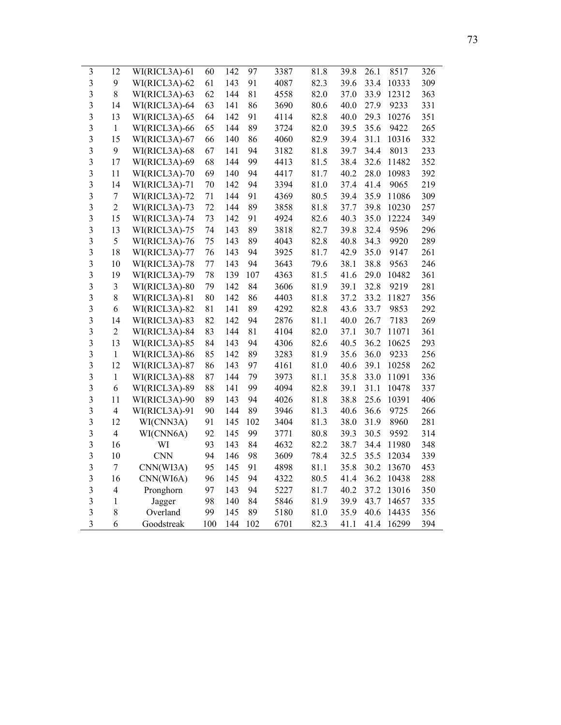| $\mathfrak{Z}$          | 12             | WI(RICL3A)-61 | 60  | 142 | 97  | 3387 | 81.8 | 39.8 | 26.1 | 8517  | 326 |
|-------------------------|----------------|---------------|-----|-----|-----|------|------|------|------|-------|-----|
| 3                       | 9              | WI(RICL3A)-62 | 61  | 143 | 91  | 4087 | 82.3 | 39.6 | 33.4 | 10333 | 309 |
| $\mathfrak{Z}$          | 8              | WI(RICL3A)-63 | 62  | 144 | 81  | 4558 | 82.0 | 37.0 | 33.9 | 12312 | 363 |
| 3                       | 14             | WI(RICL3A)-64 | 63  | 141 | 86  | 3690 | 80.6 | 40.0 | 27.9 | 9233  | 331 |
| 3                       | 13             | WI(RICL3A)-65 | 64  | 142 | 91  | 4114 | 82.8 | 40.0 | 29.3 | 10276 | 351 |
| 3                       | $\mathbf{1}$   | WI(RICL3A)-66 | 65  | 144 | 89  | 3724 | 82.0 | 39.5 | 35.6 | 9422  | 265 |
| 3                       | 15             | WI(RICL3A)-67 | 66  | 140 | 86  | 4060 | 82.9 | 39.4 | 31.1 | 10316 | 332 |
| 3                       | 9              | WI(RICL3A)-68 | 67  | 141 | 94  | 3182 | 81.8 | 39.7 | 34.4 | 8013  | 233 |
| 3                       | 17             | WI(RICL3A)-69 | 68  | 144 | 99  | 4413 | 81.5 | 38.4 | 32.6 | 11482 | 352 |
| 3                       | 11             | WI(RICL3A)-70 | 69  | 140 | 94  | 4417 | 81.7 | 40.2 | 28.0 | 10983 | 392 |
| 3                       | 14             | WI(RICL3A)-71 | 70  | 142 | 94  | 3394 | 81.0 | 37.4 | 41.4 | 9065  | 219 |
| 3                       | $\tau$         | WI(RICL3A)-72 | 71  | 144 | 91  | 4369 | 80.5 | 39.4 | 35.9 | 11086 | 309 |
| $\mathfrak{Z}$          | $\overline{2}$ | WI(RICL3A)-73 | 72  | 144 | 89  | 3858 | 81.8 | 37.7 | 39.8 | 10230 | 257 |
| 3                       | 15             | WI(RICL3A)-74 | 73  | 142 | 91  | 4924 | 82.6 | 40.3 | 35.0 | 12224 | 349 |
| 3                       | 13             | WI(RICL3A)-75 | 74  | 143 | 89  | 3818 | 82.7 | 39.8 | 32.4 | 9596  | 296 |
| 3                       | 5              | WI(RICL3A)-76 | 75  | 143 | 89  | 4043 | 82.8 | 40.8 | 34.3 | 9920  | 289 |
| 3                       | 18             | WI(RICL3A)-77 | 76  | 143 | 94  | 3925 | 81.7 | 42.9 | 35.0 | 9147  | 261 |
| 3                       | 10             | WI(RICL3A)-78 | 77  | 143 | 94  | 3643 | 79.6 | 38.1 | 38.8 | 9563  | 246 |
| 3                       | 19             | WI(RICL3A)-79 | 78  | 139 | 107 | 4363 | 81.5 | 41.6 | 29.0 | 10482 | 361 |
| 3                       | 3              | WI(RICL3A)-80 | 79  | 142 | 84  | 3606 | 81.9 | 39.1 | 32.8 | 9219  | 281 |
| $\overline{\mathbf{3}}$ | 8              | WI(RICL3A)-81 | 80  | 142 | 86  | 4403 | 81.8 | 37.2 | 33.2 | 11827 | 356 |
| 3                       | 6              | WI(RICL3A)-82 | 81  | 141 | 89  | 4292 | 82.8 | 43.6 | 33.7 | 9853  | 292 |
| 3                       | 14             | WI(RICL3A)-83 | 82  | 142 | 94  | 2876 | 81.1 | 40.0 | 26.7 | 7183  | 269 |
| 3                       | $\overline{2}$ | WI(RICL3A)-84 | 83  | 144 | 81  | 4104 | 82.0 | 37.1 | 30.7 | 11071 | 361 |
| 3                       | 13             | WI(RICL3A)-85 | 84  | 143 | 94  | 4306 | 82.6 | 40.5 | 36.2 | 10625 | 293 |
| 3                       | $\mathbf{1}$   | WI(RICL3A)-86 | 85  | 142 | 89  | 3283 | 81.9 | 35.6 | 36.0 | 9233  | 256 |
| $\overline{\mathbf{3}}$ | 12             | WI(RICL3A)-87 | 86  | 143 | 97  | 4161 | 81.0 | 40.6 | 39.1 | 10258 | 262 |
| 3                       | $\mathbf{1}$   | WI(RICL3A)-88 | 87  | 144 | 79  | 3973 | 81.1 | 35.8 | 33.0 | 11091 | 336 |
| 3                       | 6              | WI(RICL3A)-89 | 88  | 141 | 99  | 4094 | 82.8 | 39.1 | 31.1 | 10478 | 337 |
| 3                       | 11             | WI(RICL3A)-90 | 89  | 143 | 94  | 4026 | 81.8 | 38.8 | 25.6 | 10391 | 406 |
| $\mathfrak{Z}$          | $\overline{4}$ | WI(RICL3A)-91 | 90  | 144 | 89  | 3946 | 81.3 | 40.6 | 36.6 | 9725  | 266 |
| 3                       | 12             | WI(CNN3A)     | 91  | 145 | 102 | 3404 | 81.3 | 38.0 | 31.9 | 8960  | 281 |
| 3                       | $\overline{4}$ | WI(CNN6A)     | 92  | 145 | 99  | 3771 | 80.8 | 39.3 | 30.5 | 9592  | 314 |
| $\overline{\mathbf{3}}$ | 16             | WI            | 93  | 143 | 84  | 4632 | 82.2 | 38.7 | 34.4 | 11980 | 348 |
| 3                       | 10             | <b>CNN</b>    | 94  | 146 | 98  | 3609 | 78.4 | 32.5 | 35.5 | 12034 | 339 |
| 3                       | 7              | CNN(WI3A)     | 95  | 145 | 91  | 4898 | 81.1 | 35.8 | 30.2 | 13670 | 453 |
| 3                       | 16             | CNN(WI6A)     | 96  | 145 | 94  | 4322 | 80.5 | 41.4 | 36.2 | 10438 | 288 |
| 3                       | $\overline{4}$ | Pronghorn     | 97  | 143 | 94  | 5227 | 81.7 | 40.2 | 37.2 | 13016 | 350 |
| 3                       | 1              | Jagger        | 98  | 140 | 84  | 5846 | 81.9 | 39.9 | 43.7 | 14657 | 335 |
| 3                       | 8              | Overland      | 99  | 145 | 89  | 5180 | 81.0 | 35.9 | 40.6 | 14435 | 356 |
| 3                       | 6              | Goodstreak    | 100 | 144 | 102 | 6701 | 82.3 | 41.1 | 41.4 | 16299 | 394 |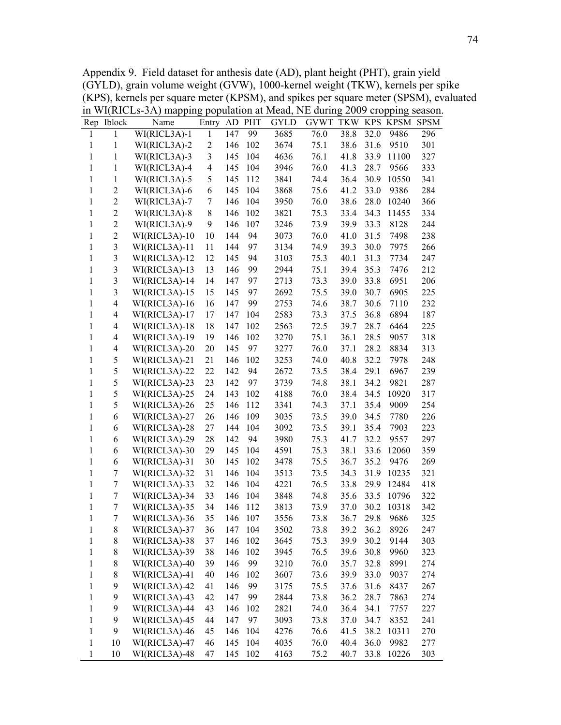Appendix 9. Field dataset for anthesis date (AD), plant height (PHT), grain yield (GYLD), grain volume weight (GVW), 1000-kernel weight (TKW), kernels per spike (KPS), kernels per square meter (KPSM), and spikes per square meter (SPSM), evaluated in WI(RICLs-3A) mapping population at Mead, NE during 2009 cropping season.

|              | Rep Iblock               | Name          | Entry          | AD  | <b>PHT</b> | <b>GYLD</b> | <b>GVWT</b> | <b>TKW</b> |      | KPS KPSM | <b>SPSM</b> |
|--------------|--------------------------|---------------|----------------|-----|------------|-------------|-------------|------------|------|----------|-------------|
| 1            | 1                        | WI(RICL3A)-1  | $\mathbf{1}$   | 147 | 99         | 3685        | 76.0        | 38.8       | 32.0 | 9486     | 296         |
| $\mathbf{1}$ | 1                        | WI(RICL3A)-2  | $\overline{2}$ | 146 | 102        | 3674        | 75.1        | 38.6       | 31.6 | 9510     | 301         |
| 1            | 1                        | WI(RICL3A)-3  | 3              | 145 | 104        | 4636        | 76.1        | 41.8       | 33.9 | 11100    | 327         |
| $\mathbf{1}$ | 1                        | WI(RICL3A)-4  | $\overline{4}$ | 145 | 104        | 3946        | 76.0        | 41.3       | 28.7 | 9566     | 333         |
| 1            | $\mathbf{1}$             | WI(RICL3A)-5  | 5              | 145 | 112        | 3841        | 74.4        | 36.4       | 30.9 | 10550    | 341         |
| $\mathbf{1}$ | $\overline{2}$           | WI(RICL3A)-6  | 6              | 145 | 104        | 3868        | 75.6        | 41.2       | 33.0 | 9386     | 284         |
| $\mathbf{1}$ | $\overline{2}$           | WI(RICL3A)-7  | 7              | 146 | 104        | 3950        | 76.0        | 38.6       | 28.0 | 10240    | 366         |
| $\mathbf{1}$ | $\overline{2}$           | WI(RICL3A)-8  | 8              | 146 | 102        | 3821        | 75.3        | 33.4       | 34.3 | 11455    | 334         |
| 1            | $\overline{c}$           | WI(RICL3A)-9  | 9              | 146 | 107        | 3246        | 73.9        | 39.9       | 33.3 | 8128     | 244         |
| $\mathbf{1}$ | $\overline{2}$           | WI(RICL3A)-10 | 10             | 144 | 94         | 3073        | 76.0        | 41.0       | 31.5 | 7498     | 238         |
| $\mathbf{1}$ | 3                        | WI(RICL3A)-11 | 11             | 144 | 97         | 3134        | 74.9        | 39.3       | 30.0 | 7975     | 266         |
| $\mathbf{1}$ | 3                        | WI(RICL3A)-12 | 12             | 145 | 94         | 3103        | 75.3        | 40.1       | 31.3 | 7734     | 247         |
| $\mathbf{1}$ | 3                        | WI(RICL3A)-13 | 13             | 146 | 99         | 2944        | 75.1        | 39.4       | 35.3 | 7476     | 212         |
| 1            | 3                        | WI(RICL3A)-14 | 14             | 147 | 97         | 2713        | 73.3        | 39.0       | 33.8 | 6951     | 206         |
| $\mathbf{1}$ | 3                        | WI(RICL3A)-15 | 15             | 145 | 97         | 2692        | 75.5        | 39.0       | 30.7 | 6905     | 225         |
| 1            | 4                        | WI(RICL3A)-16 | 16             | 147 | 99         | 2753        | 74.6        | 38.7       | 30.6 | 7110     | 232         |
| $\mathbf{1}$ | 4                        | WI(RICL3A)-17 | 17             | 147 | 104        | 2583        | 73.3        | 37.5       | 36.8 | 6894     | 187         |
| 1            | 4                        | WI(RICL3A)-18 | 18             | 147 | 102        | 2563        | 72.5        | 39.7       | 28.7 | 6464     | 225         |
| 1            | $\overline{\mathcal{A}}$ | WI(RICL3A)-19 | 19             | 146 | 102        | 3270        | 75.1        | 36.1       | 28.5 | 9057     | 318         |
| 1            | 4                        | WI(RICL3A)-20 | 20             | 145 | 97         | 3277        | 76.0        | 37.1       | 28.2 | 8834     | 313         |
| 1            | 5                        | WI(RICL3A)-21 | 21             | 146 | 102        | 3253        | 74.0        | 40.8       | 32.2 | 7978     | 248         |
| 1            | 5                        | WI(RICL3A)-22 | 22             | 142 | 94         | 2672        | 73.5        | 38.4       | 29.1 | 6967     | 239         |
| $\mathbf{1}$ | 5                        | WI(RICL3A)-23 | 23             | 142 | 97         | 3739        | 74.8        | 38.1       | 34.2 | 9821     | 287         |
| 1            | 5                        | WI(RICL3A)-25 | 24             | 143 | 102        | 4188        | 76.0        | 38.4       | 34.5 | 10920    | 317         |
| $\mathbf{1}$ | 5                        | WI(RICL3A)-26 | 25             | 146 | 112        | 3341        | 74.3        | 37.1       | 35.4 | 9009     | 254         |
| 1            | 6                        | WI(RICL3A)-27 | 26             | 146 | 109        | 3035        | 73.5        | 39.0       | 34.5 | 7780     | 226         |
| 1            | 6                        | WI(RICL3A)-28 | 27             | 144 | 104        | 3092        | 73.5        | 39.1       | 35.4 | 7903     | 223         |
| 1            | 6                        | WI(RICL3A)-29 | 28             | 142 | 94         | 3980        | 75.3        | 41.7       | 32.2 | 9557     | 297         |
| 1            | 6                        | WI(RICL3A)-30 | 29             | 145 | 104        | 4591        | 75.3        | 38.1       | 33.6 | 12060    | 359         |
| 1            | 6                        | WI(RICL3A)-31 | 30             | 145 | 102        | 3478        | 75.5        | 36.7       | 35.2 | 9476     | 269         |
| 1            | 7                        | WI(RICL3A)-32 | 31             | 146 | 104        | 3513        | 73.5        | 34.3       | 31.9 | 10235    | 321         |
| $\mathbf{1}$ | 7                        | WI(RICL3A)-33 | 32             | 146 | 104        | 4221        | 76.5        | 33.8       | 29.9 | 12484    | 418         |
| $\mathbf{1}$ | 7                        | WI(RICL3A)-34 | 33             | 146 | 104        | 3848        | 74.8        | 35.6       | 33.5 | 10796    | 322         |
| $\mathbf{1}$ | 7                        | WI(RICL3A)-35 | 34             | 146 | 112        | 3813        | 73.9        | 37.0       | 30.2 | 10318    | 342         |
| 1            | 7                        | WI(RICL3A)-36 | 35             | 146 | 107        | 3556        | 73.8        | 36.7       | 29.8 | 9686     | 325         |
| 1            | 8                        | WI(RICL3A)-37 | 36             | 147 | 104        | 3502        | 73.8        | 39.2       | 36.2 | 8926     | 247         |
| $\mathbf{1}$ | 8                        | WI(RICL3A)-38 | 37             | 146 | 102        | 3645        | 75.3        | 39.9       | 30.2 | 9144     | 303         |
| $\mathbf{1}$ | 8                        | WI(RICL3A)-39 | 38             | 146 | 102        | 3945        | 76.5        | 39.6       | 30.8 | 9960     | 323         |
| $\mathbf{1}$ | 8                        | WI(RICL3A)-40 | 39             | 146 | 99         | 3210        | 76.0        | 35.7       | 32.8 | 8991     | 274         |
| $\mathbf{1}$ | 8                        | WI(RICL3A)-41 | 40             | 146 | 102        | 3607        | 73.6        | 39.9       | 33.0 | 9037     | 274         |
| $\mathbf{1}$ | 9                        | WI(RICL3A)-42 | 41             | 146 | 99         | 3175        | 75.5        | 37.6       | 31.6 | 8437     | 267         |
| $\mathbf{1}$ | 9                        | WI(RICL3A)-43 | 42             | 147 | 99         | 2844        | 73.8        | 36.2       | 28.7 | 7863     | 274         |
| $\mathbf{1}$ | 9                        | WI(RICL3A)-44 | 43             | 146 | 102        | 2821        | 74.0        | 36.4       | 34.1 | 7757     | 227         |
| $\mathbf{1}$ | 9                        | WI(RICL3A)-45 | 44             | 147 | 97         | 3093        | 73.8        | 37.0       | 34.7 | 8352     | 241         |
| $\mathbf{1}$ | 9                        | WI(RICL3A)-46 | 45             | 146 | 104        | 4276        | 76.6        | 41.5       | 38.2 | 10311    | 270         |
| 1            | 10                       | WI(RICL3A)-47 | 46             | 145 | 104        | 4035        | 76.0        | 40.4       | 36.0 | 9982     | 277         |
| 1            | 10                       | WI(RICL3A)-48 | 47             | 145 | 102        | 4163        | 75.2        | 40.7       | 33.8 | 10226    | 303         |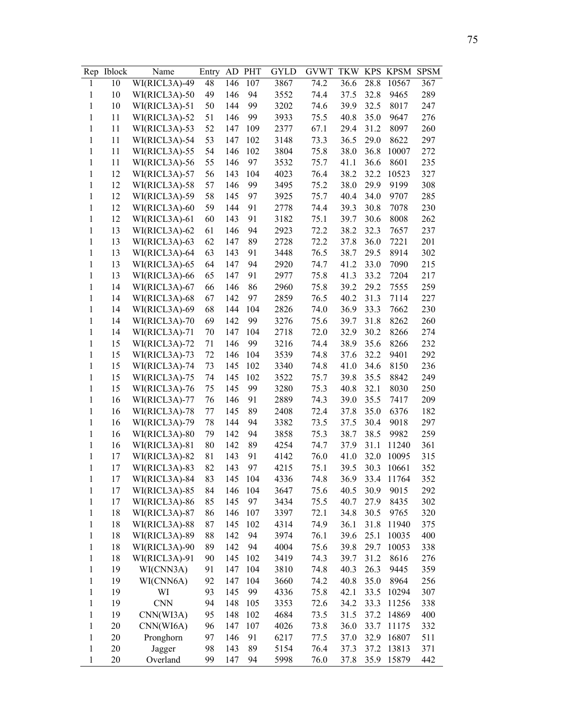| Rep          | <b>Iblock</b> | Name          | Entry | AD  | PHT | GYLD | <b>GVWT</b> | <b>TKW</b> | <b>KPS</b> | <b>KPSM</b> | <b>SPSM</b> |
|--------------|---------------|---------------|-------|-----|-----|------|-------------|------------|------------|-------------|-------------|
| 1            | 10            | WI(RICL3A)-49 | 48    | 146 | 107 | 3867 | 74.2        | 36.6       | 28.8       | 10567       | 367         |
| 1            | 10            | WI(RICL3A)-50 | 49    | 146 | 94  | 3552 | 74.4        | 37.5       | 32.8       | 9465        | 289         |
| $\mathbf{1}$ | 10            | WI(RICL3A)-51 | 50    | 144 | 99  | 3202 | 74.6        | 39.9       | 32.5       | 8017        | 247         |
| 1            | 11            | WI(RICL3A)-52 | 51    | 146 | 99  | 3933 | 75.5        | 40.8       | 35.0       | 9647        | 276         |
| $\mathbf{1}$ | 11            | WI(RICL3A)-53 | 52    | 147 | 109 | 2377 | 67.1        | 29.4       | 31.2       | 8097        | 260         |
| $\mathbf{1}$ | 11            | WI(RICL3A)-54 | 53    | 147 | 102 | 3148 | 73.3        | 36.5       | 29.0       | 8622        | 297         |
| $\mathbf{1}$ | 11            | WI(RICL3A)-55 | 54    | 146 | 102 | 3804 | 75.8        | 38.0       | 36.8       | 10007       | 272         |
| 1            | 11            | WI(RICL3A)-56 | 55    | 146 | 97  | 3532 | 75.7        | 41.1       | 36.6       | 8601        | 235         |
| $\mathbf{1}$ | 12            | WI(RICL3A)-57 | 56    | 143 | 104 | 4023 | 76.4        | 38.2       | 32.2       | 10523       | 327         |
| $\mathbf{1}$ | 12            | WI(RICL3A)-58 | 57    | 146 | 99  | 3495 | 75.2        | 38.0       | 29.9       | 9199        | 308         |
| 1            | 12            | WI(RICL3A)-59 | 58    | 145 | 97  | 3925 | 75.7        | 40.4       | 34.0       | 9707        | 285         |
| 1            | 12            | WI(RICL3A)-60 | 59    | 144 | 91  | 2778 | 74.4        | 39.3       | 30.8       | 7078        | 230         |
| $\mathbf{1}$ | 12            | WI(RICL3A)-61 | 60    | 143 | 91  | 3182 | 75.1        | 39.7       | 30.6       | 8008        | 262         |
| 1            | 13            | WI(RICL3A)-62 | 61    | 146 | 94  | 2923 | 72.2        | 38.2       | 32.3       | 7657        | 237         |
| 1            | 13            | WI(RICL3A)-63 | 62    | 147 | 89  | 2728 | 72.2        | 37.8       | 36.0       | 7221        | 201         |
| 1            | 13            | WI(RICL3A)-64 | 63    | 143 | 91  | 3448 | 76.5        | 38.7       | 29.5       | 8914        | 302         |
| 1            | 13            | WI(RICL3A)-65 | 64    | 147 | 94  | 2920 | 74.7        | 41.2       | 33.0       | 7090        | 215         |
| 1            | 13            | WI(RICL3A)-66 | 65    | 147 | 91  | 2977 | 75.8        | 41.3       | 33.2       | 7204        | 217         |
| 1            | 14            | WI(RICL3A)-67 | 66    | 146 | 86  | 2960 | 75.8        | 39.2       | 29.2       | 7555        | 259         |
| 1            | 14            | WI(RICL3A)-68 | 67    | 142 | 97  | 2859 | 76.5        | 40.2       | 31.3       | 7114        | 227         |
| 1            | 14            | WI(RICL3A)-69 | 68    | 144 | 104 | 2826 | 74.0        | 36.9       | 33.3       | 7662        | 230         |
| $\mathbf{1}$ | 14            | WI(RICL3A)-70 | 69    | 142 | 99  | 3276 | 75.6        | 39.7       | 31.8       | 8262        | 260         |
| $\mathbf{1}$ | 14            | WI(RICL3A)-71 | 70    | 147 | 104 | 2718 | 72.0        | 32.9       | 30.2       | 8266        | 274         |
| $\mathbf{1}$ | 15            | WI(RICL3A)-72 | 71    | 146 | 99  | 3216 | 74.4        | 38.9       | 35.6       | 8266        | 232         |
| 1            | 15            | WI(RICL3A)-73 | 72    | 146 | 104 | 3539 | 74.8        | 37.6       | 32.2       | 9401        | 292         |
| 1            | 15            | WI(RICL3A)-74 | 73    | 145 | 102 | 3340 | 74.8        | 41.0       | 34.6       | 8150        | 236         |
| 1            | 15            | WI(RICL3A)-75 | 74    | 145 | 102 | 3522 | 75.7        | 39.8       | 35.5       | 8842        | 249         |
| 1            | 15            | WI(RICL3A)-76 | 75    | 145 | 99  | 3280 | 75.3        | 40.8       | 32.1       | 8030        | 250         |
| 1            | 16            | WI(RICL3A)-77 | 76    | 146 | 91  | 2889 | 74.3        | 39.0       | 35.5       | 7417        | 209         |
| 1            | 16            | WI(RICL3A)-78 | 77    | 145 | 89  | 2408 | 72.4        | 37.8       | 35.0       | 6376        | 182         |
| 1            | 16            | WI(RICL3A)-79 | 78    | 144 | 94  | 3382 | 73.5        | 37.5       | 30.4       | 9018        | 297         |
| 1            | 16            | WI(RICL3A)-80 | 79    | 142 | 94  | 3858 | 75.3        | 38.7       | 38.5       | 9982        | 259         |
| $\mathbf{1}$ | 16            | WI(RICL3A)-81 | 80    | 142 | 89  | 4254 | 74.7        | 37.9       | 31.1       | 11240       | 361         |
| $\mathbf{1}$ | 17            | WI(RICL3A)-82 | 81    | 143 | 91  | 4142 | 76.0        | 41.0       | 32.0       | 10095       | 315         |
| 1            | 17            | WI(RICL3A)-83 | 82    | 143 | 97  | 4215 | 75.1        | 39.5       | 30.3       | 10661       | 352         |
| $\mathbf{1}$ | 17            | WI(RICL3A)-84 | 83    | 145 | 104 | 4336 | 74.8        | 36.9       | 33.4       | 11764       | 352         |
| $\mathbf{1}$ | 17            | WI(RICL3A)-85 | 84    | 146 | 104 | 3647 | 75.6        | 40.5       | 30.9       | 9015        | 292         |
| $\mathbf{1}$ | 17            | WI(RICL3A)-86 | 85    | 145 | 97  | 3434 | 75.5        | 40.7       | 27.9       | 8435        | 302         |
| $\mathbf{1}$ | 18            | WI(RICL3A)-87 | 86    | 146 | 107 | 3397 | 72.1        | 34.8       | 30.5       | 9765        | 320         |
| $\mathbf{1}$ | 18            | WI(RICL3A)-88 | 87    | 145 | 102 | 4314 | 74.9        | 36.1       | 31.8       | 11940       | 375         |
| $\mathbf{1}$ | 18            | WI(RICL3A)-89 | 88    | 142 | 94  | 3974 | 76.1        | 39.6       | 25.1       | 10035       | 400         |
| $\mathbf{1}$ | 18            | WI(RICL3A)-90 | 89    | 142 | 94  | 4004 | 75.6        | 39.8       | 29.7       | 10053       | 338         |
| $\mathbf{1}$ | 18            | WI(RICL3A)-91 | 90    | 145 | 102 | 3419 | 74.3        | 39.7       | 31.2       | 8616        | 276         |
| $\mathbf{1}$ | 19            | WI(CNN3A)     | 91    | 147 | 104 | 3810 | 74.8        | 40.3       | 26.3       | 9445        | 359         |
| $\mathbf{1}$ | 19            | WI(CNN6A)     | 92    | 147 | 104 | 3660 | 74.2        | 40.8       | 35.0       | 8964        | 256         |
| $\,1$        | 19            | WI            | 93    | 145 | 99  | 4336 | 75.8        | 42.1       | 33.5       | 10294       | 307         |
| $\mathbf{1}$ | 19            | <b>CNN</b>    | 94    | 148 | 105 | 3353 | 72.6        | 34.2       | 33.3       | 11256       | 338         |
| $\mathbf{1}$ | 19            | CNN(WI3A)     | 95    | 148 | 102 | 4684 | 73.5        | 31.5       | 37.2       | 14869       | 400         |
| $\mathbf{1}$ | 20            | CNN(WI6A)     | 96    | 147 | 107 | 4026 | 73.8        | 36.0       | 33.7       | 11175       | 332         |
| $\mathbf{1}$ | 20            | Pronghorn     | 97    | 146 | 91  | 6217 | 77.5        | 37.0       | 32.9       | 16807       | 511         |
| $\mathbf{1}$ | 20            | Jagger        | 98    | 143 | 89  | 5154 | 76.4        | 37.3       | 37.2       | 13813       | 371         |
| $\mathbf{1}$ | 20            | Overland      | 99    | 147 | 94  | 5998 | 76.0        | 37.8       | 35.9       | 15879       | 442         |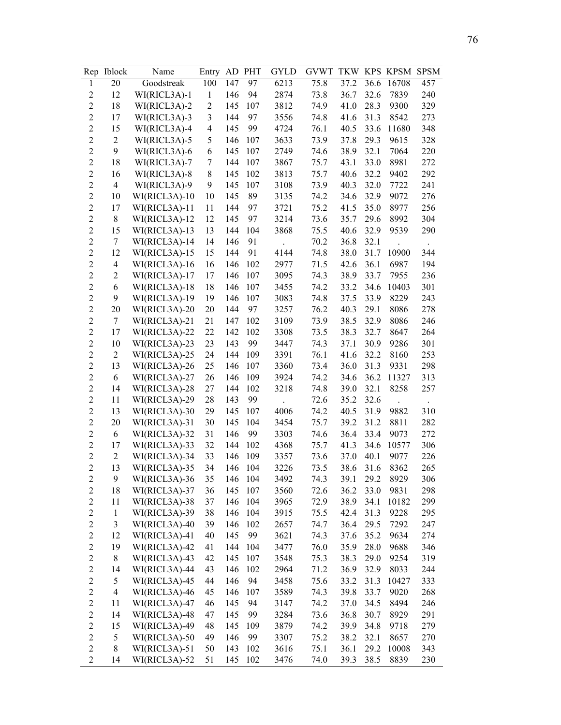| Rep                     | <b>Iblock</b>  | Name          | Entry                    | AD  | <b>PHT</b> | GYLD         | <b>GVWT</b> | <b>TKW</b>   | <b>KPS</b> | <b>KPSM</b> | <b>SPSM</b> |
|-------------------------|----------------|---------------|--------------------------|-----|------------|--------------|-------------|--------------|------------|-------------|-------------|
| $\mathbf{1}$            | 20             | Goodstreak    | 100                      | 147 | 97         | 6213         | 75.8        | 37.2         | 36.6       | 16708       | 457         |
| $\overline{2}$          | 12             | WI(RICL3A)-1  | $\mathbf{1}$             | 146 | 94         | 2874         | 73.8        | 36.7         | 32.6       | 7839        | 240         |
| $\overline{2}$          | 18             | WI(RICL3A)-2  | $\overline{2}$           | 145 | 107        | 3812         | 74.9        | 41.0         | 28.3       | 9300        | 329         |
| $\overline{c}$          | 17             | WI(RICL3A)-3  | 3                        | 144 | 97         | 3556         | 74.8        | 41.6         | 31.3       | 8542        | 273         |
| $\overline{2}$          | 15             | WI(RICL3A)-4  | $\overline{\mathcal{A}}$ | 145 | 99         | 4724         | 76.1        | 40.5         | 33.6       | 11680       | 348         |
| $\overline{c}$          | $\sqrt{2}$     | WI(RICL3A)-5  | 5                        | 146 | 107        | 3633         | 73.9        | 37.8         | 29.3       | 9615        | 328         |
| $\overline{c}$          | 9              | WI(RICL3A)-6  | 6                        | 145 | 107        | 2749         | 74.6        | 38.9         | 32.1       | 7064        | 220         |
| $\overline{c}$          | 18             | WI(RICL3A)-7  | 7                        | 144 | 107        | 3867         | 75.7        | 43.1         | 33.0       | 8981        | 272         |
| $\overline{2}$          | 16             | WI(RICL3A)-8  | $8\,$                    | 145 | 102        | 3813         | 75.7        | 40.6         | 32.2       | 9402        | 292         |
| $\overline{2}$          | $\overline{4}$ | WI(RICL3A)-9  | 9                        | 145 | 107        | 3108         | 73.9        | 40.3         | 32.0       | 7722        | 241         |
| $\overline{c}$          | 10             | WI(RICL3A)-10 | 10                       | 145 | 89         | 3135         | 74.2        | 34.6         | 32.9       | 9072        | 276         |
| $\overline{c}$          | 17             | WI(RICL3A)-11 | 11                       | 144 | 97         | 3721         | 75.2        | 41.5         | 35.0       | 8977        | 256         |
| $\overline{c}$          | $8\,$          | WI(RICL3A)-12 | 12                       | 145 | 97         | 3214         | 73.6        | 35.7         | 29.6       | 8992        | 304         |
| $\overline{2}$          | 15             | WI(RICL3A)-13 | 13                       | 144 | 104        | 3868         | 75.5        | 40.6         | 32.9       | 9539        | 290         |
| $\overline{c}$          | $\tau$         | WI(RICL3A)-14 | 14                       | 146 | 91         |              | 70.2        | 36.8         | 32.1       |             |             |
| $\overline{2}$          | 12             | WI(RICL3A)-15 | 15                       | 144 | 91         | 4144         | 74.8        | 38.0         | 31.7       | 10900       | 344         |
| $\overline{c}$          | 4              | WI(RICL3A)-16 | 16                       | 146 | 102        | 2977         | 71.5        | 42.6         | 36.1       | 6987        | 194         |
| $\overline{2}$          | $\overline{2}$ | WI(RICL3A)-17 | 17                       | 146 | 107        | 3095         | 74.3        | 38.9         | 33.7       | 7955        | 236         |
| $\overline{c}$          | 6              | WI(RICL3A)-18 | 18                       | 146 | 107        | 3455         | 74.2        | 33.2         | 34.6       | 10403       | 301         |
| $\overline{c}$          | 9              | WI(RICL3A)-19 | 19                       | 146 | 107        | 3083         | 74.8        | 37.5         | 33.9       | 8229        | 243         |
| $\overline{c}$          | 20             | WI(RICL3A)-20 | 20                       | 144 | 97         | 3257         | 76.2        | 40.3         | 29.1       | 8086        | 278         |
| $\overline{2}$          | $\tau$         | WI(RICL3A)-21 | 21                       | 147 | 102        | 3109         | 73.9        | 38.5         | 32.9       | 8086        | 246         |
| $\overline{c}$          | 17             | WI(RICL3A)-22 | 22                       | 142 | 102        | 3308         | 73.5        | 38.3         | 32.7       | 8647        | 264         |
| $\overline{c}$          | 10             | WI(RICL3A)-23 | 23                       | 143 | 99         | 3447         | 74.3        | 37.1         | 30.9       | 9286        | 301         |
| $\overline{c}$          | $\mathbf{2}$   | WI(RICL3A)-25 | 24                       | 144 | 109        | 3391         | 76.1        | 41.6         | 32.2       | 8160        | 253         |
| $\overline{c}$          | 13             | WI(RICL3A)-26 | 25                       | 146 | 107        | 3360         | 73.4        | 36.0         | 31.3       | 9331        | 298         |
| $\overline{2}$          | 6              | WI(RICL3A)-27 | 26                       | 146 | 109        | 3924         | 74.2        | 34.6         | 36.2       | 11327       | 313         |
| $\overline{c}$          | 14             | WI(RICL3A)-28 | 27                       | 144 | 102        | 3218         | 74.8        | 39.0         | 32.1       | 8258        | 257         |
| $\overline{c}$          | 11             | WI(RICL3A)-29 | 28                       | 143 | 99         |              | 72.6        | 35.2         | 32.6       |             |             |
| $\overline{c}$          | 13             | WI(RICL3A)-30 | 29                       | 145 | 107        | 4006         | 74.2        | 40.5         | 31.9       | 9882        | 310         |
| $\overline{c}$          | 20             | WI(RICL3A)-31 | 30                       | 145 | 104        | 3454         | 75.7        | 39.2         | 31.2       | 8811        | 282         |
| $\overline{c}$          | 6              | WI(RICL3A)-32 | 31                       | 146 | 99         | 3303         | 74.6        | 36.4         | 33.4       | 9073        | 272         |
| $\overline{c}$          | 17             | WI(RICL3A)-33 | 32                       | 144 | 102        | 4368         | 75.7        | 41.3         | 34.6       | 10577       | 306         |
| $\overline{c}$          | $\overline{c}$ | WI(RICL3A)-34 | 33                       | 146 | 109        | 3357         | 73.6        | 37.0         | 40.1       | 9077        | 226         |
| $\overline{2}$          | 13             | WI(RICL3A)-35 | 34                       | 146 | 104        | 3226         | 73.5        | 38.6         | 31.6       | 8362        | 265         |
| $\overline{c}$          | 9              | WI(RICL3A)-36 | 35                       | 146 | 104        | 3492         | 74.3        | 39.1         | 29.2       | 8929        | 306         |
| $\overline{c}$          | 18             | WI(RICL3A)-37 | 36                       | 145 | 107        | 3560         | 72.6        | 36.2         | 33.0       | 9831        | 298         |
| $\overline{c}$          | 11             | WI(RICL3A)-38 | 37                       | 146 | 104        | 3965         | 72.9        | 38.9         | 34.1       | 10182       | 299         |
| $\overline{\mathbf{c}}$ | $\mathbf{1}$   | WI(RICL3A)-39 | 38                       | 146 | 104        | 3915         | 75.5        | 42.4         | 31.3       | 9228        | 295         |
| $\overline{c}$          | 3              | WI(RICL3A)-40 | 39                       | 146 | 102        | 2657         | 74.7        | 36.4         | 29.5       | 7292        | 247         |
| $\overline{c}$          | 12             | WI(RICL3A)-41 | 40                       | 145 | 99         | 3621         | 74.3        | 37.6         | 35.2       | 9634        | 274         |
| $\overline{c}$          | 19             | WI(RICL3A)-42 | 41                       | 144 | 104        | 3477         | 76.0        | 35.9         | 28.0       | 9688        | 346         |
| $\overline{c}$          | $8\,$          | WI(RICL3A)-43 | 42                       | 145 | 107        | 3548         | 75.3        | 38.3         | 29.0       | 9254        | 319         |
| $\overline{c}$          | 14             | WI(RICL3A)-44 | 43                       | 146 | 102        | 2964         | 71.2        | 36.9         | 32.9       | 8033        | 244         |
| $\overline{c}$          | 5              | WI(RICL3A)-45 | 44                       | 146 | 94         | 3458         | 75.6        | 33.2         | 31.3       | 10427       | 333         |
| $\overline{c}$          | $\overline{4}$ | WI(RICL3A)-46 | 45                       | 146 | 107        | 3589         | 74.3        | 39.8         | 33.7       | 9020        | 268         |
| $\overline{c}$          | 11             | WI(RICL3A)-47 | 46                       | 145 | 94         | 3147         | 74.2        | 37.0         | 34.5       | 8494        | 246         |
| $\overline{c}$          | 14             | WI(RICL3A)-48 |                          | 145 | 99         |              | 73.6        |              | 30.7       | 8929        | 291         |
| $\overline{c}$          | 15             | WI(RICL3A)-49 | 47<br>48                 | 145 | 109        | 3284<br>3879 | 74.2        | 36.8<br>39.9 | 34.8       | 9718        | 279         |
| $\overline{c}$          | 5              | WI(RICL3A)-50 | 49                       | 146 | 99         | 3307         | 75.2        | 38.2         | 32.1       | 8657        | 270         |
| $\overline{c}$          | 8              | WI(RICL3A)-51 | 50                       | 143 | 102        | 3616         | 75.1        | 36.1         | 29.2       | 10008       | 343         |
| $\overline{c}$          | 14             | WI(RICL3A)-52 | 51                       | 145 | 102        | 3476         | 74.0        | 39.3         | 38.5       | 8839        | 230         |
|                         |                |               |                          |     |            |              |             |              |            |             |             |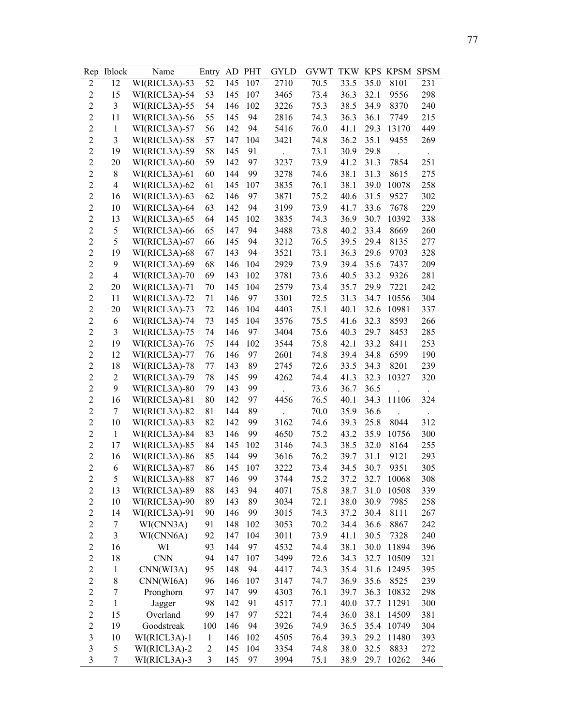| Rep                     | <b>Iblock</b>            | Name          | Entry            | AD  | <b>PHT</b> | GYLD | <b>GVWT</b> | <b>TKW</b> | <b>KPS</b> | <b>KPSM</b> | <b>SPSM</b> |
|-------------------------|--------------------------|---------------|------------------|-----|------------|------|-------------|------------|------------|-------------|-------------|
| 2                       | 12                       | WI(RICL3A)-53 | 52               | 145 | 107        | 2710 | 70.5        | 33.5       | 35.0       | 8101        | 231         |
| $\overline{2}$          | 15                       | WI(RICL3A)-54 | 53               | 145 | 107        | 3465 | 73.4        | 36.3       | 32.1       | 9556        | 298         |
| $\overline{c}$          | 3                        | WI(RICL3A)-55 | 54               | 146 | 102        | 3226 | 75.3        | 38.5       | 34.9       | 8370        | 240         |
| $\overline{c}$          | 11                       | WI(RICL3A)-56 | 55               | 145 | 94         | 2816 | 74.3        | 36.3       | 36.1       | 7749        | 215         |
| $\overline{2}$          | $\mathbf{1}$             | WI(RICL3A)-57 | 56               | 142 | 94         | 5416 | 76.0        | 41.1       | 29.3       | 13170       | 449         |
| $\overline{c}$          | 3                        | WI(RICL3A)-58 | 57               | 147 | 104        | 3421 | 74.8        | 36.2       | 35.1       | 9455        | 269         |
| $\overline{2}$          | 19                       | WI(RICL3A)-59 | 58               | 145 | 91         |      | 73.1        | 30.9       | 29.8       |             |             |
| $\overline{c}$          | 20                       | WI(RICL3A)-60 | 59               | 142 | 97         | 3237 | 73.9        | 41.2       | 31.3       | 7854        | 251         |
| $\overline{2}$          | 8                        | WI(RICL3A)-61 | 60               | 144 | 99         | 3278 | 74.6        | 38.1       | 31.3       | 8615        | 275         |
| $\overline{2}$          | $\overline{4}$           | WI(RICL3A)-62 | 61               | 145 | 107        | 3835 | 76.1        | 38.1       | 39.0       | 10078       | 258         |
| $\overline{c}$          | 16                       | WI(RICL3A)-63 | 62               | 146 | 97         | 3871 | 75.2        | 40.6       | 31.5       | 9527        | 302         |
| $\overline{c}$          | 10                       | WI(RICL3A)-64 | 63               | 142 | 94         | 3199 | 73.9        | 41.7       | 33.6       | 7678        | 229         |
| $\overline{c}$          | 13                       | WI(RICL3A)-65 | 64               | 145 | 102        | 3835 | 74.3        | 36.9       | 30.7       | 10392       | 338         |
| $\overline{c}$          | 5                        | WI(RICL3A)-66 | 65               | 147 | 94         | 3488 | 73.8        | 40.2       | 33.4       | 8669        | 260         |
| $\overline{c}$          | 5                        | WI(RICL3A)-67 | 66               | 145 | 94         | 3212 | 76.5        | 39.5       | 29.4       | 8135        | 277         |
| $\overline{2}$          | 19                       | WI(RICL3A)-68 | 67               | 143 | 94         | 3521 | 73.1        | 36.3       | 29.6       | 9703        | 328         |
| $\overline{c}$          | 9                        | WI(RICL3A)-69 | 68               | 146 | 104        | 2929 | 73.9        | 39.4       | 35.6       | 7437        | 209         |
| $\overline{2}$          | $\overline{\mathcal{A}}$ | WI(RICL3A)-70 | 69               | 143 | 102        | 3781 | 73.6        | 40.5       | 33.2       | 9326        | 281         |
| $\overline{c}$          | 20                       | WI(RICL3A)-71 | 70               | 145 | 104        | 2579 | 73.4        | 35.7       | 29.9       | 7221        | 242         |
| $\overline{c}$          | 11                       | WI(RICL3A)-72 | 71               | 146 | 97         | 3301 | 72.5        | 31.3       | 34.7       | 10556       | 304         |
| $\overline{c}$          | 20                       | WI(RICL3A)-73 | 72               | 146 | 104        | 4403 | 75.1        | 40.1       | 32.6       | 10981       | 337         |
| $\overline{c}$          | 6                        | WI(RICL3A)-74 | 73               | 145 | 104        | 3576 | 75.5        | 41.6       | 32.3       | 8593        | 266         |
| $\overline{c}$          | 3                        | WI(RICL3A)-75 | 74               | 146 | 97         | 3404 | 75.6        | 40.3       | 29.7       | 8453        | 285         |
| $\overline{c}$          | 19                       | WI(RICL3A)-76 | 75               | 144 | 102        | 3544 | 75.8        | 42.1       | 33.2       | 8411        | 253         |
| $\overline{c}$          | 12                       | WI(RICL3A)-77 | 76               | 146 | 97         | 2601 | 74.8        | 39.4       | 34.8       | 6599        | 190         |
| $\overline{c}$          | 18                       | WI(RICL3A)-78 | 77               | 143 | 89         | 2745 | 72.6        | 33.5       | 34.3       | 8201        | 239         |
| $\overline{2}$          | $\overline{2}$           | WI(RICL3A)-79 | 78               | 145 | 99         | 4262 | 74.4        | 41.3       | 32.3       | 10327       | 320         |
| $\overline{c}$          | 9                        | WI(RICL3A)-80 | 79               | 143 | 99         |      | 73.6        | 36.7       | 36.5       |             |             |
| $\overline{c}$          | 16                       | WI(RICL3A)-81 | 80               | 142 | 97         | 4456 | 76.5        | 40.1       | 34.3       | 11106       | 324         |
| $\overline{c}$          | 7                        | WI(RICL3A)-82 | 81               | 144 | 89         |      | 70.0        | 35.9       | 36.6       |             |             |
| $\overline{2}$          | 10                       | WI(RICL3A)-83 | 82               | 142 | 99         | 3162 | 74.6        | 39.3       | 25.8       | 8044        | 312         |
| $\overline{c}$          | $\mathbf{1}$             | WI(RICL3A)-84 | 83               | 146 | 99         | 4650 | 75.2        | 43.2       | 35.9       | 10756       | 300         |
| $\overline{c}$          | 17                       | WI(RICL3A)-85 | 84               | 145 | 102        | 3146 | 74.3        | 38.5       | 32.0       | 8164        | 255         |
| $\overline{c}$          | 16                       | WI(RICL3A)-86 | 85               | 144 | 99         | 3616 | 76.2        | 39.7       | 31.1       | 9121        | 293         |
| $\overline{2}$          | 6                        | WI(RICL3A)-87 | 86               | 145 | 107        | 3222 | 73.4        | 34.5       | 30.7       | 9351        | 305         |
| $\overline{c}$          | 5                        | WI(RICL3A)-88 | 87               | 146 | 99         | 3744 | 75.2        | 37.2       | 32.7       | 10068       | 308         |
| $\overline{c}$          | 13                       | WI(RICL3A)-89 | 88               | 143 | 94         | 4071 | 75.8        | 38.7       | 31.0       | 10508       | 339         |
| $\overline{c}$          | 10                       | WI(RICL3A)-90 | 89               | 143 | 89         | 3034 | 72.1        | 38.0       | 30.9       | 7985        | 258         |
| $\overline{\mathbf{c}}$ | 14                       | WI(RICL3A)-91 | 90               | 146 | 99         | 3015 | 74.3        | 37.2       | 30.4       | 8111        | 267         |
| $\overline{c}$          | 7                        | WI(CNN3A)     | 91               | 148 | 102        | 3053 | 70.2        | 34.4       | 36.6       | 8867        | 242         |
| $\overline{\mathbf{c}}$ | 3                        | WI(CNN6A)     | 92               | 147 | 104        | 3011 | 73.9        | 41.1       | 30.5       | 7328        | 240         |
| $\overline{c}$          | 16                       | WI            | 93               | 144 | 97         | 4532 | 74.4        | 38.1       | 30.0       | 11894       | 396         |
| $\overline{c}$          | 18                       | <b>CNN</b>    | 94               | 147 | 107        | 3499 | 72.6        | 34.3       | 32.7       | 10509       | 321         |
| $\overline{c}$          | $\,1$                    | CNN(WI3A)     | 95               | 148 | 94         | 4417 | 74.3        | 35.4       | 31.6       | 12495       | 395         |
| $\overline{c}$          | 8                        | CNN(WI6A)     | 96               | 146 | 107        | 3147 | 74.7        | 36.9       | 35.6       | 8525        | 239         |
| $\overline{c}$          | $\sqrt{ }$               | Pronghorn     | 97               | 147 | 99         | 4303 | 76.1        | 39.7       | 36.3       | 10832       | 298         |
| $\overline{c}$          | $\mathbf{1}$             | Jagger        | 98               | 142 | 91         | 4517 | 77.1        | 40.0       | 37.7       | 11291       | 300         |
| $\overline{c}$          | 15                       | Overland      | 99               | 147 | 97         | 5221 | 74.4        | 36.0       | 38.1       | 14509       | 381         |
| $\overline{c}$          | 19                       | Goodstreak    | 100              | 146 | 94         | 3926 | 74.9        | 36.5       | 35.4       | 10749       | 304         |
| $\overline{\mathbf{3}}$ | 10                       | WI(RICL3A)-1  | $\mathbf{1}$     | 146 | 102        | 4505 | 76.4        | 39.3       | 29.2       | 11480       | 393         |
| $\overline{\mathbf{3}}$ | 5                        | WI(RICL3A)-2  | $\boldsymbol{2}$ | 145 | 104        | 3354 | 74.8        | 38.0       | 32.5       | 8833        | 272         |
| 3                       | 7                        | WI(RICL3A)-3  | 3                | 145 | 97         | 3994 | 75.1        | 38.9       | 29.7       | 10262       | 346         |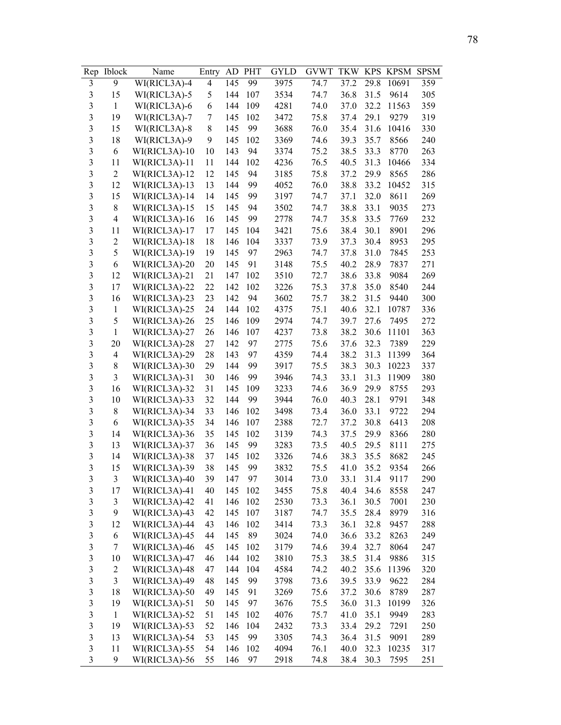| Rep                     | <b>Iblock</b>  | Name          | Entry | AD  | <b>PHT</b> | GYLD | <b>GVWT</b> | <b>TKW</b> | <b>KPS</b> | <b>KPSM</b> | <b>SPSM</b> |
|-------------------------|----------------|---------------|-------|-----|------------|------|-------------|------------|------------|-------------|-------------|
| 3                       | 9              | WI(RICL3A)-4  | 4     | 145 | 99         | 3975 | 74.7        | 37.2       | 29.8       | 10691       | 359         |
| 3                       | 15             | WI(RICL3A)-5  | 5     | 144 | 107        | 3534 | 74.7        | 36.8       | 31.5       | 9614        | 305         |
| $\mathfrak{Z}$          | $\mathbf{1}$   | WI(RICL3A)-6  | 6     | 144 | 109        | 4281 | 74.0        | 37.0       | 32.2       | 11563       | 359         |
| 3                       | 19             | WI(RICL3A)-7  | 7     | 145 | 102        | 3472 | 75.8        | 37.4       | 29.1       | 9279        | 319         |
| 3                       | 15             | WI(RICL3A)-8  | 8     | 145 | 99         | 3688 | 76.0        | 35.4       | 31.6       | 10416       | 330         |
| 3                       | 18             | WI(RICL3A)-9  | 9     | 145 | 102        | 3369 | 74.6        | 39.3       | 35.7       | 8566        | 240         |
| 3                       | 6              | WI(RICL3A)-10 | 10    | 143 | 94         | 3374 | 75.2        | 38.5       | 33.3       | 8770        | 263         |
| $\overline{\mathbf{3}}$ | 11             | WI(RICL3A)-11 | 11    | 144 | 102        | 4236 | 76.5        | 40.5       | 31.3       | 10466       | 334         |
| $\overline{\mathbf{3}}$ | $\overline{2}$ | WI(RICL3A)-12 | 12    | 145 | 94         | 3185 | 75.8        | 37.2       | 29.9       | 8565        | 286         |
| $\overline{\mathbf{3}}$ | 12             | WI(RICL3A)-13 | 13    | 144 | 99         | 4052 | 76.0        | 38.8       | 33.2       | 10452       | 315         |
| $\overline{\mathbf{3}}$ | 15             | WI(RICL3A)-14 | 14    | 145 | 99         | 3197 | 74.7        | 37.1       | 32.0       | 8611        | 269         |
| $\overline{\mathbf{3}}$ | 8              | WI(RICL3A)-15 | 15    | 145 | 94         | 3502 | 74.7        | 38.8       | 33.1       | 9035        | 273         |
| $\overline{\mathbf{3}}$ | $\overline{4}$ | WI(RICL3A)-16 | 16    | 145 | 99         | 2778 | 74.7        | 35.8       | 33.5       | 7769        | 232         |
| $\overline{\mathbf{3}}$ | 11             | WI(RICL3A)-17 | 17    | 145 | 104        | 3421 | 75.6        | 38.4       | 30.1       | 8901        | 296         |
| $\overline{\mathbf{3}}$ | $\overline{c}$ | WI(RICL3A)-18 | 18    | 146 | 104        | 3337 | 73.9        | 37.3       | 30.4       | 8953        | 295         |
| $\overline{\mathbf{3}}$ | 5              | WI(RICL3A)-19 | 19    | 145 | 97         | 2963 | 74.7        | 37.8       | 31.0       | 7845        | 253         |
| $\overline{\mathbf{3}}$ | 6              | WI(RICL3A)-20 | 20    | 145 | 91         | 3148 | 75.5        | 40.2       | 28.9       | 7837        | 271         |
| $\overline{\mathbf{3}}$ | 12             | WI(RICL3A)-21 | 21    | 147 | 102        | 3510 | 72.7        | 38.6       | 33.8       | 9084        | 269         |
| $\overline{\mathbf{3}}$ | 17             | WI(RICL3A)-22 | 22    | 142 | 102        | 3226 | 75.3        | 37.8       | 35.0       | 8540        | 244         |
| $\overline{\mathbf{3}}$ | 16             | WI(RICL3A)-23 | 23    | 142 | 94         | 3602 | 75.7        | 38.2       | 31.5       | 9440        | 300         |
| 3                       | $\mathbf{1}$   | WI(RICL3A)-25 | 24    | 144 | 102        | 4375 | 75.1        | 40.6       | 32.1       | 10787       | 336         |
| 3                       | 5              | WI(RICL3A)-26 | 25    | 146 | 109        | 2974 | 74.7        | 39.7       | 27.6       | 7495        | 272         |
| 3                       | $\mathbf{1}$   | WI(RICL3A)-27 | 26    | 146 | 107        | 4237 | 73.8        | 38.2       | 30.6       | 11101       | 363         |
| 3                       | 20             | WI(RICL3A)-28 | 27    | 142 | 97         | 2775 | 75.6        | 37.6       | 32.3       | 7389        | 229         |
| $\overline{\mathbf{3}}$ | $\overline{4}$ | WI(RICL3A)-29 | 28    | 143 | 97         | 4359 | 74.4        | 38.2       | 31.3       | 11399       | 364         |
| $\overline{\mathbf{3}}$ | 8              | WI(RICL3A)-30 | 29    | 144 | 99         | 3917 | 75.5        | 38.3       | 30.3       | 10223       | 337         |
| $\overline{\mathbf{3}}$ | 3              | WI(RICL3A)-31 | 30    | 146 | 99         | 3946 | 74.3        | 33.1       | 31.3       | 11909       | 380         |
| $\overline{\mathbf{3}}$ | 16             | WI(RICL3A)-32 | 31    | 145 | 109        | 3233 | 74.6        | 36.9       | 29.9       | 8755        | 293         |
| $\overline{\mathbf{3}}$ | 10             | WI(RICL3A)-33 | 32    | 144 | 99         | 3944 | 76.0        | 40.3       | 28.1       | 9791        | 348         |
| $\overline{\mathbf{3}}$ | 8              | WI(RICL3A)-34 | 33    | 146 | 102        | 3498 | 73.4        | 36.0       | 33.1       | 9722        | 294         |
| $\overline{\mathbf{3}}$ | 6              | WI(RICL3A)-35 | 34    | 146 | 107        | 2388 | 72.7        | 37.2       | 30.8       | 6413        | 208         |
| $\overline{\mathbf{3}}$ | 14             | WI(RICL3A)-36 | 35    | 145 | 102        | 3139 | 74.3        | 37.5       | 29.9       | 8366        | 280         |
| $\overline{\mathbf{3}}$ | 13             | WI(RICL3A)-37 | 36    | 145 | 99         | 3283 | 73.5        | 40.5       | 29.5       | 8111        | 275         |
| $\overline{\mathbf{3}}$ | 14             | WI(RICL3A)-38 | 37    | 145 | 102        | 3326 | 74.6        | 38.3       | 35.5       | 8682        | 245         |
| 3                       | 15             | WI(RICL3A)-39 | 38    | 145 | 99         | 3832 | 75.5        | 41.0       | 35.2       | 9354        | 266         |
| 3                       | $\mathfrak{Z}$ | WI(RICL3A)-40 | 39    | 147 | 97         | 3014 | 73.0        | 33.1       | 31.4       | 9117        | 290         |
| $\mathfrak{Z}$          | 17             | WI(RICL3A)-41 | 40    | 145 | 102        | 3455 | 75.8        | 40.4       | 34.6       | 8558        | 247         |
| $\mathfrak{Z}$          | 3              | WI(RICL3A)-42 | 41    | 146 | 102        | 2530 | 73.3        | 36.1       | 30.5       | 7001        | 230         |
| $\mathfrak{Z}$          | 9              | WI(RICL3A)-43 | 42    | 145 | 107        | 3187 | 74.7        | 35.5       | 28.4       | 8979        | 316         |
| $\mathfrak{Z}$          | 12             | WI(RICL3A)-44 | 43    | 146 | 102        | 3414 | 73.3        | 36.1       | 32.8       | 9457        | 288         |
| 3                       | 6              | WI(RICL3A)-45 | 44    | 145 | 89         | 3024 | 74.0        | 36.6       | 33.2       | 8263        | 249         |
| $\mathfrak{Z}$          | 7              | WI(RICL3A)-46 | 45    | 145 | 102        | 3179 | 74.6        | 39.4       | 32.7       | 8064        | 247         |
| $\mathfrak{Z}$          | 10             | WI(RICL3A)-47 | 46    | 144 | 102        | 3810 | 75.3        | 38.5       | 31.4       | 9886        | 315         |
| $\mathfrak{Z}$          | $\overline{c}$ | WI(RICL3A)-48 | 47    | 144 | 104        | 4584 | 74.2        | 40.2       | 35.6       | 11396       | 320         |
| $\mathfrak{Z}$          | 3              | WI(RICL3A)-49 | 48    | 145 | 99         | 3798 | 73.6        | 39.5       | 33.9       | 9622        | 284         |
| $\mathfrak{Z}$          | 18             | WI(RICL3A)-50 | 49    | 145 | 91         | 3269 | 75.6        | 37.2       | 30.6       | 8789        | 287         |
| $\overline{\mathbf{3}}$ | 19             | WI(RICL3A)-51 | 50    | 145 | 97         | 3676 | 75.5        | 36.0       | 31.3       | 10199       | 326         |
| $\overline{\mathbf{3}}$ | $\mathbf{1}$   | WI(RICL3A)-52 | 51    | 145 | 102        | 4076 | 75.7        | 41.0       | 35.1       | 9949        | 283         |
| $\overline{\mathbf{3}}$ | 19             | WI(RICL3A)-53 | 52    | 146 | 104        | 2432 | 73.3        | 33.4       | 29.2       | 7291        | 250         |
| $\mathfrak{Z}$          | 13             | WI(RICL3A)-54 | 53    | 145 | 99         | 3305 | 74.3        | 36.4       | 31.5       | 9091        | 289         |
| $\overline{\mathbf{3}}$ | 11             | WI(RICL3A)-55 | 54    | 146 | 102        | 4094 | 76.1        | 40.0       | 32.3       | 10235       | 317         |
| $\mathfrak{Z}$          | 9              | WI(RICL3A)-56 | 55    | 146 | 97         | 2918 | 74.8        | 38.4       | 30.3       | 7595        | 251         |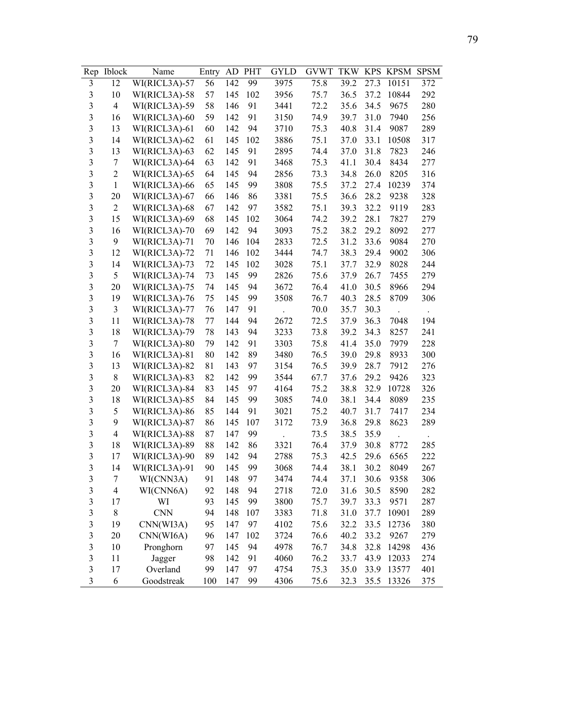| Rep                     | <b>Iblock</b>  | Name          | Entry | AD  | PHT | GYLD | <b>GVWT</b> | <b>TKW</b> | <b>KPS</b> | <b>KPSM</b> | <b>SPSM</b> |
|-------------------------|----------------|---------------|-------|-----|-----|------|-------------|------------|------------|-------------|-------------|
| 3                       | 12             | WI(RICL3A)-57 | 56    | 142 | 99  | 3975 | 75.8        | 39.2       | 27.3       | 10151       | 372         |
| $\mathfrak{Z}$          | 10             | WI(RICL3A)-58 | 57    | 145 | 102 | 3956 | 75.7        | 36.5       | 37.2       | 10844       | 292         |
| 3                       | $\overline{4}$ | WI(RICL3A)-59 | 58    | 146 | 91  | 3441 | 72.2        | 35.6       | 34.5       | 9675        | 280         |
| 3                       | 16             | WI(RICL3A)-60 | 59    | 142 | 91  | 3150 | 74.9        | 39.7       | 31.0       | 7940        | 256         |
| 3                       | 13             | WI(RICL3A)-61 | 60    | 142 | 94  | 3710 | 75.3        | 40.8       | 31.4       | 9087        | 289         |
| 3                       | 14             | WI(RICL3A)-62 | 61    | 145 | 102 | 3886 | 75.1        | 37.0       | 33.1       | 10508       | 317         |
| 3                       | 13             | WI(RICL3A)-63 | 62    | 145 | 91  | 2895 | 74.4        | 37.0       | 31.8       | 7823        | 246         |
| 3                       | $\tau$         | WI(RICL3A)-64 | 63    | 142 | 91  | 3468 | 75.3        | 41.1       | 30.4       | 8434        | 277         |
| $\overline{\mathbf{3}}$ | $\overline{2}$ | WI(RICL3A)-65 | 64    | 145 | 94  | 2856 | 73.3        | 34.8       | 26.0       | 8205        | 316         |
| $\overline{\mathbf{3}}$ | $\mathbf{1}$   | WI(RICL3A)-66 | 65    | 145 | 99  | 3808 | 75.5        | 37.2       | 27.4       | 10239       | 374         |
| $\overline{\mathbf{3}}$ | 20             | WI(RICL3A)-67 | 66    | 146 | 86  | 3381 | 75.5        | 36.6       | 28.2       | 9238        | 328         |
| $\overline{\mathbf{3}}$ | $\overline{2}$ | WI(RICL3A)-68 | 67    | 142 | 97  | 3582 | 75.1        | 39.3       | 32.2       | 9119        | 283         |
| $\overline{\mathbf{3}}$ | 15             | WI(RICL3A)-69 | 68    | 145 | 102 | 3064 | 74.2        | 39.2       | 28.1       | 7827        | 279         |
| $\overline{\mathbf{3}}$ | 16             | WI(RICL3A)-70 | 69    | 142 | 94  | 3093 | 75.2        | 38.2       | 29.2       | 8092        | 277         |
| $\overline{\mathbf{3}}$ | 9              | WI(RICL3A)-71 | 70    | 146 | 104 | 2833 | 72.5        | 31.2       | 33.6       | 9084        | 270         |
| $\overline{\mathbf{3}}$ | 12             | WI(RICL3A)-72 | 71    | 146 | 102 | 3444 | 74.7        | 38.3       | 29.4       | 9002        | 306         |
| $\overline{\mathbf{3}}$ | 14             | WI(RICL3A)-73 | 72    | 145 | 102 | 3028 | 75.1        | 37.7       | 32.9       | 8028        | 244         |
| $\overline{\mathbf{3}}$ | 5              | WI(RICL3A)-74 | 73    | 145 | 99  | 2826 | 75.6        | 37.9       | 26.7       | 7455        | 279         |
| $\overline{\mathbf{3}}$ | 20             | WI(RICL3A)-75 | 74    | 145 | 94  | 3672 | 76.4        | 41.0       | 30.5       | 8966        | 294         |
| 3                       | 19             | WI(RICL3A)-76 | 75    | 145 | 99  | 3508 | 76.7        | 40.3       | 28.5       | 8709        | 306         |
| 3                       | 3              | WI(RICL3A)-77 | 76    | 147 | 91  |      | 70.0        | 35.7       | 30.3       |             |             |
| 3                       | 11             | WI(RICL3A)-78 | 77    | 144 | 94  | 2672 | 72.5        | 37.9       | 36.3       | 7048        | 194         |
| 3                       | 18             | WI(RICL3A)-79 | 78    | 143 | 94  | 3233 | 73.8        | 39.2       | 34.3       | 8257        | 241         |
| 3                       | 7              | WI(RICL3A)-80 | 79    | 142 | 91  | 3303 | 75.8        | 41.4       | 35.0       | 7979        | 228         |
| $\overline{\mathbf{3}}$ | 16             | WI(RICL3A)-81 | 80    | 142 | 89  | 3480 | 76.5        | 39.0       | 29.8       | 8933        | 300         |
| $\overline{\mathbf{3}}$ | 13             | WI(RICL3A)-82 | 81    | 143 | 97  | 3154 | 76.5        | 39.9       | 28.7       | 7912        | 276         |
| $\overline{\mathbf{3}}$ | 8              | WI(RICL3A)-83 | 82    | 142 | 99  | 3544 | 67.7        | 37.6       | 29.2       | 9426        | 323         |
| $\overline{\mathbf{3}}$ | 20             | WI(RICL3A)-84 | 83    | 145 | 97  | 4164 | 75.2        | 38.8       | 32.9       | 10728       | 326         |
| $\overline{\mathbf{3}}$ | 18             | WI(RICL3A)-85 | 84    | 145 | 99  | 3085 | 74.0        | 38.1       | 34.4       | 8089        | 235         |
| $\overline{\mathbf{3}}$ | 5              | WI(RICL3A)-86 | 85    | 144 | 91  | 3021 | 75.2        | 40.7       | 31.7       | 7417        | 234         |
| $\overline{3}$          | 9              | WI(RICL3A)-87 | 86    | 145 | 107 | 3172 | 73.9        | 36.8       | 29.8       | 8623        | 289         |
| $\overline{\mathbf{3}}$ | $\overline{4}$ | WI(RICL3A)-88 | 87    | 147 | 99  |      | 73.5        | 38.5       | 35.9       |             |             |
| $\overline{\mathbf{3}}$ | 18             | WI(RICL3A)-89 | 88    | 142 | 86  | 3321 | 76.4        | 37.9       | 30.8       | 8772        | 285         |
| $\overline{\mathbf{3}}$ | 17             | WI(RICL3A)-90 | 89    | 142 | 94  | 2788 | 75.3        | 42.5       | 29.6       | 6565        | 222         |
| 3                       | 14             | WI(RICL3A)-91 | 90    | 145 | 99  | 3068 | 74.4        | 38.1       | 30.2       | 8049        | 267         |
| 3                       | 7              | WI(CNN3A)     | 91    | 148 | 97  | 3474 | 74.4        | 37.1       | 30.6       | 9358        | 306         |
| $\mathfrak{Z}$          | 4              | WI(CNN6A)     | 92    | 148 | 94  | 2718 | 72.0        | 31.6       | 30.5       | 8590        | 282         |
| $\mathfrak{Z}$          | 17             | WI            | 93    | 145 | 99  | 3800 | 75.7        | 39.7       | 33.3       | 9571        | 287         |
| $\mathfrak{Z}$          | 8              | <b>CNN</b>    | 94    | 148 | 107 | 3383 | 71.8        | 31.0       | 37.7       | 10901       | 289         |
| $\mathfrak{Z}$          | 19             | CNN(WI3A)     | 95    | 147 | 97  | 4102 | 75.6        | 32.2       | 33.5       | 12736       | 380         |
| 3                       | 20             | CNN(WI6A)     | 96    | 147 | 102 | 3724 | 76.6        | 40.2       | 33.2       | 9267        | 279         |
| $\mathfrak{Z}$          | 10             | Pronghorn     | 97    | 145 | 94  | 4978 | 76.7        | 34.8       | 32.8       | 14298       | 436         |
| $\mathfrak{Z}$          | 11             | Jagger        | 98    | 142 | 91  | 4060 | 76.2        | 33.7       | 43.9       | 12033       | 274         |
| $\mathfrak{Z}$          | 17             | Overland      | 99    | 147 | 97  | 4754 | 75.3        | 35.0       | 33.9       | 13577       | 401         |
| $\mathfrak{Z}$          | 6              | Goodstreak    | 100   | 147 | 99  | 4306 | 75.6        | 32.3       | 35.5       | 13326       | 375         |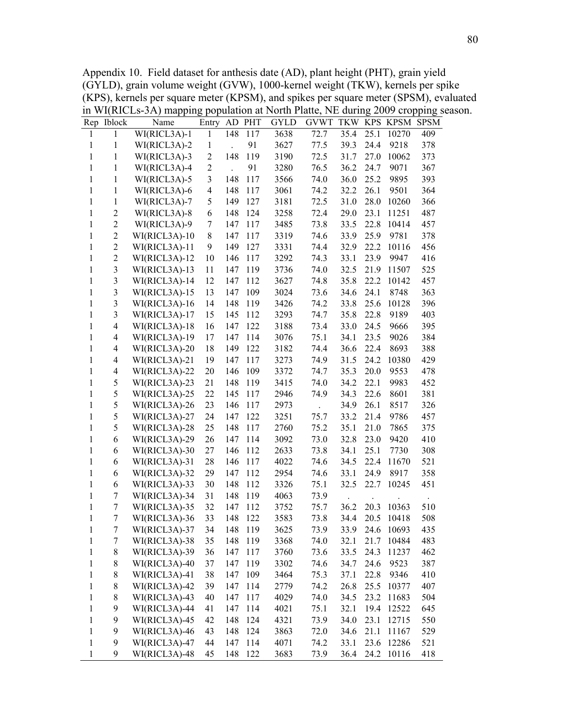Appendix 10. Field dataset for anthesis date (AD), plant height (PHT), grain yield (GYLD), grain volume weight (GVW), 1000-kernel weight (TKW), kernels per spike (KPS), kernels per square meter (KPSM), and spikes per square meter (SPSM), evaluated in WI(RICLs-3A) mapping population at North Platte, NE during 2009 cropping season.

|              | Rep Iblock               | Name           | Entry                   |     | AD PHT  | <b>GYLD</b> | <b>GVWT</b> | TKW  |      | KPS KPSM        | <b>SPSM</b> |
|--------------|--------------------------|----------------|-------------------------|-----|---------|-------------|-------------|------|------|-----------------|-------------|
| 1            | 1                        | WI(RICL3A)-1   | $\mathbf{1}$            | 148 | 117     | 3638        | 72.7        | 35.4 | 25.1 | 10270           | 409         |
| 1            | $\mathbf{1}$             | WI(RICL3A)-2   | $\mathbf{1}$            |     | 91      | 3627        | 77.5        | 39.3 | 24.4 | 9218            | 378         |
| 1            | 1                        | WI(RICL3A)-3   | $\overline{c}$          | 148 | 119     | 3190        | 72.5        | 31.7 | 27.0 | 10062           | 373         |
| 1            | $\mathbf{1}$             | WI(RICL3A)-4   | $\overline{2}$          |     | 91      | 3280        | 76.5        | 36.2 | 24.7 | 9071            | 367         |
| 1            | $\mathbf{1}$             | WI(RICL3A)-5   | $\overline{\mathbf{3}}$ | 148 | 117     | 3566        | 74.0        | 36.0 | 25.2 | 9895            | 393         |
| 1            | 1                        | WI(RICL3A)-6   | $\overline{\mathbf{4}}$ | 148 | 117     | 3061        | 74.2        | 32.2 | 26.1 | 9501            | 364         |
| 1            | 1                        | $WI(RICL3A)-7$ | 5                       | 149 | 127     | 3181        | 72.5        | 31.0 | 28.0 | 10260           | 366         |
| $\mathbf{1}$ | $\overline{c}$           | $WI(RICL3A)-8$ | 6                       | 148 | 124     | 3258        | 72.4        | 29.0 | 23.1 | 11251           | 487         |
| 1            | $\sqrt{2}$               | WI(RICL3A)-9   | 7                       | 147 | 117     | 3485        | 73.8        | 33.5 | 22.8 | 10414           | 457         |
| $\mathbf{1}$ | $\mathbf{2}$             | WI(RICL3A)-10  | 8                       | 147 | 117     | 3319        | 74.6        | 33.9 | 25.9 | 9781            | 378         |
| 1            | $\mathbf{2}$             | WI(RICL3A)-11  | 9                       | 149 | 127     | 3331        | 74.4        | 32.9 | 22.2 | 10116           | 456         |
| 1            | $\overline{2}$           | WI(RICL3A)-12  | 10                      | 146 | 117     | 3292        | 74.3        | 33.1 | 23.9 | 9947            | 416         |
| 1            | $\mathfrak{Z}$           | WI(RICL3A)-13  | 11                      | 147 | 119     | 3736        | 74.0        | 32.5 | 21.9 | 11507           | 525         |
| 1            | $\mathfrak{Z}$           | WI(RICL3A)-14  | 12                      | 147 | 112     | 3627        | 74.8        | 35.8 | 22.2 | 10142           | 457         |
| 1            | $\mathfrak{Z}$           | WI(RICL3A)-15  | 13                      | 147 | 109     | 3024        | 73.6        | 34.6 | 24.1 | 8748            | 363         |
| $\mathbf{1}$ | $\mathfrak{Z}$           | WI(RICL3A)-16  | 14                      | 148 | 119     | 3426        | 74.2        | 33.8 | 25.6 | 10128           | 396         |
| 1            | $\mathfrak{Z}$           | WI(RICL3A)-17  | 15                      | 145 | 112     | 3293        | 74.7        | 35.8 | 22.8 | 9189            | 403         |
| 1            | $\overline{\mathcal{A}}$ | WI(RICL3A)-18  | 16                      | 147 | 122     | 3188        | 73.4        | 33.0 | 24.5 | 9666            | 395         |
| $\mathbf{1}$ | 4                        | WI(RICL3A)-19  | 17                      | 147 | 114     | 3076        | 75.1        | 34.1 | 23.5 | 9026            | 384         |
| 1            | 4                        | WI(RICL3A)-20  | 18                      | 149 | 122     | 3182        | 74.4        | 36.6 | 22.4 | 8693            | 388         |
| $\mathbf{1}$ | 4                        | WI(RICL3A)-21  | 19                      | 147 | 117     | 3273        | 74.9        | 31.5 | 24.2 | 10380           | 429         |
| $\mathbf{1}$ | 4                        | WI(RICL3A)-22  | 20                      | 146 | 109     | 3372        | 74.7        | 35.3 | 20.0 | 9553            | 478         |
| $\mathbf{1}$ | 5                        | WI(RICL3A)-23  | 21                      | 148 | 119     | 3415        | 74.0        | 34.2 | 22.1 | 9983            | 452         |
| $\mathbf{1}$ | 5                        | WI(RICL3A)-25  | 22                      | 145 | 117     | 2946        | 74.9        | 34.3 | 22.6 | 8601            | 381         |
| $\mathbf{1}$ | 5                        | WI(RICL3A)-26  | 23                      | 146 | 117     | 2973        |             | 34.9 | 26.1 | 8517            | 326         |
| $\mathbf{1}$ | 5                        | WI(RICL3A)-27  | 24                      | 147 | 122     | 3251        | 75.7        | 33.2 | 21.4 | 9786            | 457         |
| $\mathbf{1}$ | 5                        | WI(RICL3A)-28  | 25                      | 148 | 117     | 2760        | 75.2        | 35.1 | 21.0 | 7865            | 375         |
| $\mathbf{1}$ | 6                        | WI(RICL3A)-29  | 26                      | 147 | 114     | 3092        | 73.0        | 32.8 | 23.0 | 9420            | 410         |
| 1            | 6                        | WI(RICL3A)-30  | 27                      | 146 | 112     | 2633        | 73.8        | 34.1 | 25.1 | 7730            | 308         |
| 1            | 6                        | WI(RICL3A)-31  | 28                      | 146 | 117     | 4022        | 74.6        | 34.5 | 22.4 | 11670           | 521         |
| 1            | 6                        | WI(RICL3A)-32  | 29                      | 147 | 112     | 2954        | 74.6        | 33.1 | 24.9 | 8917            | 358         |
| 1            | 6                        | WI(RICL3A)-33  | 30                      | 148 | 112     | 3326        | 75.1        | 32.5 | 22.7 | 10245           | 451         |
| $\mathbf{1}$ | 7                        | WI(RICL3A)-34  | 31                      | 148 | 119     | 4063        | 73.9        |      |      |                 |             |
| $\mathbf{1}$ | 7                        | WI(RICL3A)-35  | 32                      | 147 | 112     | 3752        | 75.7        | 36.2 | 20.3 | 10363           | 510         |
| 1            | $\boldsymbol{7}$         | WI(RICL3A)-36  | 33                      | 148 | 122     | 3583        | 73.8        | 34.4 | 20.5 | 10418           | 508         |
| $\mathbf{1}$ | $\boldsymbol{7}$         | WI(RICL3A)-37  | 34                      |     | 148 119 | 3625        | 73.9        |      |      | 33.9 24.6 10693 | 435         |
| 1            | 7                        | WI(RICL3A)-38  | 35                      | 148 | 119     | 3368        | 74.0        | 32.1 | 21.7 | 10484           | 483         |
| $\mathbf{1}$ | $\,$ $\,$                | WI(RICL3A)-39  | 36                      | 147 | 117     | 3760        | 73.6        | 33.5 | 24.3 | 11237           | 462         |
| $\mathbf{1}$ | $\,$ $\,$                | WI(RICL3A)-40  | 37                      | 147 | 119     | 3302        | 74.6        | 34.7 | 24.6 | 9523            | 387         |
| $\mathbf{1}$ | 8                        | WI(RICL3A)-41  | 38                      | 147 | 109     | 3464        | 75.3        | 37.1 | 22.8 | 9346            | 410         |
| $\mathbf{1}$ | 8                        | WI(RICL3A)-42  | 39                      | 147 | 114     | 2779        | 74.2        | 26.8 | 25.5 | 10377           | 407         |
| $\mathbf{1}$ | $\,$ $\,$                | WI(RICL3A)-43  | 40                      | 147 | 117     | 4029        | 74.0        | 34.5 | 23.2 | 11683           | 504         |
| $\mathbf{1}$ | 9                        | WI(RICL3A)-44  | 41                      | 147 | 114     | 4021        | 75.1        | 32.1 | 19.4 | 12522           | 645         |
| $\mathbf{1}$ | 9                        | WI(RICL3A)-45  | 42                      | 148 | 124     | 4321        | 73.9        | 34.0 | 23.1 | 12715           | 550         |
| $\mathbf{1}$ | 9                        | WI(RICL3A)-46  | 43                      | 148 | 124     | 3863        | 72.0        | 34.6 | 21.1 | 11167           | 529         |
| $\mathbf{1}$ | 9                        | WI(RICL3A)-47  | 44                      | 147 | 114     | 4071        | 74.2        | 33.1 | 23.6 | 12286           | 521         |
| $\mathbf{1}$ | 9                        | WI(RICL3A)-48  | 45                      | 148 | 122     | 3683        | 73.9        | 36.4 |      | 24.2 10116      | 418         |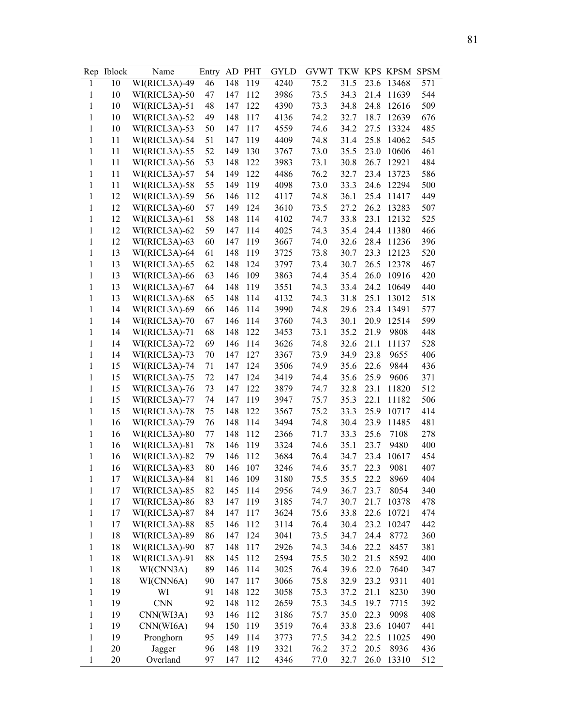| Rep          | <b>Iblock</b> | Name          | Entry | AD  | <b>PHT</b> | GYLD | <b>GVWT</b> | <b>TKW</b> | <b>KPS</b> | KPSM  | <b>SPSM</b> |
|--------------|---------------|---------------|-------|-----|------------|------|-------------|------------|------------|-------|-------------|
| 1            | 10            | WI(RICL3A)-49 | 46    | 148 | 119        | 4240 | 75.2        | 31.5       | 23.6       | 13468 | 571         |
| 1            | 10            | WI(RICL3A)-50 | 47    | 147 | 112        | 3986 | 73.5        | 34.3       | 21.4       | 11639 | 544         |
| $\mathbf{1}$ | 10            | WI(RICL3A)-51 | 48    | 147 | 122        | 4390 | 73.3        | 34.8       | 24.8       | 12616 | 509         |
| 1            | 10            | WI(RICL3A)-52 | 49    | 148 | 117        | 4136 | 74.2        | 32.7       | 18.7       | 12639 | 676         |
| $\mathbf{1}$ | 10            | WI(RICL3A)-53 | 50    | 147 | 117        | 4559 | 74.6        | 34.2       | 27.5       | 13324 | 485         |
| $\mathbf{1}$ | 11            | WI(RICL3A)-54 | 51    | 147 | 119        | 4409 | 74.8        | 31.4       | 25.8       | 14062 | 545         |
| $\mathbf{1}$ | 11            | WI(RICL3A)-55 | 52    | 149 | 130        | 3767 | 73.0        | 35.5       | 23.0       | 10606 | 461         |
| 1            | 11            | WI(RICL3A)-56 | 53    | 148 | 122        | 3983 | 73.1        | 30.8       | 26.7       | 12921 | 484         |
| $\mathbf{1}$ | 11            | WI(RICL3A)-57 | 54    | 149 | 122        | 4486 | 76.2        | 32.7       | 23.4       | 13723 | 586         |
| $\mathbf{1}$ | 11            | WI(RICL3A)-58 | 55    | 149 | 119        | 4098 | 73.0        | 33.3       | 24.6       | 12294 | 500         |
| 1            | 12            | WI(RICL3A)-59 | 56    | 146 | 112        | 4117 | 74.8        | 36.1       | 25.4       | 11417 | 449         |
| 1            | 12            | WI(RICL3A)-60 | 57    | 149 | 124        | 3610 | 73.5        | 27.2       | 26.2       | 13283 | 507         |
| 1            | 12            | WI(RICL3A)-61 | 58    | 148 | 114        | 4102 | 74.7        | 33.8       | 23.1       | 12132 | 525         |
| 1            | 12            | WI(RICL3A)-62 | 59    | 147 | 114        | 4025 | 74.3        | 35.4       | 24.4       | 11380 | 466         |
| 1            | 12            | WI(RICL3A)-63 | 60    | 147 | 119        | 3667 | 74.0        | 32.6       | 28.4       | 11236 | 396         |
| 1            | 13            | WI(RICL3A)-64 | 61    | 148 | 119        | 3725 | 73.8        | 30.7       | 23.3       | 12123 | 520         |
| 1            | 13            | WI(RICL3A)-65 | 62    | 148 | 124        | 3797 | 73.4        | 30.7       | 26.5       | 12378 | 467         |
| 1            | 13            | WI(RICL3A)-66 | 63    | 146 | 109        | 3863 | 74.4        | 35.4       | 26.0       | 10916 | 420         |
| 1            | 13            | WI(RICL3A)-67 | 64    | 148 | 119        | 3551 | 74.3        | 33.4       | 24.2       | 10649 | 440         |
| 1            | 13            | WI(RICL3A)-68 | 65    | 148 | 114        | 4132 | 74.3        | 31.8       | 25.1       | 13012 | 518         |
| 1            | 14            | WI(RICL3A)-69 | 66    | 146 | 114        | 3990 | 74.8        | 29.6       | 23.4       | 13491 | 577         |
| $\mathbf{1}$ | 14            | WI(RICL3A)-70 | 67    | 146 | 114        | 3760 | 74.3        | 30.1       | 20.9       | 12514 | 599         |
| $\mathbf{1}$ | 14            | WI(RICL3A)-71 | 68    | 148 | 122        | 3453 | 73.1        | 35.2       | 21.9       | 9808  | 448         |
| $\mathbf{1}$ | 14            | WI(RICL3A)-72 | 69    | 146 | 114        | 3626 | 74.8        | 32.6       | 21.1       | 11137 | 528         |
| 1            | 14            | WI(RICL3A)-73 | 70    | 147 | 127        | 3367 | 73.9        | 34.9       | 23.8       | 9655  | 406         |
| 1            | 15            | WI(RICL3A)-74 | 71    | 147 | 124        | 3506 | 74.9        | 35.6       | 22.6       | 9844  | 436         |
| $\mathbf{1}$ | 15            | WI(RICL3A)-75 | 72    | 147 | 124        | 3419 | 74.4        | 35.6       | 25.9       | 9606  | 371         |
| 1            | 15            | WI(RICL3A)-76 | 73    | 147 | 122        | 3879 | 74.7        | 32.8       | 23.1       | 11820 | 512         |
| 1            | 15            | WI(RICL3A)-77 | 74    | 147 | 119        | 3947 | 75.7        | 35.3       | 22.1       | 11182 | 506         |
| 1            | 15            | WI(RICL3A)-78 | 75    | 148 | 122        | 3567 | 75.2        | 33.3       | 25.9       | 10717 | 414         |
| 1            | 16            | WI(RICL3A)-79 | 76    | 148 | 114        | 3494 | 74.8        | 30.4       | 23.9       | 11485 | 481         |
| 1            | 16            | WI(RICL3A)-80 | 77    | 148 | 112        | 2366 | 71.7        | 33.3       | 25.6       | 7108  | 278         |
| $\mathbf{1}$ | 16            | WI(RICL3A)-81 | 78    | 146 | 119        | 3324 | 74.6        | 35.1       | 23.7       | 9480  | 400         |
| 1            | 16            | WI(RICL3A)-82 | 79    | 146 | 112        | 3684 | 76.4        | 34.7       | 23.4       | 10617 | 454         |
| 1            | 16            | WI(RICL3A)-83 | 80    | 146 | 107        | 3246 | 74.6        | 35.7       | 22.3       | 9081  | 407         |
| $\mathbf{1}$ | 17            | WI(RICL3A)-84 | 81    | 146 | 109        | 3180 | 75.5        | 35.5       | 22.2       | 8969  | 404         |
| $\mathbf{1}$ | 17            | WI(RICL3A)-85 | 82    | 145 | 114        | 2956 | 74.9        | 36.7       | 23.7       | 8054  | 340         |
| $\mathbf{1}$ | 17            | WI(RICL3A)-86 | 83    | 147 | 119        | 3185 | 74.7        | 30.7       | 21.7       | 10378 | 478         |
| $\mathbf{1}$ | 17            | WI(RICL3A)-87 | 84    | 147 | 117        | 3624 | 75.6        | 33.8       | 22.6       | 10721 | 474         |
| $\mathbf{1}$ | 17            | WI(RICL3A)-88 | 85    | 146 | 112        | 3114 | 76.4        | 30.4       | 23.2       | 10247 | 442         |
| $\mathbf{1}$ | 18            | WI(RICL3A)-89 | 86    | 147 | 124        | 3041 | 73.5        | 34.7       | 24.4       | 8772  | 360         |
| $\mathbf{1}$ | 18            | WI(RICL3A)-90 | 87    | 148 | 117        | 2926 | 74.3        | 34.6       | 22.2       | 8457  | 381         |
| $\mathbf{1}$ | 18            | WI(RICL3A)-91 | 88    | 145 | 112        | 2594 | 75.5        | 30.2       | 21.5       | 8592  | 400         |
| $\mathbf{1}$ | 18            | WI(CNN3A)     | 89    | 146 | 114        | 3025 | 76.4        | 39.6       | 22.0       | 7640  | 347         |
| $\mathbf{1}$ | 18            | WI(CNN6A)     | 90    | 147 | 117        | 3066 | 75.8        | 32.9       | 23.2       | 9311  | 401         |
| $\,1$        | 19            | WI            | 91    | 148 | 122        | 3058 | 75.3        | 37.2       | 21.1       | 8230  | 390         |
| $\mathbf{1}$ | 19            | <b>CNN</b>    | 92    | 148 | 112        | 2659 | 75.3        | 34.5       | 19.7       | 7715  | 392         |
| $\mathbf{1}$ | 19            | CNN(WI3A)     | 93    | 146 | 112        | 3186 | 75.7        | 35.0       | 22.3       | 9098  | 408         |
| $\mathbf{1}$ | 19            | CNN(WI6A)     | 94    | 150 | 119        | 3519 | 76.4        | 33.8       | 23.6       | 10407 | 441         |
| 1            | 19            | Pronghorn     | 95    | 149 | 114        | 3773 | 77.5        | 34.2       | 22.5       | 11025 | 490         |
| $\mathbf{1}$ | 20            | Jagger        | 96    | 148 | 119        | 3321 | 76.2        | 37.2       | 20.5       | 8936  | 436         |
| 1            | 20            | Overland      | 97    | 147 | 112        | 4346 | 77.0        | 32.7       | 26.0       | 13310 | 512         |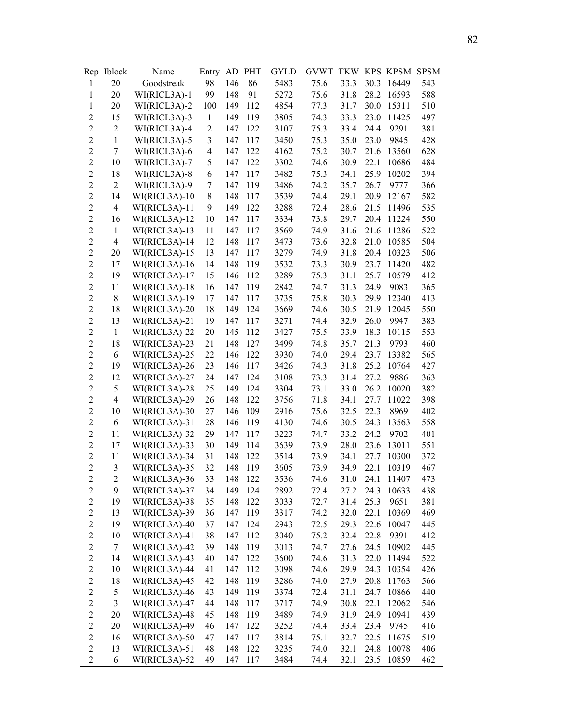| Rep                     | <b>Iblock</b>  | Name          | Entry                    | AD  | <b>PHT</b> | GYLD | <b>GVWT</b> | <b>TKW</b> | <b>KPS</b> | <b>KPSM</b> | <b>SPSM</b> |
|-------------------------|----------------|---------------|--------------------------|-----|------------|------|-------------|------------|------------|-------------|-------------|
| $\mathbf{1}$            | 20             | Goodstreak    | 98                       | 146 | 86         | 5483 | 75.6        | 33.3       | 30.3       | 16449       | 543         |
| 1                       | 20             | WI(RICL3A)-1  | 99                       | 148 | 91         | 5272 | 75.6        | 31.8       | 28.2       | 16593       | 588         |
| $\mathbf{1}$            | 20             | WI(RICL3A)-2  | 100                      | 149 | 112        | 4854 | 77.3        | 31.7       | 30.0       | 15311       | 510         |
| $\overline{c}$          | 15             | WI(RICL3A)-3  | $\mathbf{1}$             | 149 | 119        | 3805 | 74.3        | 33.3       | 23.0       | 11425       | 497         |
| $\overline{2}$          | $\overline{2}$ | WI(RICL3A)-4  | $\overline{2}$           | 147 | 122        | 3107 | 75.3        | 33.4       | 24.4       | 9291        | 381         |
| $\overline{c}$          | $\mathbf{1}$   | WI(RICL3A)-5  | 3                        | 147 | 117        | 3450 | 75.3        | 35.0       | 23.0       | 9845        | 428         |
| $\overline{c}$          | $\tau$         | WI(RICL3A)-6  | $\overline{\mathcal{A}}$ | 147 | 122        | 4162 | 75.2        | 30.7       | 21.6       | 13560       | 628         |
| $\overline{c}$          | 10             | WI(RICL3A)-7  | 5                        | 147 | 122        | 3302 | 74.6        | 30.9       | 22.1       | 10686       | 484         |
| $\overline{2}$          | 18             | WI(RICL3A)-8  | 6                        | 147 | 117        | 3482 | 75.3        | 34.1       | 25.9       | 10202       | 394         |
| $\overline{2}$          | $\overline{2}$ | WI(RICL3A)-9  | 7                        | 147 | 119        | 3486 | 74.2        | 35.7       | 26.7       | 9777        | 366         |
| $\overline{c}$          | 14             | WI(RICL3A)-10 | 8                        | 148 | 117        | 3539 | 74.4        | 29.1       | 20.9       | 12167       | 582         |
| $\overline{c}$          | $\overline{4}$ | WI(RICL3A)-11 | 9                        | 149 | 122        | 3288 | 72.4        | 28.6       | 21.5       | 11496       | 535         |
| $\overline{c}$          | 16             | WI(RICL3A)-12 | 10                       | 147 | 117        | 3334 | 73.8        | 29.7       | 20.4       | 11224       | 550         |
| $\overline{c}$          | $\mathbf{1}$   | WI(RICL3A)-13 | 11                       | 147 | 117        | 3569 | 74.9        | 31.6       | 21.6       | 11286       | 522         |
| $\overline{c}$          | $\overline{4}$ | WI(RICL3A)-14 | 12                       | 148 | 117        | 3473 | 73.6        | 32.8       | 21.0       | 10585       | 504         |
| $\overline{2}$          | 20             | WI(RICL3A)-15 | 13                       | 147 | 117        | 3279 | 74.9        | 31.8       | 20.4       | 10323       | 506         |
| $\overline{c}$          | 17             | WI(RICL3A)-16 | 14                       | 148 | 119        | 3532 | 73.3        | 30.9       | 23.7       | 11420       | 482         |
| $\overline{2}$          | 19             | WI(RICL3A)-17 | 15                       | 146 | 112        | 3289 | 75.3        | 31.1       | 25.7       | 10579       | 412         |
| $\overline{c}$          | 11             | WI(RICL3A)-18 | 16                       | 147 | 119        | 2842 | 74.7        | 31.3       | 24.9       | 9083        | 365         |
| $\overline{c}$          | $8\,$          | WI(RICL3A)-19 | 17                       | 147 | 117        | 3735 | 75.8        | 30.3       | 29.9       | 12340       | 413         |
| $\overline{c}$          | 18             | WI(RICL3A)-20 | 18                       | 149 | 124        | 3669 | 74.6        | 30.5       | 21.9       | 12045       | 550         |
| $\overline{2}$          | 13             | WI(RICL3A)-21 | 19                       | 147 | 117        | 3271 | 74.4        | 32.9       | 26.0       | 9947        | 383         |
| $\overline{c}$          | $\mathbf{1}$   | WI(RICL3A)-22 | 20                       | 145 | 112        | 3427 | 75.5        | 33.9       | 18.3       | 10115       | 553         |
| $\overline{c}$          | 18             | WI(RICL3A)-23 | 21                       | 148 | 127        | 3499 | 74.8        | 35.7       | 21.3       | 9793        | 460         |
| $\overline{c}$          | 6              | WI(RICL3A)-25 | 22                       | 146 | 122        | 3930 | 74.0        | 29.4       | 23.7       | 13382       | 565         |
| $\overline{c}$          | 19             | WI(RICL3A)-26 | 23                       | 146 | 117        | 3426 | 74.3        | 31.8       | 25.2       | 10764       | 427         |
| $\overline{2}$          | 12             | WI(RICL3A)-27 | 24                       | 147 | 124        | 3108 | 73.3        | 31.4       | 27.2       | 9886        | 363         |
| $\overline{c}$          | 5              | WI(RICL3A)-28 | 25                       | 149 | 124        | 3304 | 73.1        | 33.0       | 26.2       | 10020       | 382         |
| $\overline{c}$          | $\overline{4}$ | WI(RICL3A)-29 | 26                       | 148 | 122        | 3756 | 71.8        | 34.1       | 27.7       | 11022       | 398         |
| $\overline{c}$          | 10             | WI(RICL3A)-30 | 27                       | 146 | 109        | 2916 | 75.6        | 32.5       | 22.3       | 8969        | 402         |
| $\overline{c}$          | 6              | WI(RICL3A)-31 | 28                       | 146 | 119        | 4130 | 74.6        | 30.5       | 24.3       | 13563       | 558         |
| $\overline{c}$          | 11             | WI(RICL3A)-32 | 29                       | 147 | 117        | 3223 | 74.7        | 33.2       | 24.2       | 9702        | 401         |
| $\overline{c}$          | 17             | WI(RICL3A)-33 | 30                       | 149 | 114        | 3639 | 73.9        | 28.0       | 23.6       | 13011       | 551         |
| $\overline{c}$          | 11             | WI(RICL3A)-34 | 31                       | 148 | 122        | 3514 | 73.9        | 34.1       | 27.7       | 10300       | 372         |
| $\overline{2}$          | 3              | WI(RICL3A)-35 | 32                       | 148 | 119        | 3605 | 73.9        | 34.9       | 22.1       | 10319       | 467         |
| $\overline{\mathbf{c}}$ | $\overline{c}$ | WI(RICL3A)-36 | 33                       | 148 | 122        | 3536 | 74.6        | 31.0       | 24.1       | 11407       | 473         |
| $\overline{c}$          | 9              | WI(RICL3A)-37 | 34                       | 149 | 124        | 2892 | 72.4        | 27.2       | 24.3       | 10633       | 438         |
| $\overline{c}$          | 19             | WI(RICL3A)-38 | 35                       | 148 | 122        | 3033 | 72.7        | 31.4       | 25.3       | 9651        | 381         |
| $\overline{c}$          | 13             | WI(RICL3A)-39 | 36                       | 147 | 119        | 3317 | 74.2        | 32.0       | 22.1       | 10369       | 469         |
| $\overline{c}$          | 19             | WI(RICL3A)-40 | 37                       | 147 | 124        | 2943 | 72.5        | 29.3       | 22.6       | 10047       | 445         |
| $\overline{c}$          | 10             | WI(RICL3A)-41 | 38                       | 147 | 112        | 3040 | 75.2        | 32.4       | 22.8       | 9391        | 412         |
| $\overline{c}$          | $\tau$         | WI(RICL3A)-42 | 39                       | 148 | 119        | 3013 | 74.7        | 27.6       | 24.5       | 10902       | 445         |
| $\overline{c}$          | 14             | WI(RICL3A)-43 | 40                       | 147 | 122        | 3600 | 74.6        | 31.3       | 22.0       | 11494       | 522         |
| $\overline{c}$          | 10             | WI(RICL3A)-44 | 41                       | 147 | 112        | 3098 | 74.6        | 29.9       | 24.3       | 10354       | 426         |
| $\overline{c}$          | 18             | WI(RICL3A)-45 | 42                       | 148 | 119        | 3286 | 74.0        | 27.9       | 20.8       | 11763       | 566         |
| $\overline{c}$          | 5              | WI(RICL3A)-46 | 43                       | 149 | 119        | 3374 | 72.4        | 31.1       | 24.7       | 10866       | 440         |
| $\overline{c}$          | $\mathfrak{Z}$ | WI(RICL3A)-47 | 44                       | 148 | 117        | 3717 | 74.9        | 30.8       | 22.1       | 12062       | 546         |
| $\overline{c}$          | 20             | WI(RICL3A)-48 | 45                       | 148 | 119        | 3489 | 74.9        | 31.9       | 24.9       | 10941       | 439         |
| $\overline{c}$          | 20             | WI(RICL3A)-49 | 46                       | 147 | 122        | 3252 | 74.4        | 33.4       | 23.4       | 9745        | 416         |
| $\overline{c}$          | 16             | WI(RICL3A)-50 | 47                       | 147 | 117        | 3814 | 75.1        | 32.7       | 22.5       | 11675       | 519         |
| $\overline{c}$          | 13             | WI(RICL3A)-51 | 48                       | 148 | 122        | 3235 | 74.0        | 32.1       | 24.8       | 10078       | 406         |
| $\overline{c}$          | 6              | WI(RICL3A)-52 | 49                       | 147 | 117        | 3484 | 74.4        | 32.1       | 23.5       | 10859       | 462         |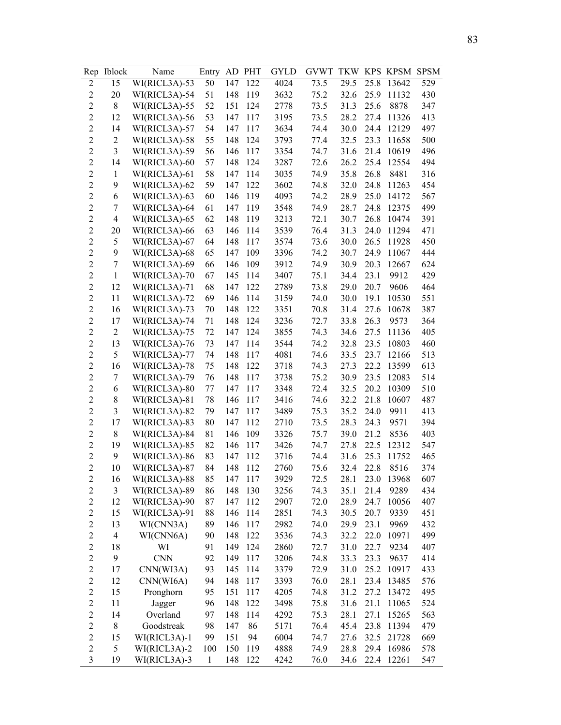| Rep                     | <b>Iblock</b>            | Name          | Entry        | AD  | <b>PHT</b> | GYLD | <b>GVWT</b> | <b>TKW</b> | <b>KPS</b> | KPSM       | <b>SPSM</b> |
|-------------------------|--------------------------|---------------|--------------|-----|------------|------|-------------|------------|------------|------------|-------------|
| $\overline{2}$          | 15                       | WI(RICL3A)-53 | 50           | 147 | 122        | 4024 | 73.5        | 29.5       | 25.8       | 13642      | 529         |
| $\overline{2}$          | 20                       | WI(RICL3A)-54 | 51           | 148 | 119        | 3632 | 75.2        | 32.6       | 25.9       | 11132      | 430         |
| $\overline{c}$          | 8                        | WI(RICL3A)-55 | 52           | 151 | 124        | 2778 | 73.5        | 31.3       | 25.6       | 8878       | 347         |
| $\overline{c}$          | 12                       | WI(RICL3A)-56 | 53           | 147 | 117        | 3195 | 73.5        | 28.2       | 27.4       | 11326      | 413         |
| $\overline{2}$          | 14                       | WI(RICL3A)-57 | 54           | 147 | 117        | 3634 | 74.4        | 30.0       | 24.4       | 12129      | 497         |
| $\overline{c}$          | $\overline{c}$           | WI(RICL3A)-58 | 55           | 148 | 124        | 3793 | 77.4        | 32.5       | 23.3       | 11658      | 500         |
| $\overline{c}$          | $\overline{3}$           | WI(RICL3A)-59 | 56           | 146 | 117        | 3354 | 74.7        | 31.6       | 21.4       | 10619      | 496         |
| $\overline{c}$          | 14                       | WI(RICL3A)-60 | 57           | 148 | 124        | 3287 | 72.6        | 26.2       | 25.4       | 12554      | 494         |
| $\overline{2}$          | $\mathbf{1}$             | WI(RICL3A)-61 | 58           | 147 | 114        | 3035 | 74.9        | 35.8       | 26.8       | 8481       | 316         |
| $\overline{2}$          | 9                        | WI(RICL3A)-62 | 59           | 147 | 122        | 3602 | 74.8        | 32.0       | 24.8       | 11263      | 454         |
| $\overline{c}$          | 6                        | WI(RICL3A)-63 | 60           | 146 | 119        | 4093 | 74.2        | 28.9       | 25.0       | 14172      | 567         |
| $\overline{c}$          | 7                        | WI(RICL3A)-64 | 61           | 147 | 119        | 3548 | 74.9        | 28.7       | 24.8       | 12375      | 499         |
| $\overline{c}$          | $\overline{4}$           | WI(RICL3A)-65 | 62           | 148 | 119        | 3213 | 72.1        | 30.7       | 26.8       | 10474      | 391         |
| $\overline{2}$          | 20                       | WI(RICL3A)-66 | 63           | 146 | 114        | 3539 | 76.4        | 31.3       | 24.0       | 11294      | 471         |
| $\overline{c}$          | 5                        | WI(RICL3A)-67 | 64           | 148 | 117        | 3574 | 73.6        | 30.0       | 26.5       | 11928      | 450         |
| $\overline{2}$          | 9                        | WI(RICL3A)-68 | 65           | 147 | 109        | 3396 | 74.2        | 30.7       | 24.9       | 11067      | 444         |
| $\overline{c}$          | 7                        | WI(RICL3A)-69 | 66           | 146 | 109        | 3912 | 74.9        | 30.9       | 20.3       | 12667      | 624         |
| $\overline{2}$          | $\mathbf{1}$             | WI(RICL3A)-70 | 67           | 145 | 114        | 3407 | 75.1        | 34.4       | 23.1       | 9912       | 429         |
| $\overline{c}$          | 12                       | WI(RICL3A)-71 | 68           | 147 | 122        | 2789 | 73.8        | 29.0       | 20.7       | 9606       | 464         |
| $\overline{c}$          | 11                       | WI(RICL3A)-72 | 69           | 146 | 114        | 3159 | 74.0        | 30.0       | 19.1       | 10530      | 551         |
| $\overline{c}$          | 16                       | WI(RICL3A)-73 | 70           | 148 | 122        | 3351 | 70.8        | 31.4       | 27.6       | 10678      | 387         |
| $\overline{2}$          | 17                       | WI(RICL3A)-74 | 71           | 148 | 124        | 3236 | 72.7        | 33.8       | 26.3       | 9573       | 364         |
| $\overline{c}$          | $\overline{2}$           | WI(RICL3A)-75 | 72           | 147 | 124        | 3855 | 74.3        | 34.6       | 27.5       | 11136      | 405         |
| $\overline{c}$          | 13                       | WI(RICL3A)-76 | 73           | 147 | 114        | 3544 | 74.2        | 32.8       | 23.5       | 10803      | 460         |
| $\overline{c}$          | 5                        | WI(RICL3A)-77 | 74           | 148 | 117        | 4081 | 74.6        | 33.5       | 23.7       | 12166      | 513         |
| $\overline{c}$          | 16                       | WI(RICL3A)-78 | 75           | 148 | 122        | 3718 | 74.3        | 27.3       | 22.2       | 13599      | 613         |
| $\overline{2}$          | 7                        | WI(RICL3A)-79 | 76           | 148 | 117        | 3738 | 75.2        | 30.9       | 23.5       | 12083      | 514         |
| $\overline{c}$          | 6                        | WI(RICL3A)-80 | 77           | 147 | 117        | 3348 | 72.4        | 32.5       | 20.2       | 10309      | 510         |
| $\overline{c}$          | 8                        | WI(RICL3A)-81 | 78           | 146 | 117        | 3416 | 74.6        | 32.2       | 21.8       | 10607      | 487         |
| $\overline{c}$          | 3                        | WI(RICL3A)-82 | 79           | 147 | 117        | 3489 | 75.3        | 35.2       | 24.0       | 9911       | 413         |
| $\overline{c}$          | 17                       | WI(RICL3A)-83 | 80           | 147 | 112        | 2710 | 73.5        | 28.3       | 24.3       | 9571       | 394         |
| $\overline{c}$          | 8                        | WI(RICL3A)-84 | 81           | 146 | 109        | 3326 | 75.7        | 39.0       | 21.2       | 8536       | 403         |
| $\overline{c}$          | 19                       | WI(RICL3A)-85 | 82           | 146 | 117        | 3426 | 74.7        | 27.8       | 22.5       | 12312      | 547         |
| $\overline{c}$          | 9                        | WI(RICL3A)-86 | 83           | 147 | 112        | 3716 | 74.4        | 31.6       | 25.3       | 11752      | 465         |
| $\overline{2}$          | 10                       | WI(RICL3A)-87 | 84           | 148 | 112        | 2760 | 75.6        | 32.4       | 22.8       | 8516       | 374         |
| $\overline{\mathbf{c}}$ | 16                       | WI(RICL3A)-88 | 85           | 147 | 117        | 3929 | 72.5        | 28.1       | 23.0       | 13968      | 607         |
| $\overline{c}$          | 3                        | WI(RICL3A)-89 | 86           | 148 | 130        | 3256 | 74.3        | 35.1       | 21.4       | 9289       | 434         |
| $\overline{c}$          | 12                       | WI(RICL3A)-90 | 87           | 147 | 112        | 2907 | 72.0        | 28.9       | 24.7       | 10056      | 407         |
| $\overline{c}$          | 15                       | WI(RICL3A)-91 | 88           | 146 | 114        | 2851 | 74.3        | 30.5       | 20.7       | 9339       | 451         |
| $\overline{c}$          | 13                       | WI(CNN3A)     | 89           | 146 | 117        | 2982 | 74.0        | 29.9       | 23.1       | 9969       | 432         |
| $\overline{c}$          | $\overline{\mathcal{L}}$ | WI(CNN6A)     | 90           | 148 | 122        | 3536 | 74.3        | 32.2       | 22.0       | 10971      | 499         |
| $\overline{c}$          | 18                       | WI            | 91           | 149 | 124        | 2860 | 72.7        | 31.0       | 22.7       | 9234       | 407         |
| $\overline{c}$          | 9                        | <b>CNN</b>    | 92           | 149 | 117        | 3206 | 74.8        | 33.3       | 23.3       | 9637       | 414         |
| $\overline{c}$          | 17                       | CNN(WI3A)     | 93           | 145 | 114        | 3379 | 72.9        | 31.0       | 25.2       | 10917      | 433         |
| $\overline{c}$          | 12                       | CNN(WI6A)     | 94           | 148 | 117        | 3393 | 76.0        | 28.1       | 23.4       | 13485      | 576         |
| $\overline{c}$          | 15                       | Pronghorn     | 95           | 151 | 117        | 4205 | 74.8        | 31.2       | 27.2       | 13472      | 495         |
| $\overline{c}$          | 11                       | Jagger        | 96           | 148 | 122        | 3498 | 75.8        | 31.6       | 21.1       | 11065      | 524         |
| $\overline{c}$          | 14                       | Overland      | 97           | 148 | 114        | 4292 | 75.3        | 28.1       | 27.1       | 15265      | 563         |
| $\overline{c}$          | 8                        | Goodstreak    | 98           | 147 | 86         | 5171 | 76.4        | 45.4       | 23.8       | 11394      | 479         |
| $\overline{c}$          | 15                       | WI(RICL3A)-1  | 99           | 151 | 94         | 6004 | 74.7        | 27.6       | 32.5       | 21728      | 669         |
| $\overline{c}$          | 5                        | WI(RICL3A)-2  | 100          | 150 | 119        | 4888 | 74.9        | 28.8       | 29.4       | 16986      | 578         |
| $\overline{\mathbf{3}}$ | 19                       | WI(RICL3A)-3  | $\mathbf{1}$ | 148 | 122        | 4242 | 76.0        | 34.6       |            | 22.4 12261 | 547         |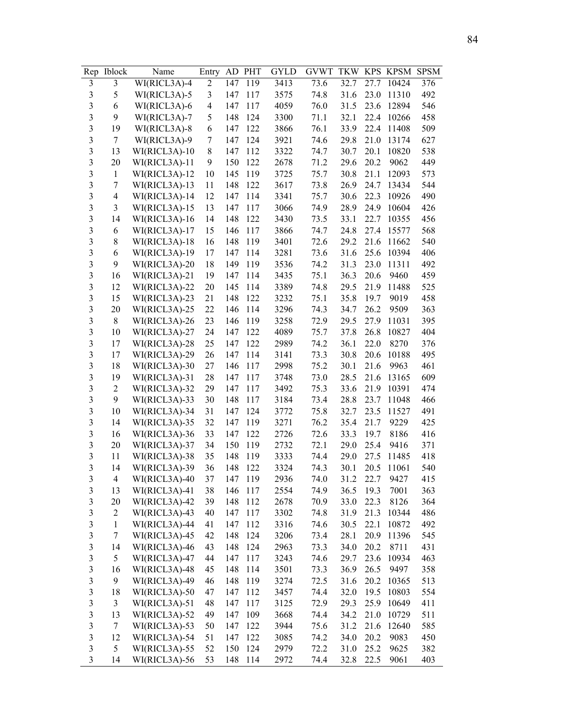| Rep                     | <b>Iblock</b>           | Name            | Entry                    | AD  | <b>PHT</b> | GYLD | <b>GVWT</b> | <b>TKW</b> | <b>KPS</b> | KPSM  | <b>SPSM</b> |
|-------------------------|-------------------------|-----------------|--------------------------|-----|------------|------|-------------|------------|------------|-------|-------------|
| 3                       | 3                       | WI(RICL3A)-4    | 2                        | 147 | 119        | 3413 | 73.6        | 32.7       | 27.7       | 10424 | 376         |
| 3                       | 5                       | WI(RICL3A)-5    | 3                        | 147 | 117        | 3575 | 74.8        | 31.6       | 23.0       | 11310 | 492         |
| $\overline{\mathbf{3}}$ | 6                       | WI(RICL3A)-6    | $\overline{\mathcal{A}}$ | 147 | 117        | 4059 | 76.0        | 31.5       | 23.6       | 12894 | 546         |
| 3                       | 9                       | WI(RICL3A)-7    | 5                        | 148 | 124        | 3300 | 71.1        | 32.1       | 22.4       | 10266 | 458         |
| 3                       | 19                      | WI(RICL3A)-8    | 6                        | 147 | 122        | 3866 | 76.1        | 33.9       | 22.4       | 11408 | 509         |
| 3                       | $\tau$                  | WI(RICL3A)-9    | 7                        | 147 | 124        | 3921 | 74.6        | 29.8       | 21.0       | 13174 | 627         |
| 3                       | 13                      | WI(RICL3A)-10   | 8                        | 147 | 112        | 3322 | 74.7        | 30.7       | 20.1       | 10820 | 538         |
| $\overline{\mathbf{3}}$ | 20                      | WI(RICL3A)-11   | 9                        | 150 | 122        | 2678 | 71.2        | 29.6       | 20.2       | 9062  | 449         |
| $\overline{\mathbf{3}}$ | $\mathbf{1}$            | WI(RICL3A)-12   | 10                       | 145 | 119        | 3725 | 75.7        | 30.8       | 21.1       | 12093 | 573         |
| $\overline{\mathbf{3}}$ | 7                       | WI(RICL3A)-13   | 11                       | 148 | 122        | 3617 | 73.8        | 26.9       | 24.7       | 13434 | 544         |
| $\overline{\mathbf{3}}$ | 4                       | WI(RICL3A)-14   | 12                       | 147 | 114        | 3341 | 75.7        | 30.6       | 22.3       | 10926 | 490         |
| $\overline{\mathbf{3}}$ | $\overline{\mathbf{3}}$ | $WI(RICL3A)-15$ | 13                       | 147 | 117        | 3066 | 74.9        | 28.9       | 24.9       | 10604 | 426         |
| $\overline{\mathbf{3}}$ | 14                      | WI(RICL3A)-16   | 14                       | 148 | 122        | 3430 | 73.5        | 33.1       | 22.7       | 10355 | 456         |
| $\overline{\mathbf{3}}$ | 6                       | WI(RICL3A)-17   | 15                       | 146 | 117        | 3866 | 74.7        | 24.8       | 27.4       | 15577 | 568         |
| $\overline{\mathbf{3}}$ | 8                       | WI(RICL3A)-18   | 16                       | 148 | 119        | 3401 | 72.6        | 29.2       | 21.6       | 11662 | 540         |
| $\overline{\mathbf{3}}$ | 6                       | WI(RICL3A)-19   | 17                       | 147 | 114        | 3281 | 73.6        | 31.6       | 25.6       | 10394 | 406         |
| $\overline{\mathbf{3}}$ | 9                       | WI(RICL3A)-20   | 18                       | 149 | 119        | 3536 | 74.2        | 31.3       | 23.0       | 11311 | 492         |
| $\overline{\mathbf{3}}$ | 16                      | WI(RICL3A)-21   | 19                       | 147 | 114        | 3435 | 75.1        | 36.3       | 20.6       | 9460  | 459         |
| 3                       | 12                      | WI(RICL3A)-22   | 20                       | 145 | 114        | 3389 | 74.8        | 29.5       | 21.9       | 11488 | 525         |
| 3                       | 15                      | WI(RICL3A)-23   | 21                       | 148 | 122        | 3232 | 75.1        | 35.8       | 19.7       | 9019  | 458         |
| 3                       | 20                      | WI(RICL3A)-25   | 22                       | 146 | 114        | 3296 | 74.3        | 34.7       | 26.2       | 9509  | 363         |
| 3                       | 8                       | WI(RICL3A)-26   | 23                       | 146 | 119        | 3258 | 72.9        | 29.5       | 27.9       | 11031 | 395         |
| $\overline{\mathbf{3}}$ | 10                      | WI(RICL3A)-27   | 24                       | 147 | 122        | 4089 | 75.7        | 37.8       | 26.8       | 10827 | 404         |
| 3                       | 17                      | WI(RICL3A)-28   | 25                       | 147 | 122        | 2989 | 74.2        | 36.1       | 22.0       | 8270  | 376         |
| $\overline{\mathbf{3}}$ | 17                      | WI(RICL3A)-29   | 26                       | 147 | 114        | 3141 | 73.3        | 30.8       | 20.6       | 10188 | 495         |
| $\overline{\mathbf{3}}$ | 18                      | WI(RICL3A)-30   | 27                       | 146 | 117        | 2998 | 75.2        | 30.1       | 21.6       | 9963  | 461         |
| $\overline{\mathbf{3}}$ | 19                      | WI(RICL3A)-31   | 28                       | 147 | 117        | 3748 | 73.0        | 28.5       | 21.6       | 13165 | 609         |
| $\overline{\mathbf{3}}$ | $\mathbf{2}$            | WI(RICL3A)-32   | 29                       | 147 | 117        | 3492 | 75.3        | 33.6       | 21.9       | 10391 | 474         |
| $\overline{\mathbf{3}}$ | 9                       | WI(RICL3A)-33   | 30                       | 148 | 117        | 3184 | 73.4        | 28.8       | 23.7       | 11048 | 466         |
| $\overline{\mathbf{3}}$ | 10                      | WI(RICL3A)-34   | 31                       | 147 | 124        | 3772 | 75.8        | 32.7       | 23.5       | 11527 | 491         |
| $\overline{3}$          | 14                      | WI(RICL3A)-35   | 32                       | 147 | 119        | 3271 | 76.2        | 35.4       | 21.7       | 9229  | 425         |
| $\overline{\mathbf{3}}$ | 16                      | WI(RICL3A)-36   | 33                       | 147 | 122        | 2726 | 72.6        | 33.3       | 19.7       | 8186  | 416         |
| $\overline{\mathbf{3}}$ | 20                      | WI(RICL3A)-37   | 34                       | 150 | 119        | 2732 | 72.1        | 29.0       | 25.4       | 9416  | 371         |
| $\overline{\mathbf{3}}$ | 11                      | WI(RICL3A)-38   | 35                       | 148 | 119        | 3333 | 74.4        | 29.0       | 27.5       | 11485 | 418         |
| 3                       | 14                      | WI(RICL3A)-39   | 36                       | 148 | 122        | 3324 | 74.3        | 30.1       | 20.5       | 11061 | 540         |
| 3                       | 4                       | WI(RICL3A)-40   | 37                       | 147 | 119        | 2936 | 74.0        | 31.2       | 22.7       | 9427  | 415         |
| $\mathfrak{Z}$          | 13                      | WI(RICL3A)-41   | 38                       | 146 | 117        | 2554 | 74.9        | 36.5       | 19.3       | 7001  | 363         |
| $\mathfrak{Z}$          | 20                      | WI(RICL3A)-42   | 39                       | 148 | 112        | 2678 | 70.9        | 33.0       | 22.3       | 8126  | 364         |
| $\mathfrak{Z}$          | $\overline{c}$          | WI(RICL3A)-43   | 40                       | 147 | 117        | 3302 | 74.8        | 31.9       | 21.3       | 10344 | 486         |
| $\mathfrak{Z}$          | $\,1$                   | WI(RICL3A)-44   | 41                       | 147 | 112        | 3316 | 74.6        | 30.5       | 22.1       | 10872 | 492         |
| $\mathfrak{Z}$          | 7                       | WI(RICL3A)-45   | 42                       | 148 | 124        | 3206 | 73.4        | 28.1       | 20.9       | 11396 | 545         |
| $\mathfrak{Z}$          | 14                      | WI(RICL3A)-46   | 43                       | 148 | 124        | 2963 | 73.3        | 34.0       | 20.2       | 8711  | 431         |
| $\mathfrak{Z}$          | 5                       | WI(RICL3A)-47   | 44                       | 147 | 117        | 3243 | 74.6        | 29.7       | 23.6       | 10934 | 463         |
| $\mathfrak{Z}$          | 16                      | WI(RICL3A)-48   | 45                       | 148 | 114        | 3501 | 73.3        | 36.9       | 26.5       | 9497  | 358         |
| $\overline{\mathbf{3}}$ | 9                       | WI(RICL3A)-49   | 46                       | 148 | 119        | 3274 | 72.5        | 31.6       | 20.2       | 10365 | 513         |
| $\mathfrak{Z}$          | 18                      | WI(RICL3A)-50   | 47                       | 147 | 112        | 3457 | 74.4        | 32.0       | 19.5       | 10803 | 554         |
| $\overline{\mathbf{3}}$ | $\mathfrak{Z}$          | WI(RICL3A)-51   | 48                       | 147 | 117        | 3125 | 72.9        | 29.3       | 25.9       | 10649 | 411         |
| $\mathfrak{Z}$          | 13                      | WI(RICL3A)-52   | 49                       | 147 | 109        | 3668 | 74.4        | 34.2       | 21.0       | 10729 | 511         |
| $\overline{\mathbf{3}}$ | $\tau$                  | WI(RICL3A)-53   | 50                       | 147 | 122        | 3944 | 75.6        | 31.2       | 21.6       | 12640 | 585         |
| $\overline{\mathbf{3}}$ | 12                      | WI(RICL3A)-54   | 51                       | 147 | 122        | 3085 | 74.2        | 34.0       | 20.2       | 9083  | 450         |
| $\overline{\mathbf{3}}$ | 5                       | WI(RICL3A)-55   | 52                       | 150 | 124        | 2979 | 72.2        | 31.0       | 25.2       | 9625  | 382         |
| $\mathfrak{Z}$          | 14                      | WI(RICL3A)-56   | 53                       | 148 | 114        | 2972 | 74.4        | 32.8       | 22.5       | 9061  | 403         |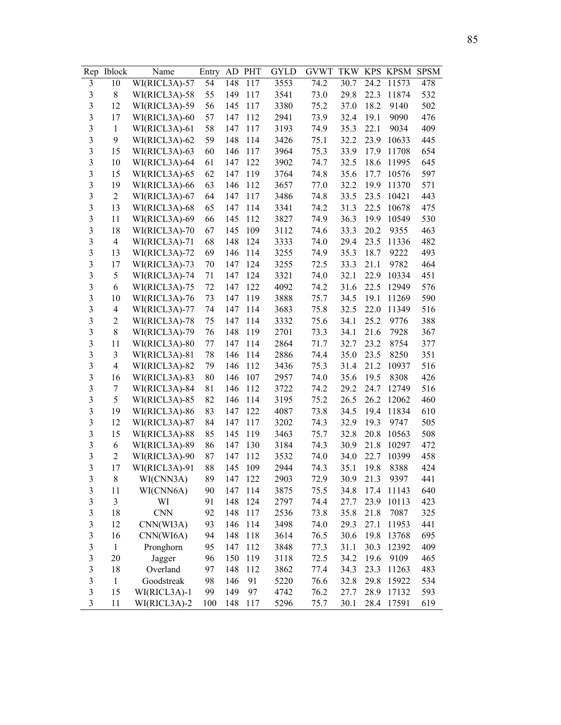| Rep                     | <b>Iblock</b>            | Name          | Entry | AD  | <b>PHT</b> | GYLD | <b>GVWT</b> | <b>TKW</b> |      | KPS KPSM SPSM |     |
|-------------------------|--------------------------|---------------|-------|-----|------------|------|-------------|------------|------|---------------|-----|
| 3                       | 10                       | WI(RICL3A)-57 | 54    | 148 | 117        | 3553 | 74.2        | 30.7       | 24.2 | 11573         | 478 |
| $\mathfrak{Z}$          | 8                        | WI(RICL3A)-58 | 55    | 149 | 117        | 3541 | 73.0        | 29.8       | 22.3 | 11874         | 532 |
| 3                       | 12                       | WI(RICL3A)-59 | 56    | 145 | 117        | 3380 | 75.2        | 37.0       | 18.2 | 9140          | 502 |
| 3                       | 17                       | WI(RICL3A)-60 | 57    | 147 | 112        | 2941 | 73.9        | 32.4       | 19.1 | 9090          | 476 |
| 3                       | $\mathbf{1}$             | WI(RICL3A)-61 | 58    | 147 | 117        | 3193 | 74.9        | 35.3       | 22.1 | 9034          | 409 |
| 3                       | 9                        | WI(RICL3A)-62 | 59    | 148 | 114        | 3426 | 75.1        | 32.2       | 23.9 | 10633         | 445 |
| 3                       | 15                       | WI(RICL3A)-63 | 60    | 146 | 117        | 3964 | 75.3        | 33.9       | 17.9 | 11708         | 654 |
| $\overline{\mathbf{3}}$ | 10                       | WI(RICL3A)-64 | 61    | 147 | 122        | 3902 | 74.7        | 32.5       | 18.6 | 11995         | 645 |
| $\overline{\mathbf{3}}$ | 15                       | WI(RICL3A)-65 | 62    | 147 | 119        | 3764 | 74.8        | 35.6       | 17.7 | 10576         | 597 |
| $\overline{\mathbf{3}}$ | 19                       | WI(RICL3A)-66 | 63    | 146 | 112        | 3657 | 77.0        | 32.2       | 19.9 | 11370         | 571 |
| $\overline{\mathbf{3}}$ | $\overline{2}$           | WI(RICL3A)-67 | 64    | 147 | 117        | 3486 | 74.8        | 33.5       | 23.5 | 10421         | 443 |
| $\overline{\mathbf{3}}$ | 13                       | WI(RICL3A)-68 | 65    | 147 | 114        | 3341 | 74.2        | 31.3       | 22.5 | 10678         | 475 |
| $\overline{\mathbf{3}}$ | 11                       | WI(RICL3A)-69 | 66    | 145 | 112        | 3827 | 74.9        | 36.3       | 19.9 | 10549         | 530 |
| $\overline{\mathbf{3}}$ | 18                       | WI(RICL3A)-70 | 67    | 145 | 109        | 3112 | 74.6        | 33.3       | 20.2 | 9355          | 463 |
| $\overline{\mathbf{3}}$ | $\overline{4}$           | WI(RICL3A)-71 | 68    | 148 | 124        | 3333 | 74.0        | 29.4       | 23.5 | 11336         | 482 |
| $\overline{\mathbf{3}}$ | 13                       | WI(RICL3A)-72 | 69    | 146 | 114        | 3255 | 74.9        | 35.3       | 18.7 | 9222          | 493 |
| $\overline{\mathbf{3}}$ | 17                       | WI(RICL3A)-73 | 70    | 147 | 124        | 3255 | 72.5        | 33.3       | 21.1 | 9782          | 464 |
| 3                       | 5                        | WI(RICL3A)-74 | 71    | 147 | 124        | 3321 | 74.0        | 32.1       | 22.9 | 10334         | 451 |
| $\overline{\mathbf{3}}$ | 6                        | WI(RICL3A)-75 | 72    | 147 | 122        | 4092 | 74.2        | 31.6       | 22.5 | 12949         | 576 |
| 3                       | 10                       | WI(RICL3A)-76 | 73    | 147 | 119        | 3888 | 75.7        | 34.5       | 19.1 | 11269         | 590 |
| 3                       | $\overline{\mathcal{A}}$ | WI(RICL3A)-77 | 74    | 147 | 114        | 3683 | 75.8        | 32.5       | 22.0 | 11349         | 516 |
| 3                       | $\overline{c}$           | WI(RICL3A)-78 | 75    | 147 | 114        | 3332 | 75.6        | 34.1       | 25.2 | 9776          | 388 |
| 3                       | 8                        | WI(RICL3A)-79 | 76    | 148 | 119        | 2701 | 73.3        | 34.1       | 21.6 | 7928          | 367 |
| $\overline{\mathbf{3}}$ | 11                       | WI(RICL3A)-80 | 77    | 147 | 114        | 2864 | 71.7        | 32.7       | 23.2 | 8754          | 377 |
| $\overline{\mathbf{3}}$ | 3                        | WI(RICL3A)-81 | 78    | 146 | 114        | 2886 | 74.4        | 35.0       | 23.5 | 8250          | 351 |
| $\overline{\mathbf{3}}$ | $\overline{4}$           | WI(RICL3A)-82 | 79    | 146 | 112        | 3436 | 75.3        | 31.4       | 21.2 | 10937         | 516 |
| $\overline{\mathbf{3}}$ | 16                       | WI(RICL3A)-83 | 80    | 146 | 107        | 2957 | 74.0        | 35.6       | 19.5 | 8308          | 426 |
| $\overline{\mathbf{3}}$ | 7                        | WI(RICL3A)-84 | 81    | 146 | 112        | 3722 | 74.2        | 29.2       | 24.7 | 12749         | 516 |
| $\overline{\mathbf{3}}$ | 5                        | WI(RICL3A)-85 | 82    | 146 | 114        | 3195 | 75.2        | 26.5       | 26.2 | 12062         | 460 |
| $\overline{3}$          | 19                       | WI(RICL3A)-86 | 83    | 147 | 122        | 4087 | 73.8        | 34.5       | 19.4 | 11834         | 610 |
| $\overline{\mathbf{3}}$ | 12                       | WI(RICL3A)-87 | 84    | 147 | 117        | 3202 | 74.3        | 32.9       | 19.3 | 9747          | 505 |
| $\overline{\mathbf{3}}$ | 15                       | WI(RICL3A)-88 | 85    | 145 | 119        | 3463 | 75.7        | 32.8       | 20.8 | 10563         | 508 |
| $\overline{\mathbf{3}}$ | 6                        | WI(RICL3A)-89 | 86    | 147 | 130        | 3184 | 74.3        | 30.9       | 21.8 | 10297         | 472 |
| $\overline{\mathbf{3}}$ | 2                        | WI(RICL3A)-90 | 87    | 147 | 112        | 3532 | 74.0        | 34.0       | 22.7 | 10399         | 458 |
| 3                       | 17                       | WI(RICL3A)-91 | 88    | 145 | 109        | 2944 | 74.3        | 35.1       | 19.8 | 8388          | 424 |
| 3                       | 8                        | WI(CNN3A)     | 89    | 147 | 122        | 2903 | 72.9        | 30.9       | 21.3 | 9397          | 441 |
| $\mathfrak{Z}$          | 11                       | WI(CNN6A)     | 90    | 147 | 114        | 3875 | 75.5        | 34.8       | 17.4 | 11143         | 640 |
| $\mathfrak{Z}$          | 3                        | WI            | 91    | 148 | 124        | 2797 | 74.4        | 27.7       | 23.9 | 10113         | 423 |
| $\mathfrak{Z}$          | 18                       | <b>CNN</b>    | 92    | 148 | 117        | 2536 | 73.8        | 35.8       | 21.8 | 7087          | 325 |
| 3                       | 12                       | CNN(WI3A)     | 93    | 146 | 114        | 3498 | 74.0        | 29.3       | 27.1 | 11953         | 441 |
| $\mathfrak{Z}$          | 16                       | CNN(WI6A)     | 94    | 148 | 118        | 3614 | 76.5        | 30.6       | 19.8 | 13768         | 695 |
| $\mathfrak{Z}$          | $\,1$                    | Pronghorn     | 95    | 147 | 112        | 3848 | 77.3        | 31.1       | 30.3 | 12392         | 409 |
| $\mathfrak{Z}$          | 20                       | Jagger        | 96    | 150 | 119        | 3118 | 72.5        | 34.2       | 19.6 | 9109          | 465 |
| $\mathfrak{Z}$          | 18                       | Overland      | 97    | 148 | 112        | 3862 | 77.4        | 34.3       | 23.3 | 11263         | 483 |
| $\mathfrak{Z}$          | $\,1$                    | Goodstreak    | 98    | 146 | 91         | 5220 | 76.6        | 32.8       | 29.8 | 15922         | 534 |
| $\overline{\mathbf{3}}$ | 15                       | WI(RICL3A)-1  | 99    | 149 | 97         | 4742 | 76.2        | 27.7       | 28.9 | 17132         | 593 |
| $\mathfrak{Z}$          | 11                       | WI(RICL3A)-2  | 100   | 148 | 117        | 5296 | 75.7        | 30.1       | 28.4 | 17591         | 619 |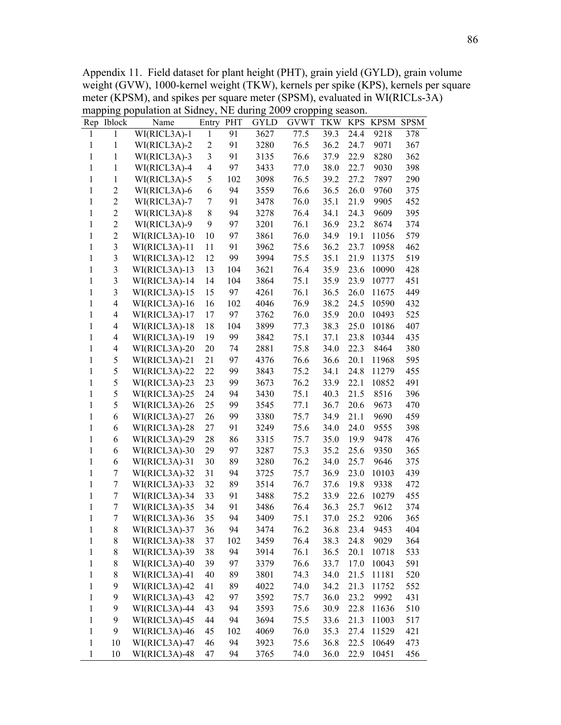Appendix 11. Field dataset for plant height (PHT), grain yield (GYLD), grain volume weight (GVW), 1000-kernel weight (TKW), kernels per spike (KPS), kernels per square meter (KPSM), and spikes per square meter (SPSM), evaluated in WI(RICLs-3A) mapping population at Sidney, NE during 2009 cropping season.

| Rep          | Iblock                  | Name            | Entry          | PHT      | <b>GYLD</b> | <b>GVWT</b> | <b>TKW</b>   | <b>KPS</b>   | <b>KPSM</b>   | <b>SPSM</b> |
|--------------|-------------------------|-----------------|----------------|----------|-------------|-------------|--------------|--------------|---------------|-------------|
| 1            | 1                       | WI(RICL3A)-1    | 1              | 91       | 3627        | 77.5        | 39.3         | 24.4         | 9218          | 378         |
| 1            | 1                       | WI(RICL3A)-2    | $\overline{c}$ | 91       | 3280        | 76.5        | 36.2         | 24.7         | 9071          | 367         |
| 1            | 1                       | WI(RICL3A)-3    | 3              | 91       | 3135        | 76.6        | 37.9         | 22.9         | 8280          | 362         |
| 1            | $\mathbf{1}$            | WI(RICL3A)-4    | 4              | 97       | 3433        | 77.0        | 38.0         | 22.7         | 9030          | 398         |
| 1            | $\mathbf{1}$            | WI(RICL3A)-5    | 5              | 102      | 3098        | 76.5        | 39.2         | 27.2         | 7897          | 290         |
| 1            | $\overline{2}$          | WI(RICL3A)-6    | 6              | 94       | 3559        | 76.6        | 36.5         | 26.0         | 9760          | 375         |
| 1            | $\sqrt{2}$              | WI(RICL3A)-7    | 7              | 91       | 3478        | 76.0        | 35.1         | 21.9         | 9905          | 452         |
| 1            | $\overline{2}$          | WI(RICL3A)-8    | 8              | 94       | 3278        | 76.4        | 34.1         | 24.3         | 9609          | 395         |
| 1            | $\boldsymbol{2}$        | WI(RICL3A)-9    | 9              | 97       | 3201        | 76.1        | 36.9         | 23.2         | 8674          | 374         |
| 1            | $\overline{2}$          | WI(RICL3A)-10   | 10             | 97       | 3861        | 76.0        | 34.9         | 19.1         | 11056         | 579         |
| $\mathbf{1}$ | $\mathfrak{Z}$          | WI(RICL3A)-11   | 11             | 91       | 3962        | 75.6        | 36.2         | 23.7         | 10958         | 462         |
| 1            | $\mathfrak{Z}$          | WI(RICL3A)-12   | 12             | 99       | 3994        | 75.5        | 35.1         | 21.9         | 11375         | 519         |
| $\mathbf{1}$ | $\mathfrak{Z}$          | WI(RICL3A)-13   | 13             | 104      | 3621        | 76.4        | 35.9         | 23.6         | 10090         | 428         |
| $\mathbf{1}$ | $\mathfrak{Z}$          | WI(RICL3A)-14   | 14             | 104      | 3864        | 75.1        | 35.9         | 23.9         | 10777         | 451         |
| $\mathbf{1}$ | $\overline{\mathbf{3}}$ | $WI(RICL3A)-15$ | 15             | 97       | 4261        | 76.1        | 36.5         | 26.0         | 11675         | 449         |
| 1            | $\overline{4}$          | WI(RICL3A)-16   | 16             | 102      | 4046        | 76.9        | 38.2         | 24.5         | 10590         | 432         |
| 1            | $\overline{4}$          | WI(RICL3A)-17   | 17             | 97       | 3762        | 76.0        | 35.9         | 20.0         | 10493         | 525         |
| 1            | $\overline{4}$          | WI(RICL3A)-18   | 18             | 104      | 3899        | 77.3        | 38.3         | 25.0         | 10186         | 407         |
| 1            | $\overline{4}$          | WI(RICL3A)-19   | 19             | 99       | 3842        | 75.1        | 37.1         | 23.8         | 10344         | 435         |
| 1            | 4                       | WI(RICL3A)-20   | 20             | 74       | 2881        | 75.8        | 34.0         | 22.3         | 8464          | 380         |
| 1            | 5                       | WI(RICL3A)-21   | 21             | 97       | 4376        | 76.6        | 36.6         | 20.1         | 11968         | 595         |
| $\mathbf{1}$ | 5                       | WI(RICL3A)-22   | 22             | 99       | 3843        | 75.2        | 34.1         | 24.8         | 11279         | 455         |
| 1            | 5                       | WI(RICL3A)-23   | 23             | 99       | 3673        | 76.2        | 33.9         | 22.1         | 10852         | 491         |
| 1            | 5                       | WI(RICL3A)-25   | 24             | 94       | 3430        | 75.1        | 40.3         | 21.5         | 8516          | 396         |
| 1            | 5                       | WI(RICL3A)-26   | 25             | 99       | 3545        | 77.1        | 36.7         | 20.6         | 9673          | 470         |
| 1            | 6                       | WI(RICL3A)-27   | 26             | 99       | 3380        | 75.7        | 34.9         | 21.1         | 9690          | 459         |
| 1            | 6                       | WI(RICL3A)-28   | 27             | 91       | 3249        | 75.6        | 34.0         | 24.0         | 9555          | 398         |
| 1            | 6                       | WI(RICL3A)-29   | 28             | 86       | 3315        | 75.7        | 35.0         | 19.9         | 9478          | 476         |
| $\mathbf{1}$ | 6                       | WI(RICL3A)-30   | 29             | 97       | 3287        | 75.3        | 35.2         | 25.6         | 9350          | 365         |
| $\mathbf{1}$ | 6                       | WI(RICL3A)-31   | 30             | 89       | 3280        | 76.2        | 34.0         | 25.7         | 9646          | 375         |
| $\mathbf{1}$ | 7                       | WI(RICL3A)-32   | 31             | 94       | 3725        | 75.7        | 36.9         | 23.0         | 10103         | 439         |
| $\mathbf{1}$ | 7                       | WI(RICL3A)-33   | 32             | 89       | 3514        | 76.7        | 37.6         | 19.8         | 9338          | 472         |
| 1            | 7                       | WI(RICL3A)-34   | 33             | 91       | 3488        | 75.2        | 33.9         | 22.6         | 10279         | 455         |
| $\mathbf{1}$ | 7                       | WI(RICL3A)-35   | 34             | 91       | 3486        | 76.4        | 36.3         | 25.7         | 9612          | 374         |
| 1            | 7                       | WI(RICL3A)-36   | 35             | 94       | 3409        | 75.1        | 37.0         | 25.2         | 9206          | 365         |
| 1            | 8                       | WI(RICL3A)-37   | 36             | 94       | 3474        | 76.2        | 36.8         | 23.4         | 9453          | 404         |
| 1            | 8                       | WI(RICL3A)-38   | 37             | 102      | 3459        | 76.4        | 38.3         | 24.8         | 9029          | 364         |
| $\mathbf{1}$ | 8                       | WI(RICL3A)-39   | 38             | 94       | 3914        | 76.1        | 36.5         | 20.1         | 10718         | 533         |
| $\mathbf{1}$ | $8\,$                   | WI(RICL3A)-40   | 39             | 97       | 3379        | 76.6        | 33.7         | 17.0         | 10043         | 591         |
| $\mathbf{1}$ | $\,$ $\,$               | WI(RICL3A)-41   | 40             | 89       | 3801        | 74.3        | 34.0         | 21.5         |               | 520         |
|              |                         |                 |                |          |             | 74.0        |              |              | 11181         |             |
| $\mathbf{1}$ | 9<br>9                  | WI(RICL3A)-42   | 41<br>42       | 89       | 4022        |             | 34.2         | 21.3<br>23.2 | 11752         | 552         |
| $\mathbf{1}$ | 9                       | WI(RICL3A)-43   | 43             | 97<br>94 | 3592        | 75.7        | 36.0<br>30.9 | 22.8         | 9992<br>11636 | 431         |
| $\mathbf{1}$ |                         | WI(RICL3A)-44   |                |          | 3593        | 75.6        |              |              |               | 510         |
| $\mathbf{1}$ | 9                       | WI(RICL3A)-45   | 44             | 94       | 3694        | 75.5        | 33.6         | 21.3         | 11003         | 517         |
| $\mathbf{1}$ | 9                       | WI(RICL3A)-46   | 45             | 102      | 4069        | 76.0        | 35.3         | 27.4         | 11529         | 421         |
| $\mathbf{1}$ | $10\,$                  | WI(RICL3A)-47   | 46             | 94       | 3923        | 75.6        | 36.8         | 22.5         | 10649         | 473         |
| $\mathbf{1}$ | 10                      | WI(RICL3A)-48   | 47             | 94       | 3765        | 74.0        | 36.0         | 22.9         | 10451         | 456         |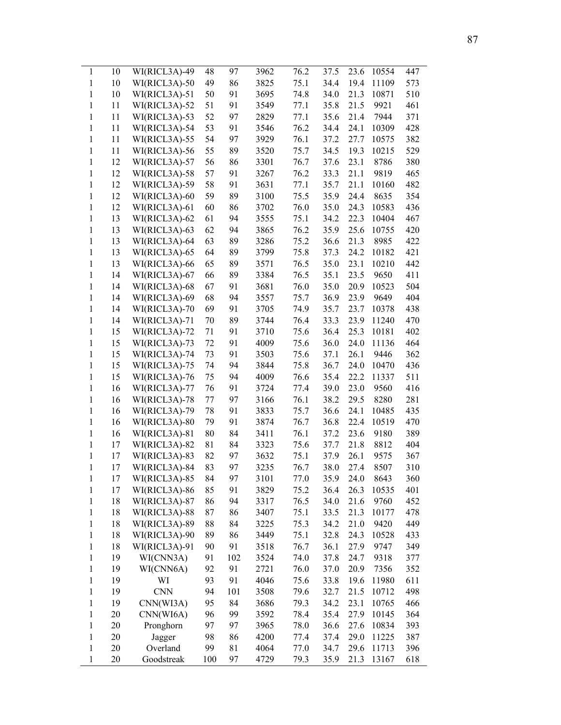| 1            | 10 | WI(RICL3A)-49 | 48  | 97  | 3962 | 76.2 | 37.5 | 23.6 | 10554 | 447 |
|--------------|----|---------------|-----|-----|------|------|------|------|-------|-----|
| 1            | 10 | WI(RICL3A)-50 | 49  | 86  | 3825 | 75.1 | 34.4 | 19.4 | 11109 | 573 |
| 1            | 10 | WI(RICL3A)-51 | 50  | 91  | 3695 | 74.8 | 34.0 | 21.3 | 10871 | 510 |
| $\mathbf{1}$ | 11 | WI(RICL3A)-52 | 51  | 91  | 3549 | 77.1 | 35.8 | 21.5 | 9921  | 461 |
| $\mathbf{1}$ | 11 | WI(RICL3A)-53 | 52  | 97  | 2829 | 77.1 | 35.6 | 21.4 | 7944  | 371 |
| $\mathbf{1}$ | 11 | WI(RICL3A)-54 | 53  | 91  | 3546 | 76.2 | 34.4 | 24.1 | 10309 | 428 |
| $\mathbf{1}$ | 11 | WI(RICL3A)-55 | 54  | 97  | 3929 | 76.1 | 37.2 | 27.7 | 10575 | 382 |
| 1            | 11 | WI(RICL3A)-56 | 55  | 89  | 3520 | 75.7 | 34.5 | 19.3 | 10215 | 529 |
| $\mathbf{1}$ | 12 | WI(RICL3A)-57 | 56  | 86  | 3301 | 76.7 | 37.6 | 23.1 | 8786  | 380 |
| $\mathbf{1}$ | 12 | WI(RICL3A)-58 | 57  | 91  | 3267 | 76.2 | 33.3 | 21.1 | 9819  | 465 |
| $\mathbf{1}$ | 12 | WI(RICL3A)-59 | 58  | 91  | 3631 | 77.1 | 35.7 | 21.1 | 10160 | 482 |
| $\mathbf{1}$ | 12 | WI(RICL3A)-60 | 59  | 89  | 3100 | 75.5 | 35.9 | 24.4 | 8635  | 354 |
| $\mathbf{1}$ | 12 | WI(RICL3A)-61 | 60  | 86  | 3702 | 76.0 | 35.0 | 24.3 | 10583 | 436 |
| $\mathbf{1}$ | 13 | WI(RICL3A)-62 | 61  | 94  | 3555 | 75.1 | 34.2 | 22.3 | 10404 | 467 |
| $\mathbf{1}$ | 13 | WI(RICL3A)-63 | 62  | 94  | 3865 | 76.2 | 35.9 | 25.6 | 10755 | 420 |
| $\mathbf{1}$ | 13 | WI(RICL3A)-64 | 63  | 89  | 3286 | 75.2 | 36.6 | 21.3 | 8985  | 422 |
| $\mathbf{1}$ | 13 | WI(RICL3A)-65 | 64  | 89  | 3799 | 75.8 | 37.3 | 24.2 | 10182 | 421 |
| $\mathbf{1}$ | 13 | WI(RICL3A)-66 | 65  | 89  | 3571 | 76.5 | 35.0 | 23.1 | 10210 | 442 |
| $\mathbf{1}$ | 14 | WI(RICL3A)-67 | 66  | 89  | 3384 | 76.5 | 35.1 | 23.5 | 9650  | 411 |
| $\mathbf{1}$ | 14 | WI(RICL3A)-68 | 67  | 91  | 3681 | 76.0 | 35.0 | 20.9 | 10523 | 504 |
| $\mathbf{1}$ | 14 | WI(RICL3A)-69 | 68  | 94  | 3557 | 75.7 | 36.9 | 23.9 | 9649  | 404 |
| 1            | 14 | WI(RICL3A)-70 | 69  | 91  | 3705 | 74.9 | 35.7 | 23.7 | 10378 | 438 |
| 1            | 14 | WI(RICL3A)-71 | 70  | 89  | 3744 | 76.4 | 33.3 | 23.9 | 11240 | 470 |
| 1            | 15 | WI(RICL3A)-72 | 71  | 91  | 3710 | 75.6 | 36.4 | 25.3 | 10181 | 402 |
| $\mathbf{1}$ | 15 | WI(RICL3A)-73 | 72  | 91  | 4009 | 75.6 | 36.0 | 24.0 | 11136 | 464 |
| $\mathbf{1}$ | 15 | WI(RICL3A)-74 | 73  | 91  | 3503 | 75.6 | 37.1 | 26.1 | 9446  | 362 |
| $\mathbf{1}$ | 15 | WI(RICL3A)-75 | 74  | 94  | 3844 | 75.8 | 36.7 | 24.0 | 10470 | 436 |
| $\mathbf{1}$ | 15 | WI(RICL3A)-76 | 75  | 94  | 4009 | 76.6 | 35.4 | 22.2 | 11337 | 511 |
| $\mathbf{1}$ | 16 | WI(RICL3A)-77 | 76  | 91  | 3724 | 77.4 | 39.0 | 23.0 | 9560  | 416 |
| $\mathbf{1}$ | 16 | WI(RICL3A)-78 | 77  | 97  | 3166 | 76.1 | 38.2 | 29.5 | 8280  | 281 |
| $\mathbf{1}$ | 16 | WI(RICL3A)-79 | 78  | 91  | 3833 | 75.7 | 36.6 | 24.1 | 10485 | 435 |
| $\mathbf{1}$ | 16 | WI(RICL3A)-80 | 79  | 91  | 3874 | 76.7 | 36.8 | 22.4 | 10519 | 470 |
| $\mathbf{1}$ | 16 | WI(RICL3A)-81 | 80  | 84  | 3411 | 76.1 | 37.2 | 23.6 | 9180  | 389 |
| $\mathbf{1}$ | 17 | WI(RICL3A)-82 | 81  | 84  | 3323 | 75.6 | 37.7 | 21.8 | 8812  | 404 |
| $\mathbf{1}$ | 17 | WI(RICL3A)-83 | 82  | 97  | 3632 | 75.1 | 37.9 | 26.1 | 9575  | 367 |
| $\mathbf{1}$ | 17 | WI(RICL3A)-84 | 83  | 97  | 3235 | 76.7 | 38.0 | 27.4 | 8507  | 310 |
| 1            | 17 | WI(RICL3A)-85 | 84  | 97  | 3101 | 77.0 | 35.9 | 24.0 | 8643  | 360 |
| $\mathbf{1}$ | 17 | WI(RICL3A)-86 | 85  | 91  | 3829 | 75.2 | 36.4 | 26.3 | 10535 | 401 |
| $\mathbf{1}$ | 18 | WI(RICL3A)-87 | 86  | 94  | 3317 | 76.5 | 34.0 | 21.6 | 9760  | 452 |
| 1            | 18 | WI(RICL3A)-88 | 87  | 86  | 3407 | 75.1 | 33.5 | 21.3 | 10177 | 478 |
| 1            | 18 | WI(RICL3A)-89 | 88  | 84  | 3225 | 75.3 | 34.2 | 21.0 | 9420  | 449 |
| $\mathbf{1}$ | 18 | WI(RICL3A)-90 | 89  | 86  | 3449 | 75.1 | 32.8 | 24.3 | 10528 | 433 |
| $\mathbf{1}$ | 18 | WI(RICL3A)-91 | 90  | 91  | 3518 | 76.7 | 36.1 | 27.9 | 9747  | 349 |
| 1            | 19 | WI(CNN3A)     | 91  | 102 | 3524 | 74.0 | 37.8 | 24.7 | 9318  | 377 |
| $\mathbf{1}$ | 19 | WI(CNN6A)     | 92  | 91  | 2721 | 76.0 | 37.0 | 20.9 | 7356  | 352 |
| $\mathbf{1}$ | 19 | WI            | 93  | 91  | 4046 | 75.6 | 33.8 | 19.6 | 11980 | 611 |
| $\,1$        | 19 | <b>CNN</b>    | 94  | 101 | 3508 | 79.6 | 32.7 | 21.5 | 10712 | 498 |
| $\mathbf{1}$ | 19 | CNN(WI3A)     | 95  | 84  | 3686 | 79.3 | 34.2 | 23.1 | 10765 | 466 |
| $\mathbf{1}$ | 20 | CNN(WI6A)     | 96  | 99  | 3592 | 78.4 | 35.4 | 27.9 | 10145 | 364 |
| $\mathbf{1}$ | 20 | Pronghorn     | 97  | 97  | 3965 | 78.0 | 36.6 | 27.6 | 10834 | 393 |
| $\mathbf{1}$ | 20 | Jagger        | 98  | 86  | 4200 | 77.4 | 37.4 | 29.0 | 11225 | 387 |
| $\mathbf{1}$ | 20 | Overland      | 99  | 81  | 4064 | 77.0 | 34.7 | 29.6 | 11713 | 396 |
| 1            | 20 | Goodstreak    | 100 | 97  | 4729 | 79.3 | 35.9 | 21.3 | 13167 | 618 |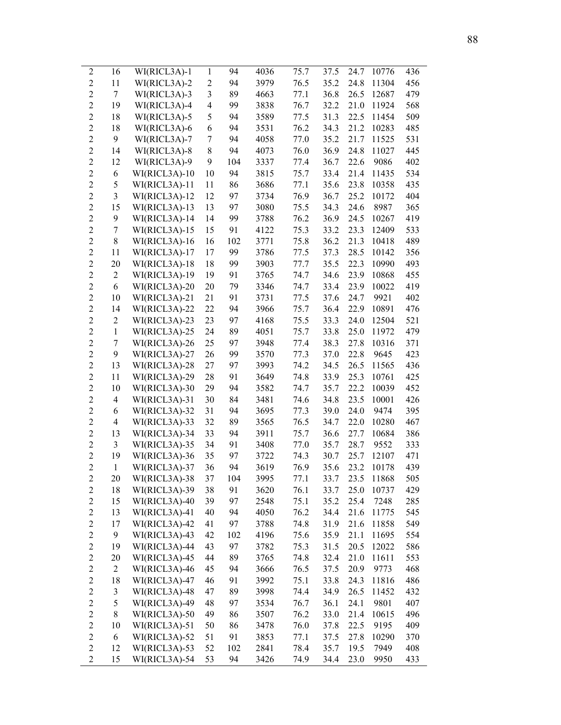| $\overline{c}$   | 16             | WI(RICL3A)-1    | 1              | 94  | 4036         | 75.7 | 37.5 | 24.7         | 10776 | 436 |
|------------------|----------------|-----------------|----------------|-----|--------------|------|------|--------------|-------|-----|
| $\overline{2}$   | 11             | WI(RICL3A)-2    | $\overline{2}$ | 94  | 3979         | 76.5 | 35.2 | 24.8         | 11304 | 456 |
| $\overline{2}$   | 7              | WI(RICL3A)-3    | 3              | 89  | 4663         | 77.1 | 36.8 | 26.5         | 12687 | 479 |
| $\overline{2}$   | 19             | WI(RICL3A)-4    | $\overline{4}$ | 99  | 3838         | 76.7 | 32.2 | 21.0         | 11924 | 568 |
| $\overline{c}$   | 18             | WI(RICL3A)-5    | 5              | 94  | 3589         | 77.5 | 31.3 | 22.5         | 11454 | 509 |
| $\overline{2}$   | 18             | WI(RICL3A)-6    | 6              | 94  | 3531         | 76.2 | 34.3 | 21.2         | 10283 | 485 |
| $\overline{2}$   | 9              | WI(RICL3A)-7    | 7              | 94  | 4058         | 77.0 | 35.2 | 21.7         | 11525 | 531 |
| $\overline{c}$   | 14             | WI(RICL3A)-8    | 8              | 94  | 4073         | 76.0 | 36.9 | 24.8         | 11027 | 445 |
| $\overline{2}$   | 12             | WI(RICL3A)-9    | 9              | 104 | 3337         | 77.4 | 36.7 | 22.6         | 9086  | 402 |
| $\overline{2}$   | 6              | WI(RICL3A)-10   | 10             | 94  | 3815         | 75.7 | 33.4 | 21.4         | 11435 | 534 |
| $\overline{2}$   | 5              | WI(RICL3A)-11   | 11             | 86  | 3686         | 77.1 | 35.6 | 23.8         | 10358 | 435 |
| $\overline{2}$   | 3              | WI(RICL3A)-12   | 12             | 97  | 3734         | 76.9 | 36.7 | 25.2         | 10172 | 404 |
| $\overline{2}$   | 15             | WI(RICL3A)-13   | 13             | 97  | 3080         | 75.5 | 34.3 | 24.6         | 8987  | 365 |
| $\overline{c}$   | 9              | WI(RICL3A)-14   | 14             | 99  | 3788         | 76.2 | 36.9 | 24.5         | 10267 | 419 |
| $\overline{2}$   | 7              | $WI(RICL3A)-15$ | 15             | 91  | 4122         | 75.3 | 33.2 | 23.3         | 12409 | 533 |
| $\overline{c}$   | $\,$ $\,$      | WI(RICL3A)-16   | 16             | 102 | 3771         | 75.8 | 36.2 | 21.3         | 10418 | 489 |
| $\overline{2}$   | 11             | WI(RICL3A)-17   | 17             | 99  | 3786         | 77.5 | 37.3 | 28.5         | 10142 | 356 |
| $\overline{c}$   | 20             | WI(RICL3A)-18   | 18             | 99  | 3903         | 77.7 | 35.5 | 22.3         | 10990 | 493 |
| $\overline{2}$   | $\overline{2}$ |                 | 19             | 91  | 3765         | 74.7 | 34.6 | 23.9         | 10868 | 455 |
| $\overline{2}$   |                | WI(RICL3A)-19   |                |     |              |      |      |              |       |     |
| $\overline{2}$   | 6              | WI(RICL3A)-20   | 20             | 79  | 3346<br>3731 | 74.7 | 33.4 | 23.9<br>24.7 | 10022 | 419 |
|                  | 10             | WI(RICL3A)-21   | 21             | 91  |              | 77.5 | 37.6 |              | 9921  | 402 |
| $\overline{2}$   | 14             | WI(RICL3A)-22   | 22             | 94  | 3966         | 75.7 | 36.4 | 22.9         | 10891 | 476 |
| $\overline{2}$   | $\overline{c}$ | WI(RICL3A)-23   | 23             | 97  | 4168         | 75.5 | 33.3 | 24.0         | 12504 | 521 |
| $\overline{2}$   | $\mathbf{1}$   | WI(RICL3A)-25   | 24             | 89  | 4051         | 75.7 | 33.8 | 25.0         | 11972 | 479 |
| $\overline{c}$   | $\overline{7}$ | WI(RICL3A)-26   | 25             | 97  | 3948         | 77.4 | 38.3 | 27.8         | 10316 | 371 |
| $\overline{2}$   | 9              | WI(RICL3A)-27   | 26             | 99  | 3570         | 77.3 | 37.0 | 22.8         | 9645  | 423 |
| $\overline{c}$   | 13             | WI(RICL3A)-28   | 27             | 97  | 3993         | 74.2 | 34.5 | 26.5         | 11565 | 436 |
| $\overline{2}$   | 11             | WI(RICL3A)-29   | 28             | 91  | 3649         | 74.8 | 33.9 | 25.3         | 10761 | 425 |
| $\overline{c}$   | 10             | WI(RICL3A)-30   | 29             | 94  | 3582         | 74.7 | 35.7 | 22.2         | 10039 | 452 |
| $\overline{2}$   | $\overline{4}$ | WI(RICL3A)-31   | 30             | 84  | 3481         | 74.6 | 34.8 | 23.5         | 10001 | 426 |
| $\overline{c}$   | 6              | WI(RICL3A)-32   | 31             | 94  | 3695         | 77.3 | 39.0 | 24.0         | 9474  | 395 |
| $\overline{2}$   | $\overline{4}$ | WI(RICL3A)-33   | 32             | 89  | 3565         | 76.5 | 34.7 | 22.0         | 10280 | 467 |
| $\overline{c}$   | 13             | WI(RICL3A)-34   | 33             | 94  | 3911         | 75.7 | 36.6 | 27.7         | 10684 | 386 |
| $\overline{2}$   | 3              | WI(RICL3A)-35   | 34             | 91  | 3408         | 77.0 | 35.7 | 28.7         | 9552  | 333 |
| $\overline{2}$   | 19             | WI(RICL3A)-36   | 35             | 97  | 3722         | 74.3 | 30.7 | 25.7         | 12107 | 471 |
| $\overline{2}$   | $\mathbf{1}$   | WI(RICL3A)-37   | 36             | 94  | 3619         | 76.9 | 35.6 | 23.2         | 10178 | 439 |
| $\overline{c}$   | 20             | WI(RICL3A)-38   | 37             | 104 | 3995         | 77.1 | 33.7 | 23.5         | 11868 | 505 |
| $\boldsymbol{2}$ | 18             | WI(RICL3A)-39   | 38             | 91  | 3620         | 76.1 | 33.7 | 25.0         | 10737 | 429 |
| $\overline{2}$   | 15             | WI(RICL3A)-40   | 39             | 97  | 2548         | 75.1 | 35.2 | 25.4         | 7248  | 285 |
| $\overline{c}$   | 13             | WI(RICL3A)-41   | 40             | 94  | 4050         | 76.2 | 34.4 | 21.6         | 11775 | 545 |
| $\overline{c}$   | 17             | WI(RICL3A)-42   | 41             | 97  | 3788         | 74.8 | 31.9 | 21.6         | 11858 | 549 |
| $\overline{c}$   | 9              | WI(RICL3A)-43   | 42             | 102 | 4196         | 75.6 | 35.9 | 21.1         | 11695 | 554 |
| $\overline{c}$   | 19             | WI(RICL3A)-44   | 43             | 97  | 3782         | 75.3 | 31.5 | 20.5         | 12022 | 586 |
| $\overline{c}$   |                | WI(RICL3A)-45   | 44             | 89  | 3765         | 74.8 | 32.4 | 21.0         | 11611 | 553 |
|                  | 20             |                 |                |     |              |      |      |              |       |     |
| $\overline{c}$   | $\mathbf{2}$   | WI(RICL3A)-46   | 45             | 94  | 3666         | 76.5 | 37.5 | 20.9         | 9773  | 468 |
| $\overline{c}$   | 18             | WI(RICL3A)-47   | 46             | 91  | 3992         | 75.1 | 33.8 | 24.3         | 11816 | 486 |
| $\overline{c}$   | $\mathfrak{Z}$ | WI(RICL3A)-48   | 47             | 89  | 3998         | 74.4 | 34.9 | 26.5         | 11452 | 432 |
| $\overline{c}$   | 5              | WI(RICL3A)-49   | 48             | 97  | 3534         | 76.7 | 36.1 | 24.1         | 9801  | 407 |
| $\overline{c}$   | $8\,$          | WI(RICL3A)-50   | 49             | 86  | 3507         | 76.2 | 33.0 | 21.4         | 10615 | 496 |
| $\overline{c}$   | 10             | WI(RICL3A)-51   | 50             | 86  | 3478         | 76.0 | 37.8 | 22.5         | 9195  | 409 |
| $\overline{c}$   | 6              | WI(RICL3A)-52   | 51             | 91  | 3853         | 77.1 | 37.5 | 27.8         | 10290 | 370 |
| $\overline{2}$   | 12             | WI(RICL3A)-53   | 52             | 102 | 2841         | 78.4 | 35.7 | 19.5         | 7949  | 408 |
| $\overline{2}$   | 15             | WI(RICL3A)-54   | 53             | 94  | 3426         | 74.9 | 34.4 | 23.0         | 9950  | 433 |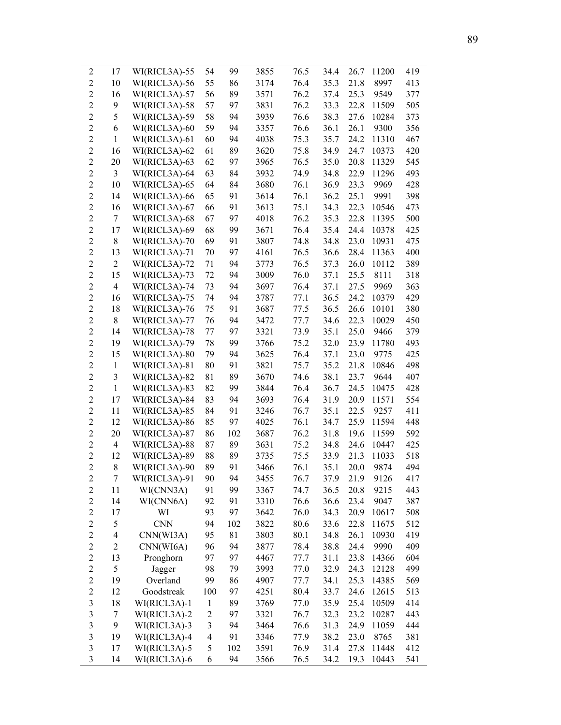| $\overline{c}$          | 17                       | WI(RICL3A)-55 | 54                       | 99  | 3855 | 76.5 | 34.4 | 26.7 | 11200 | 419 |
|-------------------------|--------------------------|---------------|--------------------------|-----|------|------|------|------|-------|-----|
| $\overline{2}$          | 10                       | WI(RICL3A)-56 | 55                       | 86  | 3174 | 76.4 | 35.3 | 21.8 | 8997  | 413 |
| $\overline{c}$          | 16                       | WI(RICL3A)-57 | 56                       | 89  | 3571 | 76.2 | 37.4 | 25.3 | 9549  | 377 |
| $\overline{2}$          | 9                        | WI(RICL3A)-58 | 57                       | 97  | 3831 | 76.2 | 33.3 | 22.8 | 11509 | 505 |
| $\overline{c}$          | 5                        | WI(RICL3A)-59 | 58                       | 94  | 3939 | 76.6 | 38.3 | 27.6 | 10284 | 373 |
| $\overline{c}$          | 6                        | WI(RICL3A)-60 | 59                       | 94  | 3357 | 76.6 | 36.1 | 26.1 | 9300  | 356 |
| $\overline{c}$          | $\mathbf{1}$             | WI(RICL3A)-61 | 60                       | 94  | 4038 | 75.3 | 35.7 | 24.2 | 11310 | 467 |
|                         |                          |               |                          |     |      |      |      |      |       |     |
| $\overline{c}$          | 16                       | WI(RICL3A)-62 | 61                       | 89  | 3620 | 75.8 | 34.9 | 24.7 | 10373 | 420 |
| $\overline{c}$          | 20                       | WI(RICL3A)-63 | 62                       | 97  | 3965 | 76.5 | 35.0 | 20.8 | 11329 | 545 |
| $\overline{c}$          | $\mathfrak{Z}$           | WI(RICL3A)-64 | 63                       | 84  | 3932 | 74.9 | 34.8 | 22.9 | 11296 | 493 |
| $\overline{c}$          | 10                       | WI(RICL3A)-65 | 64                       | 84  | 3680 | 76.1 | 36.9 | 23.3 | 9969  | 428 |
| $\overline{c}$          | 14                       | WI(RICL3A)-66 | 65                       | 91  | 3614 | 76.1 | 36.2 | 25.1 | 9991  | 398 |
| $\overline{c}$          | 16                       | WI(RICL3A)-67 | 66                       | 91  | 3613 | 75.1 | 34.3 | 22.3 | 10546 | 473 |
| $\overline{c}$          | $\boldsymbol{7}$         | WI(RICL3A)-68 | 67                       | 97  | 4018 | 76.2 | 35.3 | 22.8 | 11395 | 500 |
| $\overline{c}$          | 17                       | WI(RICL3A)-69 | 68                       | 99  | 3671 | 76.4 | 35.4 | 24.4 | 10378 | 425 |
| $\overline{c}$          | $\,$ $\,$                | WI(RICL3A)-70 | 69                       | 91  | 3807 | 74.8 | 34.8 | 23.0 | 10931 | 475 |
| $\overline{c}$          | 13                       | WI(RICL3A)-71 | 70                       | 97  | 4161 | 76.5 | 36.6 | 28.4 | 11363 | 400 |
| $\overline{c}$          | $\mathbf{2}$             | WI(RICL3A)-72 | 71                       | 94  | 3773 | 76.5 | 37.3 | 26.0 | 10112 | 389 |
| $\overline{2}$          | 15                       | WI(RICL3A)-73 | 72                       | 94  | 3009 | 76.0 | 37.1 | 25.5 | 8111  | 318 |
| $\overline{c}$          | $\overline{4}$           | WI(RICL3A)-74 | 73                       | 94  | 3697 | 76.4 | 37.1 | 27.5 | 9969  | 363 |
| $\overline{c}$          | 16                       | WI(RICL3A)-75 | 74                       | 94  | 3787 | 77.1 | 36.5 | 24.2 | 10379 | 429 |
| $\overline{c}$          | 18                       | WI(RICL3A)-76 | 75                       | 91  | 3687 | 77.5 | 36.5 | 26.6 | 10101 | 380 |
| $\overline{c}$          | $\,$ 8 $\,$              | WI(RICL3A)-77 | 76                       | 94  | 3472 | 77.7 | 34.6 | 22.3 | 10029 | 450 |
| $\overline{2}$          | 14                       | WI(RICL3A)-78 | 77                       | 97  | 3321 | 73.9 | 35.1 | 25.0 | 9466  | 379 |
| $\overline{c}$          | 19                       | WI(RICL3A)-79 | 78                       | 99  | 3766 | 75.2 | 32.0 | 23.9 | 11780 | 493 |
| $\overline{c}$          | 15                       | WI(RICL3A)-80 | 79                       | 94  | 3625 | 76.4 | 37.1 | 23.0 | 9775  | 425 |
| $\overline{c}$          | $\mathbf{1}$             | WI(RICL3A)-81 | 80                       | 91  | 3821 | 75.7 | 35.2 | 21.8 | 10846 | 498 |
| $\overline{2}$          | $\mathfrak{Z}$           | WI(RICL3A)-82 | 81                       | 89  | 3670 | 74.6 | 38.1 | 23.7 | 9644  | 407 |
| $\overline{c}$          | $\mathbf{1}$             | WI(RICL3A)-83 | 82                       | 99  | 3844 | 76.4 | 36.7 | 24.5 | 10475 | 428 |
| $\overline{c}$          |                          | WI(RICL3A)-84 | 83                       | 94  | 3693 | 76.4 | 31.9 | 20.9 |       | 554 |
|                         | 17                       |               |                          |     |      |      |      |      | 11571 |     |
| $\overline{c}$          | 11                       | WI(RICL3A)-85 | 84                       | 91  | 3246 | 76.7 | 35.1 | 22.5 | 9257  | 411 |
| $\overline{c}$          | 12                       | WI(RICL3A)-86 | 85                       | 97  | 4025 | 76.1 | 34.7 | 25.9 | 11594 | 448 |
| $\overline{c}$          | 20                       | WI(RICL3A)-87 | 86                       | 102 | 3687 | 76.2 | 31.8 | 19.6 | 11599 | 592 |
| $\overline{2}$          | $\overline{4}$           | WI(RICL3A)-88 | 87                       | 89  | 3631 | 75.2 | 34.8 | 24.6 | 10447 | 425 |
| $\overline{c}$          | 12                       | WI(RICL3A)-89 | 88                       | 89  | 3735 | 75.5 | 33.9 | 21.3 | 11033 | 518 |
| $\overline{2}$          | $\,$ 8 $\,$              | WI(RICL3A)-90 | 89                       | 91  | 3466 | 76.1 | 35.1 | 20.0 | 9874  | 494 |
| $\overline{2}$          | 7                        | WI(RICL3A)-91 | 90                       | 94  | 3455 | 76.7 | 37.9 | 21.9 | 9126  | 417 |
| $\overline{2}$          | 11                       | WI(CNN3A)     | 91                       | 99  | 3367 | 74.7 | 36.5 | 20.8 | 9215  | 443 |
| $\overline{c}$          | 14                       | WI(CNN6A)     | 92                       | 91  | 3310 | 76.6 | 36.6 | 23.4 | 9047  | 387 |
| $\overline{c}$          | 17                       | WI            | 93                       | 97  | 3642 | 76.0 | 34.3 | 20.9 | 10617 | 508 |
| $\overline{c}$          | 5                        | <b>CNN</b>    | 94                       | 102 | 3822 | 80.6 | 33.6 | 22.8 | 11675 | 512 |
| $\overline{c}$          | $\overline{\mathcal{L}}$ | CNN(WI3A)     | 95                       | 81  | 3803 | 80.1 | 34.8 | 26.1 | 10930 | 419 |
| $\overline{c}$          | $\overline{c}$           | CNN(WI6A)     | 96                       | 94  | 3877 | 78.4 | 38.8 | 24.4 | 9990  | 409 |
| $\overline{c}$          | 13                       | Pronghorn     | 97                       | 97  | 4467 | 77.7 | 31.1 | 23.8 | 14366 | 604 |
| $\overline{c}$          | 5                        | Jagger        | 98                       | 79  | 3993 | 77.0 | 32.9 | 24.3 | 12128 | 499 |
| $\overline{c}$          | 19                       | Overland      | 99                       | 86  | 4907 | 77.7 | 34.1 | 25.3 | 14385 | 569 |
| $\overline{c}$          | 12                       | Goodstreak    | 100                      | 97  | 4251 | 80.4 | 33.7 | 24.6 | 12615 | 513 |
| 3                       | 18                       | WI(RICL3A)-1  | $\mathbf{1}$             | 89  | 3769 | 77.0 | 35.9 | 25.4 | 10509 | 414 |
| 3                       | $\tau$                   | WI(RICL3A)-2  | $\overline{\mathbf{c}}$  | 97  | 3321 | 76.7 | 32.3 | 23.2 | 10287 | 443 |
| $\overline{\mathbf{3}}$ | 9                        | WI(RICL3A)-3  | 3                        | 94  | 3464 | 76.6 | 31.3 | 24.9 | 11059 | 444 |
| 3                       | 19                       | WI(RICL3A)-4  | $\overline{\mathcal{L}}$ | 91  | 3346 | 77.9 | 38.2 | 23.0 | 8765  | 381 |
| 3                       |                          |               |                          | 102 |      |      |      |      |       | 412 |
|                         | 17                       | WI(RICL3A)-5  | 5                        |     | 3591 | 76.9 | 31.4 | 27.8 | 11448 |     |
| $\overline{\mathbf{3}}$ | 14                       | WI(RICL3A)-6  | 6                        | 94  | 3566 | 76.5 | 34.2 | 19.3 | 10443 | 541 |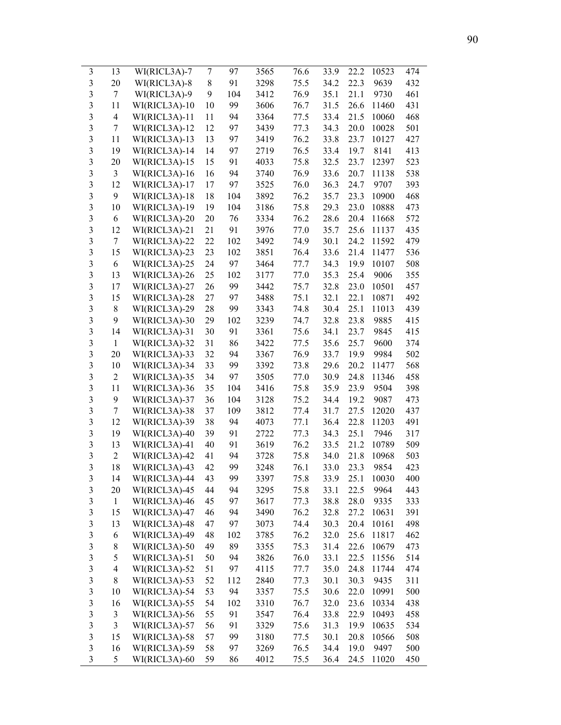| 3                       | 13                       | WI(RICL3A)-7  | 7  | 97  | 3565 | 76.6 | 33.9 | 22.2 | 10523 | 474 |
|-------------------------|--------------------------|---------------|----|-----|------|------|------|------|-------|-----|
| 3                       | 20                       | WI(RICL3A)-8  | 8  | 91  | 3298 | 75.5 | 34.2 | 22.3 | 9639  | 432 |
| $\overline{\mathbf{3}}$ | 7                        | WI(RICL3A)-9  | 9  | 104 | 3412 | 76.9 | 35.1 | 21.1 | 9730  | 461 |
| 3                       | 11                       | WI(RICL3A)-10 | 10 | 99  | 3606 | 76.7 | 31.5 | 26.6 | 11460 | 431 |
| $\overline{\mathbf{3}}$ | $\overline{4}$           | WI(RICL3A)-11 | 11 | 94  | 3364 | 77.5 | 33.4 | 21.5 | 10060 | 468 |
| 3                       | 7                        | WI(RICL3A)-12 | 12 | 97  | 3439 | 77.3 | 34.3 | 20.0 | 10028 | 501 |
| 3                       | 11                       | WI(RICL3A)-13 | 13 | 97  | 3419 | 76.2 | 33.8 | 23.7 | 10127 | 427 |
| 3                       | 19                       | WI(RICL3A)-14 | 14 | 97  | 2719 | 76.5 | 33.4 | 19.7 | 8141  | 413 |
| 3                       | 20                       | WI(RICL3A)-15 | 15 | 91  | 4033 | 75.8 | 32.5 | 23.7 | 12397 | 523 |
| 3                       | 3                        | WI(RICL3A)-16 | 16 | 94  | 3740 | 76.9 | 33.6 | 20.7 | 11138 | 538 |
| 3                       | 12                       | WI(RICL3A)-17 | 17 | 97  | 3525 | 76.0 | 36.3 | 24.7 | 9707  | 393 |
| 3                       | 9                        | WI(RICL3A)-18 | 18 | 104 | 3892 | 76.2 | 35.7 | 23.3 | 10900 | 468 |
| 3                       | 10                       | WI(RICL3A)-19 | 19 | 104 | 3186 | 75.8 | 29.3 | 23.0 | 10888 | 473 |
| 3                       | 6                        | WI(RICL3A)-20 | 20 | 76  | 3334 | 76.2 | 28.6 | 20.4 | 11668 | 572 |
| 3                       | 12                       | WI(RICL3A)-21 | 21 | 91  | 3976 | 77.0 | 35.7 | 25.6 | 11137 | 435 |
| 3                       | 7                        | WI(RICL3A)-22 | 22 | 102 | 3492 | 74.9 | 30.1 | 24.2 | 11592 | 479 |
| $\overline{\mathbf{3}}$ | 15                       | WI(RICL3A)-23 | 23 | 102 | 3851 | 76.4 | 33.6 | 21.4 | 11477 | 536 |
| $\overline{\mathbf{3}}$ | 6                        | WI(RICL3A)-25 | 24 | 97  | 3464 | 77.7 | 34.3 | 19.9 | 10107 | 508 |
| $\overline{\mathbf{3}}$ | 13                       | WI(RICL3A)-26 | 25 | 102 | 3177 | 77.0 | 35.3 | 25.4 | 9006  | 355 |
| 3                       | 17                       | WI(RICL3A)-27 | 26 | 99  | 3442 | 75.7 | 32.8 | 23.0 | 10501 | 457 |
| $\overline{\mathbf{3}}$ | 15                       | WI(RICL3A)-28 | 27 | 97  | 3488 | 75.1 | 32.1 | 22.1 | 10871 | 492 |
| 3                       | 8                        | WI(RICL3A)-29 | 28 | 99  | 3343 | 74.8 | 30.4 | 25.1 | 11013 | 439 |
| 3                       | 9                        | WI(RICL3A)-30 | 29 | 102 | 3239 | 74.7 | 32.8 | 23.8 | 9885  | 415 |
| 3                       | 14                       | WI(RICL3A)-31 | 30 | 91  | 3361 | 75.6 | 34.1 | 23.7 | 9845  | 415 |
| 3                       | $\mathbf{1}$             | WI(RICL3A)-32 | 31 | 86  | 3422 | 77.5 | 35.6 | 25.7 | 9600  | 374 |
| 3                       | 20                       | WI(RICL3A)-33 | 32 | 94  | 3367 | 76.9 | 33.7 | 19.9 | 9984  | 502 |
| 3                       | 10                       | WI(RICL3A)-34 | 33 | 99  | 3392 | 73.8 | 29.6 | 20.2 | 11477 | 568 |
| 3                       | $\overline{2}$           | WI(RICL3A)-35 | 34 | 97  | 3505 | 77.0 | 30.9 | 24.8 | 11346 | 458 |
| 3                       | 11                       | WI(RICL3A)-36 | 35 | 104 | 3416 | 75.8 | 35.9 | 23.9 | 9504  | 398 |
| 3                       | 9                        | WI(RICL3A)-37 | 36 | 104 | 3128 | 75.2 | 34.4 | 19.2 | 9087  | 473 |
| 3                       | 7                        | WI(RICL3A)-38 | 37 | 109 | 3812 | 77.4 | 31.7 | 27.5 | 12020 | 437 |
| 3                       | 12                       | WI(RICL3A)-39 | 38 | 94  | 4073 | 77.1 | 36.4 | 22.8 | 11203 | 491 |
| 3                       | 19                       | WI(RICL3A)-40 | 39 | 91  | 2722 | 77.3 | 34.3 | 25.1 | 7946  | 317 |
| $\overline{\mathbf{3}}$ | 13                       | WI(RICL3A)-41 | 40 | 91  | 3619 | 76.2 | 33.5 | 21.2 | 10789 | 509 |
| $\overline{3}$          | $\overline{2}$           | WI(RICL3A)-42 | 41 | 94  | 3728 | 75.8 | 34.0 | 21.8 | 10968 | 503 |
| $\overline{3}$          | 18                       | WI(RICL3A)-43 | 42 | 99  | 3248 | 76.1 | 33.0 | 23.3 | 9854  | 423 |
| 3                       | 14                       | WI(RICL3A)-44 | 43 | 99  | 3397 | 75.8 | 33.9 | 25.1 | 10030 | 400 |
| $\mathfrak{Z}$          | 20                       | WI(RICL3A)-45 | 44 | 94  | 3295 | 75.8 | 33.1 | 22.5 | 9964  | 443 |
| 3                       | $\mathbf{1}$             | WI(RICL3A)-46 | 45 | 97  | 3617 | 77.3 | 38.8 | 28.0 | 9335  | 333 |
| 3                       | 15                       | WI(RICL3A)-47 | 46 | 94  | 3490 | 76.2 | 32.8 | 27.2 | 10631 | 391 |
| 3                       | 13                       | WI(RICL3A)-48 | 47 | 97  | 3073 | 74.4 | 30.3 | 20.4 | 10161 | 498 |
| $\mathfrak{Z}$          | 6                        | WI(RICL3A)-49 | 48 | 102 | 3785 | 76.2 | 32.0 | 25.6 | 11817 | 462 |
| 3                       | $\,$ $\,$                | WI(RICL3A)-50 | 49 | 89  | 3355 | 75.3 | 31.4 | 22.6 | 10679 | 473 |
| 3                       | 5                        | WI(RICL3A)-51 | 50 | 94  | 3826 | 76.0 | 33.1 | 22.5 | 11556 | 514 |
| $\mathfrak{Z}$          | $\overline{\mathcal{L}}$ | WI(RICL3A)-52 | 51 | 97  | 4115 | 77.7 | 35.0 | 24.8 | 11744 | 474 |
| $\mathfrak{Z}$          | $\,$ $\,$                | WI(RICL3A)-53 | 52 | 112 | 2840 | 77.3 | 30.1 | 30.3 | 9435  | 311 |
| $\mathfrak{Z}$          | 10                       | WI(RICL3A)-54 | 53 | 94  | 3357 | 75.5 | 30.6 | 22.0 | 10991 | 500 |
| 3                       | 16                       | WI(RICL3A)-55 | 54 | 102 | 3310 | 76.7 | 32.0 | 23.6 | 10334 | 438 |
| 3                       | $\mathfrak{Z}$           | WI(RICL3A)-56 | 55 | 91  | 3547 | 76.4 | 33.8 | 22.9 | 10493 | 458 |
| 3                       | $\mathfrak{Z}$           | WI(RICL3A)-57 | 56 | 91  | 3329 | 75.6 | 31.3 | 19.9 | 10635 | 534 |
| 3                       | 15                       | WI(RICL3A)-58 | 57 | 99  | 3180 | 77.5 | 30.1 | 20.8 | 10566 | 508 |
| 3                       | 16                       | WI(RICL3A)-59 | 58 | 97  | 3269 | 76.5 | 34.4 | 19.0 | 9497  | 500 |
| 3                       | 5                        | WI(RICL3A)-60 | 59 | 86  | 4012 | 75.5 | 36.4 | 24.5 | 11020 | 450 |